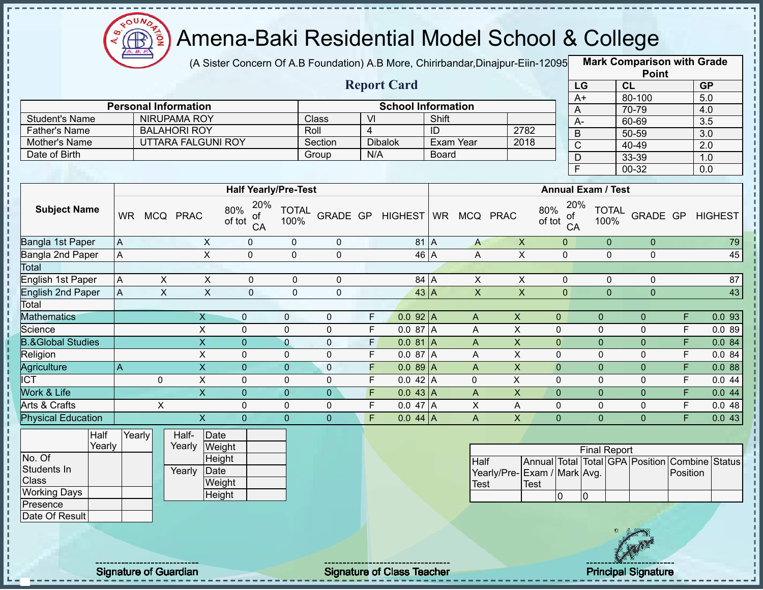

п

f,

П

Î

Ţ  $\mathbf{I}$ 

 $\begin{array}{c} 1 \\ 1 \\ 1 \\ 1 \end{array}$ 

 $\mathbf I$ 

 $\frac{1}{1}$ 

## Amena-Baki Residential Model School & College

(A Sister Concern Of A.B Foundation) A.B More, Chirirbandar,Dinajpur-Eiin-12095 **Mark Comparison with Grade** 

|                                |                |                |                             |                             |                      |                |                         |                           |                |                           |                             |                           |                |                      | <b>Point</b>   |                         |                                                |
|--------------------------------|----------------|----------------|-----------------------------|-----------------------------|----------------------|----------------|-------------------------|---------------------------|----------------|---------------------------|-----------------------------|---------------------------|----------------|----------------------|----------------|-------------------------|------------------------------------------------|
|                                |                |                |                             |                             |                      |                |                         | <b>Report Card</b>        |                |                           |                             |                           | LG             |                      | CL             |                         | GP                                             |
|                                |                |                |                             |                             |                      |                |                         |                           |                |                           |                             |                           | $A+$           |                      | 80-100         |                         | 5.0                                            |
|                                |                |                | <b>Personal Information</b> |                             |                      |                |                         | <b>School Information</b> |                |                           |                             |                           | $\bigwedge$    |                      | 70-79          |                         | 4.0                                            |
| <b>Student's Name</b>          |                |                | <b>NIRUPAMA ROY</b>         |                             |                      | Class          | $\overline{V}$          |                           | Shift          |                           |                             |                           | $A-$           |                      | 60-69          |                         | 3.5                                            |
| <b>Father's Name</b>           |                |                | <b>BALAHORI ROY</b>         |                             |                      | Roll           | $\overline{4}$          |                           | $\overline{1}$ |                           | 2782                        |                           | B              |                      | $50 - 59$      |                         | $\overline{3.0}$                               |
| Mother's Name<br>Date of Birth |                |                | <b>UTTARA FALGUNI ROY</b>   |                             |                      | Section        | N/A                     | <b>Dibalok</b>            |                | Exam Year                 | 2018                        |                           | $\overline{C}$ |                      | 40-49          |                         | 2.0                                            |
|                                |                |                |                             |                             |                      | Group          |                         |                           | Board          |                           |                             |                           | $\overline{D}$ |                      | 33-39          |                         | 1.0                                            |
|                                |                |                |                             |                             |                      |                |                         |                           |                |                           |                             |                           | F              |                      | $00 - 32$      |                         | 0.0                                            |
|                                |                |                |                             | <b>Half Yearly/Pre-Test</b> |                      |                |                         |                           |                |                           |                             | <b>Annual Exam / Test</b> |                |                      |                |                         |                                                |
|                                |                |                |                             | 20%                         |                      |                |                         |                           |                |                           |                             |                           | 20%            |                      |                |                         |                                                |
| <b>Subject Name</b>            | <b>WR</b>      |                | MCQ PRAC                    | 80%<br>οf<br>of tot<br>CA   | <b>TOTAL</b><br>100% |                |                         | GRADE GP HIGHEST          |                | WR MCQ PRAC               |                             | 80%<br>of tot             | of<br>CA       | <b>TOTAL</b><br>100% | GRADE GP       |                         | <b>HIGHEST</b>                                 |
| Bangla 1st Paper               | $\overline{A}$ |                | $\mathsf{X}$                | $\mathbf 0$                 | $\mathbf 0$          | $\pmb{0}$      |                         | $81$ A                    |                | $\mathsf{A}$              | $\mathsf X$                 | $\overline{0}$            |                | $\overline{0}$       | $\mathbf 0$    |                         | 79                                             |
| <b>Bangla 2nd Paper</b>        | $\mathsf{A}$   |                | $\overline{\mathsf{x}}$     | $\overline{0}$              | $\mathbf 0$          | $\overline{0}$ |                         | 46 A                      |                | A                         | $\overline{\mathsf{x}}$     | $\mathbf 0$               |                | $\mathbf{0}$         | $\mathbf 0$    |                         | 45                                             |
| Total                          |                |                |                             |                             |                      |                |                         |                           |                |                           |                             |                           |                |                      |                |                         |                                                |
| English 1st Paper              | $\overline{A}$ | $\pmb{\times}$ | $\mathsf X$                 | $\mathbf 0$                 | $\mathbf 0$          | $\mathbf 0$    |                         | 84 A                      |                | $\pmb{\times}$            | $\overline{X}$              | $\overline{0}$            |                | $\mathbf{0}$         | $\mathbf 0$    |                         | 87                                             |
| <b>English 2nd Paper</b>       | $\overline{A}$ | $\pmb{\times}$ | $\mathsf X$                 | $\overline{0}$              | $\overline{0}$       | $\overline{0}$ |                         | $43$ A                    |                | $\boldsymbol{\mathsf{X}}$ | $\pmb{\times}$              | $\overline{0}$            |                | $\overline{0}$       | $\overline{0}$ |                         | 43                                             |
| Total                          |                |                |                             |                             |                      |                |                         |                           |                |                           |                             |                           |                |                      |                |                         |                                                |
| <b>Mathematics</b>             |                |                | X                           | $\mathbf{0}$                | $\mathbf 0$          | $\pmb{0}$      | $\mathsf F$             | $0.092$ A                 |                | A                         | $\boldsymbol{\mathsf{X}}$   | $\mathbf{0}$              |                | $\pmb{0}$            | $\mathbf{0}$   | F                       | 0.093                                          |
| Science                        |                |                | $\overline{X}$              | $\mathbf 0$                 | $\mathbf 0$          | $\overline{0}$ | $\overline{F}$          | 0.0 87 A                  |                | A                         | $\overline{\mathsf{x}}$     | $\mathbf 0$               |                | $\mathbf 0$          | $\mathbf 0$    | F                       | 0.089                                          |
| <b>B.&amp;Global Studies</b>   |                |                | $\overline{\mathsf{x}}$     | $\overline{0}$              | $\overline{0}$       | $\overline{0}$ | $\overline{F}$          | 0.081A                    |                | A                         | $\overline{X}$              | $\overline{0}$            |                | $\overline{0}$       | $\overline{0}$ | $\overline{\mathsf{F}}$ | 0.084                                          |
| Religion                       |                |                | $\mathsf{X}$                | $\mathbf 0$                 | $\mathbf 0$          | $\pmb{0}$      | $\mathsf F$             | 0.087A                    |                | A                         | $\boldsymbol{\mathsf{X}}$   | $\mathbf 0$               |                | $\mathbf 0$          | $\mathbf 0$    | F                       | 0.084                                          |
| Agriculture                    | $\overline{A}$ |                | $\overline{\mathsf{x}}$     | $\overline{0}$              | $\overline{0}$       | $\mathbf 0$    | F                       | $0.089$ A                 |                | $\overline{A}$            | $\overline{\mathsf{x}}$     | $\overline{0}$            |                | $\overline{0}$       | $\mathbf 0$    | $\overline{F}$          | 0.088                                          |
| <b>ICT</b>                     |                | $\mathbf 0$    | $\mathsf{X}$                | $\mathbf 0$                 | $\mathbf 0$          | $\mathbf 0$    | F                       | $0.042$ A                 |                | $\mathbf 0$               | $\overline{X}$              | $\mathbf 0$               |                | $\mathbf 0$          | $\mathbf 0$    | $\overline{F}$          | 0.044                                          |
| Work & Life                    |                |                | $\overline{\mathsf{X}}$     | $\overline{0}$              | $\overline{0}$       | $\mathbf 0$    | $\overline{F}$          | $0.043$ A                 |                | $\boldsymbol{\mathsf{A}}$ | $\overline{\mathsf{x}}$     | $\overline{0}$            |                | $\pmb{0}$            | $\mathbf{0}$   | $\overline{F}$          | 0.044                                          |
| Arts & Crafts                  |                | $\mathsf{X}$   |                             | $\mathbf 0$                 | $\mathbf 0$          | $\pmb{0}$      | F                       | 0.047A                    |                | $\pmb{\times}$            | A                           | $\mathbf 0$               |                | $\pmb{0}$            | $\mathbf 0$    | F                       | 0.048                                          |
| <b>Physical Education</b>      |                |                | $\overline{X}$              | $\Omega$                    | $\Omega$             | $\overline{0}$ | $\overline{\mathsf{F}}$ | $0.044$ A                 |                | $\overline{A}$            | $\overline{\mathsf{X}}$     | $\overline{0}$            |                | $\overline{0}$       | $\overline{0}$ | $\overline{\mathsf{F}}$ | 0.043                                          |
| Half                           | Yearly         |                | Date<br>Half-               |                             |                      |                |                         |                           |                |                           |                             |                           |                |                      |                |                         |                                                |
| Yearly                         |                |                | Yearly                      | Weight                      |                      |                |                         |                           |                |                           |                             |                           |                | <b>Final Report</b>  |                |                         |                                                |
| No. Of                         |                |                |                             | Height                      |                      |                |                         |                           |                | <b>Half</b>               |                             |                           |                |                      |                |                         | Annual Total Total GPA Position Combine Status |
| Students In                    |                |                | Date<br>Yearly              |                             |                      |                |                         |                           |                |                           | Yearly/Pre-Exam / Mark Avg. |                           |                |                      |                | Position                |                                                |
| Class                          |                |                |                             | Weight                      |                      |                |                         |                           |                | <b>Test</b>               | <b>Test</b>                 |                           |                |                      |                |                         |                                                |
| <b>Working Days</b>            |                |                |                             | Height                      |                      |                |                         |                           |                |                           |                             | $\overline{0}$            | $\overline{0}$ |                      |                |                         |                                                |
| Presence                       |                |                |                             |                             |                      |                |                         |                           |                |                           |                             |                           |                |                      |                |                         |                                                |
| Date Of Result                 |                |                |                             |                             |                      |                |                         |                           |                |                           |                             |                           |                |                      |                |                         |                                                |
|                                |                |                |                             |                             |                      |                |                         |                           |                |                           |                             |                           |                |                      |                |                         |                                                |
|                                |                |                |                             |                             |                      |                |                         |                           |                |                           |                             |                           |                |                      |                |                         |                                                |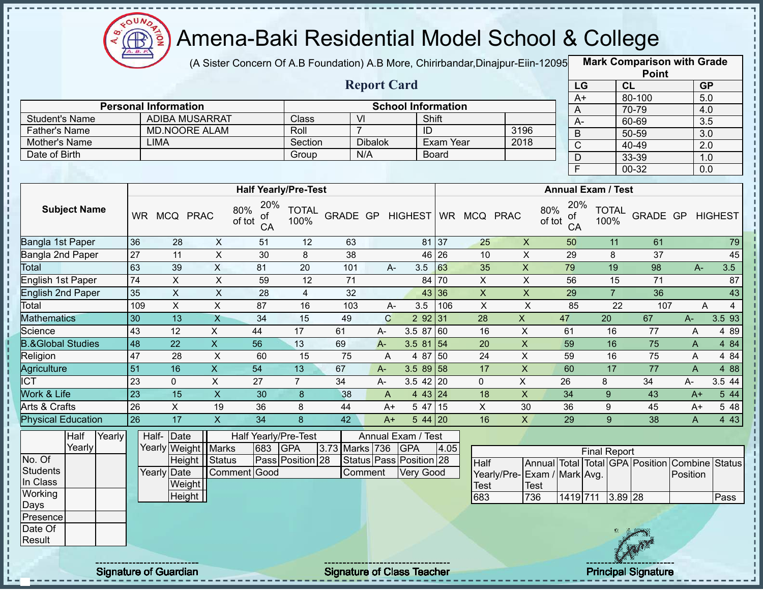

(A Sister Concern Of A.B Foundation) A.B More, Chirirbandar,Dinajpur-Eiin-120950

**Mark Comparison with Grade Point**

|        |                                                                                                                                                |                                                                                                                                                                                                           |                                                                                                |                                                                                     |                                                                                                                                                                                                           |                                                                                                                                                                                                                                  |                                                                                                                         |                                                                                           |                                                                                        |                                                    |                                                                                                                                                                                                                                                                                         |                                                             |                                                                                                                      |                           | יייי י                                                                                                                                                    |                                                                                                                                                                                                                                                      |                                                                                                                                                            |
|--------|------------------------------------------------------------------------------------------------------------------------------------------------|-----------------------------------------------------------------------------------------------------------------------------------------------------------------------------------------------------------|------------------------------------------------------------------------------------------------|-------------------------------------------------------------------------------------|-----------------------------------------------------------------------------------------------------------------------------------------------------------------------------------------------------------|----------------------------------------------------------------------------------------------------------------------------------------------------------------------------------------------------------------------------------|-------------------------------------------------------------------------------------------------------------------------|-------------------------------------------------------------------------------------------|----------------------------------------------------------------------------------------|----------------------------------------------------|-----------------------------------------------------------------------------------------------------------------------------------------------------------------------------------------------------------------------------------------------------------------------------------------|-------------------------------------------------------------|----------------------------------------------------------------------------------------------------------------------|---------------------------|-----------------------------------------------------------------------------------------------------------------------------------------------------------|------------------------------------------------------------------------------------------------------------------------------------------------------------------------------------------------------------------------------------------------------|------------------------------------------------------------------------------------------------------------------------------------------------------------|
|        |                                                                                                                                                |                                                                                                                                                                                                           |                                                                                                |                                                                                     |                                                                                                                                                                                                           |                                                                                                                                                                                                                                  |                                                                                                                         |                                                                                           |                                                                                        |                                                    |                                                                                                                                                                                                                                                                                         |                                                             |                                                                                                                      |                           | CL                                                                                                                                                        |                                                                                                                                                                                                                                                      | GP                                                                                                                                                         |
|        |                                                                                                                                                |                                                                                                                                                                                                           |                                                                                                |                                                                                     |                                                                                                                                                                                                           |                                                                                                                                                                                                                                  |                                                                                                                         |                                                                                           |                                                                                        |                                                    |                                                                                                                                                                                                                                                                                         |                                                             |                                                                                                                      |                           |                                                                                                                                                           |                                                                                                                                                                                                                                                      |                                                                                                                                                            |
|        |                                                                                                                                                |                                                                                                                                                                                                           |                                                                                                |                                                                                     |                                                                                                                                                                                                           |                                                                                                                                                                                                                                  |                                                                                                                         |                                                                                           |                                                                                        |                                                    |                                                                                                                                                                                                                                                                                         |                                                             |                                                                                                                      |                           |                                                                                                                                                           |                                                                                                                                                                                                                                                      |                                                                                                                                                            |
|        |                                                                                                                                                |                                                                                                                                                                                                           |                                                                                                |                                                                                     |                                                                                                                                                                                                           |                                                                                                                                                                                                                                  |                                                                                                                         |                                                                                           |                                                                                        |                                                    |                                                                                                                                                                                                                                                                                         |                                                             |                                                                                                                      |                           |                                                                                                                                                           |                                                                                                                                                                                                                                                      |                                                                                                                                                            |
|        |                                                                                                                                                |                                                                                                                                                                                                           |                                                                                                |                                                                                     |                                                                                                                                                                                                           |                                                                                                                                                                                                                                  |                                                                                                                         |                                                                                           |                                                                                        |                                                    |                                                                                                                                                                                                                                                                                         |                                                             |                                                                                                                      |                           |                                                                                                                                                           |                                                                                                                                                                                                                                                      |                                                                                                                                                            |
|        |                                                                                                                                                |                                                                                                                                                                                                           |                                                                                                |                                                                                     |                                                                                                                                                                                                           |                                                                                                                                                                                                                                  |                                                                                                                         |                                                                                           |                                                                                        |                                                    |                                                                                                                                                                                                                                                                                         |                                                             |                                                                                                                      |                           |                                                                                                                                                           |                                                                                                                                                                                                                                                      |                                                                                                                                                            |
|        |                                                                                                                                                |                                                                                                                                                                                                           |                                                                                                |                                                                                     |                                                                                                                                                                                                           |                                                                                                                                                                                                                                  |                                                                                                                         |                                                                                           |                                                                                        |                                                    |                                                                                                                                                                                                                                                                                         |                                                             | $\overline{\mathsf{F}}$                                                                                              |                           | $00 - 32$                                                                                                                                                 |                                                                                                                                                                                                                                                      | 0.0                                                                                                                                                        |
|        |                                                                                                                                                |                                                                                                                                                                                                           |                                                                                                |                                                                                     |                                                                                                                                                                                                           |                                                                                                                                                                                                                                  |                                                                                                                         |                                                                                           |                                                                                        |                                                    |                                                                                                                                                                                                                                                                                         |                                                             |                                                                                                                      |                           |                                                                                                                                                           |                                                                                                                                                                                                                                                      |                                                                                                                                                            |
|        |                                                                                                                                                |                                                                                                                                                                                                           |                                                                                                |                                                                                     | 80%<br>οf<br>of tot<br>CA                                                                                                                                                                                 | <b>TOTAL</b><br>100%                                                                                                                                                                                                             |                                                                                                                         |                                                                                           |                                                                                        |                                                    |                                                                                                                                                                                                                                                                                         |                                                             | of                                                                                                                   |                           |                                                                                                                                                           |                                                                                                                                                                                                                                                      |                                                                                                                                                            |
|        |                                                                                                                                                | 36                                                                                                                                                                                                        | 28                                                                                             |                                                                                     | 51                                                                                                                                                                                                        | 12                                                                                                                                                                                                                               | 63                                                                                                                      |                                                                                           |                                                                                        |                                                    | 25                                                                                                                                                                                                                                                                                      | $\boldsymbol{\mathsf{X}}$                                   | 50                                                                                                                   |                           | 61                                                                                                                                                        |                                                                                                                                                                                                                                                      | 79                                                                                                                                                         |
|        |                                                                                                                                                | $\overline{27}$                                                                                                                                                                                           | 11                                                                                             |                                                                                     | 30                                                                                                                                                                                                        | 8                                                                                                                                                                                                                                | 38                                                                                                                      |                                                                                           |                                                                                        |                                                    | 10                                                                                                                                                                                                                                                                                      | $\pmb{\times}$                                              | 29                                                                                                                   | 8                         | 37                                                                                                                                                        |                                                                                                                                                                                                                                                      | 45                                                                                                                                                         |
|        |                                                                                                                                                | 63                                                                                                                                                                                                        | 39                                                                                             | $\overline{\mathsf{x}}$                                                             | 81                                                                                                                                                                                                        | $\overline{20}$                                                                                                                                                                                                                  | 101                                                                                                                     |                                                                                           | 3.5                                                                                    | 63                                                 | 35                                                                                                                                                                                                                                                                                      | $\overline{X}$                                              | 79                                                                                                                   |                           | 98                                                                                                                                                        | $A-$                                                                                                                                                                                                                                                 | 3.5                                                                                                                                                        |
|        |                                                                                                                                                | 74                                                                                                                                                                                                        | $\overline{X}$                                                                                 |                                                                                     | 59                                                                                                                                                                                                        | $\overline{12}$                                                                                                                                                                                                                  | $\overline{71}$                                                                                                         |                                                                                           |                                                                                        |                                                    | $\overline{X}$                                                                                                                                                                                                                                                                          | $\overline{X}$                                              | 56                                                                                                                   |                           | $\overline{71}$                                                                                                                                           |                                                                                                                                                                                                                                                      | $\overline{87}$                                                                                                                                            |
|        |                                                                                                                                                | 35                                                                                                                                                                                                        | $\overline{X}$                                                                                 |                                                                                     | 28                                                                                                                                                                                                        | $\overline{4}$                                                                                                                                                                                                                   | 32                                                                                                                      |                                                                                           |                                                                                        |                                                    | $\pmb{\times}$                                                                                                                                                                                                                                                                          | $\pmb{\times}$                                              | 29                                                                                                                   | $\overline{7}$            | 36                                                                                                                                                        |                                                                                                                                                                                                                                                      | 43                                                                                                                                                         |
|        |                                                                                                                                                | 109                                                                                                                                                                                                       | $\overline{X}$                                                                                 | $\overline{X}$                                                                      | 87                                                                                                                                                                                                        | 16                                                                                                                                                                                                                               | 103                                                                                                                     |                                                                                           | 3.5                                                                                    | 106                                                | $\overline{X}$                                                                                                                                                                                                                                                                          | $\overline{\mathsf{x}}$                                     | 85                                                                                                                   |                           |                                                                                                                                                           | Α                                                                                                                                                                                                                                                    | $\overline{4}$                                                                                                                                             |
|        |                                                                                                                                                | 30                                                                                                                                                                                                        | $\overline{13}$                                                                                | $\overline{X}$                                                                      | $\overline{34}$                                                                                                                                                                                           |                                                                                                                                                                                                                                  | 49                                                                                                                      | $\mathsf{C}$                                                                              |                                                                                        |                                                    | 28                                                                                                                                                                                                                                                                                      | $\overline{X}$                                              | 47                                                                                                                   | $\overline{20}$           | 67                                                                                                                                                        | $A -$                                                                                                                                                                                                                                                | 3.5 93                                                                                                                                                     |
|        |                                                                                                                                                | 43                                                                                                                                                                                                        | $\overline{12}$                                                                                | $\overline{X}$                                                                      | $\overline{44}$                                                                                                                                                                                           | $\overline{17}$                                                                                                                                                                                                                  | 61                                                                                                                      | A-                                                                                        |                                                                                        |                                                    | 16                                                                                                                                                                                                                                                                                      | $\pmb{\times}$                                              | 61                                                                                                                   | 16                        | 77                                                                                                                                                        | A                                                                                                                                                                                                                                                    | 4 8 9                                                                                                                                                      |
|        |                                                                                                                                                |                                                                                                                                                                                                           |                                                                                                |                                                                                     |                                                                                                                                                                                                           |                                                                                                                                                                                                                                  |                                                                                                                         | $A -$                                                                                     |                                                                                        |                                                    | 20                                                                                                                                                                                                                                                                                      |                                                             | 59                                                                                                                   |                           |                                                                                                                                                           | A                                                                                                                                                                                                                                                    | 4 84                                                                                                                                                       |
|        |                                                                                                                                                |                                                                                                                                                                                                           | 28                                                                                             | X                                                                                   | 60                                                                                                                                                                                                        | 15                                                                                                                                                                                                                               | 75                                                                                                                      | A                                                                                         |                                                                                        |                                                    | 24                                                                                                                                                                                                                                                                                      | $\pmb{\times}$                                              | 59                                                                                                                   | 16                        |                                                                                                                                                           | A                                                                                                                                                                                                                                                    | 4 84                                                                                                                                                       |
|        |                                                                                                                                                |                                                                                                                                                                                                           |                                                                                                |                                                                                     |                                                                                                                                                                                                           |                                                                                                                                                                                                                                  |                                                                                                                         | $A-$                                                                                      |                                                                                        |                                                    | 17                                                                                                                                                                                                                                                                                      |                                                             |                                                                                                                      |                           |                                                                                                                                                           | $\overline{A}$                                                                                                                                                                                                                                       | 4 8 8                                                                                                                                                      |
|        |                                                                                                                                                | 23                                                                                                                                                                                                        | $\mathbf 0$                                                                                    | $\mathsf X$                                                                         | 27                                                                                                                                                                                                        | $\overline{7}$                                                                                                                                                                                                                   | 34                                                                                                                      | A-                                                                                        |                                                                                        |                                                    | 0                                                                                                                                                                                                                                                                                       | $\pmb{\times}$                                              | 26                                                                                                                   | 8                         | 34                                                                                                                                                        | A-                                                                                                                                                                                                                                                   | 3.5 44                                                                                                                                                     |
|        |                                                                                                                                                |                                                                                                                                                                                                           |                                                                                                |                                                                                     | 30                                                                                                                                                                                                        | 8                                                                                                                                                                                                                                | 38                                                                                                                      | A                                                                                         |                                                                                        |                                                    | 18                                                                                                                                                                                                                                                                                      | $\mathsf{X}$                                                | 34                                                                                                                   | 9                         | 43                                                                                                                                                        | $A+$                                                                                                                                                                                                                                                 | 5 4 4                                                                                                                                                      |
|        |                                                                                                                                                |                                                                                                                                                                                                           | $\boldsymbol{\mathsf{X}}$                                                                      |                                                                                     | 36                                                                                                                                                                                                        | 8                                                                                                                                                                                                                                | 44                                                                                                                      | $A+$                                                                                      |                                                                                        |                                                    | X                                                                                                                                                                                                                                                                                       | 30                                                          | 36                                                                                                                   | 9                         | 45                                                                                                                                                        | A+                                                                                                                                                                                                                                                   | 5 48                                                                                                                                                       |
|        |                                                                                                                                                |                                                                                                                                                                                                           |                                                                                                |                                                                                     |                                                                                                                                                                                                           |                                                                                                                                                                                                                                  |                                                                                                                         | $A+$                                                                                      |                                                                                        |                                                    |                                                                                                                                                                                                                                                                                         |                                                             |                                                                                                                      |                           |                                                                                                                                                           | $\overline{A}$                                                                                                                                                                                                                                       | 443                                                                                                                                                        |
| Yearly |                                                                                                                                                |                                                                                                                                                                                                           |                                                                                                |                                                                                     | 683                                                                                                                                                                                                       |                                                                                                                                                                                                                                  |                                                                                                                         |                                                                                           |                                                                                        | 4.05                                               |                                                                                                                                                                                                                                                                                         |                                                             |                                                                                                                      |                           |                                                                                                                                                           |                                                                                                                                                                                                                                                      |                                                                                                                                                            |
|        |                                                                                                                                                |                                                                                                                                                                                                           |                                                                                                |                                                                                     |                                                                                                                                                                                                           |                                                                                                                                                                                                                                  |                                                                                                                         |                                                                                           |                                                                                        |                                                    |                                                                                                                                                                                                                                                                                         |                                                             |                                                                                                                      |                           |                                                                                                                                                           |                                                                                                                                                                                                                                                      |                                                                                                                                                            |
|        |                                                                                                                                                |                                                                                                                                                                                                           |                                                                                                |                                                                                     |                                                                                                                                                                                                           |                                                                                                                                                                                                                                  |                                                                                                                         |                                                                                           |                                                                                        |                                                    |                                                                                                                                                                                                                                                                                         |                                                             |                                                                                                                      |                           |                                                                                                                                                           | Position                                                                                                                                                                                                                                             |                                                                                                                                                            |
|        |                                                                                                                                                |                                                                                                                                                                                                           |                                                                                                |                                                                                     |                                                                                                                                                                                                           |                                                                                                                                                                                                                                  |                                                                                                                         |                                                                                           |                                                                                        |                                                    | <b>Test</b>                                                                                                                                                                                                                                                                             | <b>Test</b>                                                 |                                                                                                                      |                           |                                                                                                                                                           |                                                                                                                                                                                                                                                      |                                                                                                                                                            |
|        |                                                                                                                                                |                                                                                                                                                                                                           |                                                                                                |                                                                                     |                                                                                                                                                                                                           |                                                                                                                                                                                                                                  |                                                                                                                         |                                                                                           |                                                                                        |                                                    | 683                                                                                                                                                                                                                                                                                     | 736                                                         |                                                                                                                      |                           |                                                                                                                                                           |                                                                                                                                                                                                                                                      | Pass                                                                                                                                                       |
|        |                                                                                                                                                |                                                                                                                                                                                                           |                                                                                                |                                                                                     |                                                                                                                                                                                                           |                                                                                                                                                                                                                                  |                                                                                                                         |                                                                                           |                                                                                        |                                                    |                                                                                                                                                                                                                                                                                         |                                                             |                                                                                                                      |                           |                                                                                                                                                           |                                                                                                                                                                                                                                                      |                                                                                                                                                            |
|        |                                                                                                                                                |                                                                                                                                                                                                           |                                                                                                |                                                                                     |                                                                                                                                                                                                           |                                                                                                                                                                                                                                  |                                                                                                                         |                                                                                           |                                                                                        |                                                    |                                                                                                                                                                                                                                                                                         |                                                             |                                                                                                                      |                           |                                                                                                                                                           |                                                                                                                                                                                                                                                      |                                                                                                                                                            |
|        |                                                                                                                                                |                                                                                                                                                                                                           |                                                                                                |                                                                                     |                                                                                                                                                                                                           |                                                                                                                                                                                                                                  |                                                                                                                         |                                                                                           |                                                                                        |                                                    |                                                                                                                                                                                                                                                                                         |                                                             |                                                                                                                      |                           |                                                                                                                                                           |                                                                                                                                                                                                                                                      |                                                                                                                                                            |
|        |                                                                                                                                                |                                                                                                                                                                                                           |                                                                                                |                                                                                     |                                                                                                                                                                                                           |                                                                                                                                                                                                                                  |                                                                                                                         |                                                                                           |                                                                                        |                                                    |                                                                                                                                                                                                                                                                                         |                                                             |                                                                                                                      |                           |                                                                                                                                                           |                                                                                                                                                                                                                                                      |                                                                                                                                                            |
|        | <b>Father's Name</b><br>Mother's Name<br>Date of Birth<br><b>Mathematics</b><br>Agriculture<br><b>Work &amp; Life</b><br>Arts & Crafts<br>Half | <b>Student's Name</b><br><b>Subject Name</b><br>Bangla 1st Paper<br>Bangla 2nd Paper<br><b>English 1st Paper</b><br><b>English 2nd Paper</b><br><b>B.&amp;Global Studies</b><br><b>Physical Education</b> | 48<br>47<br>$\overline{51}$<br>$\overline{23}$<br>$\overline{26}$<br>$\overline{26}$<br>Yearly | <b>LIMA</b><br>$\overline{22}$<br>16<br>$\overline{15}$<br>$\overline{17}$<br>Half- | <b>Personal Information</b><br>WR MCQ PRAC<br>$\overline{\mathsf{x}}$<br>$\overline{\mathsf{x}}$<br>$\overline{X}$<br>$\overline{\mathsf{x}}$<br>Date<br><b>Height</b><br>Yearly Date<br>Weight<br>Height | <b>ADIBA MUSARRAT</b><br><b>MD.NOORE ALAM</b><br>$\mathsf X$<br>$\overline{\mathsf{x}}$<br>$\overline{\mathsf{x}}$<br>$\overline{\mathsf{x}}$<br>$\overline{56}$<br>54<br>19<br>$\overline{34}$<br>Yearly Weight Marks<br>Status | Class<br>Roll<br>Group<br>20%<br>15<br>13<br>13<br>$\overline{8}$<br>Half Yearly/Pre-Test<br><b>GPA</b><br>Comment Good | Section<br><b>Half Yearly/Pre-Test</b><br>69<br>67<br>$\overline{42}$<br>Pass Position 28 | $\overline{V}$<br>$\overline{7}$<br><b>Dibalok</b><br>N/A<br>3.73 Marks 736<br>Comment | <b>Report Card</b><br>$A -$<br>$A -$<br><b>GPA</b> | Shift<br>$\overline{ID}$<br>Board<br>GRADE GP HIGHEST<br>81 37<br>$46 \overline{26}$<br>84 70<br>43 36<br>292 31<br>3.5 87 60<br>3.58154<br>4 87 50<br>$3.589$ 58<br>$3.5$ 42 20<br>$4 \t43 \t24$<br>$547$ 15<br>$544$ 20<br>Annual Exam / Test<br>Status Pass Position 28<br>Very Good | <b>School Information</b><br><b>Exam Year</b><br>16<br>Half | 3196<br>2018<br>WR MCQ PRAC<br>$\overline{\mathsf{x}}$<br>$\boldsymbol{\mathsf{X}}$<br>$\overline{X}$<br>Yearly/Pre- | 80%<br>of tot<br>60<br>29 | LG<br>$A+$<br>A<br>$A -$<br>$\overline{B}$<br>$\overline{C}$<br>$\overline{D}$<br>20%<br>CA<br>16<br>$\overline{17}$<br>9<br>Exam / Mark Avg.<br>1419 711 | 80-100<br>70-79<br>60-69<br>50-59<br>$40 - 49$<br>33-39<br><b>Annual Exam / Test</b><br><b>TOTAL</b><br>100%<br>11<br>19<br>$\overline{15}$<br>$\overline{22}$<br>75<br>75<br>$\overline{77}$<br>$\overline{38}$<br><b>Final Report</b><br>$3.89$ 28 | 5.0<br>4.0<br>$\overline{3.5}$<br>$\overline{3.0}$<br>$\overline{2.0}$<br>1.0<br>GRADE GP HIGHEST<br>107<br>Annual Total Total GPA Position Combine Status |

Signature of Guardian **State of Class Teacher Principal Signature Signature Class Teacher Principal Signature 20** 



**Status**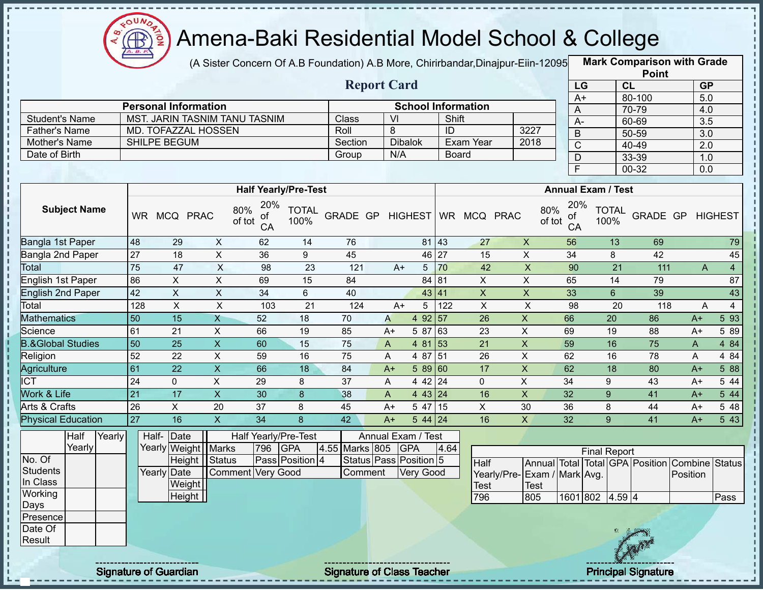

(A Sister Concern Of A.B Foundation) A.B More, Chirirbandar,Dinajpur-Eiin-12095 **Mark Comparison with Grade** 

|                |                               |         | <b>Report Card</b> |                           |      |
|----------------|-------------------------------|---------|--------------------|---------------------------|------|
|                | <b>Personal Information</b>   |         |                    | <b>School Information</b> |      |
| Student's Name | MST. JARIN TASNIM TANU TASNIM | Class   | VI                 | Shift                     |      |
| Father's Name  | MD. TOFAZZAL HOSSEN           | Roll    |                    | ID                        | 3227 |
| Mother's Name  | <b>SHILPE BEGUM</b>           | Section | <b>Dibalok</b>     | Exam Year                 | 2018 |
| Date of Birth  |                               | Group   | N/A                | <b>Board</b>              |      |

|                 | <b>Point</b> |           |
|-----------------|--------------|-----------|
| LG              | CL           | <b>GP</b> |
| $\overline{A+}$ | 80-100       | 5.0       |
| Α               | 70-79        | 4.0       |
| A-              | 60-69        | 3.5       |
| B               | 50-59        | 3.0       |
| C               | 40-49        | 2.0       |
| D               | 33-39        | 1.0       |
| F               | 00-32        | 0.0       |

|                              |           |             |              |                     | <b>Half Yearly/Pre-Test</b>       |          |      |                |                 |          |    | <b>Annual Exam / Test</b>        |                      |          |      |                |
|------------------------------|-----------|-------------|--------------|---------------------|-----------------------------------|----------|------|----------------|-----------------|----------|----|----------------------------------|----------------------|----------|------|----------------|
| <b>Subject Name</b>          | <b>WR</b> | MCQ         | <b>PRAC</b>  | 80%<br>of<br>of tot | 20%<br><b>TOTAL</b><br>100%<br>CA | GRADE GP |      | <b>HIGHEST</b> | <b>WR</b>       | MCQ PRAC |    | 20%<br>80%<br>οf<br>of tot<br>CA | <b>TOTAL</b><br>100% | GRADE GP |      | <b>HIGHEST</b> |
| Bangla 1st Paper             | 48        | 29          | X            | 62                  | 14                                | 76       |      |                | $81 \,   \, 43$ | 27       | X  | 56                               | 13                   | 69       |      | 79             |
| Bangla 2nd Paper             | 27        | 18          | X            | 36                  | 9                                 | 45       |      | 46 27          |                 | 15       | X  | 34                               | 8                    | 42       |      | 45             |
| Total                        | 75        | 47          | X            | 98                  | 23                                | 121      | A+   | 5              | 70              | 42       | X  | 90                               | 21                   | 111      | A    | $\overline{4}$ |
| English 1st Paper            | 86        | X.          | X            | 69                  | 15                                | 84       |      | 84 81          |                 | X        | X  | 65                               | 14                   | 79       |      | 87             |
| <b>English 2nd Paper</b>     | 42        | X.          | $\mathsf{X}$ | 34                  | 6                                 | 40       |      | 43 41          |                 | X        | X  | 33                               | 6                    | 39       |      | 43             |
| Total                        | 128       | X           | X            |                     | 103<br>21                         | 124      | $A+$ | 5              | 122             | X.       | X  | 98                               | 20                   | 118      | A    | 4              |
| <b>Mathematics</b>           | 50        | 15          | X            | 52                  | 18                                | 70       | A    | 4 92 57        |                 | 26       | X  | 66                               | 20                   | 86       | $A+$ | 5 9 3          |
| Science                      | 61        | 21          | X            | 66                  | 19                                | 85       | $A+$ | 5 87           | 63              | 23       | X  | 69                               | 19                   | 88       | $A+$ | 5 89           |
| <b>B.&amp;Global Studies</b> | 50        | 25          | $\mathsf{X}$ | 60                  | 15                                | 75       | A    | 4 81           | 153             | 21       | X  | 59                               | 16                   | 75       | A    | 4 8 4          |
| Religion                     | 52        | 22          | Χ            | 59                  | 16                                | 75       | A    | 4 87           | 151             | 26       | X  | 62                               | 16                   | 78       | A    | 4 8 4          |
| Agriculture                  | 61        | 22          | X.           | 66                  | 18                                | 84       | $A+$ | 589 60         |                 | 17       | X  | 62                               | 18                   | 80       | $A+$ | 5 88           |
| <b>CT</b>                    | 24        | $\mathbf 0$ | X            | 29                  | 8                                 | 37       | A    | 4 4 2 24       |                 | 0        | X  | 34                               | 9                    | 43       | $A+$ | 5 4 4          |
| <b>Nork &amp; Life</b>       | 21        | 17          | X.           | 30                  | 8                                 | 38       | A    | 4 43 24        |                 | 16       | X  | 32                               | 9                    | 41       | $A+$ | 5 44           |
| Arts & Crafts                | 26        | X           | 20           | 37                  | 8                                 | 45       | $A+$ | 5 47           | 15              | X        | 30 | 36                               | 8                    | 44       | $A+$ | 5 48           |
| <b>Physical Education</b>    | 27        | 16          | X            | 34                  | 8                                 | 42       | $A+$ | $544$   24     |                 | 16       | X  | 32                               | 9                    | 41       | $A+$ | 5 4 3          |

|          | Half   | Yearly |  | Half-Date             |                   |     | Half Yearly/Pre-Test |                    | Annual Exam / Test           |      |                              |             |                     |             |                                                |      |
|----------|--------|--------|--|-----------------------|-------------------|-----|----------------------|--------------------|------------------------------|------|------------------------------|-------------|---------------------|-------------|------------------------------------------------|------|
|          | Yearly |        |  | Yearly Weight   Marks |                   | 796 | <b>IGPA</b>          | 4.55 Marks 805 GPA |                              | 4.64 |                              |             | <b>Final Report</b> |             |                                                |      |
| No. Of   |        |        |  | Height Status         |                   |     | Pass Position 4      |                    | Status   Pass   Position   5 |      | <b>Half</b>                  |             |                     |             | Annual Total Total GPA Position Combine Status |      |
| Students |        |        |  | Yearly Date           | Comment Very Good |     |                      | <b>Comment</b>     | <b>Very Good</b>             |      | Yearly/Pre- Exam / Mark Avg. |             |                     |             | Position                                       |      |
| In Class |        |        |  | Weight                |                   |     |                      |                    |                              |      | <b>Test</b>                  | <b>Test</b> |                     |             |                                                |      |
| Working  |        |        |  | Height                |                   |     |                      |                    |                              |      | 796                          | 805         | 1601 802 4.59 4     |             |                                                | Pass |
| Days     |        |        |  |                       |                   |     |                      |                    |                              |      |                              |             |                     |             |                                                |      |
| Presence |        |        |  |                       |                   |     |                      |                    |                              |      |                              |             |                     |             |                                                |      |
| Date Of  |        |        |  |                       |                   |     |                      |                    |                              |      |                              |             |                     |             |                                                |      |
| Result   |        |        |  |                       |                   |     |                      |                    |                              |      |                              |             |                     | <b>RAIN</b> |                                                |      |
|          |        |        |  |                       |                   |     |                      |                    |                              |      |                              |             |                     |             |                                                |      |

Ţ  $\mathbf{I}$ 

Signature of Guardian Signature of Class Teacher Principal Signature 3/39 Principal Signature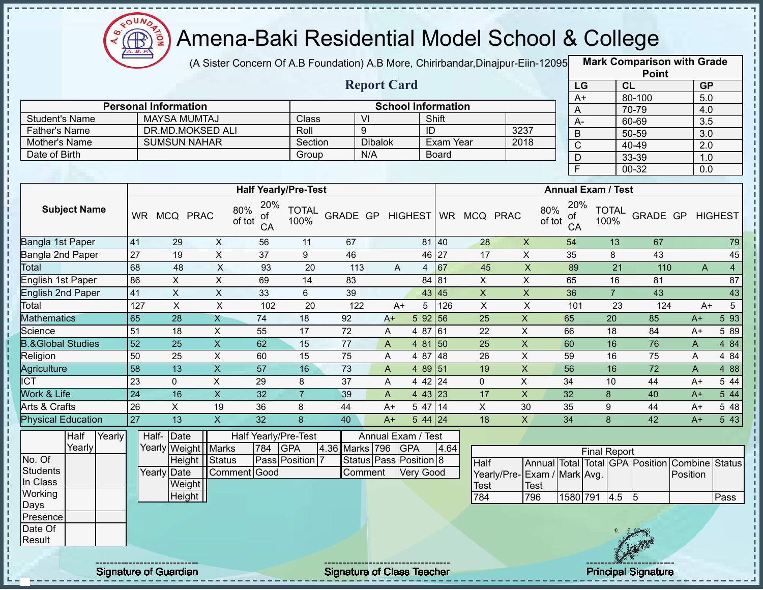

(A Sister Concern Of A.B Foundation) A.B More, Chirirbandar, Dinajpur-Eiin-12095

**Mark Comparison with Grade**

|                              |                  |                                                    |                         |                                  |                      |                  |                        |                     |                                    |                           |                             |               |                                  |                           |                                                | <b>Point</b>     |                  |                  |
|------------------------------|------------------|----------------------------------------------------|-------------------------|----------------------------------|----------------------|------------------|------------------------|---------------------|------------------------------------|---------------------------|-----------------------------|---------------|----------------------------------|---------------------------|------------------------------------------------|------------------|------------------|------------------|
|                              |                  |                                                    |                         |                                  |                      |                  | <b>Report Card</b>     |                     |                                    |                           |                             |               | LG                               |                           | CL                                             |                  | <b>GP</b>        |                  |
|                              |                  |                                                    |                         |                                  |                      |                  |                        |                     |                                    |                           |                             |               | $A+$                             |                           | 80-100                                         |                  | 5.0              |                  |
| <b>Student's Name</b>        |                  | <b>Personal Information</b><br><b>MAYSA MUMTAJ</b> |                         |                                  | <b>Class</b>         |                  | VI                     |                     | <b>School Information</b><br>Shift |                           |                             |               | A                                |                           | 70-79                                          |                  | 4.0              |                  |
| Father's Name                |                  | <b>DR.MD.MOKSED ALI</b>                            |                         |                                  | Roll                 |                  | 9                      |                     | ID                                 |                           | 3237                        |               | $A -$                            |                           | 60-69                                          |                  | $\overline{3.5}$ |                  |
| Mother's Name                |                  | <b>SUMSUN NAHAR</b>                                |                         |                                  | Section              |                  | <b>Dibalok</b>         |                     | <b>Exam Year</b>                   |                           | 2018                        |               | $\overline{B}$                   |                           | $50 - 59$                                      |                  | $\overline{3.0}$ |                  |
| Date of Birth                |                  |                                                    |                         |                                  | Group                |                  | N/A                    |                     | <b>Board</b>                       |                           |                             |               | $\overline{C}$                   |                           | 40-49                                          |                  | $\overline{2.0}$ |                  |
|                              |                  |                                                    |                         |                                  |                      |                  |                        |                     |                                    |                           |                             |               | $\overline{D}$<br>$\overline{F}$ |                           | 33-39                                          |                  | 1.0              |                  |
|                              |                  |                                                    |                         |                                  |                      |                  |                        |                     |                                    |                           |                             |               |                                  |                           | $00 - 32$                                      |                  | 0.0              |                  |
|                              |                  |                                                    |                         | <b>Half Yearly/Pre-Test</b>      |                      |                  |                        |                     |                                    |                           |                             |               |                                  | <b>Annual Exam / Test</b> |                                                |                  |                  |                  |
| <b>Subject Name</b>          |                  | WR MCQ PRAC                                        |                         | 20%<br>80%<br>οf<br>of tot<br>CA | <b>TOTAL</b><br>100% | GRADE GP HIGHEST |                        |                     |                                    | WR MCQ PRAC               |                             | 80%<br>of tot | 20%<br>οf<br>CA                  | <b>TOTAL</b><br>100%      |                                                | GRADE GP HIGHEST |                  |                  |
| Bangla 1st Paper             | 41               | 29                                                 | $\boldsymbol{X}$        | 56                               | 11                   | 67               |                        |                     | 81 40                              | 28                        | X                           |               | 54                               |                           | 13                                             | 67               |                  | 79               |
| Bangla 2nd Paper             | 27               | 19                                                 | $\overline{X}$          | $\overline{37}$                  | $\overline{9}$       | 46               |                        |                     | 46 27                              | 17                        | $\pmb{\times}$              |               | 35                               | 8                         |                                                | 43               |                  | 45               |
| Total                        | 68               | $\overline{48}$                                    | $\overline{X}$          | 93                               | $\overline{20}$      | 113              |                        | A<br>$\overline{4}$ | 67                                 | 45                        | $\overline{\mathsf{x}}$     |               | 89                               |                           | $\overline{21}$                                | 110              | $\mathsf{A}$     | $\overline{4}$   |
| English 1st Paper            | 86               | $\mathsf{X}$                                       | $\pmb{\times}$          | 69                               | 14                   | 83               |                        |                     | 84 81                              | $\mathsf{X}$              | $\pmb{\times}$              |               | 65                               |                           | 16                                             | 81               |                  | 87               |
| <b>English 2nd Paper</b>     | 41               | $\overline{X}$                                     | $\overline{\mathsf{x}}$ | 33                               | 6                    | 39               |                        |                     | 43 45                              | $\overline{X}$            | $\overline{X}$              |               | 36                               | $\overline{7}$            |                                                | 43               |                  | 43               |
| Total                        | $\overline{127}$ | $\pmb{\times}$                                     | $\overline{\mathsf{x}}$ | 102                              | 20                   | $\overline{122}$ |                        | 5<br>$A+$           | 126                                | $\pmb{\times}$            | $\sf X$                     |               | 101                              |                           | 23                                             | 124              | $A+$             | $5\overline{)}$  |
| <b>Mathematics</b>           | 65               | $\overline{28}$                                    | $\overline{\mathsf{x}}$ | $\overline{74}$                  | 18                   | 92               | $A+$                   |                     | 5 92 56                            | $\overline{25}$           | $\overline{X}$              |               | 65                               | $\overline{20}$           | 85                                             |                  | $A+$             | 593              |
| Science                      | 51               | 18                                                 | $\pmb{\times}$          | 55                               | 17                   | 72               | A                      | 4 87                | 61                                 | 22                        | $\mathsf{X}$                |               | 66                               | 18                        | 84                                             |                  | $A+$             | 5 89             |
| <b>B.&amp;Global Studies</b> | 52               | $\overline{25}$                                    | $\overline{\mathsf{x}}$ | 62                               | 15                   | $\overline{77}$  | A                      |                     | 4 81 50                            | $\overline{25}$           | $\overline{X}$              |               | 60                               | 16                        | 76                                             |                  | A                | 4 8 4            |
| Religion                     | 50               | 25                                                 | $\pmb{\times}$          | 60                               | 15                   | 75               | A                      | 4 87                | 48                                 | 26                        | $\mathsf{X}$                |               | 59                               | 16                        | 75                                             |                  | A                | 4 8 4            |
| <b>Agriculture</b>           | 58               | 13                                                 | $\mathsf X$             | 57                               | 16                   | 73               | A                      |                     | 4 89 51                            | 19                        | $\mathsf X$                 |               | 56                               | 16                        | 72                                             |                  | A                | 4 8 8            |
| <b>ICT</b>                   | $\overline{23}$  | $\mathbf 0$                                        | $\pmb{\times}$          | 29                               | 8                    | 37               | A                      |                     | 4 42 24                            | $\mathbf{0}$              | $\pmb{\times}$              |               | 34                               | 10                        | 44                                             |                  | $A+$             | 5 44             |
| <b>Work &amp; Life</b>       | $\overline{24}$  | 16                                                 | $\pmb{\times}$          | 32                               | $\overline{7}$       | 39               | A                      |                     | 4 43 23                            | 17                        | $\mathsf{X}$                |               | 32                               | 8                         | 40                                             |                  | $A+$             | $5\overline{44}$ |
| <b>Arts &amp; Crafts</b>     | 26               | $\mathsf{X}$                                       | 19                      | 36                               | 8                    | 44               | $A+$                   | 5 47                | 14                                 | $\boldsymbol{\mathsf{X}}$ | 30                          |               | 35                               | 9                         | 44                                             |                  | $A+$             | 548              |
| <b>Physical Education</b>    | 27               | $\overline{13}$                                    | $\overline{\mathsf{x}}$ | 32                               | 8                    | 40               | $A+$                   |                     | $544$ 24                           | 18                        | $\overline{X}$              |               | 34                               | 8                         | 42                                             |                  | $A+$             | 543              |
| Half<br>Yearly<br>Yearly     |                  | Half-Date<br>Yearly Weight Marks                   |                         | Half Yearly/Pre-Test<br>784      | <b>GPA</b>           | 4.36 Marks 796   | Annual Exam / Test     | <b>GPA</b>          | 4.64                               |                           |                             |               |                                  |                           |                                                |                  |                  |                  |
| No. Of                       |                  |                                                    | Height Status           |                                  | Pass Position 7      |                  | Status Pass Position 8 |                     |                                    | <b>Half</b>               |                             |               |                                  | <b>Final Report</b>       | Annual Total Total GPA Position Combine Status |                  |                  |                  |
| <b>Students</b><br>In Class  |                  | Yearly Date<br>Weight                              |                         | Comment Good                     |                      |                  | Comment                | Very Good           |                                    | Test                      | Yearly/Pre-Exam / Mark Avg. | <b>Test</b>   |                                  |                           |                                                |                  | Position         |                  |
| Working                      |                  | Height                                             |                         |                                  |                      |                  |                        |                     |                                    | 784                       |                             | 796           |                                  | 1580 791 4.5 5            |                                                |                  |                  | Pass             |
| Days                         |                  |                                                    |                         |                                  |                      |                  |                        |                     |                                    |                           |                             |               |                                  |                           |                                                |                  |                  |                  |
| Presence                     |                  |                                                    |                         |                                  |                      |                  |                        |                     |                                    |                           |                             |               |                                  |                           |                                                |                  |                  |                  |
| Date Of<br>Result            |                  |                                                    |                         |                                  |                      |                  |                        |                     |                                    |                           |                             |               |                                  |                           |                                                |                  |                  |                  |
|                              |                  |                                                    |                         |                                  |                      |                  |                        |                     |                                    |                           |                             |               |                                  |                           |                                                |                  |                  |                  |

Signature of Guardian Signature of Class Teacher Principal Signature 4/39

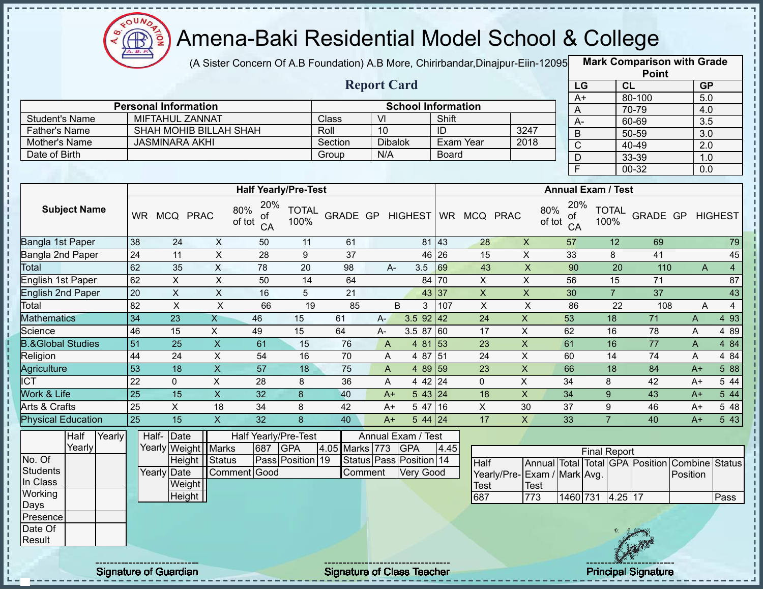

п

п

ï

J, J,  $\frac{1}{1}$ 

> п  $\mathbf I$

J,  $\mathbf{I}$ 

 $\begin{array}{c} 1 & 1 \\ 1 & 1 \\ 1 & 1 \end{array}$ 

### Amena-Baki Residential Model School & College

(A Sister Concern Of A.B Foundation) A.B More, Chirirbandar,Dinajpur-Eiin-12095 **Mark Comparison with Grade** 

|                      |                             |         | <b>Report Card</b> |                           |      |
|----------------------|-----------------------------|---------|--------------------|---------------------------|------|
|                      | <b>Personal Information</b> |         |                    | <b>School Information</b> |      |
| Student's Name       | MIFTAHUL ZANNAT             | Class   | VI                 | Shift                     |      |
| <b>Father's Name</b> | SHAH MOHIB BILLAH SHAH      | Roll    | 10                 | ID                        | 3247 |
| Mother's Name        | JASMINARA AKHI              | Section | <b>Dibalok</b>     | Exam Year                 | 2018 |
| Date of Birth        |                             | Group   | N/A                | <b>Board</b>              |      |

|      | <b>Point</b> |                  |
|------|--------------|------------------|
| LG   | <b>CL</b>    | <b>GP</b>        |
| $A+$ | 80-100       | 5.0              |
| A    | 70-79        | 4.0              |
| А-   | 60-69        | 3.5              |
| B    | 50-59        | $\overline{3.0}$ |
| C    | $40 - 49$    | 2.0              |
| D    | 33-39        | 1.0              |
| E    | 00-32        | 0.0              |

|                              |           |            |             |                                  | <b>Half Yearly/Pre-Test</b> |                 |      |                  |       |    |          | <b>Annual Exam / Test</b>        |                      |                 |              |                |
|------------------------------|-----------|------------|-------------|----------------------------------|-----------------------------|-----------------|------|------------------|-------|----|----------|----------------------------------|----------------------|-----------------|--------------|----------------|
| <b>Subject Name</b>          | <b>WR</b> | <b>MCQ</b> | <b>PRAC</b> | 20%<br>80%<br>οf<br>of tot<br>CA | <b>TOTAL</b><br>100%        | <b>GRADE GP</b> |      | HIGHEST WR       |       |    | MCQ PRAC | 20%<br>80%<br>of<br>of tot<br>CA | <b>TOTAL</b><br>100% | <b>GRADE GP</b> |              | <b>HIGHEST</b> |
| Bangla 1st Paper             | 38        | 24         | X           | 50                               | 11                          | 61              |      |                  | 81 43 | 28 | X        | 57                               | 12                   | 69              |              | 79             |
| Bangla 2nd Paper             | 24        | 11         | X           | 28                               | 9                           | 37              |      |                  | 46 26 | 15 | X        | 33                               | 8                    | 41              |              | 45             |
| <b>Total</b>                 | 62        | 35         | X           | 78                               | 20                          | 98              |      | 3.5<br>$A -$     | 69    | 43 | X        | 90                               | 20                   | 110             | A            | $\overline{4}$ |
| English 1st Paper            | 62        | X.         | X           | 50                               | 14                          | 64              |      |                  | 84 70 | X  | X        | 56                               | 15                   | 71              |              | 87             |
| <b>English 2nd Paper</b>     | 20        | X          | X           | 16                               | 5                           | 21              |      |                  | 43 37 | X  | X        | 30                               | $\overline{7}$       | 37              |              | 43             |
| Total                        | 82        | X          | X           | 66                               | 19                          | 85              |      | B<br>3           | 107   | X  | X        | 86                               | 22                   | 108             | A            | 4              |
| <b>Mathematics</b>           | 34        | 23         | Χ           | 46                               | 15                          | 61              | $A-$ | $3.5$ 92 42      |       | 24 | X        | 53                               | 18                   | 71              | $\mathsf{A}$ | 4 9 3          |
| Science                      | 46        | 15         | X.          | 49                               | 15                          | 64              | A-   | 3.5 87           | 60    | 17 | X        | 62                               | 16                   | 78              | A            | 4 8 9          |
| <b>B.&amp;Global Studies</b> | 51        | 25         | X.          | 61                               | 15                          | 76              | A    | 4 81             | 53    | 23 | X        | 61                               | 16                   | 77              | A            | 4 8 4          |
| Religion                     | 44        | 24         | X           | 54                               | 16                          | 70              | A    | 4 87             | 151   | 24 | X        | 60                               | 14                   | 74              | A            | 4 8 4          |
| Agriculture                  | 53        | 18         | X           | 57                               | 18                          | 75              | A    | 4 89 59          |       | 23 | X        | 66                               | 18                   | 84              | $A+$         | 5 88           |
| <b>ICT</b>                   | 22        | 0          | X           | 28                               | 8                           | 36              | A    | $442$ 24         |       | 0  | X        | 34                               | 8                    | 42              | $A+$         | 5 4 4          |
| Work & Life                  | 25        | 15         | X.          | 32                               | 8                           | 40              |      | 543 24<br>$A+$   |       | 18 | X        | 34                               | 9                    | 43              | $A+$         | 5 44           |
| Arts & Crafts                | 25        | X.         | 18          | 34                               | 8                           | 42              | $A+$ | 5 47             | 16    | X  | 30       | 37                               | 9                    | 46              | $A+$         | 5 48           |
| <b>Physical Education</b>    | 25        | 15         | X.          | 32                               | 8                           | 40              |      | $544$ 24<br>$A+$ |       | 17 | X        | 33                               |                      | 40              | $A+$         | 5 43           |

|          | Half   | Yearly                       | Half-Date   |                       |              |     | Half Yearly/Pre-Test    |                | Annual Exam / Test                   |      |                              |      |          |                     |           |             |                                                |      |
|----------|--------|------------------------------|-------------|-----------------------|--------------|-----|-------------------------|----------------|--------------------------------------|------|------------------------------|------|----------|---------------------|-----------|-------------|------------------------------------------------|------|
|          | Yearly |                              |             | Yearly Weight   Marks |              | 687 | <b>GPA</b>              | 4.05 Marks 773 | <b>IGPA</b>                          | 4.45 |                              |      |          | <b>Final Report</b> |           |             |                                                |      |
| No. Of   |        |                              |             | Height   Status       |              |     | <b>Pass Position 19</b> |                | Status Pass Position 14              |      | Half                         |      |          |                     |           |             | Annual Total Total GPA Position Combine Status |      |
| Students |        |                              | Yearly Date |                       | Comment Good |     |                         | Comment        | Very Good                            |      | Yearly/Pre- Exam / Mark Avg. |      |          |                     |           |             | Position                                       |      |
| In Class |        |                              |             | Weight                |              |     |                         |                |                                      |      | <b>Test</b>                  | Test |          |                     |           |             |                                                |      |
| Working  |        |                              |             | Height                |              |     |                         |                |                                      |      | 687                          | 773  | 1460 731 |                     | $4.25$ 17 |             |                                                | Pass |
| Days     |        |                              |             |                       |              |     |                         |                |                                      |      |                              |      |          |                     |           |             |                                                |      |
| Presence |        |                              |             |                       |              |     |                         |                |                                      |      |                              |      |          |                     |           |             |                                                |      |
| Date Of  |        |                              |             |                       |              |     |                         |                |                                      |      |                              |      |          |                     |           |             |                                                |      |
| Result   |        |                              |             |                       |              |     |                         |                |                                      |      |                              |      |          |                     |           | <b>SAIN</b> |                                                |      |
|          |        | ---------------------------- |             |                       |              |     |                         |                | ------------------------------------ |      |                              |      |          |                     |           |             |                                                |      |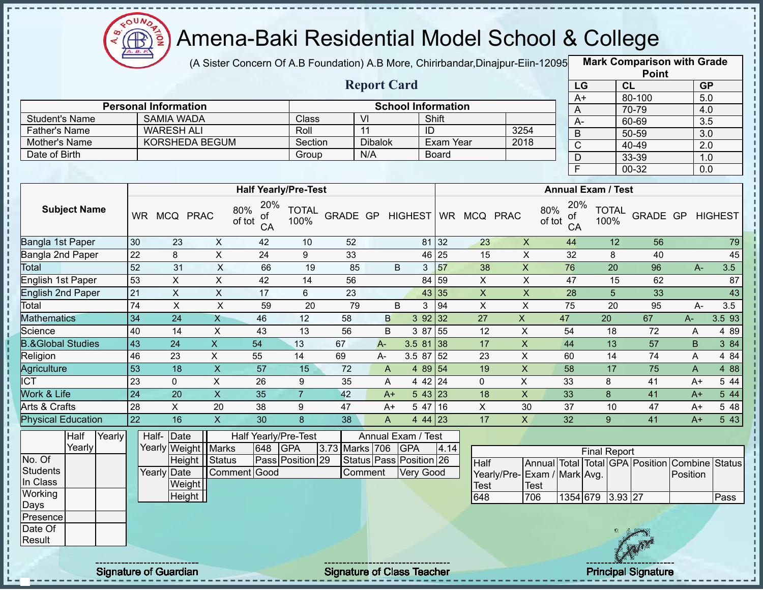

(A Sister Concern Of A.B Foundation) A.B More, Chirirbandar, Dinajpur-Eiin-12095

**Mark Comparison with Grade Point**

|                              |        |                 |                                            |                           |                           |                             |          |                               |                           |                      |                 |                              |               |                 |                           | $\sim$                                  |                  |                |
|------------------------------|--------|-----------------|--------------------------------------------|---------------------------|---------------------------|-----------------------------|----------|-------------------------------|---------------------------|----------------------|-----------------|------------------------------|---------------|-----------------|---------------------------|-----------------------------------------|------------------|----------------|
|                              |        |                 |                                            |                           |                           |                             |          | <b>Report Card</b>            |                           |                      |                 |                              |               | LG              |                           | CL                                      | <b>GP</b>        |                |
|                              |        |                 |                                            |                           |                           |                             |          |                               |                           |                      |                 |                              |               | $A+$            |                           | 80-100                                  | 5.0              |                |
|                              |        |                 | <b>Personal Information</b>                |                           |                           | Class                       |          | VI                            | <b>School Information</b> | Shift                |                 |                              |               | $\overline{A}$  |                           | 70-79                                   | 4.0              |                |
| <b>Student's Name</b>        |        |                 | <b>SAMIA WADA</b>                          |                           |                           |                             |          |                               |                           |                      |                 | 3254                         |               | $A-$            |                           | 60-69                                   | $\overline{3.5}$ |                |
| <b>Father's Name</b>         |        |                 | <b>WARESH ALI</b><br><b>KORSHEDA BEGUM</b> |                           |                           | Roll                        |          | 11                            |                           | ID                   |                 |                              |               | $\overline{B}$  |                           | $50 - 59$                               | $\overline{3.0}$ |                |
| Mother's Name                |        |                 |                                            |                           |                           | Section                     |          | <b>Dibalok</b><br>N/A         |                           | Exam Year            |                 | 2018                         |               | $\overline{C}$  |                           | 40-49                                   | $\overline{2.0}$ |                |
| Date of Birth                |        |                 |                                            |                           |                           | Group                       |          |                               |                           | <b>Board</b>         |                 |                              |               | D               |                           | 33-39                                   | 1.0              |                |
|                              |        |                 |                                            |                           |                           |                             |          |                               |                           |                      |                 |                              |               | $\overline{F}$  |                           | 00-32                                   | 0.0              |                |
|                              |        |                 |                                            |                           |                           | <b>Half Yearly/Pre-Test</b> |          |                               |                           |                      |                 |                              |               |                 | <b>Annual Exam / Test</b> |                                         |                  |                |
| <b>Subject Name</b>          |        |                 | WR MCQ PRAC                                | 80%                       | 20%<br>οf<br>of tot<br>CA | <b>TOTAL</b><br>100%        | GRADE GP |                               | <b>HIGHEST</b>            |                      | WR MCQ PRAC     |                              | 80%<br>of tot | 20%<br>οf<br>CA | <b>TOTAL</b><br>100%      | <b>GRADE GP</b>                         |                  | <b>HIGHEST</b> |
| Bangla 1st Paper             |        | 30              | 23                                         | $\pmb{\times}$            | 42                        | 10                          | 52       |                               |                           | 81 32                | 23              | $\pmb{\times}$               |               | 44              | 12                        | 56                                      |                  | 79             |
| Bangla 2nd Paper             |        | $\overline{22}$ | 8                                          | X                         | 24                        | 9                           | 33       |                               |                           | 46 25                | 15              | $\pmb{\times}$               |               | 32              | 8                         | 40                                      |                  | 45             |
| <b>Total</b>                 |        | 52              | 31                                         | X                         | 66                        | 19                          | 85       |                               | B                         | 57<br>3 <sup>1</sup> | 38              | $\mathsf{X}$                 |               | 76              | 20                        | 96                                      | $A-$             | 3.5            |
| English 1st Paper            |        | 53              | $\boldsymbol{\mathsf{X}}$                  | $\overline{X}$            | 42                        | 14                          | 56       |                               |                           | 59<br>84             | $\pmb{\times}$  | $\pmb{\times}$               |               | 47              | 15                        | 62                                      |                  | 87             |
| <b>English 2nd Paper</b>     |        | 21              | X                                          | $\boldsymbol{\mathsf{X}}$ | 17                        | 6                           | 23       |                               |                           | 43 35                | $\mathsf{X}$    | $\mathsf{X}$                 |               | 28              | $5\phantom{.}$            | 33                                      |                  | 43             |
| Total                        |        | 74              | X                                          | $\pmb{\times}$            | 59                        | 20                          | 79       |                               | B.<br>3                   | 94                   | $\times$        | X                            |               | 75              | 20                        | 95                                      | $A-$             | 3.5            |
| <b>Mathematics</b>           |        | 34              | $\overline{24}$                            | $\overline{X}$            | 46                        | 12                          | 58       | B                             |                           | 392 32               | $\overline{27}$ | $\overline{X}$               |               | $\overline{47}$ | 20                        | 67                                      | A-               | 3.5 93         |
| Science                      |        | 40              | 14                                         | X                         | 43                        | 13                          | 56       | B                             |                           | 3 87 55              | 12              | $\mathsf{X}$                 |               | 54              | 18                        | 72                                      | A                | 4 8 9          |
| <b>B.&amp;Global Studies</b> |        | 43              | 24                                         | X                         | 54                        | 13                          | 67       | A-                            | 3.5 81 38                 |                      | 17              | $\pmb{\times}$               |               | 44              | 13                        | 57                                      | $\sf B$          | 3 84           |
| Religion                     |        | 46              | 23                                         | $\mathsf X$               | 55                        | 14                          | 69       | A-                            |                           | $3.587\overline{52}$ | 23              | $\pmb{\times}$               |               | 60              | 14                        | 74                                      | A                | 4 84           |
| Agriculture                  |        | 53              | $\overline{18}$                            | $\overline{X}$            | $\overline{57}$           | 15                          | 72       | A                             |                           | 4 89 54              | 19              | $\pmb{\times}$               |               | 58              | 17                        | 75                                      | $\mathsf{A}$     | 4 8 8          |
| $\overline{ICT}$             |        | 23              | $\mathbf{0}$                               | X                         | 26                        | 9                           | 35       | A                             |                           | 4 42 24              | $\mathbf 0$     | X                            |               | 33              | 8                         | 41                                      | $A+$             | 5 44           |
| Work & Life                  |        | $\overline{24}$ | 20                                         | $\overline{\mathsf{x}}$   | 35                        | $\overline{7}$              | 42       | $A+$                          |                           | 543 23               | 18              | X                            |               | 33              | 8                         | 41                                      | $A+$             | 5 44           |
| Arts & Crafts                |        | $\overline{28}$ | $\overline{X}$                             | $\overline{20}$           | $\overline{38}$           | 9                           | 47       | $A+$                          |                           | 5 47 16              | $\mathsf X$     | 30                           |               | $\overline{37}$ | 10                        | $\overline{47}$                         | $A+$             | 5 48           |
| <b>Physical Education</b>    |        | 22              | $\overline{16}$                            | $\overline{X}$            | $\overline{30}$           | 8                           | 38       | A                             |                           | 44   23              | 17              | $\mathsf{X}$                 |               | 32              | 9 <sup>°</sup>            | 41                                      | $A+$             | 543            |
| Half                         | Yearly | Half-           | Date                                       |                           | Half Yearly/Pre-Test      |                             |          | Annual Exam / Test            |                           |                      |                 |                              |               |                 |                           |                                         |                  |                |
| Yearly                       |        |                 | Yearly Weight                              | Marks                     | 648                       | <b>GPA</b>                  |          | 3.73 Marks 706                | <b>GPA</b>                | 4.14                 |                 |                              |               |                 | <b>Final Report</b>       |                                         |                  |                |
| No. Of                       |        |                 | Height                                     | <b>Status</b>             |                           | Pass Position 29            |          | Status   Pass   Position   26 |                           |                      | Half            |                              |               |                 |                           | Annual Total Total GPA Position Combine |                  | Status         |
| <b>Students</b>              |        |                 | Yearly Date                                |                           | Comment Good              |                             |          | Comment                       | <b>Very Good</b>          |                      |                 | Yearly/Pre- Exam / Mark Avg. |               |                 |                           |                                         | Position         |                |
| In Class                     |        |                 | Weight                                     |                           |                           |                             |          |                               |                           |                      | Test            |                              | <b>Test</b>   |                 |                           |                                         |                  |                |
| Working<br>Days              |        |                 | Height                                     |                           |                           |                             |          |                               |                           |                      | 648             |                              | 706           |                 | 1354 679 3.93 27          |                                         |                  | Pass           |



Presence Date Of Result

п п l,

п п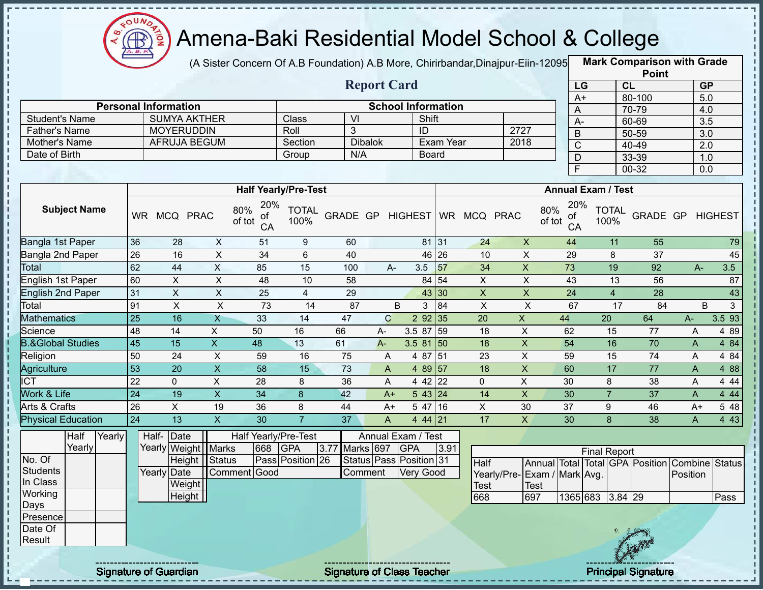

(A Sister Concern Of A.B Foundation) A.B More, Chirirbandar,Dinajpur-Eiin-120950

**Mark Comparison with Grade**

|                              |                 |                             |                         |                    |                             |                  |                           |                           |                                   |                 |                             |                     |                |                           | <b>Point</b>                                   |                |                  |
|------------------------------|-----------------|-----------------------------|-------------------------|--------------------|-----------------------------|------------------|---------------------------|---------------------------|-----------------------------------|-----------------|-----------------------------|---------------------|----------------|---------------------------|------------------------------------------------|----------------|------------------|
|                              |                 |                             |                         |                    |                             |                  | <b>Report Card</b>        |                           |                                   |                 |                             |                     | LG             |                           | CL                                             |                | <b>GP</b>        |
|                              |                 |                             |                         |                    |                             |                  |                           |                           |                                   |                 |                             |                     | $A+$           |                           | 80-100                                         |                | 5.0              |
|                              |                 | <b>Personal Information</b> |                         |                    |                             |                  |                           | <b>School Information</b> |                                   |                 |                             |                     | A              |                           | 70-79                                          |                | 4.0              |
| <b>Student's Name</b>        |                 | <b>SUMYA AKTHER</b>         |                         |                    | Class                       | $\overline{V}$   |                           |                           | Shift                             |                 |                             |                     | $\overline{A}$ |                           | 60-69                                          |                | $\overline{3.5}$ |
| Father's Name                |                 | <b>MOYERUDDIN</b>           |                         |                    | Roll                        | 3                |                           | ID                        |                                   |                 | 2727                        |                     | $\mathsf B$    |                           | $50 - 59$                                      |                | $\overline{3.0}$ |
| Mother's Name                |                 | <b>AFRUJA BEGUM</b>         |                         |                    | Section                     | N/A              | <b>Dibalok</b>            |                           | <b>Exam Year</b>                  |                 | 2018                        |                     | $\overline{C}$ |                           | $40 - 49$                                      |                | $\overline{2.0}$ |
| Date of Birth                |                 |                             |                         |                    | Group                       |                  |                           |                           | <b>Board</b>                      |                 |                             |                     | $\overline{D}$ |                           | 33-39                                          |                | 1.0              |
|                              |                 |                             |                         |                    |                             |                  |                           |                           |                                   |                 |                             |                     | $\overline{F}$ |                           | $00 - 32$                                      |                | $\overline{0.0}$ |
|                              |                 |                             |                         |                    | <b>Half Yearly/Pre-Test</b> |                  |                           |                           |                                   |                 |                             |                     |                | <b>Annual Exam / Test</b> |                                                |                |                  |
|                              |                 |                             |                         | 20%                |                             |                  |                           |                           |                                   |                 |                             |                     |                |                           |                                                |                |                  |
| <b>Subject Name</b>          |                 | WR MCQ PRAC                 | 80%                     | ot<br>of tot<br>CA | <b>TOTAL</b><br>100%        | GRADE GP HIGHEST |                           |                           |                                   | WR MCQ PRAC     |                             | 80%<br>ot<br>of tot | 20%<br>CA      | <b>TOTAL</b><br>100%      | GRADE GP HIGHEST                               |                |                  |
| Bangla 1st Paper             | 36              | 28                          | $\pmb{\times}$          | 51                 | $9\,$                       | 60               |                           |                           | 81 31                             | 24              | $\pmb{\times}$              | 44                  |                | 11                        | 55                                             |                | 79               |
| Bangla 2nd Paper             | 26              | 16                          | $\overline{X}$          | 34                 | 6                           | 40               |                           |                           | 46 26                             | 10              | $\pmb{\times}$              | 29                  |                | 8                         | 37                                             |                | 45               |
| <b>Total</b>                 | 62              | 44                          | $\pmb{\times}$          | 85                 | 15                          | 100              | A-                        | 3.5                       | 57                                | 34              | $\overline{X}$              | $\overline{73}$     |                | 19                        | 92                                             | $A -$          | 3.5              |
| English 1st Paper            | 60              | $\boldsymbol{\mathsf{X}}$   | $\mathsf{X}$            | 48                 | 10                          | 58               |                           |                           | 84 54                             | $\pmb{\times}$  | $\pmb{\times}$              | 43                  |                | 13                        | 56                                             |                | 87               |
| <b>English 2nd Paper</b>     | 31              | $\pmb{\times}$              | $\pmb{\times}$          | 25                 | $\overline{4}$              | 29               |                           |                           | 43 30                             | $\pmb{\times}$  | $\pmb{\times}$              | $\overline{24}$     |                | $\overline{4}$            | 28                                             |                | 43               |
| Total                        | 91              | $\pmb{\times}$              | $\overline{X}$          | 73                 | 14                          | 87               |                           | B                         | $\overline{84}$<br>3 <sup>1</sup> | $\mathsf{X}$    | $\boldsymbol{\mathsf{X}}$   | 67                  |                | 17                        | 84                                             | B              | 3 <sup>1</sup>   |
| <b>Mathematics</b>           | 25              | 16                          | X                       | 33                 | 14                          | 47               | $\mathbf C$               | 2 9 2                     | 35                                | 20              | $\mathsf X$                 | 44                  |                | 20                        | 64                                             | $A-$           | 3.593            |
| Science                      | 48              | 14                          | $\pmb{\times}$          | 50                 | 16                          | 66               | A-                        | 3.5 87                    | 59                                | 18              | $\overline{X}$              | 62                  |                | $\overline{15}$           | 77                                             | $\overline{A}$ | 4 8 9            |
| <b>B.&amp;Global Studies</b> | $\overline{45}$ | $\overline{15}$             | $\overline{X}$          | 48                 | 13                          | 61               | $A -$                     | 3.5 81                    | 50                                | 18              | $\overline{X}$              | 54                  |                | 16                        | 70                                             | $\mathsf{A}$   | 4 84             |
| Religion                     | 50              | $\overline{24}$             | $\pmb{\times}$          | 59                 | 16                          | 75               | $\boldsymbol{\mathsf{A}}$ | 4 87                      | $\overline{51}$                   | 23              | $\overline{X}$              | 59                  |                | $\overline{15}$           | $\overline{74}$                                | A              | 4 8 4            |
| <b>Agriculture</b>           | $\overline{53}$ | $\overline{20}$             | $\overline{X}$          | $\overline{58}$    | $\overline{15}$             | $\overline{73}$  | $\overline{A}$            |                           | 4 89 57                           | $\overline{18}$ | $\overline{X}$              | 60                  |                | 17                        | $\overline{77}$                                | $\mathsf{A}$   | 488              |
| <b>ICT</b>                   | 22              | $\mathbf 0$                 | $\pmb{\times}$          | 28                 | 8                           | $\overline{36}$  | $\mathsf{A}$              |                           | $442$ 22                          | $\mathbf 0$     | $\overline{X}$              | 30                  |                | 8                         | 38                                             | $\mathsf{A}$   | 4 4 4            |
| Work & Life                  | $\overline{24}$ | 19                          | $\overline{\mathsf{x}}$ | $\overline{34}$    | 8                           | 42               | $A+$                      |                           | 543 24                            | $\overline{14}$ | $\overline{\mathsf{x}}$     | 30                  |                | $\overline{7}$            | $\overline{37}$                                | $\mathsf{A}$   | 4 4 4            |
| <b>Arts &amp; Crafts</b>     | 26              | X                           | 19                      | 36                 | 8                           | 44               | $A+$                      | 547                       | 16                                | $\mathsf{X}$    | 30                          | 37                  |                | 9                         | 46                                             | $A+$           | 5 48             |
| <b>Physical Education</b>    | 24              | $\overline{13}$             | $\overline{X}$          | 30                 | $\overline{7}$              | $\overline{37}$  | $\mathsf{A}$              |                           | 4 44 21                           | 17              | $\pmb{\times}$              | 30                  |                | 8                         | 38                                             | A              | 4 4 3            |
| Half<br>Yearly               |                 | Half- Date                  |                         |                    | Half Yearly/Pre-Test        |                  |                           | Annual Exam / Test        |                                   |                 |                             |                     |                |                           |                                                |                |                  |
| Yearly                       |                 | Yearly Weight Marks         |                         | 668                | <b>GPA</b>                  | 3.77 Marks 697   |                           | <b>GPA</b>                | 3.91                              |                 |                             |                     |                | <b>Final Report</b>       |                                                |                |                  |
| No. Of                       |                 | Height   Status             |                         |                    | Pass Position 26            |                  |                           | Status Pass Position 31   |                                   | <b>Half</b>     |                             |                     |                |                           | Annual Total Total GPA Position Combine Status |                |                  |
| <b>Students</b>              |                 | Yearly Date                 |                         | Comment Good       |                             |                  | Comment                   | <b>Very Good</b>          |                                   |                 | Yearly/Pre-Exam / Mark Avg. |                     |                |                           |                                                | Position       |                  |
| In Class                     |                 | Weight                      |                         |                    |                             |                  |                           |                           |                                   | Test            | <b>Test</b>                 |                     |                |                           |                                                |                |                  |
| Working                      |                 | Height                      |                         |                    |                             |                  |                           |                           |                                   | 668             | 697                         |                     |                | 1365 683 3.84 29          |                                                |                | Pass             |
| Days                         |                 |                             |                         |                    |                             |                  |                           |                           |                                   |                 |                             |                     |                |                           |                                                |                |                  |
| Presence                     |                 |                             |                         |                    |                             |                  |                           |                           |                                   |                 |                             |                     |                |                           |                                                |                |                  |
| Date Of<br>Result            |                 |                             |                         |                    |                             |                  |                           |                           |                                   |                 |                             |                     |                |                           |                                                |                |                  |
|                              |                 |                             |                         |                    |                             |                  |                           |                           |                                   |                 |                             |                     |                |                           |                                                |                |                  |
|                              |                 |                             |                         |                    |                             |                  |                           |                           |                                   |                 |                             |                     |                |                           |                                                |                |                  |

Signature of Guardian Signature of Class Teacher Principal Signature 7/39 Principal Signature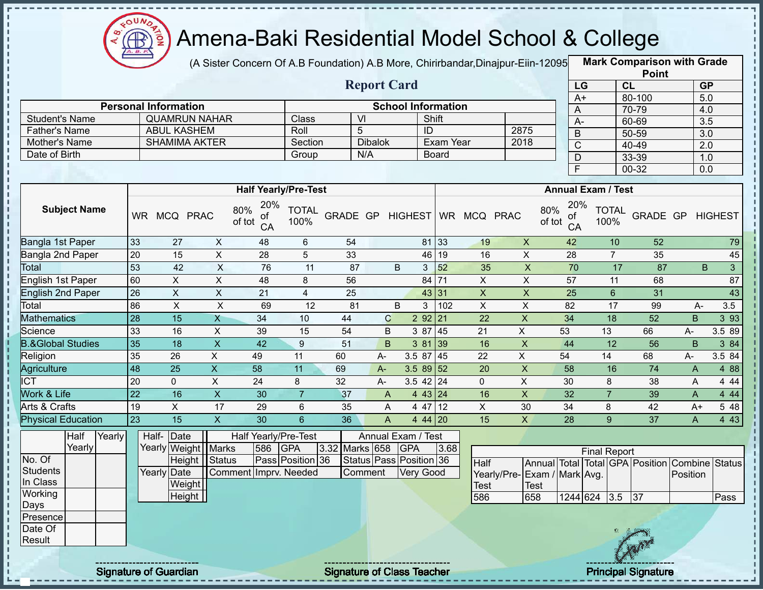

(A Sister Concern Of A.B Foundation) A.B More, Chirirbandar,Dinajpur-Eiin-12095 **Mark Comparison with Grade** 

|                              |                 |                             |                         |                                  |                      |                |                         |                           |              |              |                           |               |                 |                           | <b>Point</b>                                   |       |                  |
|------------------------------|-----------------|-----------------------------|-------------------------|----------------------------------|----------------------|----------------|-------------------------|---------------------------|--------------|--------------|---------------------------|---------------|-----------------|---------------------------|------------------------------------------------|-------|------------------|
|                              |                 |                             |                         |                                  |                      |                | <b>Report Card</b>      |                           |              |              |                           |               | LG              |                           | CL                                             |       | <b>GP</b>        |
|                              |                 |                             |                         |                                  |                      |                |                         |                           |              |              |                           |               | $A+$            |                           | 80-100                                         |       | $\overline{5.0}$ |
|                              |                 | <b>Personal Information</b> |                         |                                  |                      |                |                         | <b>School Information</b> |              |              |                           |               | $\overline{A}$  |                           | 70-79                                          |       | 4.0              |
| <b>Student's Name</b>        |                 | <b>QUAMRUN NAHAR</b>        |                         |                                  | Class                |                | VI                      |                           | Shift        |              |                           |               | A-              |                           | 60-69                                          |       | 3.5              |
| <b>Father's Name</b>         |                 | <b>ABUL KASHEM</b>          |                         |                                  | Roll                 |                | 5                       | ID                        |              |              | 2875                      |               | $\overline{B}$  |                           | 50-59                                          |       | 3.0              |
| Mother's Name                |                 | <b>SHAMIMA AKTER</b>        |                         |                                  | Section              |                | <b>Dibalok</b>          |                           | Exam Year    |              | 2018                      |               | $\overline{C}$  |                           | 40-49                                          |       | $\overline{2.0}$ |
| Date of Birth                |                 |                             |                         |                                  | Group                |                | N/A                     |                           | <b>Board</b> |              |                           |               | $\overline{D}$  |                           | 33-39                                          |       | 1.0              |
|                              |                 |                             |                         |                                  |                      |                |                         |                           |              |              |                           |               | $\overline{F}$  |                           | 00-32                                          |       | 0.0              |
|                              |                 |                             |                         | <b>Half Yearly/Pre-Test</b>      |                      |                |                         |                           |              |              |                           |               |                 | <b>Annual Exam / Test</b> |                                                |       |                  |
| <b>Subject Name</b>          | <b>WR</b>       | MCQ PRAC                    |                         | 20%<br>80%<br>0t<br>of tot<br>CA | <b>TOTAL</b><br>100% | GRADE GP       |                         | <b>HIGHEST</b>            | <b>WR</b>    | MCQ PRAC     |                           | 80%<br>of tot | 20%<br>0f<br>CA | <b>TOTAL</b><br>100%      | GRADE GP                                       |       | <b>HIGHEST</b>   |
| Bangla 1st Paper             | 33              | 27                          | X                       | 48                               | 6                    | 54             |                         |                           | 81 33        | 19           | $\boldsymbol{\mathsf{X}}$ |               | 42              | 10                        | 52                                             |       | 79               |
| Bangla 2nd Paper             | 20              | 15                          | $\pmb{\times}$          | 28                               | 5                    | 33             |                         | 46                        | 19           | 16           | $\mathsf X$               |               | 28              | $\overline{7}$            | 35                                             |       | 45               |
| Total                        | 53              | 42                          | $\sf X$                 | 76                               | 11                   | 87             |                         | B<br>3                    | 52           | 35           | $\overline{\mathsf{X}}$   |               | 70              | 17                        | 87                                             |       | B<br>3           |
| English 1st Paper            | 60              | X                           | $\mathsf X$             | 48                               | 8                    | 56             |                         | 84                        | 71           | X            | $\mathsf X$               |               | 57              | 11                        | 68                                             |       | 87               |
| <b>English 2nd Paper</b>     | $\overline{26}$ | $\mathsf{X}$                | $\mathsf X$             | 21                               | 4                    | 25             |                         | 43                        | 31           | X            | $\mathsf X$               |               | 25              | 6                         | 31                                             |       | 43               |
| Total                        | 86              | $\mathsf{X}$                | $\times$                | 69                               | 12                   | 81             |                         | B<br>3                    | 102          | $\mathsf{X}$ | $\mathsf{X}$              |               | 82              | 17                        | 99                                             | $A -$ | 3.5              |
| <b>Mathematics</b>           | $\overline{28}$ | 15                          | $\overline{X}$          | 34                               | 10                   | 44             | $\mathsf C$             | 2 9 2                     | 21           | 22           | $\mathsf X$               |               | 34              | 18                        | 52                                             | B.    | 3 9 3            |
| Science                      | 33              | 16                          | $\mathsf X$             | 39                               | 15                   | 54             | B                       | 3 87                      | 45           | 21           | $\mathsf{X}$              | 53            |                 | 13                        | 66                                             | А-    | 3.5 89           |
| <b>B.&amp;Global Studies</b> | 35              | $\overline{18}$             | $\overline{X}$          | 42                               | 9                    | 51             | B                       | 3 81                      | 39           | 16           | $\boldsymbol{\mathsf{X}}$ |               | 44              | 12                        | 56                                             | B     | 3 84             |
| Religion                     | 35              | 26                          | X                       | 49                               | 11                   | 60             | $A-$                    | 3.5 87                    | 45           | 22           | X                         | 54            |                 | 14                        | 68                                             | А-    | 3.5 84           |
| Agriculture                  | $\overline{48}$ | $\overline{25}$             | $\overline{\mathsf{x}}$ | 58                               | 11                   | 69             | $A -$                   | 3.5 89                    | 52           | 20           | $\overline{X}$            |               | 58              | 16                        | 74                                             | A     | 4 8 8            |
| $\overline{\text{ICT}}$      | 20              | $\Omega$                    | X                       | 24                               | 8                    | 32             | $A -$                   | $3.5$ 42 24               |              | $\Omega$     | $\mathsf{X}$              |               | 30              | 8                         | 38                                             | A     | 4 4 4            |
| <b>Work &amp; Life</b>       | $\overline{22}$ | 16                          | $\mathsf{X}$            | 30                               | $\overline{7}$       | 37             | $\overline{A}$          | 4 4 3                     | 24           | 16           | $\boldsymbol{\mathsf{X}}$ |               | 32              | $\overline{7}$            | 39                                             | A     | 4 4 4            |
| Arts & Crafts                | 19              | X                           | 17                      | 29                               | 6                    | 35             | A                       | 4 47                      | 12           | X            | 30                        |               | 34              | 8                         | 42                                             | $A+$  | 5 48             |
| <b>Physical Education</b>    | 23              | 15                          | $\mathsf{X}$            | 30                               | $6\overline{6}$      | 36             | A                       | 4 44 20                   |              | 15           | $\mathsf{X}$              |               | 28              | 9                         | 37                                             | A     | 4 4 3            |
| Half<br>Yearly               |                 | Date<br>Half-               |                         | Half Yearly/Pre-Test             |                      |                |                         | Annual Exam / Test        |              |              |                           |               |                 |                           |                                                |       |                  |
| Yearly                       |                 | Yearly Weight               | <b>Marks</b>            | 586                              | GPA                  | 3.32 Marks 658 |                         | <b>GPA</b>                | 3.68         |              |                           |               |                 | <b>Final Report</b>       |                                                |       |                  |
| No. Of                       |                 |                             | Height Status           |                                  | Pass Position 36     |                | Status Pass Position 36 |                           |              | <b>Half</b>  |                           |               |                 |                           | Annual Total Total CPA Position Combine Status |       |                  |

Final Report Half Yearly/Pre-Test<br>586 Annual Total Total Exam / Mark Avg. Test GPA Position Combine Status **Position** 586 658 1244 624 3.5 37 Pass

Yearly Date

**Weight** Height

Comment Imprv. Needed

**Students** In Class **Working** Days Presence Date Of **Result** 

I. J.  $\mathbf I$ J.  $\mathbf I$ п J.  $\frac{1}{1}$ Ţ  $\mathbf{I}$ J.  $\mathbf{I}$ J.

 $\begin{array}{c} 1 \\ 1 \\ 1 \\ 1 \end{array}$ 

Î

J. ł

 $\frac{1}{1}$ D J, J,

 $\frac{1}{1}$  =  $\frac{1}{1}$  =  $\frac{1}{1}$  =  $\frac{1}{1}$  =  $\frac{1}{1}$ 

Î J,  $\frac{1}{1}$ 

Signature of Guardian Signature of Class Teacher Principal Signature 8/39

Comment Very Good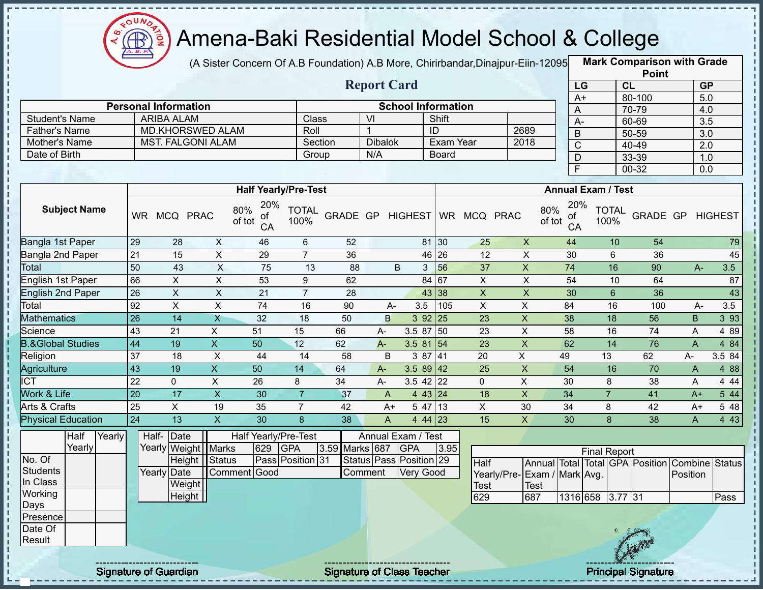

I.

п

 $\mathbf I$  $\mathbf I$ 

> $\mathbf I$  $\mathbf{I}$

> $\mathbf{I}$

 $\mathbf{I}$ 

### Amena-Baki Residential Model School & College

(A Sister Concern Of A.B Foundation) A.B More, Chirirbandar,Dinajpur-Eiin-12095 **Mark Comparison with Grade** 

|                              |                 |                             |                           |                                  |                      |                  |                    |                           |                     |                 |                             |                 |                           |                | <b>Point</b>                    |                  |                |
|------------------------------|-----------------|-----------------------------|---------------------------|----------------------------------|----------------------|------------------|--------------------|---------------------------|---------------------|-----------------|-----------------------------|-----------------|---------------------------|----------------|---------------------------------|------------------|----------------|
|                              |                 |                             |                           |                                  |                      |                  | <b>Report Card</b> |                           |                     |                 |                             |                 | LG                        | CL             |                                 |                  | <b>GP</b>      |
|                              |                 |                             |                           |                                  |                      |                  |                    |                           |                     |                 |                             | $A+$            |                           |                | 80-100                          | 5.0              |                |
|                              |                 | <b>Personal Information</b> |                           |                                  |                      |                  |                    | <b>School Information</b> |                     |                 |                             | A               |                           |                | 70-79                           | 4.0              |                |
| <b>Student's Name</b>        |                 | <b>ARIBA ALAM</b>           |                           |                                  | Class                |                  | VI                 |                           | Shift               |                 |                             | $A -$           |                           |                | 60-69                           | 3.5              |                |
| <b>Father's Name</b>         |                 | <b>MD.KHORSWED ALAM</b>     |                           |                                  | Roll                 |                  | $\mathbf{1}$       |                           | ID                  |                 | 2689                        | $\overline{B}$  |                           |                | $50 - 59$                       | $\overline{3.0}$ |                |
| Mother's Name                |                 | <b>MST. FALGONI ALAM</b>    |                           |                                  | Section              |                  | <b>Dibalok</b>     |                           | <b>Exam Year</b>    |                 | 2018                        | $\overline{C}$  |                           |                | 40-49                           | 2.0              |                |
| Date of Birth                |                 |                             |                           |                                  | Group                |                  | N/A                |                           | <b>Board</b>        |                 |                             | D               |                           |                | 33-39                           | 1.0              |                |
|                              |                 |                             |                           |                                  |                      |                  |                    |                           |                     |                 |                             | F               |                           |                | $00 - 32$                       | 0.0              |                |
|                              |                 |                             |                           | <b>Half Yearly/Pre-Test</b>      |                      |                  |                    |                           |                     |                 |                             |                 | <b>Annual Exam / Test</b> |                |                                 |                  |                |
|                              |                 |                             |                           |                                  |                      |                  |                    |                           |                     |                 |                             |                 |                           |                |                                 |                  |                |
| <b>Subject Name</b>          |                 | WR MCQ PRAC                 |                           | 20%<br>80%<br>οt<br>of tot<br>CA | <b>TOTAL</b><br>100% | GRADE GP HIGHEST |                    |                           |                     | WR MCQ PRAC     | 80%<br>of tot               | 20%<br>ot<br>CA | 100%                      | <b>TOTAL</b>   | GRADE GP                        |                  | <b>HIGHEST</b> |
| Bangla 1st Paper             | 29              | 28                          | $\mathsf{X}$              | 46                               | $\,6$                | 52               |                    |                           | 81 30               | 25              | $\pmb{\times}$              | 44              |                           | 10             | 54                              |                  | 79             |
| Bangla 2nd Paper             | $\overline{21}$ | $\overline{15}$             | $\overline{X}$            | 29                               | $\overline{7}$       | $\overline{36}$  |                    |                           | 46 26               | $\overline{12}$ | $\overline{\mathsf{x}}$     | 30              |                           | $6\phantom{a}$ | 36                              |                  | 45             |
| Total                        | 50              | 43                          | $\overline{\mathsf{x}}$   | $\overline{75}$                  | $\overline{13}$      | $\overline{88}$  |                    | B                         | $3 \overline{56}$   | $\overline{37}$ | $\overline{\mathsf{x}}$     | 74              |                           | 16             | 90                              | $A-$             | 3.5            |
| <b>English 1st Paper</b>     | 66              | $\overline{X}$              | $\overline{X}$            | 53                               | 9                    | 62               |                    |                           | $84\overline{67}$   | $\mathsf{X}$    | $\pmb{\times}$              | 54              |                           | 10             | 64                              |                  | 87             |
| <b>English 2nd Paper</b>     | 26              | $\overline{X}$              | $\pmb{\times}$            | 21                               | $\overline{7}$       | 28               |                    |                           | 43 38               | $\mathsf{X}$    | $\pmb{\times}$              | 30              |                           | $6\phantom{a}$ | 36                              |                  | 43             |
| Total                        | 92              | $\overline{X}$              | $\overline{X}$            | $\overline{74}$                  | 16                   | 90               | A-                 | 3.5                       | 105                 | $\mathsf{X}$    | $\pmb{\times}$              | 84              |                           | 16             | 100                             | $A -$            | 3.5            |
| <b>Mathematics</b>           | 26              | 14                          | $\mathsf{X}$              | 32                               | 18                   | 50               | B                  |                           | $392$ 25            | 23              | $\pmb{\times}$              | 38              |                           | 18             | 56                              | B                | 3 9 3          |
| Science                      | 43              | 21                          | $\mathsf X$               | 51                               | 15                   | 66               | A-                 | 3.5 87 50                 |                     | 23              | $\pmb{\times}$              | 58              |                           | 16             | 74                              | A                | 4 8 9          |
| <b>B.&amp;Global Studies</b> | 44              | 19                          | $\boldsymbol{\mathsf{X}}$ | 50                               | 12                   | 62               | $A-$               | $3.581\overline{54}$      |                     | 23              | $\pmb{\times}$              | 62              |                           | 14             | 76                              | $\mathsf{A}$     | 4 84           |
| Religion                     | 37              | 18                          | $\boldsymbol{\mathsf{X}}$ | 44                               | 14                   | 58               | B                  |                           | 387 41              | 20              | $\overline{X}$              | 49              | 13                        |                | 62                              | А-               | 3.5 84         |
| Agriculture                  | 43              | 19                          | $\overline{X}$            | $\overline{50}$                  | 14                   | 64               | $A -$              | $3.589$ 42                |                     | $\overline{25}$ | $\overline{X}$              | 54              |                           | 16             | 70                              | $\overline{A}$   | 4 8 8          |
| <b>ICT</b>                   | $\overline{22}$ | $\mathbf 0$                 | $\pmb{\times}$            | 26                               | 8                    | $\overline{34}$  | A-                 | $3.5$ 42 22               |                     | $\mathbf 0$     | X                           | 30              | 8                         |                | 38                              | A                | 4 4 4          |
| Work & Life                  | $\overline{20}$ | 17                          | $\overline{X}$            | $\overline{30}$                  | $\overline{7}$       | 37               | A                  |                           | 443   24            | $\overline{18}$ | $\overline{\mathsf{x}}$     | $\overline{34}$ | $\overline{7}$            |                | 41                              | $A+$             | 544            |
| Arts & Crafts                | $\overline{25}$ | $\overline{X}$              | 19                        | 35                               | $\overline{7}$       | 42               | $A+$               |                           | $5\overline{47}$ 13 | $\overline{X}$  | 30                          | $\overline{34}$ | 8                         |                | 42                              | $A+$             | 5 48           |
| <b>Physical Education</b>    | $\overline{24}$ | $\overline{13}$             | $\overline{\mathsf{x}}$   | $\overline{30}$                  | 8                    | $\overline{38}$  | A                  |                           | 4 44 23             | 15              | $\overline{X}$              | 30              | $\mathbf{8}$              |                | 38                              | $\mathsf{A}$     | 4 4 3          |
| Half<br>Yearly               |                 | Half-Date                   |                           | Half Yearly/Pre-Test             |                      |                  |                    | Annual Exam / Test        |                     |                 |                             |                 |                           |                |                                 |                  |                |
| Yearly                       |                 | Yearly Weight               | <b>Marks</b>              | 629                              | <b>GPA</b>           | 3.59 Marks 687   |                    | GPA                       | 3.95                |                 |                             |                 | <b>Final Report</b>       |                |                                 |                  |                |
| No. Of                       |                 |                             | Height Status             |                                  | Pass Position 31     |                  |                    | Status Pass Position 29   |                     | Half            |                             |                 |                           |                | Annual Total Total GPA Position | Combine Status   |                |
| <b>Students</b>              |                 | Yearly Date                 |                           | Comment Good                     |                      |                  | Comment            | <b>Very Good</b>          |                     |                 | Yearly/Pre-Exam / Mark Avg. |                 |                           |                |                                 | Position         |                |
| In Class                     |                 | Weight                      |                           |                                  |                      |                  |                    |                           |                     | <b>Test</b>     | Test                        |                 |                           |                |                                 |                  |                |
| Working                      |                 | Height                      |                           |                                  |                      |                  |                    |                           |                     | 629             | 687                         |                 | 1316 658 3.77 31          |                |                                 |                  | Pass           |
| Days                         |                 |                             |                           |                                  |                      |                  |                    |                           |                     |                 |                             |                 |                           |                |                                 |                  |                |
| Presence                     |                 |                             |                           |                                  |                      |                  |                    |                           |                     |                 |                             |                 |                           |                |                                 |                  |                |
| Date Of                      |                 |                             |                           |                                  |                      |                  |                    |                           |                     |                 |                             |                 |                           |                |                                 |                  |                |
| Result                       |                 |                             |                           |                                  |                      |                  |                    |                           |                     |                 |                             |                 |                           |                |                                 |                  |                |
|                              |                 |                             |                           |                                  |                      |                  |                    |                           |                     |                 |                             |                 |                           |                |                                 |                  |                |

Signature of Guardian Signature of Class Teacher Principal Signature 9/39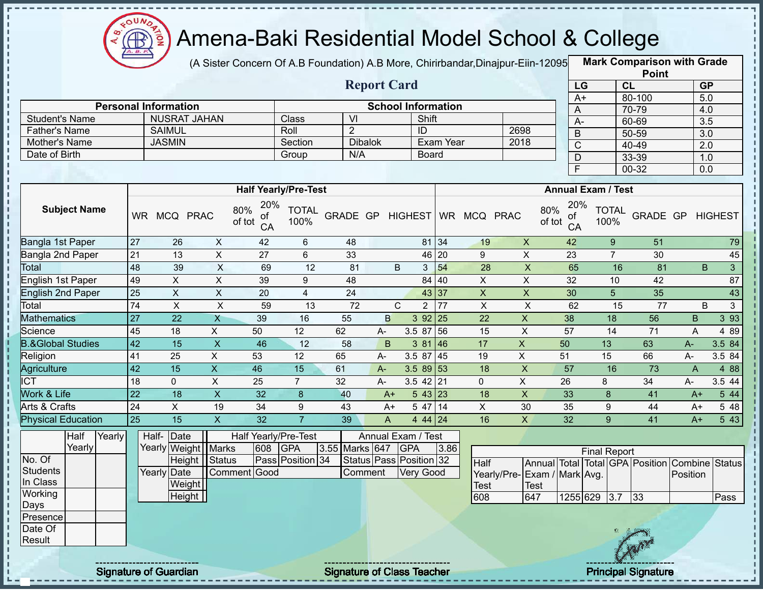

J.

п

п  $\mathbf{I}$ 

Î Ţ

 $\frac{1}{1}$ 

f, п

Ì

,,,,,,,,,,,,,,,,,,,,,,,,,,,,,,,,,,,

### Amena-Baki Residential Model School & College

(A Sister Concern Of A.B Foundation) A.B More, Chirirbandar,Dinajpur-Eiin-120950

**Mark Comparison with Grade**

|                              |                 |                                                    |                           |                           |                             |                 |                    |                                    |                    |                           |                           |                              |                           | <b>Point</b>                            |                |                  |
|------------------------------|-----------------|----------------------------------------------------|---------------------------|---------------------------|-----------------------------|-----------------|--------------------|------------------------------------|--------------------|---------------------------|---------------------------|------------------------------|---------------------------|-----------------------------------------|----------------|------------------|
|                              |                 |                                                    |                           |                           |                             |                 | <b>Report Card</b> |                                    |                    |                           |                           |                              | LG                        | CL                                      |                | <b>GP</b>        |
|                              |                 |                                                    |                           |                           |                             |                 |                    |                                    |                    |                           |                           |                              | $A+$                      | 80-100                                  |                | 5.0              |
| <b>Student's Name</b>        |                 | <b>Personal Information</b><br><b>NUSRAT JAHAN</b> |                           |                           | Class                       | V <sub>l</sub>  |                    | <b>School Information</b><br>Shift |                    |                           |                           | A                            |                           | 70-79                                   |                | 4.0              |
| <b>Father's Name</b>         |                 | <b>SAIMUL</b>                                      |                           |                           | Roll                        | $\overline{2}$  |                    | ID                                 |                    |                           | 2698                      | $\overline{A}$               |                           | 60-69                                   |                | 3.5              |
| Mother's Name                |                 | <b>JASMIN</b>                                      |                           |                           | Section                     | <b>Dibalok</b>  |                    |                                    | Exam Year          |                           | 2018                      | $\mathsf B$                  |                           | $50 - 59$                               |                | $\overline{3.0}$ |
| Date of Birth                |                 |                                                    |                           |                           | Group                       | N/A             |                    | <b>Board</b>                       |                    |                           |                           | $\overline{C}$               |                           | 40-49                                   |                | $\overline{2.0}$ |
|                              |                 |                                                    |                           |                           |                             |                 |                    |                                    |                    |                           |                           | $\overline{D}$               |                           | 33-39                                   |                | 1.0              |
|                              |                 |                                                    |                           |                           |                             |                 |                    |                                    |                    |                           |                           | F                            |                           | $00 - 32$                               |                | 0.0              |
|                              |                 |                                                    |                           |                           | <b>Half Yearly/Pre-Test</b> |                 |                    |                                    |                    |                           |                           |                              | <b>Annual Exam / Test</b> |                                         |                |                  |
|                              |                 |                                                    |                           | 20%                       |                             |                 |                    |                                    |                    |                           |                           | 20%                          |                           |                                         |                |                  |
| <b>Subject Name</b>          |                 | WR MCQ PRAC                                        |                           | 80%<br>οf<br>of tot<br>CA | <b>TOTAL</b><br>100%        | GRADE GP        |                    | <b>HIGHEST</b>                     |                    | WR MCQ PRAC               |                           | 80%<br>of<br>of tot<br>CA    | <b>TOTAL</b><br>100%      | GRADE GP                                |                | <b>HIGHEST</b>   |
| Bangla 1st Paper             | 27              | 26                                                 | $\pmb{\times}$            | 42                        | 6                           | 48              |                    |                                    | 81 34              | 19                        | $\boldsymbol{\mathsf{X}}$ | 42                           | $\boldsymbol{9}$          | 51                                      |                | 79               |
| Bangla 2nd Paper             | 21              | 13                                                 | $\pmb{\times}$            | 27                        | 6                           | 33              |                    |                                    | $46 \overline{20}$ | 9                         | $\pmb{\times}$            | 23                           | $\overline{7}$            | 30                                      |                | 45               |
| <b>Total</b>                 | 48              | 39                                                 | $\overline{X}$            | 69                        | 12                          | $\overline{81}$ | B                  | 3                                  | 54                 | 28                        | $\overline{\mathsf{x}}$   | 65                           |                           | 16<br>81                                | B              | $\overline{3}$   |
| <b>English 1st Paper</b>     | 49              | $\overline{\mathsf{x}}$                            | $\overline{X}$            | 39                        | $\boldsymbol{9}$            | 48              |                    | 84                                 | 40                 | $\overline{X}$            | $\overline{\mathsf{x}}$   | 32                           | 10                        | 42                                      |                | 87               |
| <b>English 2nd Paper</b>     | $\overline{25}$ | $\pmb{\times}$                                     | $\overline{X}$            | 20                        | $\overline{\mathbf{4}}$     | $\overline{24}$ |                    |                                    | 43 37              | $\boldsymbol{\mathsf{X}}$ | $\mathsf X$               | 30                           | 5                         | 35                                      |                | 43               |
| Total                        | 74              | $\mathsf X$                                        | $\mathsf{X}$              | 59                        | 13                          | 72              | $\mathsf{C}$       | $\overline{2}$                     | 77                 | $\mathsf{X}$              | $\mathsf{X}$              | 62                           |                           | 77<br>15                                | B              | 3                |
| <b>Mathematics</b>           | $\overline{27}$ | 22                                                 | $\overline{X}$            | 39                        | 16                          | 55              | $\overline{B}$     | 3 92 25                            |                    | $\overline{22}$           | $\overline{X}$            | 38                           | $\overline{18}$           | 56                                      | B              | $3\overline{93}$ |
| Science                      | $\overline{45}$ | 18                                                 | $\mathsf{X}$              | 50                        | 12                          | 62              | A-                 | 3.5 87 56                          |                    | $\overline{15}$           | $\pmb{\times}$            | 57                           | $\overline{14}$           | $\overline{71}$                         | A              | 4 8 9            |
| <b>B.&amp;Global Studies</b> | 42              | 15                                                 | $\overline{\mathbf{X}}$   | 46                        | 12                          | 58              | B                  | 381 46                             |                    | 17                        | $\mathsf X$               | 50                           | 13                        | 63                                      | $A -$          | 3.5 84           |
| Religion                     | 41              | 25                                                 | $\overline{X}$            | 53                        | 12                          | 65              | А-                 | $3.587$ 45                         |                    | 19                        | $\mathsf{X}$              | 51                           | 15                        | 66                                      | $A-$           | 3.5 84           |
| <b>Agriculture</b>           | $\overline{42}$ | $\overline{15}$                                    | $\overline{X}$            | 46                        | 15                          | 61              | A-                 | $3.589$ 53                         |                    | 18                        | $\pmb{\times}$            | 57                           | 16                        | $\overline{73}$                         | $\overline{A}$ | 4 8 8            |
| <b>ICT</b>                   | 18              | $\overline{0}$                                     | $\mathsf X$               | 25                        | $\overline{7}$              | 32              | $A-$               | $3.5$ 42 21                        |                    | $\mathbf 0$               | $\overline{X}$            | 26                           | 8                         | 34                                      | А-             | 3.5 44           |
| <b>Work &amp; Life</b>       | $\overline{22}$ | 18                                                 | $\overline{X}$            | $\overline{32}$           | 8                           | 40              | $A+$               | 5 43 23                            |                    | 18                        | $\overline{X}$            | 33                           | $\bf{8}$                  | 41                                      | $A+$           | 5 44             |
| <b>Arts &amp; Crafts</b>     | 24              | $\overline{X}$                                     | 19                        | 34                        | 9                           | $\overline{43}$ | $A+$               | $5\overline{47}$ 14                |                    | $\overline{X}$            | 30                        | 35                           | $9\,$                     | 44                                      | $A+$           | $5\overline{48}$ |
| <b>Physical Education</b>    | $\overline{25}$ | $\overline{15}$                                    | $\boldsymbol{\mathsf{X}}$ | $\overline{32}$           | $\overline{7}$              | 39              | A                  | $444$ 24                           |                    | 16                        | $\mathsf{X}$              | 32                           | 9                         | 41                                      | $A+$           | 5 4 3            |
| Half<br>Yearly               |                 | Half-Date                                          |                           |                           | Half Yearly/Pre-Test        |                 |                    | Annual Exam / Test                 |                    |                           |                           |                              |                           |                                         |                |                  |
| Yearly                       |                 | Yearly Weight   Marks                              |                           | 608                       | <b>GPA</b>                  | 3.55 Marks 647  |                    | <b>GPA</b>                         | 3.86               |                           |                           |                              | <b>Final Report</b>       |                                         |                |                  |
| No. Of                       |                 | Height                                             | Status                    |                           | Pass Position 34            |                 |                    | Status Pass Position 32            |                    | <b>Half</b>               |                           |                              |                           | Annual Total Total GPA Position Combine |                | <b>Status</b>    |
| <b>Students</b>              |                 | Yearly Date                                        |                           | Comment Good              |                             | Comment         |                    | Very Good                          |                    |                           |                           | Yearly/Pre- Exam / Mark Avg. |                           |                                         | Position       |                  |
| In Class                     |                 | Weight                                             |                           |                           |                             |                 |                    |                                    |                    | <b>Test</b>               | Test                      |                              |                           |                                         |                |                  |
| Working                      |                 | <b>Height</b>                                      |                           |                           |                             |                 |                    |                                    |                    | 608                       | 647                       |                              | 1255 629 3.7              | 33                                      |                | Pass             |
| Days<br>Presence             |                 |                                                    |                           |                           |                             |                 |                    |                                    |                    |                           |                           |                              |                           |                                         |                |                  |
| Date Of                      |                 |                                                    |                           |                           |                             |                 |                    |                                    |                    |                           |                           |                              |                           |                                         |                |                  |
| Result                       |                 |                                                    |                           |                           |                             |                 |                    |                                    |                    |                           |                           |                              |                           |                                         |                |                  |
|                              |                 |                                                    |                           |                           |                             |                 |                    |                                    |                    |                           |                           |                              |                           |                                         |                |                  |
|                              |                 |                                                    |                           |                           |                             |                 |                    |                                    |                    |                           |                           |                              |                           |                                         |                |                  |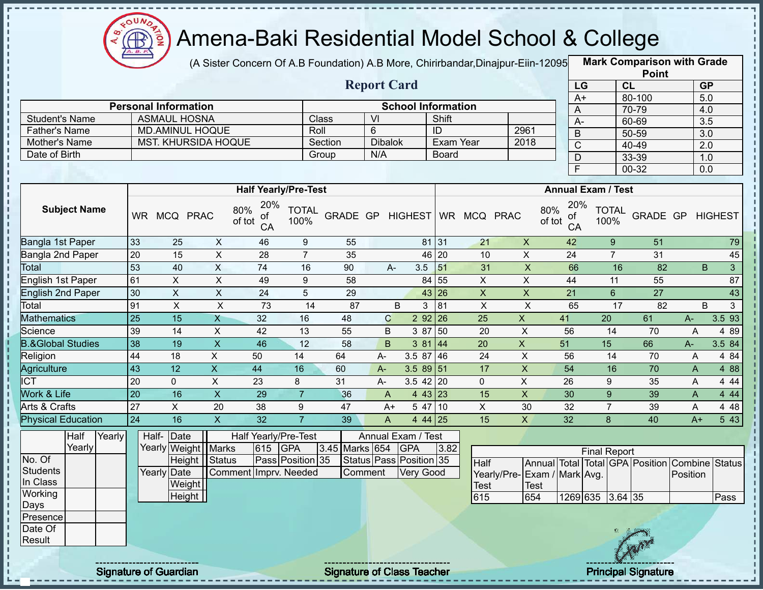

(A Sister Concern Of A.B Foundation) A.B More, Chirirbandar,Dinajpur-Eiin-12095 **Mark Comparison with Grade** 

**Point**

|                              |                             |                     |                            |                                  |                      |          |                    |                |             |                           |                         |                    |                     |              |                           | <b>Point</b> |       |           |                |
|------------------------------|-----------------------------|---------------------|----------------------------|----------------------------------|----------------------|----------|--------------------|----------------|-------------|---------------------------|-------------------------|--------------------|---------------------|--------------|---------------------------|--------------|-------|-----------|----------------|
|                              |                             |                     |                            |                                  |                      |          | <b>Report Card</b> |                |             |                           |                         |                    |                     | LG           |                           | CL           |       | <b>GP</b> |                |
|                              |                             |                     |                            |                                  |                      |          |                    |                |             |                           |                         |                    |                     | $A+$         |                           | 80-100       |       | 5.0       |                |
|                              | <b>Personal Information</b> |                     |                            |                                  |                      |          |                    |                |             | <b>School Information</b> |                         |                    |                     | A            |                           | 70-79        |       | 4.0       |                |
| <b>Student's Name</b>        |                             | <b>ASMAUL HOSNA</b> |                            |                                  |                      | Class    | VI                 |                | Shift       |                           |                         |                    |                     | A-           |                           | 60-69        |       | 3.5       |                |
| <b>Father's Name</b>         |                             |                     | <b>MD.AMINUL HOQUE</b>     |                                  | Roll                 |          | 6                  |                | ID          |                           |                         | 2961               |                     | B            |                           | 50-59        |       | 3.0       |                |
| Mother's Name                |                             |                     | <b>MST. KHURSIDA HOQUE</b> |                                  |                      | Section  | <b>Dibalok</b>     |                |             | Exam Year                 |                         | 2018               |                     | $\mathsf{C}$ |                           | 40-49        |       | 2.0       |                |
| Date of Birth                |                             |                     |                            |                                  |                      | Group    | N/A                |                |             | <b>Board</b>              |                         |                    |                     | D            |                           | 33-39        |       | 1.0       |                |
|                              |                             |                     |                            |                                  |                      |          |                    |                |             |                           |                         |                    |                     | F.           |                           | 00-32        |       | 0.0       |                |
|                              |                             |                     |                            | <b>Half Yearly/Pre-Test</b>      |                      |          |                    |                |             |                           |                         |                    |                     |              | <b>Annual Exam / Test</b> |              |       |           |                |
| <b>Subject Name</b>          | <b>WR</b>                   | MCQ                 | <b>PRAC</b>                | 20%<br>80%<br>of<br>of tot<br>CA | <b>TOTAL</b><br>100% | GRADE GP |                    | <b>HIGHEST</b> |             | WR MCQ PRAC               |                         |                    | 80%<br>οf<br>of tot | 20%<br>CA    | <b>TOTAL</b><br>100%      | GRADE GP     |       |           | <b>HIGHEST</b> |
| Bangla 1st Paper             | 33                          | 25                  | X                          | 46                               | 9                    | 55       |                    |                | 81 31       |                           | 21                      | $\mathsf{X}$       | 42                  |              | 9                         | 51           |       |           | 79             |
| Bangla 2nd Paper             | 20                          | 15                  | X                          | 28                               | $\overline{7}$       | 35       |                    |                | 46<br>20    |                           | 10                      | X                  | 24                  |              | $\overline{7}$            | 31           |       |           | 45             |
| Total                        | 53                          | 40                  | $\mathsf X$                | 74                               | 16                   | 90       | A-                 | 3.5            | 51          |                           | 31                      | $\pmb{\mathsf{X}}$ | 66                  |              | 16                        | 82           |       | B         | $\mathfrak{S}$ |
| English 1st Paper            | 61                          | X                   | X                          | 49                               | 9                    | 58       |                    |                | 84<br>55    |                           | X                       | X                  | 44                  |              | 11                        | 55           |       |           | 87             |
| English 2nd Paper            | 30                          | X                   | $\mathsf{X}$               | 24                               | 5                    | 29       |                    |                | 43<br>26    |                           | $\overline{\mathsf{X}}$ | $\mathsf{x}$       | 21                  |              | 6                         | 27           |       |           | 43             |
| Total                        | 91                          | X                   | X                          | 73                               | 14                   | 87       |                    | B              | 3<br>81     |                           | X                       | X                  | 65                  |              | 17                        | 82           |       | B         | 3              |
| <b>Mathematics</b>           | 25                          | 15                  | X                          | 32                               | 16                   | 48       | $\mathbf C$        |                | 2 9 2<br>26 |                           | 25                      | X                  | 41                  |              | 20                        | 61           | A-    |           | 3.5 93         |
| Science                      | 39                          | 14                  | X                          | 42                               | 13                   | 55       | B                  | 3 87           | 50          |                           | 20                      | X                  | 56                  |              | 14                        | 70           |       | A         | 4 8 9          |
| <b>B.&amp;Global Studies</b> | 38                          | 19                  | $\pmb{\mathsf{X}}$         | 46                               | 12                   | 58       | B                  | 3 81           | 44          |                           | 20                      | X                  | 51                  |              | 15                        | 66           | $A -$ |           | 3.5 84         |
| Religion                     | 44                          | 18                  | X                          | 50                               | 14                   | 64       | $A -$              | 3.5 87         | 46          |                           | 24                      | X                  | 56                  |              | 14                        | 70           |       | A         | 4 84           |
| Agriculture                  | 43                          | 12                  | $\mathsf{X}$               | 44                               | 16                   | 60       | $A -$              |                | $3.589$ 51  |                           | 17                      | X                  | 54                  |              | 16                        | 70           |       | A         | 4 8 8          |
| ICT                          | 20                          | $\Omega$            | X                          | 23                               | 8                    | 31       | A-                 |                | $3.5$ 42 20 |                           | $\Omega$                | X                  | 26                  |              | 9                         | 35           |       | Α         | 4 4 4          |
| Work & Life                  | 20                          | 16                  | $\pmb{\mathsf{X}}$         | 29                               | $\overline{7}$       | 36       | A                  |                | $443$ 23    |                           | 15                      | $\mathsf X$        | 30                  |              | $\boldsymbol{9}$          | 39           |       | Α         | 4 4 4          |
| Arts & Crafts                | 27                          | X.                  | 20                         | 38                               | 9                    | 47       | $A+$               |                | 5 47<br>10  |                           | X                       | 30                 | 32                  |              | $\overline{7}$            | 39           |       | Α         | 4 4 8          |

|           | Half   | Yearly | Half- Date  |                       |                       |     | Half Yearly/Pre-Test |                | Annual Exam / Test      |      |                 |      |
|-----------|--------|--------|-------------|-----------------------|-----------------------|-----|----------------------|----------------|-------------------------|------|-----------------|------|
|           | Yearly |        |             | Yearly Weight   Marks |                       | 615 | <b>IGPA</b>          | 3.45 Marks 654 | <b>GPA</b>              | 3.82 |                 |      |
| No. Of    |        |        |             | <b>Height</b>         | <b>Status</b>         |     | Pass Position 35     |                | Status Pass Position 35 |      | Half            | Annu |
| Students  |        |        | Yearly Date |                       | Comment Imprv. Needed |     |                      | Comment        | <b>Very Good</b>        |      | Yearly/Pre-Exam |      |
| In Class  |        |        |             | Weight                |                       |     |                      |                |                         |      | <b>Test</b>     | Test |
| Working   |        |        |             | Height                |                       |     |                      |                |                         |      | 615             | 654  |
| Days      |        |        |             |                       |                       |     |                      |                |                         |      |                 |      |
| Presencel |        |        |             |                       |                       |     |                      |                |                         |      |                 |      |
| Date Of   |        |        |             |                       |                       |     |                      |                |                         |      |                 |      |
| Result    |        |        |             |                       |                       |     |                      |                |                         |      |                 |      |

|                              |       |                  | <b>Final Report</b> |  |                                                |             |
|------------------------------|-------|------------------|---------------------|--|------------------------------------------------|-------------|
| Half                         |       |                  |                     |  | Annual Total Total GPA Position Combine Status |             |
| Yearly/Pre- Exam / Mark Avg. |       |                  |                     |  | <b>IPosition</b>                               |             |
| Test                         | 'Test |                  |                     |  |                                                |             |
| 615                          | 654   | 1269 635 3.64 35 |                     |  |                                                | <b>Pass</b> |

Signature of Guardian Signature of Class Teacher Principal Signature of Class Teacher Principal Signature

Physical Education 24 16 X 32 7 39 A 4 44 25 15 X 32 8 40 A+ 5 43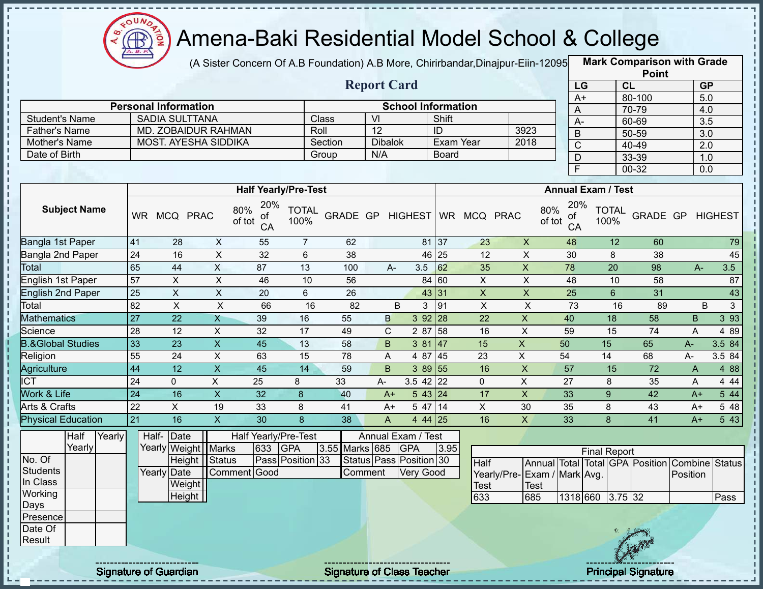

(A Sister Concern Of A.B Foundation) A.B More, Chirirbandar,Dinajpur-Eiin-12095 **Mark Comparison with Grade** 

|                      |                             |         | <b>Report Card</b> |                           |      |
|----------------------|-----------------------------|---------|--------------------|---------------------------|------|
|                      | <b>Personal Information</b> |         |                    | <b>School Information</b> |      |
| Student's Name       | SADIA SULTTANA              | Class   | VI                 | Shift                     |      |
| <b>Father's Name</b> | MD. ZOBAIDUR RAHMAN         | Roll    | 12                 | ID                        | 3923 |
| Mother's Name        | <b>MOST. AYESHA SIDDIKA</b> | Section | <b>Dibalok</b>     | Exam Year                 | 2018 |
| Date of Birth        |                             | Group   | N/A                | Board                     |      |

|                       | <b>Point</b> |                  |
|-----------------------|--------------|------------------|
| LG                    | <b>CL</b>    | <b>GP</b>        |
| $\overline{A+}$       | 80-100       | 5.0              |
| Α                     | 70-79        | 4.0              |
| А-                    | 60-69        | $\overline{3.5}$ |
| B                     | 50-59        | 3.0              |
| $\overline{\text{C}}$ | 40-49        | 2.0              |
| D                     | 33-39        | 1.0              |
| F                     | $00-32$      | 0.0              |

|                              |           |             |             |                                  | <b>Half Yearly/Pre-Test</b> |          |    |                |                      |           |             |    | <b>Annual Exam / Test</b>        |                      |                 |      |                |
|------------------------------|-----------|-------------|-------------|----------------------------------|-----------------------------|----------|----|----------------|----------------------|-----------|-------------|----|----------------------------------|----------------------|-----------------|------|----------------|
| <b>Subject Name</b>          | <b>WR</b> | <b>MCQ</b>  | <b>PRAC</b> | 20%<br>80%<br>of<br>of tot<br>CA | <b>TOTAL</b><br>100%        | GRADE GP |    | <b>HIGHEST</b> |                      | <b>WR</b> | MCQ PRAC    |    | 20%<br>80%<br>οf<br>of tot<br>CA | <b>TOTAL</b><br>100% | <b>GRADE GP</b> |      | <b>HIGHEST</b> |
| Bangla 1st Paper             | 41        | 28          | X           | 55                               | 7                           | 62       |    |                | 81 37                |           | 23          | X  | 48                               | 12                   | 60              |      | 79             |
| Bangla 2nd Paper             | 24        | 16          | X           | 32                               | 6                           | 38       |    |                | 46 25                |           | 12          | X  | 30                               | 8                    | 38              |      | 45             |
| Total                        | 65        | 44          | X           | 87                               | 13                          | 100      |    | $A -$          | 3.5                  | 62        | 35          | X  | 78                               | 20                   | 98              | A-   | 3.5            |
| English 1st Paper            | 57        | X.          | X           | 46                               | 10                          | 56       |    |                | 84 60                |           | X           | X  | 48                               | 10                   | 58              |      | 87             |
| English 2nd Paper            | 25        | X.          | X           | 20                               | 6                           | 26       |    |                | 43 31                |           | X           | X  | 25                               | 6                    | 31              |      | 43             |
| Total                        | 82        | X           | X           | 66                               | 16                          | 82       |    | B              | 3                    | 91        | X.          | X  | 73                               | 16                   | 89              |      | 3<br>B         |
| <b>Mathematics</b>           | 27        | 22          | X           | 39                               | 16                          | 55       | B  |                | 3 9 2                | 28        | 22          | X  | 40                               | 18                   | 58              | B.   | 3 9 3          |
| Science                      | 28        | 12          | X           | 32                               | 17                          | 49       | C. |                | 2 87                 | 58        | 16          | X  | 59                               | 15                   | 74              | A    | 4 8 9          |
| <b>B.&amp;Global Studies</b> | 33        | 23          | X           | 45                               | 13                          | 58       | B. |                | 3 81                 | 47        | 15          | X. | 50                               | 15                   | 65              | $A-$ | 3.5 84         |
| Religion                     | 55        | 24          | X           | 63                               | 15                          | 78       | Α  |                | 4 87                 | 45        | 23          | X  | 54                               | 14                   | 68              | A-   | 3.5 84         |
| Agriculture                  | 44        | 12          | X           | 45                               | 14                          | 59       | B  |                | 3 89 55              |           | 16          | X  | 57                               | 15                   | 72              | A    | 4 8 8          |
| ICT                          | 24        | $\mathbf 0$ | X           | 25                               | 8                           | 33       | A- |                | $3.5$ 42 22          |           | $\mathbf 0$ | X  | 27                               | 8                    | 35              | A    | 4 4 4          |
| Work & Life                  | 24        | 16          | X           | 32                               | 8                           | 40       |    | $A+$           | $5 \, 43 \,   \, 24$ |           | 17          | X  | 33                               | 9                    | 42              | $A+$ | 5 4 4          |
| Arts & Crafts                | 22        | X           | 19          | 33                               | 8                           | 41       |    | $A+$           | 5 47                 | 14        | X           | 30 | 35                               | 8                    | 43              | $A+$ | 5 48           |
| <b>Physical Education</b>    | 21        | 16          | X.          | 30                               | 8                           | 38       | A  |                | 4 44 25              |           | 16          | X  | 33                               | 8                    | 41              | $A+$ | 5 43           |

|          | Half   | Yearly | Half-Date             |              |     | Half Yearly/Pre-Test |                    | Annual Exam / Test            |      |                              |      |          |                     |           |     |                                                |      |
|----------|--------|--------|-----------------------|--------------|-----|----------------------|--------------------|-------------------------------|------|------------------------------|------|----------|---------------------|-----------|-----|------------------------------------------------|------|
|          | Yearly |        | Yearly Weight   Marks |              | 633 | <b>GPA</b>           | 3.55 Marks 685 GPA |                               | 3.95 |                              |      |          | <b>Final Report</b> |           |     |                                                |      |
| No. Of   |        |        | Height   Status       |              |     | Pass Position 33     |                    | Status   Pass   Position   30 |      | <b>Half</b>                  |      |          |                     |           |     | Annual Total Total GPA Position Combine Status |      |
| Students |        |        | Yearly Date           | Comment Good |     |                      | Comment            | Very Good                     |      | Yearly/Pre- Exam / Mark Avg. |      |          |                     |           |     | Position                                       |      |
| In Class |        |        | Weight                |              |     |                      |                    |                               |      | <b>Test</b>                  | Test |          |                     |           |     |                                                |      |
| Working  |        |        | Height                |              |     |                      |                    |                               |      | 633                          | 685  | 1318 660 |                     | $3.75$ 32 |     |                                                | Pass |
| Days     |        |        |                       |              |     |                      |                    |                               |      |                              |      |          |                     |           |     |                                                |      |
| Presence |        |        |                       |              |     |                      |                    |                               |      |                              |      |          |                     |           |     |                                                |      |
| Date Of  |        |        |                       |              |     |                      |                    |                               |      |                              |      |          |                     |           |     |                                                |      |
| Result   |        |        |                       |              |     |                      |                    |                               |      |                              |      |          |                     |           | CAR |                                                |      |
|          |        |        |                       |              |     |                      |                    |                               |      |                              |      |          |                     |           |     |                                                |      |

ŋ J,

Î

 $\mathbf{I}$ 

 $\mathbf{I}$ 

Signature of Guardian Signature of Class Teacher Principal Signature of Class Teacher Principal Signature

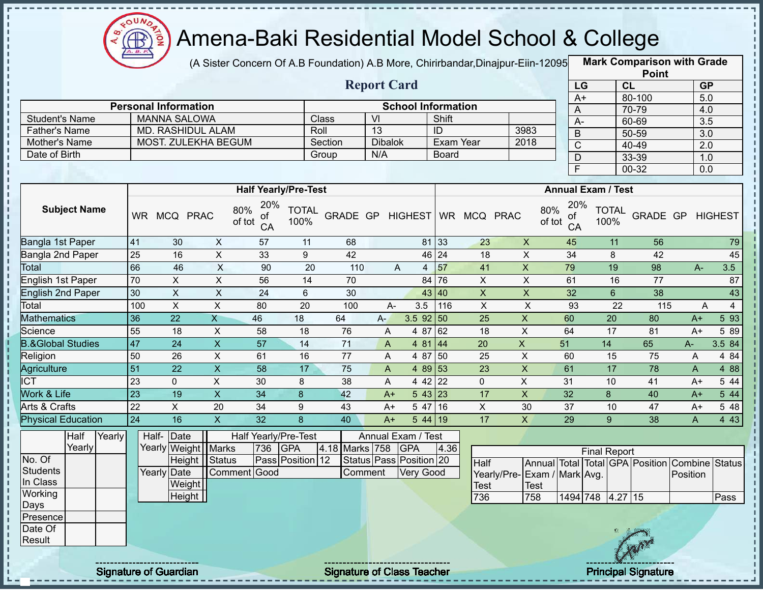

(A Sister Concern Of A.B Foundation) A.B More, Chirirbandar,Dinajpur-Eiin-12095 **Mark Comparison with Grade** 

|                       |                             |         | <b>Report Card</b> |                           |      |
|-----------------------|-----------------------------|---------|--------------------|---------------------------|------|
|                       | <b>Personal Information</b> |         |                    | <b>School Information</b> |      |
| <b>Student's Name</b> | MANNA SALOWA                | Class   | VI                 | Shift                     |      |
| <b>Father's Name</b>  | MD. RASHIDUL ALAM           | Roll    | 13                 |                           | 3983 |
| Mother's Name         | MOST. ZULEKHA BEGUM         | Section | <b>Dibalok</b>     | Exam Year                 | 2018 |
| Date of Birth         |                             | Group   | N/A                | <b>Board</b>              |      |

|      | <b>Point</b> |           |
|------|--------------|-----------|
| LG   | CL           | <b>GP</b> |
| $A+$ | 80-100       | 5.0       |
| A    | 70-79        | 4.0       |
| А-   | 60-69        | 3.5       |
| B    | 50-59        | 3.0       |
| C    | 40-49        | 2.0       |
| D    | 33-39        | 1.0       |
| F    | 00-32        | 0.0       |

|                              |           |             |             |                                  | <b>Half Yearly/Pre-Test</b> |                 |      |                |                 |              |             | <b>Annual Exam / Test</b>        |                      |          |       |                |
|------------------------------|-----------|-------------|-------------|----------------------------------|-----------------------------|-----------------|------|----------------|-----------------|--------------|-------------|----------------------------------|----------------------|----------|-------|----------------|
| <b>Subject Name</b>          | <b>WR</b> | <b>MCQ</b>  | <b>PRAC</b> | 20%<br>80%<br>οf<br>of tot<br>CA | <b>TOTAL</b><br>100%        | <b>GRADE GP</b> |      | <b>HIGHEST</b> | WR <sup>-</sup> | <b>MCQ</b>   | <b>PRAC</b> | 20%<br>80%<br>of<br>of tot<br>CA | <b>TOTAL</b><br>100% | GRADE GP |       | <b>HIGHEST</b> |
| Bangla 1st Paper             | 41        | 30          | X           | 57                               | 11                          | 68              |      | 81             | 33              | 23           | X           | 45                               | 11                   | 56       |       | 79             |
| Bangla 2nd Paper             | 25        | 16          | X           | 33                               | 9                           | 42              |      |                | 46 24           | 18           | X           | 34                               | 8                    | 42       |       | 45             |
| <b>Total</b>                 | 66        | 46          | X           | 90                               | 20                          | 110             |      | A<br>4         | 57              | 41           | X           | 79                               | 19                   | 98       | $A -$ | 3.5            |
| English 1st Paper            | 70        | X.          | X           | 56                               | 14                          | 70              |      | 84             | 76              | X            | Χ           | 61                               | 16                   | 77       |       | 87             |
| English 2nd Paper            | 30        | X           | X           | 24                               | 6                           | 30              |      |                | 43 40           | X            | X           | 32                               | 6                    | 38       |       | 43             |
| Total                        | 100       | X           | X           | 80                               | 20                          | 100             |      | 3.5<br>A-      | 116             | X            | X           | 93                               | 22                   | 115      | A     | 4              |
| <b>Mathematics</b>           | 36        | 22          | Χ           | 46                               | 18                          | 64              | $A-$ | $3.5$ 92 50    |                 | 25           | X           | 60                               | 20                   | 80       | $A+$  | 5 9 3          |
| Science                      | 55        | 18          | X           | 58                               | 18                          | 76              | A    | 4 87           | 62              | 18           | X           | 64                               | 17                   | 81       | $A+$  | 5 89           |
| <b>B.&amp;Global Studies</b> | 47        | 24          | X.          | 57                               | 14                          | 71              | A    | 4 81           | 44              | 20           | X           | 51                               | 14                   | 65       | A-    | 3.5 84         |
| Religion                     | 50        | 26          | X           | 61                               | 16                          | 77              | A    | 4 87           | $\sqrt{50}$     | 25           | X           | 60                               | 15                   | 75       | A     | 4 84           |
| Agriculture                  | 51        | 22          | X.          | 58                               | 17                          | 75              | A    | 4 89 53        |                 | 23           | X           | 61                               | 17                   | 78       | A     | 4 88           |
| <b>ICT</b>                   | 23        | $\mathbf 0$ | X.          | 30                               | 8                           | 38              | A    | 4 4 2          | 22              | $\mathbf{0}$ | X           | 31                               | 10                   | 41       | $A+$  | 5 44           |
| Work & Life                  | 23        | 19          | X.          | 34                               | 8                           | 42              | $A+$ | 543 23         |                 | 17           | X           | 32                               | 8                    | 40       | $A+$  | 5 4 4          |
| Arts & Crafts                | 22        | X           | 20          | 34                               | 9                           | 43              | $A+$ | 5 47           | 116∶            | X.           | 30          | 37                               | 10                   | 47       | $A+$  | 5 48           |
| <b>Physical Education</b>    | 24        | 16          | X           | 32                               | 8                           | 40              | $A+$ | $544$ 19       |                 | 17           | X           | 29                               | 9                    | 38       | A     | 4 4 3          |

|                 | Half   | Yearly |  | Half-Date             |              |     | Half Yearly/Pre-Test |                | Annual Exam / Test      |      |                              |      |                  |                     |     |                                                |      |
|-----------------|--------|--------|--|-----------------------|--------------|-----|----------------------|----------------|-------------------------|------|------------------------------|------|------------------|---------------------|-----|------------------------------------------------|------|
|                 | Yearly |        |  | Yearly Weight   Marks |              | 736 | <b>GPA</b>           | 4.18 Marks 758 | <b>GPA</b>              | 4.36 |                              |      |                  | <b>Final Report</b> |     |                                                |      |
| No. Of          |        |        |  | Height   Status       |              |     | Pass Position 12     |                | Status Pass Position 20 |      | Half                         |      |                  |                     |     | Annual Total Total GPA Position Combine Status |      |
| Students        |        |        |  | Yearly Date           | Comment Good |     |                      | Comment        | Very Good               |      | Yearly/Pre- Exam / Mark Avg. |      |                  |                     |     | Position                                       |      |
| In Class        |        |        |  | Weight                |              |     |                      |                |                         |      | <b>Test</b>                  | Test |                  |                     |     |                                                |      |
| Working         |        |        |  | Height                |              |     |                      |                |                         |      | 736                          | 758  | 1494 748 4.27 15 |                     |     |                                                | Pass |
| Days            |        |        |  |                       |              |     |                      |                |                         |      |                              |      |                  |                     |     |                                                |      |
| <b>Presence</b> |        |        |  |                       |              |     |                      |                |                         |      |                              |      |                  |                     |     |                                                |      |
| Date Of         |        |        |  |                       |              |     |                      |                |                         |      |                              |      |                  |                     |     |                                                |      |
| Result          |        |        |  |                       |              |     |                      |                |                         |      |                              |      |                  |                     |     |                                                |      |
|                 |        |        |  |                       |              |     |                      |                |                         |      |                              |      |                  |                     | Gen |                                                |      |

л п  $\frac{1}{1}$ 

 $\mathbf I$ 

 $\mathbf I$ Ţ

 $\begin{array}{c} 1 & 1 \\ 1 & 1 \\ 1 & 1 \end{array}$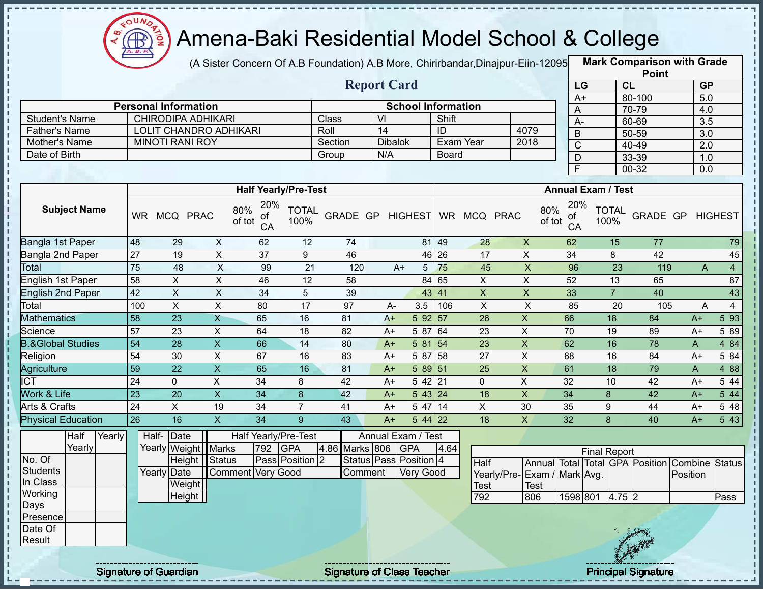

(A Sister Concern Of A.B Foundation) A.B More, Chirirbandar,Dinajpur-Eiin-12095 **Mark Comparison with Grade** 

|                      |                             |         | <b>Report Card</b> |                           |      |
|----------------------|-----------------------------|---------|--------------------|---------------------------|------|
|                      | <b>Personal Information</b> |         |                    | <b>School Information</b> |      |
| Student's Name       | CHIRODIPA ADHIKARI          | Class   | VI                 | Shift                     |      |
| <b>Father's Name</b> | LOLIT CHANDRO ADHIKARI      | Roll    | 14                 | ID                        | 4079 |
| Mother's Name        | <b>MINOTI RANI ROY</b>      | Section | <b>Dibalok</b>     | Exam Year                 | 2018 |
| Date of Birth        |                             | Group   | N/A                | Board                     |      |

|      | <b>Point</b> |                  |
|------|--------------|------------------|
| LG   | CL           | <b>GP</b>        |
| $A+$ | 80-100       | 5.0              |
| Α    | 70-79        | 4.0              |
| А-   | 60-69        | 3.5              |
| B    | 50-59        | $\overline{3.0}$ |
| C    | 40-49        | 2.0              |
| D    | 33-39        | 1.0              |
| F    | 00-32        | 0.0              |

|                              |           |              |              | <b>Half Yearly/Pre-Test</b>      |                      |                 |      |                   |           |            |             | <b>Annual Exam / Test</b>        |                      |          |                |       |
|------------------------------|-----------|--------------|--------------|----------------------------------|----------------------|-----------------|------|-------------------|-----------|------------|-------------|----------------------------------|----------------------|----------|----------------|-------|
| <b>Subject Name</b>          | <b>WR</b> | <b>MCQ</b>   | <b>PRAC</b>  | 20%<br>80%<br>οf<br>of tot<br>CA | <b>TOTAL</b><br>100% | <b>GRADE GP</b> |      | <b>HIGHEST</b>    | <b>WR</b> | <b>MCQ</b> | <b>PRAC</b> | 20%<br>80%<br>οf<br>of tot<br>CA | <b>TOTAL</b><br>100% | GRADE GP | <b>HIGHEST</b> |       |
| Bangla 1st Paper             | 48        | 29           | X            | 62                               | 12                   | 74              |      | 81 49             |           | 28         | X           | 62                               | 15                   | 77       |                | 79    |
| Bangla 2nd Paper             | 27        | 19           | X            | 37                               | 9                    | 46              |      | 46 26             |           | 17         | X           | 34                               | 8                    | 42       |                | 45    |
| Total                        | 75        | 48           | $\mathsf{X}$ | 99                               | 21                   | 120             | $A+$ | 5.                | 75        | 45         | X           | 96                               | 23                   | 119      | A              | 4     |
| English 1st Paper            | 58        | X            | X            | 46                               | 12                   | 58              |      | 84 65             |           | X          | X           | 52                               | 13                   | 65       |                | 87    |
| <b>English 2nd Paper</b>     | 42        | X            | X            | 34                               | 5                    | 39              |      | 43 41             |           | X          | X           | 33                               |                      | 40       |                | 43    |
| Total                        | 100       | X            | X            | 80                               | 17                   | 97              | A-   | 3.5               | 106       | X.         | X           | 85                               | 20                   | 105      | A              | 4     |
| <b>Mathematics</b>           | 58        | 23           | Χ            | 65                               | 16                   | 81              | $A+$ | 592 57            |           | 26         | X           | 66                               | 18                   | 84       | $A+$           | 5 93  |
| Science                      | 57        | 23           | X            | 64                               | 18                   | 82              | $A+$ | 5 87              | 64        | 23         | X           | 70                               | 19                   | 89       | $A+$           | 5 89  |
| <b>B.&amp;Global Studies</b> | 54        | 28           | X.           | 66                               | 14                   | 80              | $A+$ | 5 81              | 54        | 23         | X.          | 62                               | 16                   | 78       | A              | 4 84  |
| Religion                     | 54        | 30           | X.           | 67                               | 16                   | 83              | $A+$ | 5 87              | 58        | 27         | X           | 68                               | 16                   | 84       | $A+$           | 5 84  |
| Agriculture                  | 59        | 22           | X            | 65                               | 16                   | 81              | $A+$ | 589 51            |           | 25         | X           | 61                               | 18                   | 79       | A              | 4 8 8 |
| <b>ICT</b>                   | 24        | $\mathbf{0}$ | X            | 34                               | 8                    | 42              | $A+$ | $542$   21        |           | 0          | Χ           | 32                               | 10                   | 42       | $A+$           | 5 44  |
| <b>Nork &amp; Life</b>       | 23        | 20           | X            | 34                               | 8                    | 42              | $A+$ | $5 \, 43 \,   24$ |           | 18         | X           | 34                               | 8                    | 42       | $A+$           | 5 44  |
| Arts & Crafts                | 24        | X.           | 19           | 34                               |                      | 41              | $A+$ | 5 47              | 14        | X          | 30          | 35                               | 9                    | 44       | $A+$           | 5 48  |
| <b>Physical Education</b>    | 26        | 16           | X.           | 34                               | 9                    | 43              | $A+$ | $544$ 22          |           | 18         | X           | 32                               | 8                    | 40       | $A+$           | 5 4 3 |

|                 | Half   | Yearly |  | Half- Date          |                   |     | Half Yearly/Pre-Test |                | Annual Exam / Test     |      |                              |      |          |                     |          |     |                                                |      |
|-----------------|--------|--------|--|---------------------|-------------------|-----|----------------------|----------------|------------------------|------|------------------------------|------|----------|---------------------|----------|-----|------------------------------------------------|------|
|                 | Yearly |        |  | Yearly Weight Marks |                   | 792 | <b>GPA</b>           | 4.86 Marks 806 | <b>GPA</b>             | 4.64 |                              |      |          | <b>Final Report</b> |          |     |                                                |      |
| No. Of          |        |        |  | Height Status       |                   |     | Pass Position 2      |                | Status Pass Position 4 |      | <b>Half</b>                  |      |          |                     |          |     | Annual Total Total GPA Position Combine Status |      |
| Students        |        |        |  | Yearly Date         | Comment Very Good |     |                      | Comment        | Very Good              |      | Yearly/Pre- Exam / Mark Avg. |      |          |                     |          |     | Position                                       |      |
| In Class        |        |        |  | Weight              |                   |     |                      |                |                        |      | Test                         | Test |          |                     |          |     |                                                |      |
| Working         |        |        |  | Height              |                   |     |                      |                |                        |      | 792                          | 806  | 1598 801 |                     | $4.75$ 2 |     |                                                | Pass |
| <b>Days</b>     |        |        |  |                     |                   |     |                      |                |                        |      |                              |      |          |                     |          |     |                                                |      |
| <b>Presence</b> |        |        |  |                     |                   |     |                      |                |                        |      |                              |      |          |                     |          |     |                                                |      |
| Date Of         |        |        |  |                     |                   |     |                      |                |                        |      |                              |      |          |                     |          |     |                                                |      |
| Result          |        |        |  |                     |                   |     |                      |                |                        |      |                              |      |          |                     |          | CAR |                                                |      |
|                 |        |        |  |                     |                   |     |                      |                |                        |      |                              |      |          |                     |          |     |                                                |      |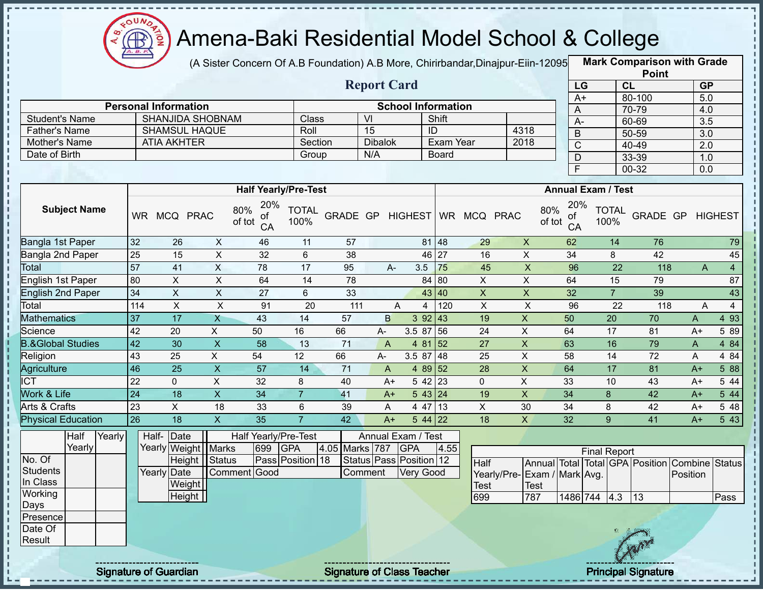

(A Sister Concern Of A.B Foundation) A.B More, Chirirbandar,Dinajpur-Eiin-12095 **Mark Comparison with Grade** 

|                              |        |                  |                             |                           |                                  |                      |                |                    |                                  |                |                              |                           |                           |                       |                      | <b>Point</b>                                   |                  |                  |
|------------------------------|--------|------------------|-----------------------------|---------------------------|----------------------------------|----------------------|----------------|--------------------|----------------------------------|----------------|------------------------------|---------------------------|---------------------------|-----------------------|----------------------|------------------------------------------------|------------------|------------------|
|                              |        |                  |                             |                           |                                  |                      |                | <b>Report Card</b> |                                  |                |                              |                           |                           | LG                    |                      | CL                                             |                  | GP               |
|                              |        |                  |                             |                           |                                  |                      |                |                    |                                  |                |                              |                           |                           | $A+$                  |                      | 80-100                                         | $\overline{5.0}$ |                  |
|                              |        |                  | <b>Personal Information</b> |                           |                                  |                      |                |                    | <b>School Information</b>        |                |                              |                           |                           | A                     |                      | 70-79                                          | 4.0              |                  |
| <b>Student's Name</b>        |        |                  |                             | <b>SHANJIDA SHOBNAM</b>   |                                  | Class                |                | $\overline{V}$     |                                  | Shift          |                              |                           |                           | $A -$                 |                      | 60-69                                          | $\overline{3.5}$ |                  |
| <b>Father's Name</b>         |        |                  |                             | <b>SHAMSUL HAQUE</b>      |                                  | Roll                 |                | 15                 |                                  | $\overline{1}$ |                              | 4318                      |                           | $\overline{B}$        |                      | 50-59                                          | $\overline{3.0}$ |                  |
| Mother's Name                |        |                  | <b>ATIA AKHTER</b>          |                           |                                  | Section              |                | <b>Dibalok</b>     |                                  | Exam Year      |                              | 2018                      |                           | $\overline{\text{c}}$ |                      | 40-49                                          | $\overline{2.0}$ |                  |
| Date of Birth                |        |                  |                             |                           |                                  | Group                |                | N/A                |                                  | <b>Board</b>   |                              |                           | $\overline{D}$            |                       |                      | 33-39                                          | 1.0              |                  |
|                              |        |                  |                             |                           |                                  |                      |                |                    |                                  |                |                              |                           |                           | $\overline{F}$        |                      | 00-32                                          | 0.0              |                  |
|                              |        |                  |                             |                           | <b>Half Yearly/Pre-Test</b>      |                      |                |                    |                                  |                |                              |                           | <b>Annual Exam / Test</b> |                       |                      |                                                |                  |                  |
| <b>Subject Name</b>          |        | <b>WR</b>        | MCQ PRAC                    |                           | 20%<br>80%<br>of<br>of tot<br>CA | <b>TOTAL</b><br>100% |                |                    |                                  |                | GRADE GP HIGHEST WR MCQ PRAC |                           | 80%<br>οf<br>of tot<br>CA | 20%                   | <b>TOTAL</b><br>100% | GRADE GP                                       |                  | <b>HIGHEST</b>   |
| Bangla 1st Paper             |        | 32               | 26                          | $\boldsymbol{X}$          | 46                               | 11                   | 57             |                    |                                  | 81 48          | 29                           | $\pmb{\times}$            | 62                        |                       | 14                   | 76                                             |                  | 79               |
| Bangla 2nd Paper             |        | $\overline{25}$  | 15                          | $\boldsymbol{\mathsf{X}}$ | 32                               | 6                    | 38             |                    |                                  | 46 27          | 16                           | $\pmb{\times}$            | 34                        |                       | 8                    | 42                                             |                  | 45               |
| Total                        |        | 57               | 41                          | $\pmb{\times}$            | 78                               | 17                   | 95             | $A -$              | 3.5                              | 75             | 45                           | $\pmb{\mathsf{X}}$        | 96                        |                       | 22                   | 118                                            | A                | $\overline{4}$   |
| English 1st Paper            |        | 80               | X                           | $\boldsymbol{\mathsf{X}}$ | 64                               | 14                   | 78             |                    |                                  | 84 80          | X                            | $\pmb{\times}$            | 64                        |                       | 15                   | 79                                             |                  | 87               |
| <b>English 2nd Paper</b>     |        | 34               | $\overline{X}$              | $\overline{X}$            | $\overline{27}$                  | 6                    | 33             |                    |                                  | 43 40          | $\overline{X}$               | $\overline{X}$            | $\overline{32}$           |                       | $\overline{7}$       | 39                                             |                  | $\overline{43}$  |
| Total                        |        | $\overline{114}$ | $\mathsf{X}$                | $\mathsf{X}$              | 91                               | 20                   | 111            |                    | A<br>4                           | 120            | $\mathsf{X}$                 | $\boldsymbol{\mathsf{X}}$ | 96                        |                       | 22                   | 118                                            | Α                | $\overline{4}$   |
| <b>Mathematics</b>           |        | $\overline{37}$  | 17                          | X                         | 43                               | 14                   | 57             | B                  | 3 9 2                            | 43             | 19                           | $\overline{X}$            | 50                        |                       | $\overline{20}$      | 70                                             | A                | 4 9 3            |
| Science                      |        | 42               | 20                          | X                         | 50                               | 16                   | 66             | $A-$               | 3.5 87 56                        |                | 24                           | $\mathsf X$               | 64                        |                       | 17                   | 81                                             | $A+$             | 5 89             |
| <b>B.&amp;Global Studies</b> |        | 42               | 30                          | $\overline{X}$            | $\overline{58}$                  | 13                   | 71             | $\overline{A}$     |                                  | 4 81 52        | 27                           | $\mathsf{X}$              | 63                        |                       | 16                   | 79                                             | A                | 484              |
| Religion                     |        | $\overline{43}$  | 25                          | X                         | 54                               | 12                   | 66             | A-                 | $3.587$ 48                       |                | 25                           | $\mathsf{X}$              | 58                        |                       | 14                   | 72                                             | A                | 4 84             |
| Agriculture                  |        | $\overline{46}$  | 25                          | $\mathsf{X}$              | 57                               | 14                   | 71             | A                  |                                  | 4 89 52        | 28                           | $\boldsymbol{\mathsf{X}}$ | 64                        |                       | 17                   | 81                                             | $A+$             | 5 88             |
| <b>ICT</b>                   |        | $\overline{22}$  | 0                           | $\pmb{\times}$            | 32                               | 8                    | 40             | $A+$               |                                  | $542$ 23       | $\mathbf 0$                  | $\overline{X}$            | 33                        |                       | 10                   | 43                                             | $A+$             | 5 4 4            |
| Work & Life                  |        | $\overline{24}$  | 18                          | $\overline{X}$            | 34                               | $\overline{7}$       | 41             | $A+$               |                                  | 543 24         | 19                           | $\boldsymbol{\mathsf{X}}$ | 34                        |                       | 8                    | 42                                             | $A+$             | $5\overline{44}$ |
| <b>Arts &amp; Crafts</b>     |        | 23               | $\mathsf{X}$                | 18                        | 33                               | $6\,$                | 39             | A                  | 4 47                             | 13             | $\overline{X}$               | 30                        | 34                        |                       | 8                    | 42                                             | $A+$             | $5\overline{48}$ |
| <b>Physical Education</b>    |        | 26               | 18                          | $\mathsf{X}$              | 35                               | $\overline{7}$       | 42             | $A+$               |                                  | $544$ 22       | 18                           | X                         | 32                        |                       | 9                    | 41                                             | $A+$             | 5 4 3            |
| Half<br>Yearly               | Yearly |                  | Half-<br>Date               | Yearly Weight   Marks     | Half Yearly/Pre-Test<br>699      | <b>GPA</b>           | 4.05 Marks 787 |                    | Annual Exam / Test<br><b>GPA</b> | 4.55           |                              |                           |                           | <b>Final Report</b>   |                      |                                                |                  |                  |
| No. Of                       |        |                  |                             | Height   Status           |                                  | Pass Position 18     |                |                    | Status   Pass   Position   12    |                | Half                         |                           |                           |                       |                      | Annual Total Total GPA Position Combine Status |                  |                  |
| <b>Students</b>              |        |                  | <b>Yearly Date</b>          |                           | Comment Good                     |                      |                | Comment            | Very Good                        |                | Yearly/Pre-                  |                           | Exam / Mark Avg.          |                       |                      |                                                | Position         |                  |
| In Class                     |        |                  |                             | Weight                    |                                  |                      |                |                    |                                  |                | <b>Test</b>                  | Test                      |                           |                       |                      |                                                |                  |                  |
| Working                      |        |                  |                             | Height                    |                                  |                      |                |                    |                                  |                | 699                          | 787                       |                           | 1486 744 4.3          |                      | $\overline{13}$                                |                  | <b>Pass</b>      |

GPA Position Combine Status **Position** 699 787 1486 744 4.3 13 Pass

Days Presence Date Of **Result** 

ï

п л J. Ţ  $\mathbf{I}$ J.

п  $\mathsf I$ J.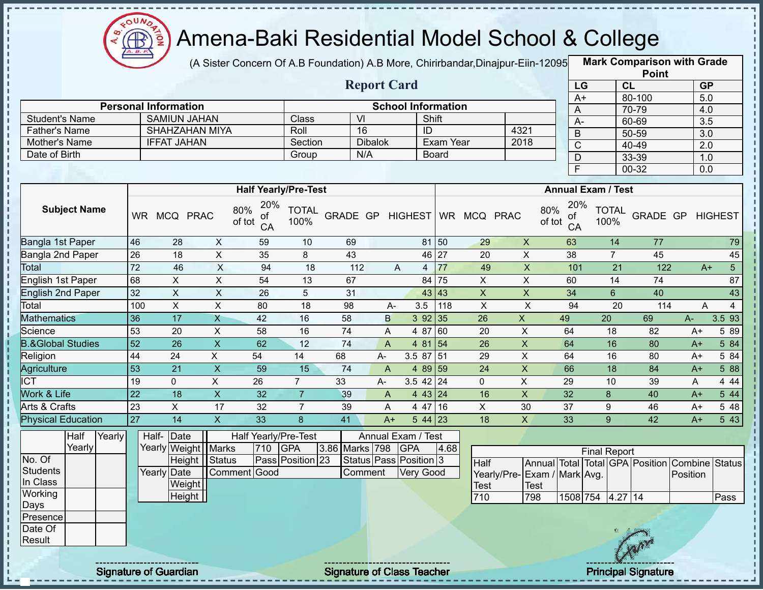

(A Sister Concern Of A.B Foundation) A.B More, Chirirbandar, Dinajpur-Eiin-12095

**Mark Comparison with Grade**

|                                |                                    |                           |                                  |                      |                  |                        |                  |                           |                           |                             |                 |                           | <b>Point</b>                                   |                  |                |
|--------------------------------|------------------------------------|---------------------------|----------------------------------|----------------------|------------------|------------------------|------------------|---------------------------|---------------------------|-----------------------------|-----------------|---------------------------|------------------------------------------------|------------------|----------------|
|                                |                                    |                           |                                  |                      |                  | <b>Report Card</b>     |                  |                           |                           |                             | LG              |                           | CL                                             | <b>GP</b>        |                |
|                                |                                    |                           |                                  |                      |                  |                        |                  |                           |                           |                             | $A+$            |                           | 80-100                                         | 5.0              |                |
|                                | <b>Personal Information</b>        |                           |                                  |                      |                  |                        |                  | <b>School Information</b> |                           |                             | A               |                           | 70-79                                          | 4.0              |                |
| <b>Student's Name</b>          | <b>SAMIUN JAHAN</b>                |                           |                                  | Class                |                  | $\overline{V}$         |                  | Shift                     |                           |                             | $\overline{A}$  |                           | 60-69                                          | $\overline{3.5}$ |                |
| <b>Father's Name</b>           |                                    | <b>SHAHZAHAN MIYA</b>     |                                  | Roll                 |                  | 16                     |                  | ID                        |                           | 4321                        | $\overline{B}$  |                           | $50 - 59$                                      | $\overline{3.0}$ |                |
| Mother's Name<br>Date of Birth | <b>IFFAT JAHAN</b>                 |                           |                                  | Section              |                  | <b>Dibalok</b><br>N/A  |                  | Exam Year                 |                           | 2018                        | $\overline{C}$  |                           | $40 - 49$                                      | 2.0              |                |
|                                |                                    |                           |                                  | Group                |                  |                        |                  | <b>Board</b>              |                           |                             | $\mathsf D$     |                           | 33-39                                          | 1.0              |                |
|                                |                                    |                           |                                  |                      |                  |                        |                  |                           |                           |                             | F               |                           | $00 - 32$                                      | $\overline{0.0}$ |                |
|                                |                                    |                           | <b>Half Yearly/Pre-Test</b>      |                      |                  |                        |                  |                           |                           |                             |                 | <b>Annual Exam / Test</b> |                                                |                  |                |
| <b>Subject Name</b>            | WR MCQ PRAC                        |                           | 20%<br>80%<br>οf<br>of tot<br>CA | <b>TOTAL</b><br>100% | GRADE GP HIGHEST |                        |                  |                           | WR MCQ PRAC               | 80%<br>of tot               | 20%<br>of<br>CA | <b>TOTAL</b><br>100%      | GRADE GP                                       |                  | <b>HIGHEST</b> |
| Bangla 1st Paper               | 46<br>28                           | $\mathsf{X}$              | 59                               | 10                   | 69               |                        |                  | 81 50                     | 29                        | $\pmb{\times}$              | 63              | 14                        | 77                                             |                  | 79             |
| Bangla 2nd Paper               | 18<br>$\overline{26}$              | $\overline{X}$            | 35                               | $\overline{8}$       | 43               |                        |                  | 46 27                     | $\overline{20}$           | $\overline{X}$              | $\overline{38}$ | $\overline{7}$            | 45                                             |                  | 45             |
| Total                          | $\overline{72}$<br>46              | X                         | 94                               | 18                   | 112              |                        | A                | 77<br>$\overline{4}$      | 49                        | $\mathsf X$                 | 101             | 21                        | 122                                            | $A+$             | 5 <sup>5</sup> |
| English 1st Paper              | $\overline{\mathsf{x}}$<br>68      | $\overline{X}$            | $\overline{54}$                  | $\overline{13}$      | 67               |                        |                  | 84 75                     | X                         | $\overline{X}$              | 60              | $\overline{14}$           | $\overline{74}$                                |                  | 87             |
| <b>English 2nd Paper</b>       | $\boldsymbol{\mathsf{X}}$<br>32    | $\overline{X}$            | 26                               | 5                    | 31               |                        |                  | 43 43                     | $\boldsymbol{\mathsf{X}}$ | $\pmb{\mathsf{X}}$          | 34              | $6\overline{6}$           | 40                                             |                  | 43             |
| Total                          | $\pmb{\times}$<br>100              | $\mathsf{X}$              | 80                               | 18                   | 98               | A-                     | 3.5              | 118                       | $\pmb{\times}$            | $\times$                    | 94              | 20                        | 114                                            | A                | $\overline{4}$ |
| <b>Mathematics</b>             | $\overline{17}$<br>36              | $\overline{X}$            | $\overline{42}$                  | 16                   | 58               | $\mathsf B$            |                  | 392 35                    | 26                        | $\mathsf{X}$                | 49              | $\overline{20}$           | 69                                             | A-               | 3.5 93         |
| Science                        | 53<br>20                           | $\boldsymbol{\mathsf{X}}$ | 58                               | 16                   | $\overline{74}$  | A                      | 4 87             | 60                        | 20                        | $\mathsf X$                 | 64              | 18                        | 82                                             | A+               | 5 89           |
| <b>B.&amp;Global Studies</b>   | $\overline{26}$<br>$\overline{52}$ | $\overline{X}$            | 62                               | $\overline{12}$      | 74               | $\overline{A}$         |                  | 4 81 54                   | $\overline{26}$           | $\overline{X}$              | 64              | 16                        | 80                                             | $A+$             | 584            |
| Religion                       | 44<br>$\overline{24}$              | $\overline{X}$            | 54                               | 14                   | 68               | A-                     |                  | 3.5 87 51                 | 29                        | $\overline{\mathsf{x}}$     | 64              | 16                        | 80                                             | $A+$             | 5 84           |
| Agriculture                    | $\overline{21}$<br>53              | $\overline{X}$            | 59                               | 15                   | 74               | $\mathsf{A}$           |                  | 4 89 59                   | 24                        | $\overline{X}$              | 66              | 18                        | $\overline{84}$                                | $A+$             | 5 88           |
| <b>ICT</b>                     | 19<br>$\mathbf 0$                  | $\overline{X}$            | $\overline{26}$                  | $\overline{7}$       | 33               | A-                     |                  | $3.5 \ 42 \ 24$           | $\mathbf 0$               | $\overline{X}$              | $\overline{29}$ | 10                        | 39                                             | A                | 4 4 4          |
| <b>Work &amp; Life</b>         | $\overline{22}$<br>18              | $\pmb{\times}$            | 32                               | $\overline{7}$       | 39               | $\mathsf{A}$           |                  | 4 43 24                   | 16                        | $\overline{X}$              | 32              | 8                         | 40                                             | $A+$             | 544            |
| <b>Arts &amp; Crafts</b>       | 23<br>$\overline{X}$               | $\overline{17}$           | $\overline{32}$                  | $\overline{7}$       | 39               | A                      |                  | 4 47 16                   | $\overline{X}$            | 30                          | $\overline{37}$ | 9                         | 46                                             | $A+$             | 548            |
| <b>Physical Education</b>      | $\overline{27}$<br>$\overline{14}$ | $\boldsymbol{\mathsf{X}}$ | 33                               | 8                    | 41               | $A+$                   |                  | $544$ 23                  | 18                        | $\mathsf{X}$                | 33              | 9                         | 42                                             | $A+$             | 5 43           |
| Half<br>Yearly                 | Half-Date                          |                           | Half Yearly/Pre-Test             |                      |                  | Annual Exam / Test     |                  |                           |                           |                             |                 |                           |                                                |                  |                |
| Yearly                         |                                    | Yearly Weight Marks       | 710                              | <b>GPA</b>           | 3.86 Marks 798   |                        | <b>GPA</b>       | 4.68                      |                           |                             |                 | <b>Final Report</b>       |                                                |                  |                |
| No. Of                         | Height                             | Status                    |                                  | Pass Position 23     |                  | Status Pass Position 3 |                  |                           | Half                      |                             |                 |                           | Annual Total Total GPA Position Combine Status |                  |                |
| <b>Students</b>                | Yearly Date                        |                           | Comment Good                     |                      |                  | Comment                | <b>Very Good</b> |                           |                           | Yearly/Pre-Exam / Mark Avg. |                 |                           |                                                | Position         |                |
| In Class                       |                                    | Weight                    |                                  |                      |                  |                        |                  |                           | Test                      | <b>Test</b>                 |                 |                           |                                                |                  |                |
| Working<br>Days                |                                    | Height                    |                                  |                      |                  |                        |                  |                           | 710                       | 798                         |                 | 1508 754 4.27 14          |                                                |                  | Pass           |
| Presence<br>Date Of<br>Result  |                                    |                           |                                  |                      |                  |                        |                  |                           |                           |                             |                 |                           |                                                |                  |                |
|                                |                                    |                           |                                  |                      |                  |                        |                  |                           |                           |                             |                 |                           |                                                |                  |                |

l,

 $\blacksquare$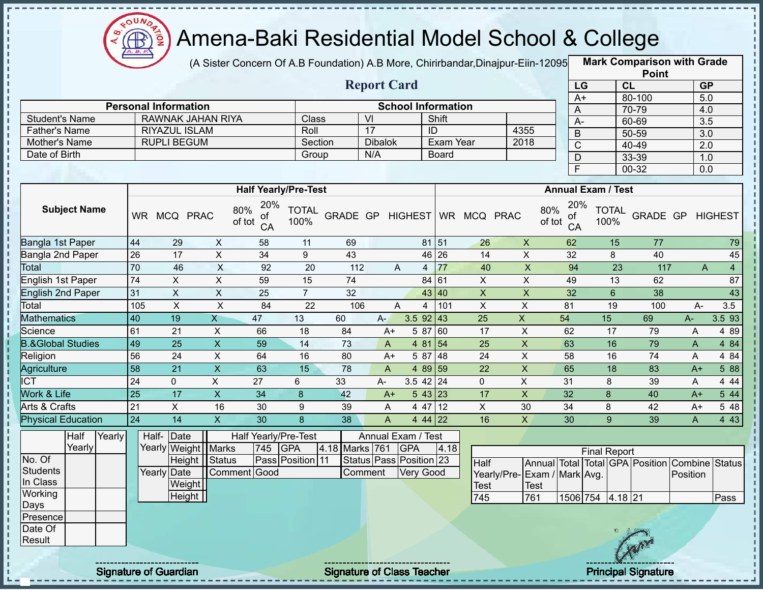

(A Sister Concern Of A.B Foundation) A.B More, Chirirbandar,Dinajpur-Eiin-12095 **Mark Comparison with Grade** 

**Point**

|                              |                 |                             |                         | (A OBICI ODICCITI OF A.D T Odification) A.D MORC, OHIMDahaan,Dinapur-Lilli-Tzobol |                      |          |                    |                           |                       |                     |                           |               |                       |                           | <b>Point</b> |      |                  |                |
|------------------------------|-----------------|-----------------------------|-------------------------|-----------------------------------------------------------------------------------|----------------------|----------|--------------------|---------------------------|-----------------------|---------------------|---------------------------|---------------|-----------------------|---------------------------|--------------|------|------------------|----------------|
|                              |                 |                             |                         |                                                                                   |                      |          | <b>Report Card</b> |                           |                       |                     |                           |               | LG                    |                           | CL           |      | <b>GP</b>        |                |
|                              |                 |                             |                         |                                                                                   |                      |          |                    |                           |                       |                     |                           |               | $A+$                  |                           | 80-100       |      | $\overline{5.0}$ |                |
|                              |                 | <b>Personal Information</b> |                         |                                                                                   |                      |          |                    | <b>School Information</b> |                       |                     |                           |               | A                     |                           | 70-79        |      | 4.0              |                |
| <b>Student's Name</b>        |                 |                             | RAWNAK JAHAN RIYA       |                                                                                   | Class                |          | VI                 |                           | Shift                 |                     |                           |               | A-                    |                           | 60-69        |      | $\overline{3.5}$ |                |
| <b>Father's Name</b>         |                 | <b>RIYAZUL ISLAM</b>        |                         |                                                                                   | Roll                 |          | 17                 |                           | ID                    |                     | 4355                      |               | $\mathsf B$           |                           | 50-59        |      | 3.0              |                |
| Mother's Name                |                 | <b>RUPLI BEGUM</b>          |                         |                                                                                   |                      | Section  | <b>Dibalok</b>     |                           | Exam Year             |                     | 2018                      |               | $\overline{\text{C}}$ |                           | 40-49        |      | 2.0              |                |
| Date of Birth                |                 |                             |                         |                                                                                   | Group                |          | N/A                |                           | <b>Board</b>          |                     |                           |               | D                     |                           | 33-39        |      | 1.0              |                |
|                              |                 |                             |                         |                                                                                   |                      |          |                    |                           |                       |                     |                           |               | F.                    |                           | $00 - 32$    |      | 0.0              |                |
|                              |                 |                             |                         | <b>Half Yearly/Pre-Test</b>                                                       |                      |          |                    |                           |                       |                     |                           |               |                       | <b>Annual Exam / Test</b> |              |      |                  |                |
| <b>Subject Name</b>          | <b>WR</b>       | MCQ PRAC                    |                         | 20%<br>80%<br>оf<br>of tot<br>CA                                                  | <b>TOTAL</b><br>100% | GRADE GP |                    |                           |                       | HIGHEST WR MCQ PRAC |                           | 80%<br>of tot | 20%<br>of<br>CA       | <b>TOTAL</b><br>100%      | GRADE GP     |      | <b>HIGHEST</b>   |                |
| Bangla 1st Paper             | 44              | 29                          | X                       | 58                                                                                | 11                   | 69       |                    |                           | 81<br>51              | 26                  | $\mathsf{X}$              |               | 62                    | 15                        | 77           |      |                  | 79             |
| Bangla 2nd Paper             | $\overline{26}$ | 17                          | X                       | 34                                                                                | 9                    | 43       |                    |                           | 26<br>46              | 14                  | X                         |               | 32                    | 8                         | 40           |      |                  | 45             |
| <b>Total</b>                 | 70              | 46                          | $\mathsf{X}$            | 92                                                                                | 20                   | 112      |                    | A                         | 77<br>4               | 40                  | X                         |               | 94                    | 23                        | 117          |      | A                | $\overline{4}$ |
| English 1st Paper            | $\overline{74}$ | $\mathsf{X}$                | X                       | 59                                                                                | 15                   | 74       |                    |                           | 84<br>61              | $\mathsf{X}$        | $\mathsf{X}$              |               | 49                    | 13                        | 62           |      |                  | 87             |
| English 2nd Paper            | 31              | $\overline{X}$              | $\mathsf X$             | 25                                                                                | $\overline{7}$       | 32       |                    |                           | 43 40                 | $\overline{X}$      | $\pmb{\times}$            |               | 32                    | 6                         | 38           |      |                  | 43             |
| Total                        | 105             | $\mathsf{X}$                | $\pmb{\times}$          | 84                                                                                | 22                   | 106      |                    | A                         | 101<br>$\overline{4}$ | X                   | X                         | 81            |                       | 19                        | 100          |      | $A -$            | 3.5            |
| <b>Mathematics</b>           | 40              | 19                          | $\overline{X}$          | 47                                                                                | 13                   | 60       | $A -$              | 3.5 92                    | 43                    | 25                  | $\mathsf{X}$              | 54            |                       | 15                        | 69           | A-   |                  | 3.5 93         |
| Science                      | 61              | 21                          | X                       | 66                                                                                | 18                   | 84       | $A+$               | 5 87                      | 60                    | 17                  | X                         | 62            |                       | 17                        | 79           | A    |                  | 4 8 9          |
| <b>B.&amp;Global Studies</b> | 49              | $\overline{25}$             | $\overline{X}$          | 59                                                                                | 14                   | 73       | $\mathsf{A}$       | 4 81                      | 54                    | 25                  | $\mathsf X$               | 63            |                       | 16                        | 79           | A    |                  | 4 84           |
| Religion                     | 56              | 24                          | $\mathsf{X}$            | 64                                                                                | 16                   | 80       | $A+$               | 5 87                      | 48                    | 24                  | X                         | 58            |                       | 16                        | 74           | A    |                  | 4 84           |
| Agriculture                  | 58              | 21                          | $\pmb{\times}$          | 63                                                                                | 15                   | 78       | A                  | 4 8 9                     | 59                    | 22                  | $\mathsf X$               | 65            |                       | 18                        | 83           | $A+$ |                  | 5 88           |
| <b>ICT</b>                   | 24              | $\overline{0}$              | $\pmb{\times}$          | 27                                                                                | 6                    | 33       | A-                 | 3.5 42                    | 24                    | $\mathbf 0$         | $\boldsymbol{\mathsf{X}}$ | 31            |                       | 8                         | 39           | Α    |                  | 4 4 4          |
| <b>Work &amp; Life</b>       | $\overline{25}$ | 17                          | $\overline{\mathsf{x}}$ | 34                                                                                | 8                    | 42       | $A+$               | 543                       | 23                    | 17                  | $\pmb{\times}$            | 32            |                       | 8                         | 40           | $A+$ |                  | 5 4 4          |
| Arts & Crafts                | 21              | X                           | 16                      | 30                                                                                | 9                    | 39       | A                  | 4 47                      | 12                    | X                   | 30                        | 34            |                       | 8                         | 42           | $A+$ |                  | 5 48           |
| <b>Physical Education</b>    | 24              | 14                          | $\mathsf{X}$            | 30                                                                                | 8                    | 38       | A                  |                           | 4 44 22               | 16                  | X                         | 30            |                       | 9                         | 39           | A    |                  | 4 4 3          |

|          | Half   | Yearly | Half-Date             |                 |     | Half Yearly/Pre-Test |                | Annual Exam / Test            |      |                              |      |                  |                     |            |                                                |      |
|----------|--------|--------|-----------------------|-----------------|-----|----------------------|----------------|-------------------------------|------|------------------------------|------|------------------|---------------------|------------|------------------------------------------------|------|
|          | Yearly |        | Yearly Weight   Marks |                 | 745 | <b>IGPA</b>          | 4.18 Marks 761 | <b>IGPA</b>                   | 4.18 |                              |      |                  | <b>Final Report</b> |            |                                                |      |
| No. Of   |        |        |                       | Height   Status |     | Pass Position 11     |                | Status   Pass   Position   23 |      | Half                         |      |                  |                     |            | Annual Total Total GPA Position Combine Status |      |
| Students |        |        | Yearly Date           | Comment Good    |     |                      | Comment        | <b>Very Good</b>              |      | Yearly/Pre- Exam / Mark Avg. |      |                  |                     |            | Position                                       |      |
| In Class |        |        | Weight                |                 |     |                      |                |                               |      | <b>Test</b>                  | Test |                  |                     |            |                                                |      |
| Working  |        |        | Height                |                 |     |                      |                |                               |      | 745                          | 761  | 1506 754 4.18 21 |                     |            |                                                | Pass |
| Days     |        |        |                       |                 |     |                      |                |                               |      |                              |      |                  |                     |            |                                                |      |
| Presence |        |        |                       |                 |     |                      |                |                               |      |                              |      |                  |                     |            |                                                |      |
| Date Of  |        |        |                       |                 |     |                      |                |                               |      |                              |      |                  |                     |            |                                                |      |
| Result   |        |        |                       |                 |     |                      |                |                               |      |                              |      |                  |                     | <b>Any</b> |                                                |      |
|          |        |        |                       |                 |     |                      |                |                               |      |                              |      |                  |                     |            |                                                |      |

i,  $\mathbf{I}$ 

> J, J.

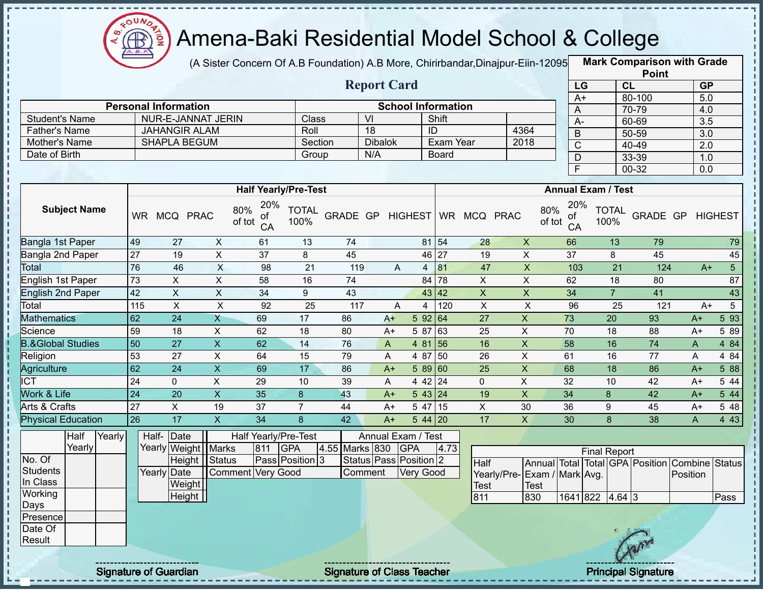

(A Sister Concern Of A.B Foundation) A.B More, Chirirbandar,Dinajpur-Eiin-12095 **Mark Comparison with Grade** 

|                      |                               |         | <b>Report Card</b> |                           |                | LG                 |
|----------------------|-------------------------------|---------|--------------------|---------------------------|----------------|--------------------|
|                      |                               |         |                    |                           |                | $A+$               |
|                      | <b>Personal Information</b>   |         |                    | <b>School Information</b> |                |                    |
| Student's Name       | NUR-E-JANNAT JERIN            | Class   | VI                 | Shift                     |                | A-                 |
| <b>Father's Name</b> | JAHANGIR ALAM                 | Roll    | 18                 | ID                        | 4364           | B                  |
| Mother's Name        | <b>SHAPLA BEGUM</b>           | Section | <b>Dibalok</b>     | Exam Year                 | 2018           |                    |
| Date of Birth        |                               | Group   | N/A                | Board                     |                |                    |
|                      |                               |         |                    |                           |                |                    |
|                      | <b>Half Yearly/Pre-Test</b>   |         |                    |                           |                | <b>Annual Exar</b> |
| <b>Subject Name</b>  | $20\%$ $T$ $T$ $Al$<br>$80\%$ |         |                    |                           | R <sub>0</sub> | $20\%$ T           |

|                 | <b>Point</b> |                  |
|-----------------|--------------|------------------|
| LG              | CL           | <b>GP</b>        |
| $\overline{A+}$ | 80-100       | 5.0              |
| A               | 70-79        | 4.0              |
| A-              | 60-69        | $\overline{3.5}$ |
| B               | 50-59        | 3.0              |
| C               | $40 - 49$    | 2.0              |
| D               | 33-39        | 1.0              |
| E               | 00-32        | 0.0              |

|                              |           |             |             |                                  | <b>Half Yearly/Pre-Test</b> |                 |      |                |          |           |            |             | <b>Annual Exam / Test</b>        |                      |                 |      |                |
|------------------------------|-----------|-------------|-------------|----------------------------------|-----------------------------|-----------------|------|----------------|----------|-----------|------------|-------------|----------------------------------|----------------------|-----------------|------|----------------|
| <b>Subject Name</b>          | <b>WR</b> | <b>MCQ</b>  | <b>PRAC</b> | 20%<br>80%<br>0f<br>of tot<br>CA | <b>TOTAL</b><br>100%        | <b>GRADE GP</b> |      | <b>HIGHEST</b> |          | <b>WR</b> | <b>MCQ</b> | <b>PRAC</b> | 20%<br>80%<br>0f<br>of tot<br>CA | <b>TOTAL</b><br>100% | <b>GRADE GP</b> |      | <b>HIGHEST</b> |
| Bangla 1st Paper             | 49        | 27          | X           | 61                               | 13                          | 74              |      |                | 81       | 54        | 28         | X           | 66                               | 13                   | 79              |      | 79             |
| Bangla 2nd Paper             | 27        | 19          | X           | 37                               | 8                           | 45              |      |                | 46 27    |           | 19         | X           | 37                               | 8                    | 45              |      | 45             |
| Total                        | 76        | 46          | X           | 98                               | 21                          | 119             |      | A              | 4        | 81        | 47         | X           | 103                              | 21                   | 124             | $A+$ | 5              |
| English 1st Paper            | 73        | X           | X           | 58                               | 16                          | 74              |      |                | 84 78    |           | X          | X           | 62                               | 18                   | 80              |      | 87             |
| <b>English 2nd Paper</b>     | 42        | X           | X           | 34                               | 9                           | 43              |      |                | 43 42    |           | X          | X           | 34                               | $\overline{7}$       | 41              |      | 43             |
| Total                        | 115       | X           | X           | 92                               | 25                          | 117             |      | A              | 4        | 120       | X.         | X           | 96                               | 25                   | 121             | $A+$ | 5              |
| <b>Mathematics</b>           | 62        | 24          | X           | 69                               | 17                          | 86              | $A+$ |                | 592 64   |           | 27         | X.          | 73                               | 20                   | 93              | $A+$ | 5 9 3          |
| Science                      | 59        | 18          | X           | 62                               | 18                          | 80              | $A+$ |                | 5 87     | 63        | 25         | X           | 70                               | 18                   | 88              | $A+$ | 5 89           |
| <b>B.&amp;Global Studies</b> | 50        | 27          | X           | 62                               | 14                          | 76              | A    |                | 4 81     | 56        | 16         | X           | 58                               | 16                   | 74              | A    | 4 8 4          |
| Religion                     | 53        | 27          | X           | 64                               | 15                          | 79              | A    |                | 4 87     | 50        | 26         | X.          | 61                               | 16                   | 77              | A    | 4 8 4          |
| Agriculture                  | 62        | 24          | X           | 69                               | 17                          | 86              | $A+$ |                | 589 60   |           | 25         | X.          | 68                               | 18                   | 86              | $A+$ | 5 88           |
| <b>CT</b>                    | 24        | $\mathbf 0$ | X           | 29                               | 10                          | 39              | A    |                | 4 42 24  |           | 0          | X           | 32                               | 10                   | 42              | $A+$ | 5 44           |
| <b>Nork &amp; Life</b>       | 24        | 20          | X           | 35                               | 8                           | 43              | $A+$ |                | 543 24   |           | 19         | X.          | 34                               | 8                    | 42              | $A+$ | 5 44           |
| Arts & Crafts                | 27        | X           | 19          | 37                               |                             | 44              | $A+$ |                | 5 47     | <b>15</b> | X          | 30          | 36                               | 9                    | 45              | $A+$ | 5 48           |
| <b>Physical Education</b>    | 26        | 17          | X           | 34                               | 8                           | 42              | $A+$ |                | $544$ 20 |           | 17         | X           | 30                               | 8                    | 38              | A    | 4 4 3          |

|                 | Half   | Yearly | Half-Date   |                       |                   |     | Half Yearly/Pre-Test |                | Annual Exam / Test     |      |                 |             |
|-----------------|--------|--------|-------------|-----------------------|-------------------|-----|----------------------|----------------|------------------------|------|-----------------|-------------|
|                 | Yearly |        |             | Yearly Weight   Marks |                   | 811 | <b>IGPA</b>          | 4.55 Marks 830 | <b>IGPA</b>            | 4.73 |                 |             |
| No. Of          |        |        |             | Height IStatus        |                   |     | Pass Position 3      |                | Status Pass Position 2 |      | Half            | Annu        |
| <b>Students</b> |        |        | Yearly Date |                       | Comment Very Good |     |                      | Comment        | <b>Very Good</b>       |      | Yearly/Pre-Exar |             |
| In Class        |        |        |             | Weight                |                   |     |                      |                |                        |      | <b>Test</b>     | <b>Test</b> |
| Working         |        |        |             | Height                |                   |     |                      |                |                        |      | 811             | 830         |
| Days            |        |        |             |                       |                   |     |                      |                |                        |      |                 |             |
| Presence        |        |        |             |                       |                   |     |                      |                |                        |      |                 |             |
| Date Of         |        |        |             |                       |                   |     |                      |                |                        |      |                 |             |
| Result          |        |        |             |                       |                   |     |                      |                |                        |      |                 |             |

|                              |      |                   | <b>Final Report</b> |  |                                                |       |
|------------------------------|------|-------------------|---------------------|--|------------------------------------------------|-------|
| Half                         |      |                   |                     |  | Annual Total Total GPA Position Combine Status |       |
| Yearly/Pre- Exam / Mark Avg. |      |                   |                     |  | Position                                       |       |
| Test                         | Test |                   |                     |  |                                                |       |
| 811                          | 830  | $1641$ 822 4.64 3 |                     |  |                                                | lPass |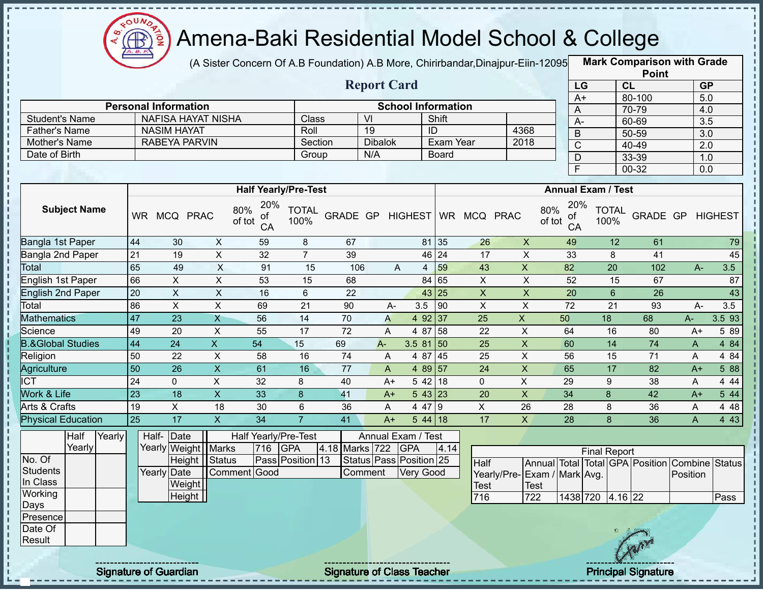

п

### Amena-Baki Residential Model School & College

(A Sister Concern Of A.B Foundation) A.B More, Chirirbandar,Dinajpur-Eiin-120950

**Mark Comparison with Grade Point**

|                              |                 |                             |                           |                 |                             |                | <b>Report Card</b>      |                  |                           |                              |                              | LG                               |                                                | CL                 |              | GP               |
|------------------------------|-----------------|-----------------------------|---------------------------|-----------------|-----------------------------|----------------|-------------------------|------------------|---------------------------|------------------------------|------------------------------|----------------------------------|------------------------------------------------|--------------------|--------------|------------------|
|                              |                 | <b>Personal Information</b> |                           |                 |                             |                |                         |                  | <b>School Information</b> |                              |                              | $A+$                             |                                                | 80-100             |              | 5.0              |
| <b>Student's Name</b>        |                 | NAFISA HAYAT NISHA          |                           |                 | Class                       |                | VI                      |                  | Shift                     |                              |                              | $\overline{A}$                   |                                                | 70-79              |              | 4.0              |
| <b>Father's Name</b>         |                 | <b>NASIM HAYAT</b>          |                           |                 | Roll                        |                | 19                      |                  | ID                        |                              | 4368                         | $A-$                             |                                                | 60-69              |              | $\overline{3.5}$ |
| Mother's Name                |                 | <b>RABEYA PARVIN</b>        |                           |                 | Section                     |                | <b>Dibalok</b>          |                  | <b>Exam Year</b>          |                              | 2018                         | $\overline{B}$                   |                                                | 50-59              |              | 3.0              |
| Date of Birth                |                 |                             |                           |                 | Group                       |                | N/A                     |                  | <b>Board</b>              |                              |                              | $\overline{C}$                   |                                                | 40-49              |              | $\overline{2.0}$ |
|                              |                 |                             |                           |                 |                             |                |                         |                  |                           |                              |                              | $\overline{D}$<br>F              |                                                | 33-39<br>$00 - 32$ |              | 1.0              |
|                              |                 |                             |                           |                 |                             |                |                         |                  |                           |                              |                              |                                  |                                                |                    |              | 0.0              |
|                              |                 |                             |                           |                 | <b>Half Yearly/Pre-Test</b> |                |                         |                  |                           |                              |                              |                                  | <b>Annual Exam / Test</b>                      |                    |              |                  |
| <b>Subject Name</b>          |                 | WR MCQ PRAC                 | 80%<br>of tot             | 20%<br>0t<br>CA | <b>TOTAL</b><br>100%        |                |                         |                  |                           | GRADE GP HIGHEST WR MCQ PRAC |                              | 20%<br>80%<br>ot<br>of tot<br>CA | <b>TOTAL</b><br>100%                           | GRADE GP           |              | <b>HIGHEST</b>   |
| Bangla 1st Paper             | 44              | 30                          | $\boldsymbol{\mathsf{X}}$ | 59              | 8                           | 67             |                         |                  | 81 35                     | 26                           | $\pmb{\times}$               | 49                               | 12                                             | 61                 |              | 79               |
| Bangla 2nd Paper             | $\overline{21}$ | 19                          | $\pmb{\times}$            | 32              | $\overline{7}$              | 39             |                         |                  | 46 24                     | 17                           | X                            | 33                               | 8                                              | 41                 |              | 45               |
| Total                        | 65              | 49                          | $\mathsf X$               | 91              | 15                          | 106            | A                       | $\overline{4}$   | 59                        | 43                           | $\mathsf X$                  | 82                               | 20                                             | 102                | $A -$        | 3.5              |
| English 1st Paper            | 66              | $\mathsf{X}$                | $\pmb{\times}$            | 53              | 15                          | 68             |                         |                  | 84 65                     | $\mathsf{X}$                 | X                            | 52                               | 15                                             | 67                 |              | 87               |
| <b>English 2nd Paper</b>     | 20              | $\mathsf{X}$                | $\boldsymbol{\mathsf{X}}$ | 16              | 6                           | 22             |                         |                  | 43 25                     | $\boldsymbol{\mathsf{X}}$    | $\pmb{\times}$               | 20                               | $6\phantom{1}$                                 | 26                 |              | 43               |
| Total                        | 86              | $\sf X$                     | $\mathsf{X}$              | 69              | 21                          | 90             | $A -$                   | 3.5              | 90                        | X                            | X                            | 72                               | 21                                             | 93                 | $A -$        | 3.5              |
| <b>Mathematics</b>           | 47              | 23                          | X                         | 56              | 14                          | 70             | A                       |                  | 4 92 37                   | 25                           | $\mathsf{X}$                 | 50                               | 18                                             | 68                 | A-           | 3.5 93           |
| Science                      | 49              | 20                          | X                         | 55              | 17                          | 72             | A                       |                  | 4 87 58                   | 22                           | $\mathsf X$                  | 64                               | 16                                             | 80                 | $A+$         | 5 89             |
| <b>B.&amp;Global Studies</b> | 44              | 24                          | $\mathsf{X}$              | 54              | 15                          | 69             | A-                      | $3.581$ 50       |                           | 25                           | $\pmb{\times}$               | 60                               | 14                                             | 74                 | $\mathsf{A}$ | 4 8 4            |
| Religion                     | 50              | 22                          | X                         | 58              | 16                          | 74             | A                       |                  | 4 87 45                   | 25                           | $\pmb{\times}$               | 56                               | 15                                             | 71                 | A            | 4 8 4            |
| <b>Agriculture</b>           | 50              | 26                          | $\pmb{\mathsf{X}}$        | 61              | 16                          | 77             | A                       |                  | 4 89 57                   | 24                           | $\mathsf X$                  | 65                               | 17                                             | 82                 | $A+$         | 5 88             |
| $\overline{\text{ICT}}$      | 24              | $\Omega$                    | X                         | 32              | 8                           | 40             | $A+$                    |                  | 5 42 18                   | $\mathbf 0$                  | X                            | 29                               | 9                                              | 38                 | A            | 4 4 4            |
| Work & Life                  | $\overline{23}$ | $\overline{18}$             | $\mathsf X$               | 33              | 8                           | 41             | A+                      |                  | 543 23                    | $\overline{20}$              | $\mathsf X$                  | 34                               | 8                                              | 42                 | $A+$         | 544              |
| Arts & Crafts                | 19              | X                           | 18                        | 30              | 6                           | 36             | A                       |                  | 4 47 9                    | $\boldsymbol{\mathsf{X}}$    | 26                           | 28                               | 8                                              | 36                 | A            | 4 4 8            |
| <b>Physical Education</b>    | 25              | $\overline{17}$             | $\mathsf{X}$              | $\overline{34}$ | $\overline{7}$              | 41             | $A+$                    |                  | $544$ 18                  | 17                           | $\mathsf{X}$                 | 28                               | 8                                              | 36                 | $\mathsf{A}$ | 4 4 3            |
| Half<br>Yearly               |                 | Half- Date                  |                           |                 | Half Yearly/Pre-Test        |                | Annual Exam / Test      |                  |                           |                              |                              |                                  |                                                |                    |              |                  |
| Yearly                       |                 | Yearly Weight   Marks       |                           | 716             | <b>GPA</b>                  | 4.18 Marks 722 |                         | <b>GPA</b>       | 4.14                      |                              |                              |                                  | <b>Final Report</b>                            |                    |              |                  |
| No. Of                       |                 | Height   Status             |                           |                 | Pass Position 13            |                | Status Pass Position 25 |                  |                           | Half                         |                              |                                  | Annual Total Total GPA Position Combine Status |                    |              |                  |
| <b>Students</b>              |                 | Yearly Date                 | Comment Good              |                 |                             |                | Comment                 | <b>Very Good</b> |                           |                              | Yearly/Pre- Exam / Mark Avg. |                                  |                                                |                    | Position     |                  |
| In Class                     |                 | Weight                      |                           |                 |                             |                |                         |                  |                           | Test                         | Test                         |                                  |                                                |                    |              |                  |
| Working                      |                 | <b>Height</b>               |                           |                 |                             |                |                         |                  |                           | 716                          | 722                          | 1438 720                         | 4.16 22                                        |                    |              | Pass             |
| Days                         |                 |                             |                           |                 |                             |                |                         |                  |                           |                              |                              |                                  |                                                |                    |              |                  |
| Presence                     |                 |                             |                           |                 |                             |                |                         |                  |                           |                              |                              |                                  |                                                |                    |              |                  |
| Date Of<br>Result            |                 |                             |                           |                 |                             |                |                         |                  |                           |                              |                              |                                  |                                                |                    |              |                  |
|                              |                 |                             |                           |                 |                             |                |                         |                  |                           |                              |                              |                                  |                                                |                    |              |                  |

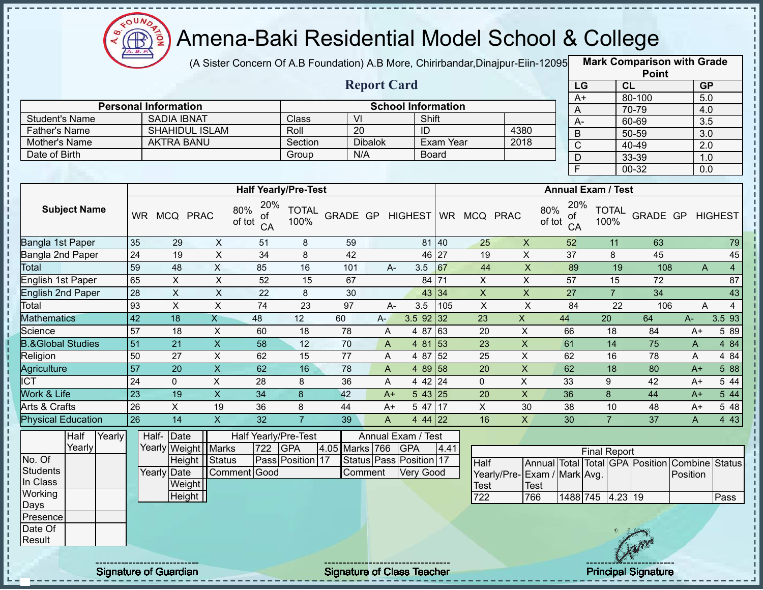

п

J.

п п

 $\mathbf I$ 

### Amena-Baki Residential Model School & College

(A Sister Concern Of A.B Foundation) A.B More, Chirirbandar,Dinajpur-Eiin-120950

**Mark Comparison with Grade**

|                                |                 |                             |                         |                             |                      |                  |                           |                           |                  |                           |                             |                                  |                     |                 | <b>Point</b>                                   |                  |                  |
|--------------------------------|-----------------|-----------------------------|-------------------------|-----------------------------|----------------------|------------------|---------------------------|---------------------------|------------------|---------------------------|-----------------------------|----------------------------------|---------------------|-----------------|------------------------------------------------|------------------|------------------|
|                                |                 |                             |                         |                             |                      |                  | <b>Report Card</b>        |                           |                  |                           |                             |                                  | LG                  | CL              |                                                | GP               |                  |
|                                |                 |                             |                         |                             |                      |                  |                           |                           |                  |                           |                             |                                  | $A+$                |                 | 80-100                                         | 5.0              |                  |
|                                |                 | <b>Personal Information</b> |                         |                             |                      |                  |                           | <b>School Information</b> |                  |                           |                             | A                                |                     |                 | 70-79                                          | 4.0              |                  |
| <b>Student's Name</b>          |                 | <b>SADIA IBNAT</b>          |                         |                             | <b>Class</b>         | $\overline{VI}$  |                           | Shift                     |                  |                           |                             | $A -$                            |                     |                 | 60-69                                          | 3.5              |                  |
| <b>Father's Name</b>           |                 | SHAHIDUL ISLAM              |                         |                             | Roll                 | $\overline{20}$  | <b>Dibalok</b>            | ID                        | <b>Exam Year</b> |                           | 4380<br>2018                | $\mathsf B$                      |                     |                 | $50 - 59$                                      | 3.0              |                  |
| Mother's Name<br>Date of Birth |                 | <b>AKTRA BANU</b>           |                         |                             | Section              | N/A              |                           |                           |                  |                           |                             | $\mathsf{C}$                     |                     |                 | 40-49                                          | $\overline{2.0}$ |                  |
|                                |                 |                             |                         |                             | Group                |                  |                           |                           | <b>Board</b>     |                           |                             | D                                |                     |                 | 33-39                                          | 1.0              |                  |
|                                |                 |                             |                         |                             |                      |                  |                           |                           |                  |                           |                             | $\overline{\mathsf{F}}$          |                     |                 | $00 - 32$                                      | 0.0              |                  |
|                                |                 |                             |                         | <b>Half Yearly/Pre-Test</b> |                      |                  |                           |                           |                  |                           |                             | <b>Annual Exam / Test</b>        |                     |                 |                                                |                  |                  |
|                                |                 |                             |                         | 20%                         |                      |                  |                           |                           |                  |                           |                             |                                  |                     |                 |                                                |                  |                  |
| <b>Subject Name</b>            |                 | WR MCQ PRAC                 |                         | 80%<br>οf<br>of tot<br>CA   | <b>TOTAL</b><br>100% | GRADE GP HIGHEST |                           |                           |                  | WR MCQ PRAC               |                             | 20%<br>80%<br>οf<br>of tot<br>CA | 100%                | <b>TOTAL</b>    | GRADE GP                                       |                  | <b>HIGHEST</b>   |
| Bangla 1st Paper               | 35              | 29                          | $\boldsymbol{X}$        | 51                          | 8                    | 59               |                           |                           | 81 40            | 25                        | $\mathsf{X}$                | 52                               |                     | 11              | 63                                             |                  | 79               |
| Bangla 2nd Paper               | $\overline{24}$ | 19                          | $\overline{X}$          | 34                          | 8                    | 42               |                           |                           | 46 27            | 19                        | $\overline{X}$              | $\overline{37}$                  |                     | 8               | 45                                             |                  | 45               |
| Total                          | 59              | 48                          | $\overline{X}$          | 85                          | 16                   | 101              | A-                        | 3.5                       | 67               | 44                        | $\overline{X}$              | 89                               |                     | 19              | 108                                            | A                | $\overline{4}$   |
| English 1st Paper              | 65              | $\pmb{\times}$              | $\overline{X}$          | 52                          | 15                   | 67               |                           |                           | 84 71            | $\overline{X}$            | $\overline{X}$              | 57                               |                     | 15              | 72                                             |                  | 87               |
| <b>English 2nd Paper</b>       | 28              | $\pmb{\times}$              | $\overline{X}$          | 22                          | 8                    | 30               |                           |                           | 43 34            | $\boldsymbol{\mathsf{X}}$ | $\overline{\mathsf{x}}$     | $\overline{27}$                  |                     | $\overline{7}$  | $\overline{34}$                                |                  | 43               |
| Total                          | 93              | $\pmb{\times}$              | $\pmb{\times}$          | 74                          | 23                   | 97               | $A-$                      | 3.5                       | 105              | $\mathsf{X}$              | $\boldsymbol{\mathsf{X}}$   | 84                               |                     | 22              | 106                                            | A                | $\overline{4}$   |
| <b>Mathematics</b>             | $\overline{42}$ | 18                          | $\overline{\mathsf{X}}$ | 48                          | 12                   | 60               | $A -$                     | $3.5$ 92 32               |                  | 23                        | $\mathsf{X}$                | 44                               | $\overline{20}$     |                 | 64                                             | $A-$             | 3.5 93           |
| Science                        | 57              | 18                          | $\mathsf X$             | 60                          | 18                   | 78               | A                         | 4 87 63                   |                  | 20                        | $\mathsf X$                 | 66                               |                     | 18              | 84                                             | $A+$             | 5 89             |
| <b>B.&amp;Global Studies</b>   | 51              | 21                          | $\pmb{\times}$          | 58                          | 12                   | 70               | A                         | 4 81                      | $\vert$ 53       | 23                        | X                           | 61                               |                     | 14              | 75                                             | A                | 4 84             |
| Religion                       | 50              | 27                          | X                       | 62                          | 15                   | 77               | A                         | 4 87 52                   |                  | 25                        | $\mathsf X$                 | 62                               |                     | 16              | 78                                             | A                | 4 84             |
| Agriculture                    | 57              | $\overline{20}$             | $\overline{\mathsf{x}}$ | 62                          | 16                   | 78               | A                         | 4 89 58                   |                  | $\overline{20}$           | $\overline{\mathsf{x}}$     | 62                               |                     | $\overline{18}$ | $\overline{80}$                                | $A+$             | 5 88             |
| $\overline{ICT}$               | $\overline{24}$ | $\mathbf 0$                 | $\overline{X}$          | $\overline{28}$             | 8                    | 36               | A                         | 4 42 24                   |                  | $\mathbf 0$               | $\overline{X}$              | 33                               | 9                   |                 | $\overline{42}$                                | $A+$             | 544              |
| Work & Life                    | $\overline{23}$ | 19                          | $\overline{\mathsf{x}}$ | $\overline{34}$             | $\boldsymbol{8}$     | 42               | $A+$                      | $543$ 25                  |                  | $\overline{20}$           | $\overline{\mathsf{x}}$     | $\overline{36}$                  | $\delta$            |                 | 44                                             | $A+$             | $5\overline{44}$ |
| <b>Arts &amp; Crafts</b>       | $\overline{26}$ | $\overline{X}$              | 19                      | $\overline{36}$             | 8                    | 44               | $A+$                      | 5 47                      | 17               | $\overline{X}$            | 30                          | $\overline{38}$                  |                     | 10              | 48                                             | $A+$             | 5 48             |
| <b>Physical Education</b>      | 26              | 14                          | $\overline{\mathsf{X}}$ | 32                          | $\overline{7}$       | 39               | $\boldsymbol{\mathsf{A}}$ | $444$ 22                  |                  | 16                        | $\overline{X}$              | 30                               |                     | $\overline{7}$  | 37                                             | A                | 4 4 3            |
| Half<br>Yearly                 |                 | Date<br>Half-               |                         | Half Yearly/Pre-Test        |                      |                  |                           | Annual Exam / Test        |                  |                           |                             |                                  |                     |                 |                                                |                  |                  |
| Yearly                         |                 | Yearly Weight               | Marks                   | 722                         | GPA                  | 4.05 Marks 766   |                           | <b>GPA</b>                | 4.41             |                           |                             |                                  | <b>Final Report</b> |                 |                                                |                  |                  |
| No. Of                         |                 | <b>Height</b>               | Status                  |                             | Pass Position 17     |                  |                           | Status Pass Position 17   |                  | Half                      |                             |                                  |                     |                 | Annual Total Total GPA Position Combine Status |                  |                  |
| <b>Students</b>                |                 | Yearly Date                 |                         | Comment Good                |                      |                  | Comment                   | <b>Very Good</b>          |                  |                           | Yearly/Pre-Exam / Mark Avg. |                                  |                     |                 |                                                | Position         |                  |
| In Class                       |                 | Weight                      |                         |                             |                      |                  |                           |                           |                  | Test                      | Test                        |                                  |                     |                 |                                                |                  |                  |
| Working                        |                 | Height                      |                         |                             |                      |                  |                           |                           |                  | 722                       | 766                         |                                  | 1488 745 4.23 19    |                 |                                                |                  | Pass             |
| Days                           |                 |                             |                         |                             |                      |                  |                           |                           |                  |                           |                             |                                  |                     |                 |                                                |                  |                  |
| Presence                       |                 |                             |                         |                             |                      |                  |                           |                           |                  |                           |                             |                                  |                     |                 |                                                |                  |                  |
| Date Of                        |                 |                             |                         |                             |                      |                  |                           |                           |                  |                           |                             |                                  |                     |                 |                                                |                  |                  |
| Result                         |                 |                             |                         |                             |                      |                  |                           |                           |                  |                           |                             |                                  |                     |                 |                                                |                  |                  |
|                                |                 |                             |                         |                             |                      |                  |                           |                           |                  |                           |                             |                                  |                     |                 |                                                |                  |                  |

Signature of Guardian Signature of Class Teacher Principal Signature 2014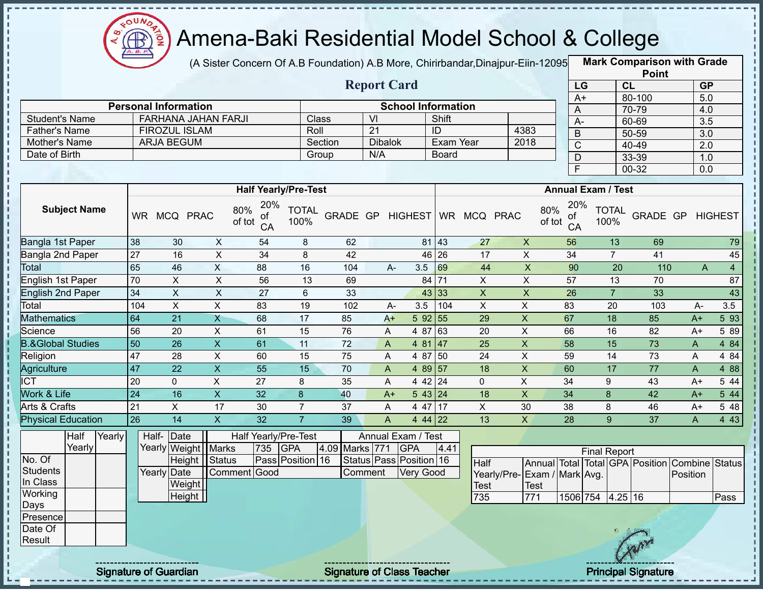

(A Sister Concern Of A.B Foundation) A.B More, Chirirbandar,Dinajpur-Eiin-120950

**Mark Comparison with Grade**

|                                |                 |                             |                            |                                  |                      |                  |                       |                           |              |                           |                           |                             |                                 | <b>Point</b>    |                           |                |
|--------------------------------|-----------------|-----------------------------|----------------------------|----------------------------------|----------------------|------------------|-----------------------|---------------------------|--------------|---------------------------|---------------------------|-----------------------------|---------------------------------|-----------------|---------------------------|----------------|
|                                |                 |                             |                            |                                  |                      |                  | <b>Report Card</b>    |                           |              |                           |                           |                             | LG                              | CL              | <b>GP</b>                 |                |
|                                |                 |                             |                            |                                  |                      |                  |                       |                           |              |                           |                           |                             | $A+$                            | 80-100          | 5.0                       |                |
|                                |                 | <b>Personal Information</b> |                            |                                  |                      |                  |                       | <b>School Information</b> |              |                           |                           |                             | A                               | 70-79           | 4.0                       |                |
| <b>Student's Name</b>          |                 |                             | <b>FARHANA JAHAN FARJI</b> |                                  | Class                |                  | V <sub>l</sub>        |                           | Shift        |                           |                           |                             | $A-$                            | 60-69           | $\overline{3.5}$          |                |
| <b>Father's Name</b>           |                 | <b>FIROZUL ISLAM</b>        |                            |                                  | Roll                 |                  | $\overline{21}$       |                           | ID           |                           | 4383                      |                             | B                               | 50-59           | 3.0                       |                |
| Mother's Name<br>Date of Birth |                 | ARJA BEGUM                  |                            |                                  |                      | Section          | <b>Dibalok</b><br>N/A |                           | Exam Year    |                           | 2018                      |                             | $\mathsf{C}$                    | 40-49           | $\overline{2.0}$          |                |
|                                |                 |                             |                            |                                  |                      | Group            |                       |                           | <b>Board</b> |                           |                           |                             | D                               | 33-39           | 1.0                       |                |
|                                |                 |                             |                            |                                  |                      |                  |                       |                           |              |                           |                           |                             | $\overline{F}$                  | $00 - 32$       | 0.0                       |                |
|                                |                 |                             |                            | <b>Half Yearly/Pre-Test</b>      |                      |                  |                       |                           |              |                           |                           |                             | <b>Annual Exam / Test</b>       |                 |                           |                |
| <b>Subject Name</b>            |                 | WR MCQ PRAC                 |                            | 20%<br>80%<br>οf<br>of tot<br>CA | <b>TOTAL</b><br>100% | GRADE GP HIGHEST |                       |                           |              | WR MCQ PRAC               |                           | 80%<br>οf<br>of tot<br>CA   | 20%<br><b>TOTAL</b><br>100%     | GRADE GP        |                           | <b>HIGHEST</b> |
| Bangla 1st Paper               | 38              | 30                          | X                          | 54                               | 8                    | 62               |                       |                           | 81 43        | 27                        | $\mathsf X$               | 56                          | 13                              | 69              |                           | 79             |
| Bangla 2nd Paper               | 27              | 16                          | $\sf X$                    | 34                               | 8                    | 42               |                       |                           | 46 26        | 17                        | $\mathsf{X}$              | 34                          | $\overline{7}$                  | 41              |                           | 45             |
| Total                          | 65              | 46                          | $\pmb{\times}$             | 88                               | 16                   | 104              | $A -$                 | 3.5                       | 69           | 44                        | $\overline{X}$            | 90                          | 20                              | 110             | $\boldsymbol{\mathsf{A}}$ | $\overline{4}$ |
| English 1st Paper              | 70              | $\mathsf{X}$                | $\boldsymbol{\mathsf{X}}$  | 56                               | 13                   | 69               |                       |                           | 84 71        | $\pmb{\times}$            | $\overline{X}$            | 57                          | 13                              | 70              |                           | 87             |
| <b>English 2nd Paper</b>       | $\overline{34}$ | $\overline{X}$              | $\sf X$                    | $\overline{27}$                  | 6                    | 33               |                       |                           | 43 33        | $\boldsymbol{\mathsf{X}}$ | $\boldsymbol{\mathsf{X}}$ | $\overline{26}$             | $\overline{7}$                  | 33              |                           | 43             |
| Total                          | 104             | $\sf X$                     | $\pmb{\times}$             | 83                               | 19                   | 102              | А-                    | 3.5                       | 104          | $\boldsymbol{\mathsf{X}}$ | $\sf X$                   | 83                          | 20                              | 103             | $A-$                      | 3.5            |
| <b>Mathematics</b>             | 64              | 21                          | $\mathsf{X}$               | 68                               | 17                   | 85               | $A+$                  | 5 92 55                   |              | 29                        | $\pmb{\mathsf{X}}$        | 67                          | 18                              | 85              | $A+$                      | 5 9 3          |
| Science                        | 56              | 20                          | $\pmb{\times}$             | 61                               | 15                   | 76               | A                     | 4 87 63                   |              | 20                        | $\sf X$                   | 66                          | 16                              | 82              | A+                        | 5 89           |
| <b>B.&amp;Global Studies</b>   | 50              | $\overline{26}$             | $\overline{\mathsf{x}}$    | 61                               | 11                   | $\overline{72}$  | A                     | 4 81 47                   |              | $\overline{25}$           | $\overline{X}$            | 58                          | 15                              | 73              | $\mathsf{A}$              | 4 8 4          |
| Religion                       | 47              | 28                          | $\pmb{\times}$             | 60                               | 15                   | 75               | A                     | 4 87 50                   |              | 24                        | $\mathsf X$               | 59                          | 14                              | 73              | A                         | 4 8 4          |
| Agriculture                    | 47              | 22                          | $\boldsymbol{\mathsf{X}}$  | 55                               | 15                   | 70               | A                     | 4 89 57                   |              | 18                        | $\pmb{\mathsf{X}}$        | 60                          | 17                              | 77              | $\mathsf{A}$              | 488            |
| $\overline{\text{ICT}}$        | 20              | $\Omega$                    | X                          | 27                               | 8                    | 35               | A                     | 4 42 24                   |              | $\pmb{0}$                 | $\pmb{\times}$            | 34                          | 9                               | 43              | $A+$                      | 5 44           |
| Work & Life                    | $\overline{24}$ | 16                          | $\overline{X}$             | 32                               | 8                    | 40               | $A+$                  | 543 24                    |              | 18                        | $\mathsf{X}$              | 34                          | 8                               | 42              | $A+$                      | 544            |
| Arts & Crafts                  | 21              | $\mathsf{X}$                | 17                         | 30                               | $\overline{7}$       | 37               | A                     | 4 47 17                   |              | $\mathsf{X}$              | 30                        | 38                          | 8                               | 46              | A+                        | 5 48           |
| <b>Physical Education</b>      | 26              | $\overline{14}$             | $\overline{X}$             | 32                               | $\overline{7}$       | 39               | A                     | 4 44 22                   |              | $\overline{13}$           | $\overline{X}$            | $\overline{28}$             | 9                               | $\overline{37}$ | A                         | 4 4 3          |
| Half<br>Yearly                 |                 | Half-<br>Date               |                            | Half Yearly/Pre-Test             |                      |                  |                       | Annual Exam / Test        |              |                           |                           |                             |                                 |                 |                           |                |
| Yearly                         |                 | Yearly Weight               | <b>Marks</b>               | 735                              | <b>GPA</b>           | 4.09 Marks 771   |                       | <b>GPA</b>                | 4.41         |                           |                           |                             | <b>Final Report</b>             |                 |                           |                |
| No. Of                         |                 |                             | Height   Status            |                                  | Pass Position 16     |                  |                       | Status Pass Position 16   |              | <b>Half</b>               |                           |                             | Annual Total Total GPA Position |                 | Combine Status            |                |
| <b>Students</b>                |                 | Yearly Date                 |                            | Comment Good                     |                      |                  | Comment               | Very Good                 |              |                           |                           | Yearly/Pre-Exam / Mark Avg. |                                 |                 | Position                  |                |
| In Class<br>Working            |                 |                             | Weight                     |                                  |                      |                  |                       |                           |              | Test                      | Test                      |                             |                                 |                 |                           |                |
| Days                           |                 |                             | Height                     |                                  |                      |                  |                       |                           |              | 735                       | 771                       |                             | 1506 754 4.25 16                |                 |                           | Pass           |
| Presence                       |                 |                             |                            |                                  |                      |                  |                       |                           |              |                           |                           |                             |                                 |                 |                           |                |
| Date Of<br>Result              |                 |                             |                            |                                  |                      |                  |                       |                           |              |                           |                           |                             |                                 |                 |                           |                |
|                                |                 |                             |                            |                                  |                      |                  |                       |                           |              |                           |                           |                             |                                 |                 |                           |                |

Signature of Guardian Signature of Class Teacher Principal Signature 21/39 Principal Signature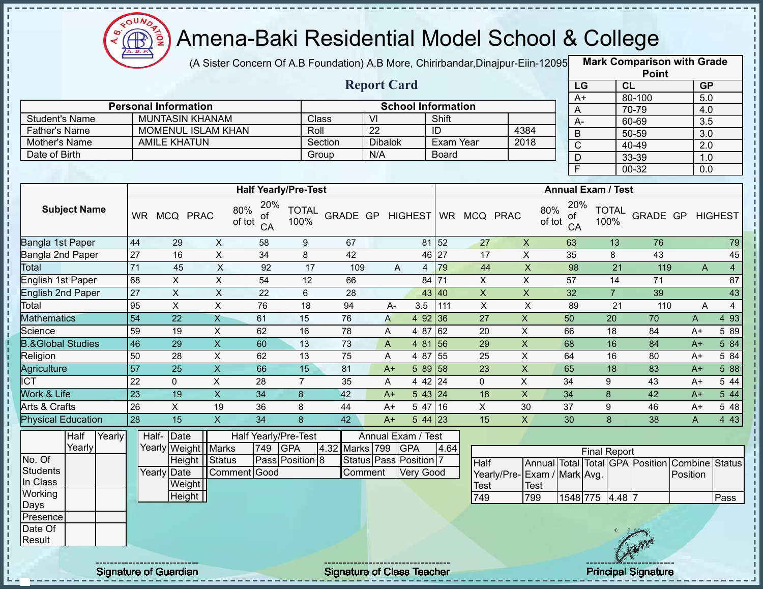

Î

j

п

 $\begin{array}{c} \bullet & \bullet & \bullet \\ \bullet & \bullet & \bullet \\ \bullet & \bullet & \bullet \\ \bullet & \bullet & \bullet \end{array}$ 

Ţ  $\mathbf I$ Î п Î f,

i<br>i

## Amena-Baki Residential Model School & College

(A Sister Concern Of A.B Foundation) A.B More, Chirirbandar, Dinajpur-Eiin-12095

**Mark Comparison with Grade Point**

|                              |                     |        |                 |                             |                           |               |                 |                             |                  | <b>Report Card</b> |                              |              |                 |                             | LG                        |                     | CL             |                                 | GP               |                |
|------------------------------|---------------------|--------|-----------------|-----------------------------|---------------------------|---------------|-----------------|-----------------------------|------------------|--------------------|------------------------------|--------------|-----------------|-----------------------------|---------------------------|---------------------|----------------|---------------------------------|------------------|----------------|
|                              |                     |        |                 | <b>Personal Information</b> |                           |               |                 |                             |                  |                    | <b>School Information</b>    |              |                 |                             | $A+$                      |                     |                | 80-100                          | 5.0              |                |
| <b>Student's Name</b>        |                     |        |                 |                             | <b>MUNTASIN KHANAM</b>    |               |                 |                             | Class            | VI                 |                              | Shift        |                 |                             | A                         |                     |                | 70-79                           | 4.0              |                |
| <b>Father's Name</b>         |                     |        |                 |                             | MOMENUL ISLAM KHAN        |               |                 | Roll                        |                  | $\overline{22}$    |                              | ID           |                 | 4384                        | $A -$                     |                     |                | 60-69                           | $\overline{3.5}$ |                |
| Mother's Name                |                     |        |                 | <b>AMILE KHATUN</b>         |                           |               |                 |                             | Section          | <b>Dibalok</b>     |                              |              | Exam Year       | 2018                        | B                         |                     |                | $50 - 59$                       | $\overline{3.0}$ |                |
| Date of Birth                |                     |        |                 |                             |                           |               |                 |                             | Group            | N/A                |                              | <b>Board</b> |                 |                             | $\mathsf{C}$              |                     |                | 40-49                           | $\overline{2.0}$ |                |
|                              |                     |        |                 |                             |                           |               |                 |                             |                  |                    |                              |              |                 |                             | D                         |                     |                | 33-39                           | 1.0              |                |
|                              |                     |        |                 |                             |                           |               |                 |                             |                  |                    |                              |              |                 |                             | $\mathsf F$               |                     |                | 00-32                           | 0.0              |                |
|                              |                     |        |                 |                             |                           |               |                 | <b>Half Yearly/Pre-Test</b> |                  |                    |                              |              |                 |                             | <b>Annual Exam / Test</b> |                     |                |                                 |                  |                |
|                              | <b>Subject Name</b> |        | <b>WR</b>       | MCQ PRAC                    |                           | 80%<br>of tot | 20%<br>0t<br>CA | <b>TOTAL</b><br>100%        | GRADE GP HIGHEST |                    |                              |              | WR MCQ PRAC     | 80%<br>of tot               | 20%<br>οt<br>CA           | 100%                | <b>TOTAL</b>   | GRADE GP                        |                  | <b>HIGHEST</b> |
| Bangla 1st Paper             |                     |        | 44              | 29                          | $\pmb{\times}$            |               | 58              | 9                           | 67               |                    |                              | 81 52        | 27              | $\pmb{\times}$              | 63                        |                     | 13             | 76                              |                  | 79             |
| Bangla 2nd Paper             |                     |        | $\overline{27}$ | 16                          | $\mathsf X$               |               | 34              | 8                           | 42               |                    |                              | 46 27        | 17              | $\pmb{\times}$              | 35                        |                     | 8              | 43                              |                  | 45             |
| Total                        |                     |        | $\overline{71}$ | 45                          | $\pmb{\times}$            |               | 92              | 17                          | 109              |                    | A                            | 79<br>4      | 44              | $\mathsf X$                 | 98                        |                     | 21             | 119                             | $\mathsf{A}$     | $\overline{4}$ |
| English 1st Paper            |                     |        | 68              | X                           | X                         |               | 54              | 12                          | 66               |                    |                              | 84 71        | X               | $\mathsf{X}$                | 57                        |                     | 14             | 71                              |                  | 87             |
| <b>English 2nd Paper</b>     |                     |        | $\overline{27}$ | X                           | X                         |               | 22              | 6                           | 28               |                    |                              | 43<br> 40    | $\mathsf{X}$    | $\pmb{\times}$              | 32                        |                     | $\overline{7}$ | 39                              |                  | 43             |
| Total                        |                     |        | 95              | $\sf X$                     | X                         |               | 76              | 18                          | 94               | A-                 | 3.5                          | 111          | $\pmb{\times}$  | X                           | 89                        |                     | 21             | 110                             | A                | $\overline{4}$ |
| <b>Mathematics</b>           |                     |        | 54              | 22                          | $\mathsf{X}$              |               | 61              | 15                          | 76               | A                  | 4 9 2                        | 36           | 27              | $\mathsf X$                 | 50                        |                     | 20             | 70                              | A                | 4 9 3          |
| Science                      |                     |        | 59              | 19                          | $\boldsymbol{\mathsf{X}}$ |               | 62              | 16                          | 78               | A                  | 4 87                         | 62           | $\overline{20}$ | $\pmb{\times}$              | 66                        |                     | 18             | 84                              | $A+$             | 5 89           |
| <b>B.&amp;Global Studies</b> |                     |        | 46              | 29                          | $\mathsf X$               |               | 60              | 13                          | 73               | $\mathsf{A}$       | 4 81                         | 156          | 29              | $\pmb{\times}$              | 68                        |                     | 16             | 84                              | $A+$             | 5 84           |
| Religion                     |                     |        | 50              | 28                          | $\mathsf X$               |               | 62              | 13                          | 75               | A                  | 4 87                         | 55           | 25              | $\pmb{\times}$              | 64                        |                     | 16             | 80                              | $A+$             | 5 84           |
| <b>Agriculture</b>           |                     |        | 57              | 25                          | $\mathsf X$               |               | 66              | 15                          | 81               | $A+$               |                              | 5 89 58      | 23              | $\mathsf X$                 | 65                        |                     | 18             | 83                              | $A+$             | 5 88           |
| $\overline{ICT}$             |                     |        | 22              | 0                           | X                         |               | 28              | $\overline{7}$              | 35               | Α                  |                              | 4 42 24      | $\mathbf 0$     | $\mathsf{X}$                | 34                        | 9                   |                | 43                              | $A+$             | 5 44           |
| Work & Life                  |                     |        | 23              | 19                          | $\mathsf{X}$              |               | 34              | 8                           | 42               | $A+$               |                              | 543 24       | 18              | $\pmb{\times}$              | 34                        | 8                   |                | 42                              | $A+$             | 544            |
| Arts & Crafts                |                     |        | 26              | $\overline{X}$              | 19                        |               | 36              | 8                           | 44               | $A+$               |                              | 5 47 16      | $\mathsf X$     | 30                          | 37                        | 9                   |                | 46                              | $A+$             | 5 48           |
| <b>Physical Education</b>    |                     |        | 28              | 15                          | $\overline{\mathsf{X}}$   |               | 34              | 8                           | 42               | $A+$               |                              | $544$ 23     | 15              | $\overline{\mathsf{X}}$     | 30                        |                     | 8              | 38                              | A                | 443            |
|                              | Half                | Yearly |                 | Half- Date                  |                           |               |                 | Half Yearly/Pre-Test        |                  |                    | Annual Exam / Test           |              |                 |                             |                           |                     |                |                                 |                  |                |
|                              | Yearly              |        |                 |                             | Yearly Weight   Marks     |               | 749             | <b>GPA</b>                  | 4.32 Marks 799   |                    | <b>GPA</b>                   | 4.64         |                 |                             |                           | <b>Final Report</b> |                |                                 |                  |                |
| No. Of                       |                     |        |                 |                             | Height   Status           |               |                 | Pass Position 8             |                  |                    | Status   Pass   Position   7 |              | Half            |                             |                           |                     |                | Annual Total Total GPA Position | Combine          | Status         |
| <b>Students</b>              |                     |        |                 | Yearly Date                 |                           | Comment Good  |                 |                             |                  | Comment            | Very Good                    |              |                 | Yearly/Pre-Exam / Mark Avg. |                           |                     |                |                                 | Position         |                |
| In Class                     |                     |        |                 | Weight                      |                           |               |                 |                             |                  |                    |                              |              | Test            | <b>Test</b>                 |                           |                     |                |                                 |                  |                |
| Working                      |                     |        |                 | Height                      |                           |               |                 |                             |                  |                    |                              |              | 749             | 799                         |                           | 1548 775 4.48 7     |                |                                 |                  | Pass           |
| Days                         |                     |        |                 |                             |                           |               |                 |                             |                  |                    |                              |              |                 |                             |                           |                     |                |                                 |                  |                |
| Presence                     |                     |        |                 |                             |                           |               |                 |                             |                  |                    |                              |              |                 |                             |                           |                     |                |                                 |                  |                |
| Date Of                      |                     |        |                 |                             |                           |               |                 |                             |                  |                    |                              |              |                 |                             |                           |                     |                |                                 |                  |                |
| Result                       |                     |        |                 |                             |                           |               |                 |                             |                  |                    |                              |              |                 |                             |                           |                     |                |                                 |                  |                |

Signature of Guardian Signature of Class Teacher Principal Signature 22/39 Principal Signature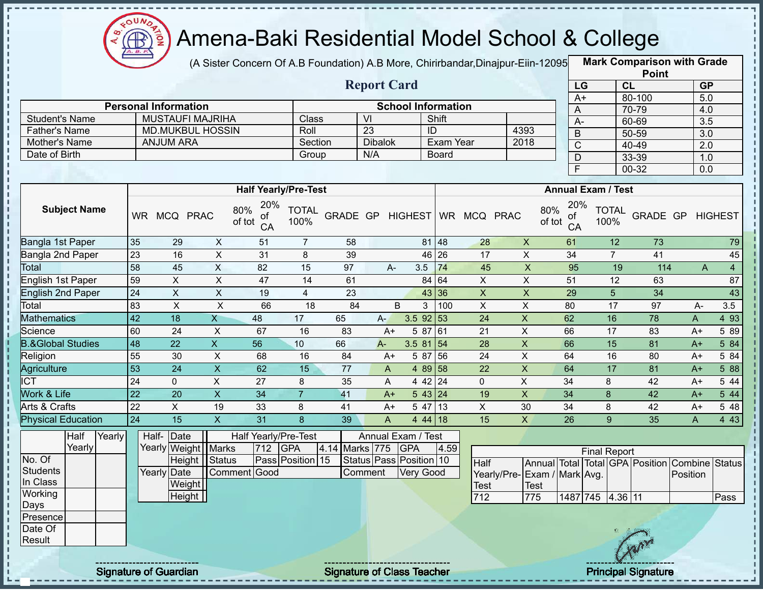

(A Sister Concern Of A.B Foundation) A.B More, Chirirbandar, Dinajpur-Eiin-12095

**Mark Comparison with Grade Point**

|                              |                     |        |                 |                             |                           |                                  |                             |                  |                           |                           |                      |                 |                              |                                  |                                 | .                  |                                      |                 |
|------------------------------|---------------------|--------|-----------------|-----------------------------|---------------------------|----------------------------------|-----------------------------|------------------|---------------------------|---------------------------|----------------------|-----------------|------------------------------|----------------------------------|---------------------------------|--------------------|--------------------------------------|-----------------|
|                              |                     |        |                 |                             |                           |                                  |                             |                  | <b>Report Card</b>        |                           |                      |                 |                              |                                  | LG                              | CL                 | GP                                   |                 |
|                              |                     |        |                 | <b>Personal Information</b> |                           |                                  |                             |                  |                           | <b>School Information</b> |                      |                 |                              |                                  | $A+$                            | 80-100             | 5.0                                  |                 |
| <b>Student's Name</b>        |                     |        |                 |                             | <b>MUSTAUFI MAJRIHA</b>   |                                  | Class                       |                  | $\overline{V}$            |                           | Shift                |                 |                              | A                                |                                 | 70-79              | 4.0                                  |                 |
| <b>Father's Name</b>         |                     |        |                 |                             | <b>MD.MUKBUL HOSSIN</b>   |                                  | Roll                        |                  | $\overline{23}$           |                           | ID                   |                 | 4393                         | $\overline{A}$                   |                                 | 60-69              | 3.5                                  |                 |
| Mother's Name                |                     |        |                 | <b>ANJUM ARA</b>            |                           |                                  | Section                     |                  | <b>Dibalok</b>            |                           | <b>Exam Year</b>     |                 | 2018                         | $\overline{B}$<br>$\overline{C}$ |                                 | $50 - 59$<br>40-49 | $\overline{3.0}$<br>$\overline{2.0}$ |                 |
| Date of Birth                |                     |        |                 |                             |                           |                                  | Group                       |                  | N/A                       |                           | <b>Board</b>         |                 |                              | $\mathsf{D}$                     |                                 | 33-39              | 1.0                                  |                 |
|                              |                     |        |                 |                             |                           |                                  |                             |                  |                           |                           |                      |                 |                              | $\overline{F}$                   |                                 | $00 - 32$          | 0.0                                  |                 |
|                              |                     |        |                 |                             |                           |                                  |                             |                  |                           |                           |                      |                 |                              |                                  |                                 |                    |                                      |                 |
|                              |                     |        |                 |                             |                           |                                  | <b>Half Yearly/Pre-Test</b> |                  |                           |                           |                      |                 |                              |                                  | <b>Annual Exam / Test</b>       |                    |                                      |                 |
|                              | <b>Subject Name</b> |        |                 | WR MCQ PRAC                 |                           | 20%<br>80%<br>ot<br>of tot<br>CA | <b>TOTAL</b><br>100%        | GRADE GP HIGHEST |                           |                           |                      | WR MCQ PRAC     |                              | 20%<br>80%<br>ot<br>of tot<br>CA | <b>TOTAL</b><br>100%            | GRADE GP HIGHEST   |                                      |                 |
| Bangla 1st Paper             |                     |        | 35              | 29                          | $\mathsf{X}$              | 51                               | $\overline{7}$              | 58               |                           |                           | 81 48                | 28              | $\pmb{\times}$               | 61                               | 12                              | 73                 |                                      | 79              |
| Bangla 2nd Paper             |                     |        | 23              | 16                          | $\overline{X}$            | 31                               | 8                           | 39               |                           |                           | 46 26                | $\overline{17}$ | $\overline{X}$               | $\overline{34}$                  | $\overline{7}$                  | 41                 |                                      | 45              |
| Total                        |                     |        | 58              | 45                          | $\overline{X}$            | $\overline{82}$                  | $\overline{15}$             | 97               | $A -$                     | 3.5                       | 74                   | 45              | $\overline{X}$               | $\overline{95}$                  | 19                              | 114                | A                                    | $\overline{4}$  |
| <b>English 1st Paper</b>     |                     |        | 59              | $\overline{\mathsf{x}}$     | $\overline{X}$            | 47                               | $\overline{14}$             | 61               |                           |                           | 84 64                | $\overline{X}$  | $\overline{X}$               | $\overline{51}$                  | 12                              | 63                 |                                      | $\overline{87}$ |
| <b>English 2nd Paper</b>     |                     |        | 24              | $\overline{X}$              | $\sf X$                   | 19                               | $\overline{4}$              | 23               |                           |                           | 43 36                | $\mathsf X$     | X                            | 29                               | 5                               | 34                 |                                      | 43              |
| Total                        |                     |        | 83              | $\pmb{\times}$              | $\pmb{\times}$            | 66                               | 18                          | 84               |                           | B<br>3                    | 100                  | $\mathsf X$     | $\mathsf X$                  | 80                               | 17                              | 97                 | A-                                   | 3.5             |
| <b>Mathematics</b>           |                     |        | 42              | $\overline{18}$             | $\overline{X}$            | 48                               | 17                          | 65               | $A-$                      | $3.5$ 92 53               |                      | 24              | $\overline{X}$               | 62                               | 16                              | 78                 | A                                    | 4 9 3           |
| Science                      |                     |        | 60              | 24                          | X                         | 67                               | 16                          | 83               | $A+$                      |                           | 5 87 61              | 21              | $\boldsymbol{\mathsf{X}}$    | 66                               | 17                              | 83                 | $A+$                                 | 5 89            |
| <b>B.&amp;Global Studies</b> |                     |        | 48              | $\overline{22}$             | $\overline{X}$            | 56                               | 10                          | 66               | $A -$                     | $3.581$ 54                |                      | 28              | $\overline{X}$               | 66                               | $\overline{15}$                 | 81                 | $A+$                                 | 5 84            |
| Religion                     |                     |        | 55              | 30                          | $\boldsymbol{\mathsf{X}}$ | 68                               | 16                          | 84               | $A+$                      | 5 87                      | 56                   | 24              | $\sf X$                      | 64                               | 16                              | 80                 | $A+$                                 | 5 84            |
| Agriculture                  |                     |        | 53              | 24                          | $\overline{\mathsf{x}}$   | 62                               | 15                          | 77               | A                         |                           | 4 89 58              | 22              | $\mathsf{X}$                 | 64                               | 17                              | 81                 | $A+$                                 | 588             |
| ICT                          |                     |        | $\overline{24}$ | $\mathbf 0$                 | $\overline{\mathsf{x}}$   | $\overline{27}$                  | 8                           | 35               | A                         |                           | 4 42 24              | $\Omega$        | $\overline{X}$               | $\overline{34}$                  | 8                               | $\overline{42}$    | $A+$                                 | 5 44            |
| <b>Work &amp; Life</b>       |                     |        | $\overline{22}$ | 20                          | $\overline{\mathsf{x}}$   | $\overline{34}$                  | $\overline{7}$              | 41               | $A+$                      |                           | $5 \, 43 \,   \, 24$ | 19              | $\boldsymbol{\mathsf{X}}$    | 34                               | 8                               | $\overline{42}$    | $A+$                                 | 544             |
| Arts & Crafts                |                     |        | $\overline{22}$ | X                           | 19                        | 33                               | 8                           | 41               | $A+$                      |                           | $547$ 13             | $\mathsf{X}$    | 30                           | 34                               | 8                               | 42                 | $A+$                                 | 548             |
| <b>Physical Education</b>    |                     |        | 24              | 15                          | $\boldsymbol{\mathsf{X}}$ | 31                               | 8                           | 39               | $\boldsymbol{\mathsf{A}}$ |                           | 4 44 18              | 15              | $\mathsf{X}$                 | 26                               | 9                               | 35                 | A                                    | 4 4 3           |
|                              | Half                | Yearly | Half-           | Date                        |                           | Half Yearly/Pre-Test             |                             |                  | Annual Exam / Test        |                           |                      |                 |                              |                                  |                                 |                    |                                      |                 |
|                              | Yearly              |        |                 |                             | Yearly Weight   Marks     | 712                              | GPA                         | 4.14             | Marks 775 GPA             |                           | 4.59                 |                 |                              |                                  | <b>Final Report</b>             |                    |                                      |                 |
| No. Of                       |                     |        |                 |                             | Height Status             |                                  | Pass Position 15            |                  | Status Pass Position 10   |                           |                      | Half            |                              |                                  | Annual Total Total GPA Position |                    | <b>Combine Status</b>                |                 |
| <b>Students</b>              |                     |        |                 | Yearly Date                 |                           | Comment Good                     |                             |                  | Comment                   | <b>Very Good</b>          |                      |                 | Yearly/Pre- Exam / Mark Avg. |                                  |                                 |                    | Position                             |                 |
| In Class                     |                     |        |                 |                             | Weight                    |                                  |                             |                  |                           |                           |                      | <b>Test</b>     | <b>Test</b>                  |                                  |                                 |                    |                                      |                 |
| Working                      |                     |        |                 |                             | Height                    |                                  |                             |                  |                           |                           |                      | 712             | 775                          |                                  | 1487 745<br>4.36 11             |                    |                                      | Pass            |
| Days                         |                     |        |                 |                             |                           |                                  |                             |                  |                           |                           |                      |                 |                              |                                  |                                 |                    |                                      |                 |
| Presence<br>Date Of          |                     |        |                 |                             |                           |                                  |                             |                  |                           |                           |                      |                 |                              |                                  |                                 |                    |                                      |                 |
| Result                       |                     |        |                 |                             |                           |                                  |                             |                  |                           |                           |                      |                 |                              |                                  |                                 |                    |                                      |                 |
|                              |                     |        |                 |                             |                           |                                  |                             |                  |                           |                           |                      |                 |                              |                                  |                                 |                    |                                      |                 |
|                              |                     |        |                 |                             |                           |                                  |                             |                  |                           |                           |                      |                 |                              |                                  |                                 |                    |                                      |                 |

Signature of Guardian Signature of Class Teacher Principal Signature 23/39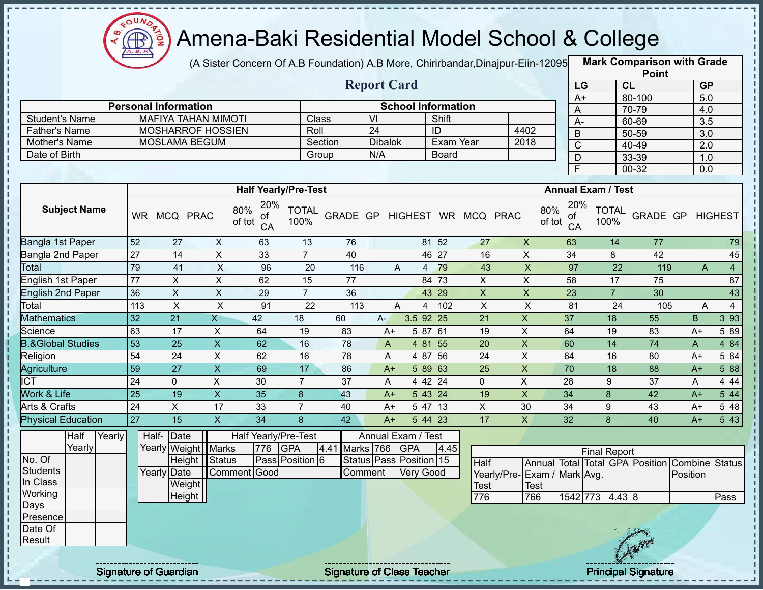

(A Sister Concern Of A.B Foundation) A.B More, Chirirbandar, Dinajpur-Eiin-12095

**Mark Comparison with Grade Point**

|                              |                 |                                  |                           |                                  |                             |     |                    |                                  |                  |                              |                                        |                                  |                     |                      | $\ddot{\phantom{0}}$                          |                  |                |
|------------------------------|-----------------|----------------------------------|---------------------------|----------------------------------|-----------------------------|-----|--------------------|----------------------------------|------------------|------------------------------|----------------------------------------|----------------------------------|---------------------|----------------------|-----------------------------------------------|------------------|----------------|
|                              |                 |                                  |                           |                                  |                             |     | <b>Report Card</b> |                                  |                  |                              |                                        |                                  | LG                  | <b>CL</b>            |                                               | <b>GP</b>        |                |
|                              |                 | <b>Personal Information</b>      |                           |                                  |                             |     |                    |                                  |                  |                              |                                        |                                  | $A+$                |                      | 80-100                                        | 5.0              |                |
| <b>Student's Name</b>        |                 | <b>MAFIYA TAHAN MIMOTI</b>       |                           |                                  | Class                       |     | $\overline{V}$     | <b>School Information</b>        | Shift            |                              |                                        | $\overline{A}$                   |                     |                      | 70-79                                         | 4.0              |                |
| <b>Father's Name</b>         |                 | <b>MOSHARROF HOSSIEN</b>         |                           |                                  |                             |     | $\overline{24}$    |                                  | ID               |                              | 4402                                   | $A -$                            |                     |                      | 60-69                                         | 3.5              |                |
|                              |                 |                                  |                           |                                  | Roll                        |     | <b>Dibalok</b>     |                                  |                  |                              |                                        | B                                |                     |                      | 50-59                                         | 3.0              |                |
| Mother's Name                |                 | <b>MOSLAMA BEGUM</b>             |                           |                                  | Section                     |     |                    |                                  | <b>Exam Year</b> |                              | 2018                                   | $\mathsf C$                      |                     |                      | 40-49                                         | 2.0              |                |
| Date of Birth                |                 |                                  |                           |                                  | Group                       |     | N/A                |                                  | <b>Board</b>     |                              |                                        | D                                |                     |                      | 33-39                                         | 1.0              |                |
|                              |                 |                                  |                           |                                  |                             |     |                    |                                  |                  |                              |                                        | $\overline{F}$                   |                     |                      | $00 - 32$                                     | $\overline{0.0}$ |                |
|                              |                 |                                  |                           |                                  | <b>Half Yearly/Pre-Test</b> |     |                    |                                  |                  |                              |                                        | <b>Annual Exam / Test</b>        |                     |                      |                                               |                  |                |
| <b>Subject Name</b>          |                 | WR MCQ PRAC                      |                           | 20%<br>80%<br>of<br>of tot<br>CA | <b>TOTAL</b><br>100%        |     |                    |                                  |                  | GRADE GP HIGHEST WR MCQ PRAC |                                        | 20%<br>80%<br>οf<br>of tot<br>CA |                     | <b>TOTAL</b><br>100% | GRADE GP                                      |                  | <b>HIGHEST</b> |
| Bangla 1st Paper             | 52              | 27                               | $\boldsymbol{\mathsf{X}}$ | 63                               | 13                          | 76  |                    |                                  | 81 52            | 27                           | $\mathsf{X}$                           | 63                               |                     | 14                   | 77                                            |                  | 79             |
| Bangla 2nd Paper             | 27              | 14                               | $\pmb{\times}$            | 33                               | $\overline{7}$              | 40  |                    |                                  | 46 27            | 16                           | $\overline{X}$                         | 34                               |                     | 8                    | 42                                            |                  | 45             |
| Total                        | 79              | 41                               | X                         | 96                               | 20                          | 116 |                    | A<br>4                           | 79               | 43                           | $\pmb{\times}$                         | 97                               |                     | 22                   | 119                                           | $\mathsf{A}$     | $\overline{4}$ |
| <b>English 1st Paper</b>     | $\overline{77}$ | $\mathsf{X}$                     | $\overline{X}$            | 62                               | 15                          | 77  |                    |                                  | 84 73            | $\overline{X}$               | $\overline{\mathsf{x}}$                | 58                               |                     | 17                   | 75                                            |                  | 87             |
| <b>English 2nd Paper</b>     | 36              | X                                | X                         | 29                               | $\overline{7}$              | 36  |                    |                                  | 43 29            | $\mathsf{X}$                 | $\pmb{\times}$                         | 23                               |                     | $\overline{7}$       | 30                                            |                  | 43             |
| Total                        | 113             | $\mathsf{X}$                     | $\boldsymbol{\mathsf{X}}$ | 91                               | 22                          | 113 |                    | A<br>4                           | 102              | $\pmb{\times}$               | $\mathsf X$                            | 81                               |                     | 24                   | 105                                           | A                | $\overline{4}$ |
| <b>Mathematics</b>           | 32              | 21                               | X.                        | 42                               | 18                          | 60  | A-                 | 3.5 92 25                        |                  | 21                           | $\mathsf X$                            | 37                               |                     | 18                   | 55                                            | B                | 3 9 3          |
| Science                      | 63              | 17                               | $\sf X$                   | 64                               | 19                          | 83  | $A+$               | 5 87 61                          |                  | 19                           | $\pmb{\times}$                         | 64                               |                     | 19                   | 83                                            | $A+$             | 5 89           |
| <b>B.&amp;Global Studies</b> | 53              | 25                               | $\mathsf X$               | 62                               | 16                          | 78  | A                  | 4 81 55                          |                  | 20                           | X                                      | 60                               |                     | 14                   | 74                                            | A                | 4 8 4          |
| Religion                     | 54              | $\overline{24}$                  | $\overline{X}$            | 62                               | 16                          | 78  | A                  | 4 87 56                          |                  | 24                           | $\overline{X}$                         | 64                               |                     | 16                   | 80                                            | $A+$             | 5 84           |
| <b>Agriculture</b>           | 59              | 27                               | $\mathsf X$               | 69                               | 17                          | 86  | $A+$               |                                  | 58963            | 25                           | $\mathsf X$                            | 70                               |                     | 18                   | 88                                            | $A+$             | 5 88           |
| $\overline{ICT}$             | 24              | $\Omega$                         | X                         | 30                               | $\overline{7}$              | 37  | A                  | 442   24                         |                  | $\mathbf{0}$                 | $\mathsf{X}$                           | 28                               |                     | 9                    | 37                                            | A                | 4 4 4          |
| Work & Life                  | 25              | 19                               | $\mathsf{X}$              | 35                               | 8                           | 43  | $A+$               | 543 24                           |                  | 19                           | $\pmb{\times}$                         | 34                               |                     | 8                    | 42                                            | $A+$             | 5 44           |
| Arts & Crafts                | $\overline{24}$ | $\overline{X}$                   | $\overline{17}$           | 33                               | $\overline{7}$              | 40  | $A+$               |                                  | 5 47 13          | X                            | 30                                     | 34                               |                     | 9                    | 43                                            | $A+$             | 5 48           |
| <b>Physical Education</b>    | 27              | 15                               | $\mathsf{X}$              | 34                               | 8                           | 42  | $A+$               | 5 44 23                          |                  | 17                           | $\mathsf{X}$                           | 32                               |                     | 8                    | 40                                            | $A+$             | 5 43           |
| Yearly<br>Half<br>Yearly     |                 | Half-Date<br>Yearly Weight Marks |                           | Half Yearly/Pre-Test<br>776      | <b>GPA</b><br>4.41          |     | Marks 766          | Annual Exam / Test<br><b>GPA</b> | 4.45             |                              |                                        |                                  | <b>Final Report</b> |                      |                                               |                  |                |
| No. Of                       |                 |                                  | Height   Status           |                                  | Pass Position 6             |     |                    | Status Pass Position 15          |                  | Half                         |                                        |                                  |                     |                      | Total   Total GPA   Position   Combine Status |                  |                |
| <b>Students</b>              |                 | Yearly Date                      |                           | Comment Good                     |                             |     | Comment            | <b>Very Good</b>                 |                  |                              | Annual<br>Yearly/Pre- Exam / Mark Avg. |                                  |                     |                      |                                               | Position         |                |
| In Class                     |                 | Weight                           |                           |                                  |                             |     |                    |                                  |                  | Test                         | Test                                   |                                  |                     |                      |                                               |                  |                |
| Working                      |                 | Height                           |                           |                                  |                             |     |                    |                                  |                  | 776                          | 766                                    |                                  | 1542 773            | 4.43 8               |                                               |                  | Pass           |
| Days                         |                 |                                  |                           |                                  |                             |     |                    |                                  |                  |                              |                                        |                                  |                     |                      |                                               |                  |                |
| Presence                     |                 |                                  |                           |                                  |                             |     |                    |                                  |                  |                              |                                        |                                  |                     |                      |                                               |                  |                |

Date Of **Result** 

п I. п т f,

> Ţ Ţ

> л

Signature of Guardian Signature of Class Teacher Principal Signature 24/39 Principal Signature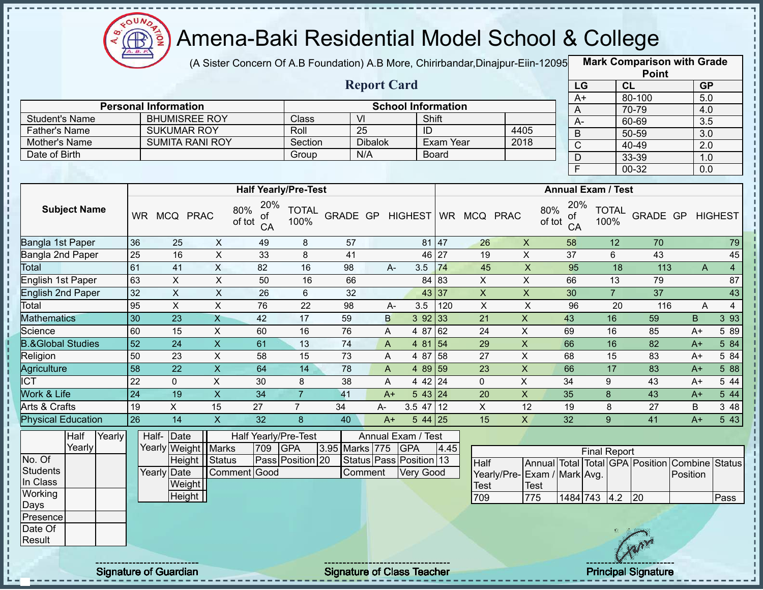

(A Sister Concern Of A.B Foundation) A.B More, Chirirbandar, Dinajpur-Eiin-12095

**Mark Comparison with Grade Point**

|                              |                 |                             |                           |                                  |                      |                  |                               |                           |           |                         |                             |                           |                     |                      | <b>LOILI</b>                    |                       |                |
|------------------------------|-----------------|-----------------------------|---------------------------|----------------------------------|----------------------|------------------|-------------------------------|---------------------------|-----------|-------------------------|-----------------------------|---------------------------|---------------------|----------------------|---------------------------------|-----------------------|----------------|
|                              |                 |                             |                           |                                  |                      |                  | <b>Report Card</b>            |                           |           |                         |                             |                           | LG                  | CL                   |                                 | <b>GP</b>             |                |
|                              |                 | <b>Personal Information</b> |                           |                                  |                      |                  |                               | <b>School Information</b> |           |                         |                             |                           | $A+$                |                      | 80-100                          | $\overline{5.0}$      |                |
| <b>Student's Name</b>        |                 | <b>BHUMISREE ROY</b>        |                           |                                  | Class                |                  | $\overline{\mathsf{M}}$       |                           | Shift     |                         |                             |                           | A                   |                      | 70-79                           | 4.0                   |                |
| <b>Father's Name</b>         |                 | <b>SUKUMAR ROY</b>          |                           |                                  | Roll                 |                  | $\overline{25}$               | $\overline{1}$            |           |                         | 4405                        |                           | A-                  |                      | 60-69                           | 3.5                   |                |
| Mother's Name                |                 | <b>SUMITA RANI ROY</b>      |                           |                                  | Section              |                  | <b>Dibalok</b>                |                           | Exam Year |                         | 2018                        |                           | $\sf B$             |                      | $50 - 59$                       | $\overline{3.0}$      |                |
| Date of Birth                |                 |                             |                           |                                  | Group                |                  | N/A                           |                           | Board     |                         |                             |                           | $\overline{C}$      |                      | 40-49<br>33-39                  | $\overline{2.0}$      |                |
|                              |                 |                             |                           |                                  |                      |                  |                               |                           |           |                         |                             |                           | D<br>$\overline{F}$ |                      | $00 - 32$                       | 1.0<br>0.0            |                |
|                              |                 |                             |                           |                                  |                      |                  |                               |                           |           |                         |                             |                           |                     |                      |                                 |                       |                |
|                              |                 |                             |                           | <b>Half Yearly/Pre-Test</b>      |                      |                  |                               |                           |           |                         |                             | <b>Annual Exam / Test</b> |                     |                      |                                 |                       |                |
| <b>Subject Name</b>          |                 | WR MCQ PRAC                 |                           | 20%<br>80%<br>Οt<br>of tot<br>CA | <b>TOTAL</b><br>100% | GRADE GP HIGHEST |                               |                           |           | WR MCQ PRAC             |                             | 80%<br>ΟĪ<br>of tot       | 20%<br>CA           | <b>TOTAL</b><br>100% | <b>GRADE GP HIGHEST</b>         |                       |                |
| <b>Bangla 1st Paper</b>      | 36              | 25                          | $\pmb{\times}$            | 49                               | 8                    | 57               |                               |                           | 81 47     | 26                      | $\boldsymbol{\mathsf{X}}$   | 58                        |                     | 12                   | 70                              |                       | 79             |
| Bangla 2nd Paper             | 25              | 16                          | X                         | 33                               | 8                    | 41               |                               |                           | 46 27     | 19                      | X                           | 37                        |                     | 6                    | 43                              |                       | 45             |
| Total                        | 61              | 41                          | $\mathsf{X}$              | 82                               | 16                   | 98               | $A -$                         | 3.5                       | 74        | 45                      | $\pmb{\mathsf{X}}$          |                           | 95                  | 18                   | 113                             | A                     | $\overline{4}$ |
| English 1st Paper            | 63              | $\pmb{\times}$              | $\pmb{\times}$            | 50                               | 16                   | 66               |                               |                           | 84 83     | $\mathsf{X}$            | $\boldsymbol{\mathsf{X}}$   | 66                        |                     | 13                   | 79                              |                       | 87             |
| <b>English 2nd Paper</b>     | 32              | $\pmb{\times}$              | $\boldsymbol{\mathsf{X}}$ | 26                               | 6                    | 32               |                               |                           | 43 37     | $\overline{\mathsf{x}}$ | $\pmb{\times}$              | 30                        |                     | $\overline{7}$       | $\overline{37}$                 |                       | 43             |
| Total                        | 95              | $\overline{\mathsf{x}}$     | $\overline{X}$            | 76                               | 22                   | 98               | A-                            | 3.5                       | 120       | $\pmb{\times}$          | $\mathsf X$                 |                           | 96                  | 20                   | 116                             | A                     | $\overline{4}$ |
| <b>Mathematics</b>           | 30              | 23                          | $\mathsf{X}$              | 42                               | 17                   | 59               | B                             |                           | 392 33    | 21                      | X                           | 43                        |                     | 16                   | 59                              | B                     | 3 9 3          |
| Science                      | 60              | 15                          | X                         | 60                               | 16                   | 76               | A                             | 4 87                      | 62        | 24                      | $\pmb{\times}$              | 69                        |                     | 16                   | 85                              | $A+$                  | 5 89           |
| <b>B.&amp;Global Studies</b> | 52              | 24                          | $\mathsf{X}$              | 61                               | 13                   | 74               | A                             | 4 81                      | 54        | 29                      | $\mathsf X$                 | 66                        |                     | 16                   | 82                              | $A+$                  | 584            |
| Religion                     | 50              | $\overline{23}$             | X                         | 58                               | 15                   | $\overline{73}$  | A                             | 4 87                      | 58        | 27                      | $\pmb{\times}$              | 68                        |                     | 15                   | 83                              | $A+$                  | 5 84           |
| Agriculture                  | $\overline{58}$ | $\overline{22}$             | $\mathsf X$               | 64                               | 14                   | 78               | A                             |                           | 4 89 59   | 23                      | X                           | 66                        |                     | $\overline{17}$      | 83                              | $A+$                  | 5 88           |
| $\overline{ICT}$             | $\overline{22}$ | $\mathbf{0}$                | X                         | 30                               | 8                    | 38               | A                             |                           | 4 4 2 2 4 | $\mathbf{0}$            | $\pmb{\times}$              | 34                        |                     | 9                    | 43                              | A+                    | 5 4 4          |
| Work & Life                  | $\overline{24}$ | 19                          | $\overline{X}$            | 34                               | $\overline{7}$       | 41               | $A+$                          |                           | 543 24    | 20                      | $\mathsf X$                 | 35                        |                     | 8                    | 43                              | $A+$                  | 5 44           |
| Arts & Crafts                | 19              | X                           | 15                        | 27                               | $\overline{7}$       | 34               | A-                            | $3.5$ 47 12               |           | $\mathsf X$             | 12                          | 19                        |                     | 8                    | 27                              | B                     | 3 48           |
| <b>Physical Education</b>    | 26              | 14                          | $\mathsf{X}$              | 32                               | 8                    | 40               | $A+$                          |                           | $544$ 25  | 15                      | $\mathsf{X}$                | 32                        |                     | 9 <sup>°</sup>       | 41                              | $A+$                  | 5 4 3          |
| Half<br>Yearly               |                 | Half- Date                  |                           | Half Yearly/Pre-Test             |                      |                  | Annual Exam / Test            |                           |           |                         |                             |                           |                     |                      |                                 |                       |                |
| Yearly                       |                 | Yearly Weight Marks         |                           | 709                              | <b>GPA</b>           | 3.95 Marks 775   |                               | <b>GPA</b>                | 4.45      |                         |                             |                           |                     | <b>Final Report</b>  |                                 |                       |                |
| No. Of                       |                 |                             | Height Status             |                                  | Pass Position 20     |                  | Status   Pass   Position   13 |                           |           | Half                    |                             |                           |                     |                      | Annual Total Total GPA Position | <b>Combine Status</b> |                |
| <b>Students</b>              |                 | Yearly Date                 |                           | Comment Good                     |                      |                  | Comment                       | <b>Very Good</b>          |           |                         | Yearly/Pre-Exam / Mark Avg. |                           |                     |                      |                                 | Position              |                |
| In Class                     |                 | <b>Weight</b>               |                           |                                  |                      |                  |                               |                           |           | Test                    | <b>Test</b>                 |                           |                     |                      |                                 |                       |                |
| Working                      |                 | Height                      |                           |                                  |                      |                  |                               |                           |           | 709                     | 775                         |                           | 1484 743 4.2        |                      | 20                              |                       | Pass           |
| Days                         |                 |                             |                           |                                  |                      |                  |                               |                           |           |                         |                             |                           |                     |                      |                                 |                       |                |
| Presence                     |                 |                             |                           |                                  |                      |                  |                               |                           |           |                         |                             |                           |                     |                      |                                 |                       |                |
| Date Of                      |                 |                             |                           |                                  |                      |                  |                               |                           |           |                         |                             |                           |                     |                      |                                 |                       |                |
| Result                       |                 |                             |                           |                                  |                      |                  |                               |                           |           |                         |                             |                           |                     |                      |                                 |                       |                |
|                              |                 |                             |                           |                                  |                      |                  |                               |                           |           |                         |                             |                           |                     |                      |                                 |                       |                |

Signature of Guardian Signature of Class Teacher Principal Signature 25-39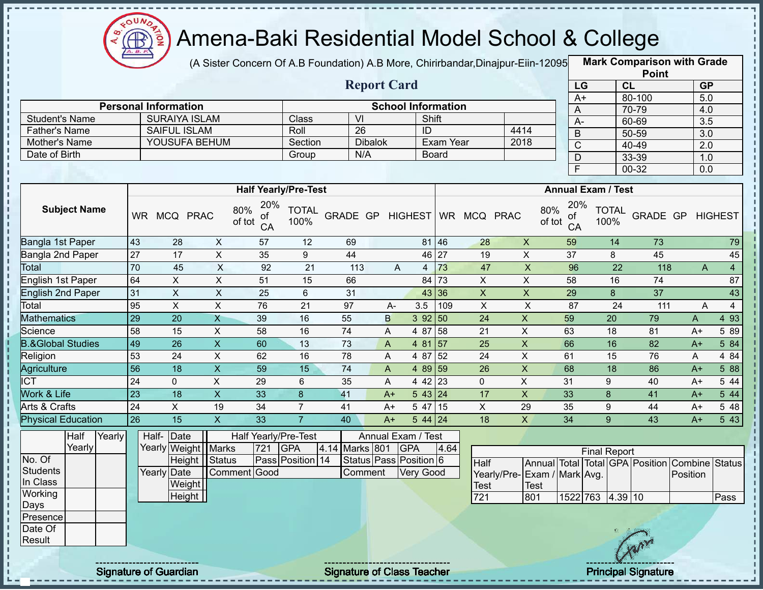

п

J.

п

 $\frac{1}{1}$ 

Î

 $-111111111$ 

ï f, п

Ì

,,,,,,,,,,,,,,,,,,,,,,,,,,,,,,,,,,

### Amena-Baki Residential Model School & College

(A Sister Concern Of A.B Foundation) A.B More, Chirirbandar,Dinajpur-Eiin-120950

**Mark Comparison with Grade Point**

|                              |                 |                             |                           |                                  |                      |                              | <b>Report Card</b>        |                  |                   |                           |                             |                                  |                      | <b>LOILI</b><br>CL                             | GP                        |                  |
|------------------------------|-----------------|-----------------------------|---------------------------|----------------------------------|----------------------|------------------------------|---------------------------|------------------|-------------------|---------------------------|-----------------------------|----------------------------------|----------------------|------------------------------------------------|---------------------------|------------------|
|                              |                 |                             |                           |                                  |                      |                              |                           |                  |                   |                           |                             | LG<br>$A+$                       |                      | 80-100                                         | 5.0                       |                  |
|                              |                 | <b>Personal Information</b> |                           |                                  |                      |                              | <b>School Information</b> |                  |                   |                           |                             | $\overline{A}$                   |                      | 70-79                                          | 4.0                       |                  |
| <b>Student's Name</b>        |                 | <b>SURAIYA ISLAM</b>        |                           |                                  | Class                | $\overline{V}$               |                           |                  | Shift             |                           |                             | A-                               |                      | 60-69                                          | 3.5                       |                  |
| <b>Father's Name</b>         |                 | <b>SAIFUL ISLAM</b>         |                           |                                  | Roll                 | $\overline{26}$              |                           | $\overline{ID}$  |                   |                           | 4414                        | $\overline{B}$                   |                      | $50 - 59$                                      | $\overline{3.0}$          |                  |
| Mother's Name                |                 | YOUSUFA BEHUM               |                           |                                  | Section              |                              | <b>Dibalok</b>            |                  | Exam Year         |                           | 2018                        | $\overline{C}$                   |                      | $40 - 49$                                      | 2.0                       |                  |
| Date of Birth                |                 |                             |                           |                                  | Group                | N/A                          |                           |                  | <b>Board</b>      |                           |                             | $\overline{D}$                   |                      | 33-39                                          | 1.0                       |                  |
|                              |                 |                             |                           |                                  |                      |                              |                           |                  |                   |                           |                             | $\overline{F}$                   |                      | $00 - 32$                                      | $\overline{0.0}$          |                  |
|                              |                 |                             |                           | <b>Half Yearly/Pre-Test</b>      |                      |                              |                           |                  |                   |                           |                             | <b>Annual Exam / Test</b>        |                      |                                                |                           |                  |
|                              |                 |                             |                           |                                  |                      |                              |                           |                  |                   |                           |                             |                                  |                      |                                                |                           |                  |
| <b>Subject Name</b>          |                 | WR MCQ PRAC                 |                           | 20%<br>80%<br>οf<br>of tot<br>CA | <b>TOTAL</b><br>100% | GRADE GP HIGHEST WR MCQ PRAC |                           |                  |                   |                           |                             | 20%<br>80%<br>οf<br>of tot<br>CA | <b>TOTAL</b><br>100% | GRADE GP                                       |                           | <b>HIGHEST</b>   |
| Bangla 1st Paper             | 43              | 28                          | $\boldsymbol{X}$          | 57                               | 12                   | 69                           |                           |                  | 81 46             | 28                        | $\overline{X}$              | 59                               | 14                   | 73                                             |                           | 79               |
| Bangla 2nd Paper             | $\overline{27}$ | $\overline{17}$             | $\overline{X}$            | 35                               | 9                    | 44                           |                           |                  | $46\overline{27}$ | 19                        | $\mathsf{X}$                | 37                               | 8                    | 45                                             |                           | 45               |
| Total                        | $\overline{70}$ | 45                          | X                         | 92                               | 21                   | 113                          | A                         | $\overline{4}$   | 73                | 47                        | $\mathsf X$                 | 96                               |                      | $\overline{22}$<br>$\frac{118}{118}$           | $\mathsf{A}$              | $\overline{4}$   |
| <b>English 1st Paper</b>     | 64              | $\pmb{\times}$              | $\overline{X}$            | 51                               | 15                   | 66                           |                           | 84               | 73                | X                         | $\mathsf{X}$                | 58                               | 16                   | 74                                             |                           | 87               |
| <b>English 2nd Paper</b>     | 31              | $\pmb{\times}$              | $\boldsymbol{\mathsf{X}}$ | 25                               | 6                    | 31                           |                           | 43               | 36                | $\boldsymbol{\mathsf{X}}$ | $\mathsf X$                 | 29                               | $\boldsymbol{8}$     | 37                                             |                           | 43               |
| Total                        | 95              | $\pmb{\times}$              | X                         | 76                               | 21                   | 97                           | A-                        | 3.5              | 109               | X                         | $\pmb{\times}$              | 87                               |                      | 24<br>111                                      | A                         | $\overline{4}$   |
| <b>Mathematics</b>           | $\overline{29}$ | $\overline{20}$             | $\mathsf{X}$              | 39                               | 16                   | 55                           | B                         | 392 50           |                   | $\overline{24}$           | $\mathsf X$                 | 59                               | $\overline{20}$      | 79                                             | $\boldsymbol{\mathsf{A}}$ | 4 9 3            |
| Science                      | 58              | $\overline{15}$             | $\pmb{\times}$            | 58                               | 16                   | 74                           | A                         | 4 87 58          |                   | $\overline{21}$           | $\overline{X}$              | 63                               | 18                   | 81                                             | $A+$                      | 5 89             |
| <b>B.&amp;Global Studies</b> | 49              | $\overline{26}$             | $\overline{\mathsf{x}}$   | 60                               | 13                   | 73                           | $\mathsf{A}$              | 4 81 57          |                   | 25                        | $\overline{X}$              | 66                               | 16                   | $\overline{82}$                                | $A+$                      | 584              |
| Religion                     | 53              | $\overline{24}$             | $\overline{X}$            | 62                               | 16                   | 78                           | A                         | 4 87 52          |                   | $\overline{24}$           | $\overline{X}$              | 61                               | 15                   | 76                                             | A                         | 484              |
| Agriculture                  | $\overline{56}$ | $\overline{18}$             | $\overline{\mathsf{x}}$   | 59                               | $\overline{15}$      | 74                           | $\overline{A}$            | 4 89 59          |                   | 26                        | $\overline{X}$              | 68                               | $\overline{18}$      | 86                                             | $A+$                      | 5 88             |
| $\overline{IC}$              | 24              | $\mathbf 0$                 | $\pmb{\times}$            | 29                               | 6                    | 35                           | A                         | $442$ 23         |                   | $\mathbf 0$               | $\overline{\mathsf{x}}$     | 31                               | 9                    | 40                                             | $A+$                      | 5 4 4            |
| Work & Life                  | $\overline{23}$ | $\overline{18}$             | $\overline{X}$            | $\overline{33}$                  | 8                    | 41                           | $A+$                      | 5 43 24          |                   | 17                        | $\overline{X}$              | 33                               | 8                    | 41                                             | $A+$                      | $5\overline{44}$ |
| <b>Arts &amp; Crafts</b>     | $\overline{24}$ | $\pmb{\times}$              | 19                        | 34                               | $\overline{7}$       | 41                           | $A+$                      | 5 47 15          |                   | $\overline{X}$            | 29                          | 35                               | 9                    | 44                                             | $A+$                      | 5 48             |
| <b>Physical Education</b>    | 26              | $\overline{15}$             | $\overline{X}$            | 33                               | $\overline{7}$       | $\overline{40}$              | $A+$                      | $544$ 24         |                   | $\overline{18}$           | $\overline{X}$              | $\overline{34}$                  | 9                    | 43                                             | $A+$                      | $5\overline{43}$ |
| Half<br>Yearly               |                 | Date<br>Half-               |                           | Half Yearly/Pre-Test             |                      |                              | Annual Exam / Test        |                  |                   |                           |                             |                                  |                      |                                                |                           |                  |
| Yearly                       |                 | Yearly Weight               | <b>Marks</b>              | 721                              | <b>GPA</b>           | 4.14 Marks 801               |                           | <b>GPA</b>       | 4.64              |                           |                             |                                  | <b>Final Report</b>  |                                                |                           |                  |
| No. Of                       |                 | <b>Height</b>               | Status                    |                                  | Pass Position 14     |                              | Status Pass Position 6    |                  |                   | <b>Half</b>               |                             |                                  |                      | Annual Total Total GPA Position Combine Status |                           |                  |
| <b>Students</b>              |                 | Yearly Date                 |                           | Comment Good                     |                      | Comment                      |                           | <b>Very Good</b> |                   |                           | Yearly/Pre-Exam / Mark Avg. |                                  |                      |                                                | Position                  |                  |
| In Class                     |                 | Weight                      |                           |                                  |                      |                              |                           |                  |                   | Test                      | <b>Test</b>                 |                                  |                      |                                                |                           |                  |
| Working<br>Days              |                 | Height                      |                           |                                  |                      |                              |                           |                  |                   | 721                       | 801                         |                                  | 1522 763 4.39 10     |                                                |                           | Pass             |
| Presence                     |                 |                             |                           |                                  |                      |                              |                           |                  |                   |                           |                             |                                  |                      |                                                |                           |                  |
| Date Of                      |                 |                             |                           |                                  |                      |                              |                           |                  |                   |                           |                             |                                  |                      |                                                |                           |                  |
| Result                       |                 |                             |                           |                                  |                      |                              |                           |                  |                   |                           |                             |                                  |                      |                                                |                           |                  |
|                              |                 |                             |                           |                                  |                      |                              |                           |                  |                   |                           |                             |                                  |                      |                                                |                           |                  |
|                              |                 |                             |                           |                                  |                      |                              |                           |                  |                   |                           |                             |                                  |                      |                                                |                           |                  |

Signature of Guardian Signature of Class Teacher Principal Signature 26 Australian Signature 26 Australian Signature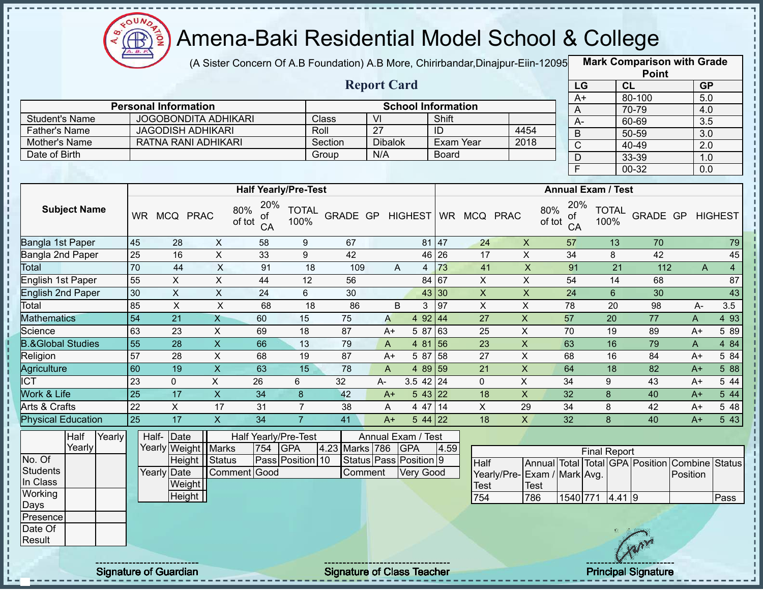

(A Sister Concern Of A.B Foundation) A.B More, Chirirbandar,Dinajpur-Eiin-12095 **Mark Comparison with Grade** 

| <b>Report Card</b>   |                             |         |                           |              |      |  |  |  |  |  |  |  |  |
|----------------------|-----------------------------|---------|---------------------------|--------------|------|--|--|--|--|--|--|--|--|
|                      | <b>Personal Information</b> |         | <b>School Information</b> |              |      |  |  |  |  |  |  |  |  |
| Student's Name       | <b>JOGOBONDITA ADHIKARI</b> | Class   | VI                        | Shift        |      |  |  |  |  |  |  |  |  |
| <b>Father's Name</b> | JAGODISH ADHIKARI           | Roll    | 27                        | ID           | 4454 |  |  |  |  |  |  |  |  |
| Mother's Name        | RATNA RANI ADHIKARI         | Section | <b>Dibalok</b>            | Exam Year    | 2018 |  |  |  |  |  |  |  |  |
| Date of Birth        |                             | Group   | N/A                       | <b>Board</b> |      |  |  |  |  |  |  |  |  |

| <b>Point</b> |           |           |  |  |  |  |  |  |  |  |  |
|--------------|-----------|-----------|--|--|--|--|--|--|--|--|--|
| LG           | CL        | <b>GP</b> |  |  |  |  |  |  |  |  |  |
| $A+$         | 80-100    | 5.0       |  |  |  |  |  |  |  |  |  |
| A            | 70-79     | 4.0       |  |  |  |  |  |  |  |  |  |
| А-           | 60-69     | 3.5       |  |  |  |  |  |  |  |  |  |
| B            | 50-59     | 3.0       |  |  |  |  |  |  |  |  |  |
| C            | 40-49     | 2.0       |  |  |  |  |  |  |  |  |  |
| D            | $33 - 39$ | 1.0       |  |  |  |  |  |  |  |  |  |
| F            | 00-32     | 0.0       |  |  |  |  |  |  |  |  |  |

|                              |           |              |                           | <b>Half Yearly/Pre-Test</b>      |                      |          |      |                   | <b>Annual Exam / Test</b> |             |             |                                  |                      |                 |                |                |  |
|------------------------------|-----------|--------------|---------------------------|----------------------------------|----------------------|----------|------|-------------------|---------------------------|-------------|-------------|----------------------------------|----------------------|-----------------|----------------|----------------|--|
| <b>Subject Name</b>          | <b>WR</b> | MCQ          | <b>PRAC</b>               | 20%<br>80%<br>of<br>of tot<br>CA | <b>TOTAL</b><br>100% | GRADE GP |      | HIGHEST           | <b>WR</b>                 | <b>MCQ</b>  | <b>PRAC</b> | 20%<br>80%<br>0f<br>of tot<br>CA | <b>TOTAL</b><br>100% | <b>GRADE GP</b> |                | <b>HIGHEST</b> |  |
| Bangla 1st Paper             | 45        | 28           | X                         | 58                               | 9                    | 67       |      |                   | 81 47                     | 24          | X           | 57                               | 13                   | 70              |                | 79             |  |
| Bangla 2nd Paper             | 25        | 16           | X                         | 33                               | 9                    | 42       |      |                   | 46 26                     | 17          | X           | 34                               | 8                    | 42              |                | 45             |  |
| Total                        | 70        | 44           | $\times$                  | 91                               | 18                   | 109      |      | A<br>4            | 73                        | 41          | X           | 91                               | 21                   | 112             | $\overline{A}$ | 4              |  |
| English 1st Paper            | 55        | X.           | X                         | 44                               | 12                   | 56       |      |                   | 84 67                     | X.          | X           | 54                               | 14                   | 68              |                | 87             |  |
| English 2nd Paper            | 30        | X            | X                         | 24                               | 6                    | 30       |      |                   | 43 30                     | X           | X           | 24                               | 6                    | 30              |                | 43             |  |
| Total                        | 85        | X.           | X                         | 68                               | 18                   | 86       |      | В<br>3            | 97                        | X.          | X           | 78                               | 20                   | 98              | A-             | 3.5            |  |
| <b>Mathematics</b>           | 54        | 21           | X                         | 60                               | 15                   | 75       | A    | 4 9 2             | 44                        | 27          | X           | 57                               | 20                   | 77              | A              | 4 9 3          |  |
| Science                      | 63        | 23           | X                         | 69                               | 18                   | 87       | $A+$ | 5 87              | 63                        | 25          | X           | 70                               | 19                   | 89              | $A+$           | 5 89           |  |
| <b>B.&amp;Global Studies</b> | 55        | 28           | $\boldsymbol{\mathsf{X}}$ | 66                               | 13                   | 79       | A    | 4 81              | 56                        | 23          | X           | 63                               | 16                   | 79              | A              | 4 8 4          |  |
| Religion                     | 57        | 28           | X                         | 68                               | 19                   | 87       | $A+$ | 5 87              | 58                        | 27          | X           | 68                               | 16                   | 84              | $A+$           | 5 84           |  |
| Agriculture                  | 60        | 19           | X                         | 63                               | 15                   | 78       | A    | 4 89 59           |                           | 21          | X           | 64                               | 18                   | 82              | $A+$           | 5 88           |  |
| ICT                          | 23        | $\mathbf{0}$ | X                         | 26                               | 6                    | 32       | A-   | $3.5$ 42 24       |                           | $\mathbf 0$ | X           | 34                               | 9                    | 43              | $A+$           | 5 44           |  |
| Work & Life                  | 25        | 17           | X                         | 34                               | 8                    | 42       | $A+$ | $5 \, 43 \,   22$ |                           | 18          | X           | 32                               | 8                    | 40              | $A+$           | 5 44           |  |
| Arts & Crafts                | 22        | X            | 17                        | 31                               | $\overline{7}$       | 38       | A    | 4 47              | 14                        | X           | 29          | 34                               | 8                    | 42              | $A+$           | 5 48           |  |
| <b>Physical Education</b>    | 25        | 17           | X                         | 34                               |                      | 41       | $A+$ | $544$   22        |                           | 18          | X           | 32                               | 8                    | 40              | $A+$           | 543            |  |

|                 | Half   | Yearly | Half- Date<br>Yearly Weight   Marks |        |               |     | Half Yearly/Pre-Test |                | Annual Exam / Test     |      |                              |      |                 |                     |   |                                                |      |
|-----------------|--------|--------|-------------------------------------|--------|---------------|-----|----------------------|----------------|------------------------|------|------------------------------|------|-----------------|---------------------|---|------------------------------------------------|------|
|                 | Yearly |        |                                     |        |               | 754 | <b>GPA</b>           | 4.23 Marks 786 | <b>GPA</b>             | 4.59 |                              |      |                 | <b>Final Report</b> |   |                                                |      |
| No. Of          |        |        |                                     |        | Height Status |     | Pass Position 10     |                | Status Pass Position 9 |      | Half                         |      |                 |                     |   | Annual Total Total GPA Position Combine Status |      |
| Students        |        |        | Yearly Date                         |        | Comment Good  |     |                      | Comment        | Very Good              |      | Yearly/Pre- Exam / Mark Avg. |      |                 |                     |   | Position                                       |      |
| In Class        |        |        |                                     | Weight |               |     |                      |                |                        |      | <b>Test</b>                  | Test |                 |                     |   |                                                |      |
| Working         |        |        |                                     | Height |               |     |                      |                |                        |      | 754                          | 786  | 1540 771 4.41 9 |                     |   |                                                | Pass |
| Days            |        |        |                                     |        |               |     |                      |                |                        |      |                              |      |                 |                     |   |                                                |      |
| <b>Presence</b> |        |        |                                     |        |               |     |                      |                |                        |      |                              |      |                 |                     |   |                                                |      |
| Date Of         |        |        |                                     |        |               |     |                      |                |                        |      |                              |      |                 |                     |   |                                                |      |
| Result          |        |        |                                     |        |               |     |                      |                |                        |      |                              |      |                 |                     | m |                                                |      |
|                 |        |        |                                     |        |               |     |                      |                |                        |      |                              |      |                 |                     |   |                                                |      |

J,

Signature of Guardian Signature of Class Teacher Principal Signature 2014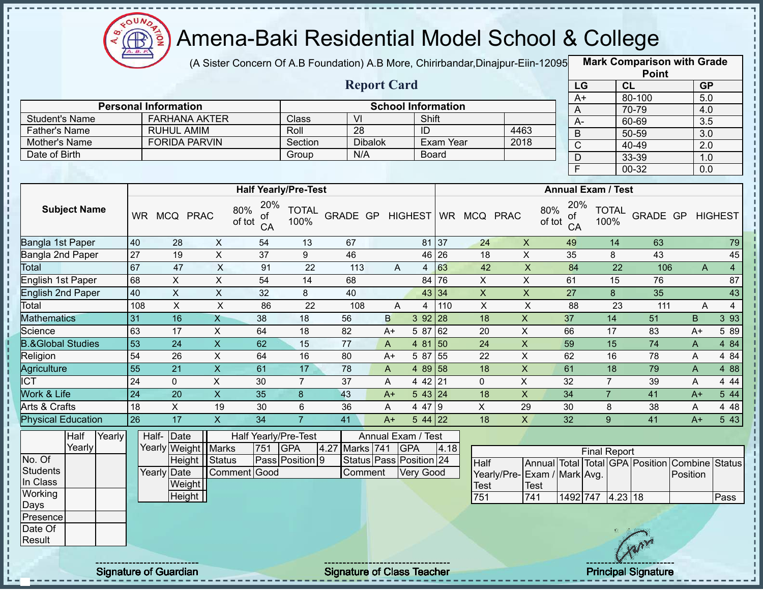

(A Sister Concern Of A.B Foundation) A.B More, Chirirbandar,Dinajpur-Eiin-120950

**Mark Comparison with Grade**

|                                               |                                                                   |                                                     |                           |     |                             |                         |                               |                  |           |                |                             |                 |                           |                 | <b>Point</b>               |                                                |                  |
|-----------------------------------------------|-------------------------------------------------------------------|-----------------------------------------------------|---------------------------|-----|-----------------------------|-------------------------|-------------------------------|------------------|-----------|----------------|-----------------------------|-----------------|---------------------------|-----------------|----------------------------|------------------------------------------------|------------------|
|                                               | <b>Report Card</b>                                                |                                                     |                           |     |                             |                         |                               |                  |           |                |                             | LG              |                           | CL              |                            | <b>GP</b>                                      |                  |
|                                               |                                                                   |                                                     |                           |     |                             |                         |                               |                  |           |                |                             | $A+$            |                           | 80-100          |                            | 5.0                                            |                  |
|                                               |                                                                   | <b>Personal Information</b><br><b>FARHANA AKTER</b> |                           |     |                             | $\overline{\mathsf{M}}$ | <b>School Information</b>     |                  |           |                |                             | A               |                           | 70-79           |                            | 4.0                                            |                  |
| <b>Student's Name</b><br><b>Father's Name</b> |                                                                   | <b>RUHUL AMIM</b>                                   |                           |     | Class<br>Roll               | 28                      |                               | Shift<br>ID      |           |                | 4463                        | $A -$           |                           | 60-69           |                            | $\overline{3.5}$                               |                  |
| Mother's Name                                 |                                                                   | <b>FORIDA PARVIN</b>                                |                           |     | Section                     |                         | <b>Dibalok</b>                |                  | Exam Year |                | 2018                        | $\mathsf B$     |                           | 50-59           |                            | 3.0                                            |                  |
| Date of Birth                                 |                                                                   |                                                     |                           |     | Group                       | N/A                     |                               | <b>Board</b>     |           |                |                             | $\overline{C}$  |                           | 40-49           |                            | 2.0                                            |                  |
|                                               |                                                                   |                                                     |                           |     |                             |                         |                               |                  |           |                |                             | $\mathsf D$     |                           | 33-39           |                            | 1.0                                            |                  |
|                                               |                                                                   |                                                     |                           |     |                             |                         |                               |                  |           |                |                             | $\overline{F}$  |                           | 00-32           |                            | 0.0                                            |                  |
|                                               |                                                                   |                                                     |                           |     | <b>Half Yearly/Pre-Test</b> |                         |                               |                  |           |                |                             |                 | <b>Annual Exam / Test</b> |                 |                            |                                                |                  |
| <b>Subject Name</b>                           | 20%<br>80%<br>WR MCQ PRAC<br>οf<br>of tot<br>CA<br>40<br>28<br>X  |                                                     |                           |     |                             |                         | GRADE GP                      | <b>HIGHEST</b>   |           | WR MCQ PRAC    | 80%<br>of tot               | 20%<br>of<br>CA | <b>TOTAL</b><br>100%      |                 |                            | <b>GRADE GP HIGHEST</b>                        |                  |
| Bangla 1st Paper                              |                                                                   |                                                     |                           | 54  | 13                          | 67                      |                               |                  | 81 37     | 24             | $\boldsymbol{X}$            | 49              | 14                        |                 | 63                         |                                                | 79               |
| Bangla 2nd Paper                              | 27                                                                | 19                                                  | $\boldsymbol{\mathsf{X}}$ | 37  | 9                           | 46                      |                               |                  | 46 26     | 18             | $\pmb{\times}$              | 35              | 8                         |                 | 43                         |                                                | 45               |
| <b>Total</b>                                  | 67                                                                | 47                                                  | $\overline{\mathsf{x}}$   | 91  | 22                          | 113                     | A                             | $\overline{4}$   | 63        | 42             | $\overline{\mathsf{x}}$     | 84              |                           | $\overline{22}$ | 106                        | A                                              | $\overline{4}$   |
| English 1st Paper                             | 68                                                                | X                                                   | X                         | 54  | 14                          | 68                      |                               | 84               | 76        | X              | X                           | 61              | 15                        |                 | 76                         |                                                | 87               |
| English 2nd Paper                             | 40                                                                | $\sf X$                                             | $\boldsymbol{\mathsf{X}}$ | 32  | 8                           | 40                      |                               |                  | 43 34     | $\mathsf{X}$   | $\mathsf X$                 | 27              | 8                         |                 | 35                         |                                                | 43               |
| Total                                         | 108                                                               | $\pmb{\times}$                                      | $\boldsymbol{\mathsf{X}}$ | 86  | 22                          | 108                     | A                             | $\overline{4}$   | 110       | $\pmb{\times}$ | $\pmb{\times}$              | 88              |                           | 23              | 111                        | A                                              | $\overline{4}$   |
| <b>Mathematics</b>                            | 31                                                                | 16                                                  | $\overline{X}$            | 38  | 18                          | 56                      | B                             | 392   28         |           | 18             | $\pmb{\times}$              | 37              | 14                        |                 | 51                         | B                                              | $3\overline{93}$ |
| Science                                       | 63                                                                | 17                                                  | X                         | 64  | 18                          | 82                      | $A+$                          | 5 87             | 62        | 20             | X                           | 66              | 17                        |                 | 83                         | $A+$                                           | 5 89             |
| <b>B.&amp;Global Studies</b>                  | 53                                                                | 24                                                  | $\mathsf{X}$              | 62  | 15                          | 77                      | A                             | 4 81             | 50        | 24             | $\pmb{\times}$              | 59              | 15                        |                 | 74                         | A                                              | 4 8 4            |
| Religion                                      | 54                                                                | 26                                                  | X                         | 64  | 16                          | 80                      | $A+$                          | 5 87             | 55        | 22             | X                           | 62              | 16                        |                 | 78                         | A                                              | 4 8 4            |
| Agriculture                                   | 55                                                                | $\overline{21}$                                     | $\overline{X}$            | 61  | $\overline{17}$             | 78                      | $\mathsf{A}$                  | 4 89 58          |           | 18             | $\overline{X}$              | 61              | 18                        |                 | 79                         | $\overline{A}$                                 | 4 8 8            |
| $\overline{ICT}$                              | 24                                                                | $\mathbf 0$                                         | X                         | 30  | $\overline{7}$              | 37                      | A                             | 4 4 2            | 21        | $\mathbf{0}$   | X                           | 32              | $\overline{7}$            |                 | 39                         | A                                              | 4 4 4            |
| Work & Life                                   | $\overline{24}$                                                   | 20                                                  | $\mathsf{X}$              | 35  | $\,8\,$                     | 43                      | $A+$                          | 543 24           |           | 18             | $\pmb{\times}$              | 34              | $\overline{7}$            |                 | 41                         | $A+$                                           | $5\overline{44}$ |
| Arts & Crafts                                 | 18                                                                | $\pmb{\times}$                                      | 19                        | 30  | 6                           | 36                      | A                             | 4 47             | Ι9        | $\mathsf{X}$   | 29                          | 30              | 8                         |                 | 38                         | A                                              | 4 4 8            |
| <b>Physical Education</b>                     | 26                                                                | 17                                                  | $\mathsf{X}$              | 34  | $\overline{7}$              | 41                      | $A+$                          | $544$ 22         |           | 18             | $\mathsf{x}$                | 32              | 9 <sup>°</sup>            |                 | 41                         | $A+$                                           | 5 4 3            |
| Half<br>Yearly                                |                                                                   | Half- Date                                          |                           |     | Half Yearly/Pre-Test        |                         | Annual Exam / Test            |                  |           |                |                             |                 |                           |                 |                            |                                                |                  |
| Yearly                                        |                                                                   | Yearly Weight Marks                                 |                           | 751 | <b>GPA</b><br>4.27          | Marks 741               |                               | <b>GPA</b>       | 4.18      |                |                             |                 | <b>Final Report</b>       |                 |                            |                                                |                  |
| No. Of                                        |                                                                   | Height   Status                                     |                           |     | Pass Position 9             |                         | Status   Pass   Position   24 |                  |           | Half           |                             |                 |                           |                 |                            | Annual Total Total GPA Position Combine Status |                  |
| Students                                      |                                                                   | Yearly Date                                         | Comment Good              |     |                             | Comment                 |                               | <b>Very Good</b> |           |                | Yearly/Pre-Exam / Mark Avg. |                 |                           |                 |                            | Position                                       |                  |
| In Class                                      |                                                                   | Weight                                              |                           |     |                             |                         |                               |                  |           | <b>Test</b>    | <b>Test</b>                 |                 |                           |                 |                            |                                                |                  |
| Working                                       |                                                                   | Height                                              |                           |     |                             |                         |                               |                  |           | 751            | 741                         |                 | 1492 747 4.23 18          |                 |                            |                                                | <b>Pass</b>      |
| Days                                          |                                                                   |                                                     |                           |     |                             |                         |                               |                  |           |                |                             |                 |                           |                 |                            |                                                |                  |
| Presence                                      |                                                                   |                                                     |                           |     |                             |                         |                               |                  |           |                |                             |                 |                           |                 |                            |                                                |                  |
| Date Of                                       |                                                                   |                                                     |                           |     |                             |                         |                               |                  |           |                |                             |                 |                           |                 |                            |                                                |                  |
| Result                                        |                                                                   |                                                     |                           |     |                             |                         |                               |                  |           |                |                             |                 |                           |                 |                            |                                                |                  |
|                                               | <b>Signature of Class Teacher</b><br><b>Signature of Guardian</b> |                                                     |                           |     |                             |                         |                               |                  |           |                |                             |                 |                           |                 | <b>Principal Signature</b> |                                                |                  |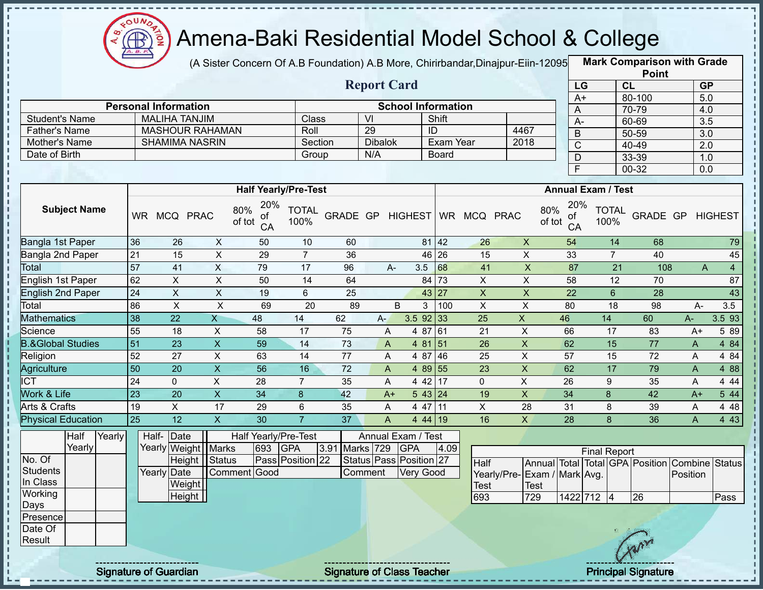

(A Sister Concern Of A.B Foundation) A.B More, Chirirbandar,Dinajpur-Eiin-12095 **Mark Comparison with Grade** 

|                       |                             |         | <b>Report Card</b> |                           |      |
|-----------------------|-----------------------------|---------|--------------------|---------------------------|------|
|                       | <b>Personal Information</b> |         |                    | <b>School Information</b> |      |
| <b>Student's Name</b> | <b>MALIHA TANJIM</b>        | Class   | VI                 | Shift                     |      |
| <b>Father's Name</b>  | <b>MASHOUR RAHAMAN</b>      | Roll    | 29                 | ID                        | 4467 |
| Mother's Name         | <b>SHAMIMA NASRIN</b>       | Section | <b>Dibalok</b>     | Exam Year                 | 2018 |
| Date of Birth         |                             | Group   | N/A                | <b>Board</b>              |      |
|                       |                             |         |                    |                           |      |

| <b>Point</b>    |           |                  |  |  |  |  |  |  |  |  |  |
|-----------------|-----------|------------------|--|--|--|--|--|--|--|--|--|
| LG              | <b>CL</b> | <b>GP</b>        |  |  |  |  |  |  |  |  |  |
| $\overline{A+}$ | 80-100    | 5.0              |  |  |  |  |  |  |  |  |  |
| Α               | 70-79     | 4.0              |  |  |  |  |  |  |  |  |  |
| А-              | 60-69     | $\overline{3.5}$ |  |  |  |  |  |  |  |  |  |
| B               | 50-59     | 3.0              |  |  |  |  |  |  |  |  |  |
| C               | 40-49     | 2.0              |  |  |  |  |  |  |  |  |  |
| D               | $33 - 39$ | 1.0              |  |  |  |  |  |  |  |  |  |
| E               | 00-32     | 0.0              |  |  |  |  |  |  |  |  |  |

|                              |           |              |                           |                                  | <b>Half Yearly/Pre-Test</b> |                 |      |               | <b>Annual Exam / Test</b> |             |              |                                  |                      |          |              |                     |
|------------------------------|-----------|--------------|---------------------------|----------------------------------|-----------------------------|-----------------|------|---------------|---------------------------|-------------|--------------|----------------------------------|----------------------|----------|--------------|---------------------|
| <b>Subject Name</b>          | <b>WR</b> | <b>MCQ</b>   | <b>PRAC</b>               | 20%<br>80%<br>оf<br>of tot<br>CA | <b>TOTAL</b><br>100%        | <b>GRADE GP</b> |      | HIGHEST WR    |                           | <b>MCQ</b>  | <b>PRAC</b>  | 20%<br>80%<br>0f<br>of tot<br>CA | <b>TOTAL</b><br>100% | GRADE GP |              | <b>HIGHEST</b>      |
| Bangla 1st Paper             | 36        | 26           | X                         | 50                               | 10                          | 60              |      | 81            | 42                        | 26          | $\mathsf{X}$ | 54                               | 14                   | 68       |              | 79                  |
| Bangla 2nd Paper             | 21        | 15           | X                         | 29                               | 7                           | 36              |      |               | 46 26                     | 15          | X            | 33                               | 7                    | 40       |              | 45                  |
| Total                        | 57        | 41           | X                         | 79                               | 17                          | 96              |      | 3.5<br>A-     | 68                        | 41          | X            | 87                               | 21                   | 108      |              | $\overline{4}$<br>A |
| English 1st Paper            | 62        | X            | X                         | 50                               | 14                          | 64              |      | 84            | 73                        | X           | X            | 58                               | 12                   | 70       |              | 87                  |
| English 2nd Paper            | 24        | Χ            | Χ                         | 19                               | 6                           | 25              |      |               | 43 27                     | X           | X.           | 22                               | 6                    | 28       |              | 43                  |
| Total                        | 86        | X            | X                         | 69                               | 20                          | 89              |      | B<br>3        | 100                       | X           | X            | 80                               | 18                   | 98       | A-           | 3.5                 |
| Mathematics                  | 38        | 22           | X.                        | 48                               | 14                          | 62              | $A-$ | $3.5$ 92 33   |                           | 25          | X            | 46                               | 14                   | 60       | A-           | 3.593               |
| Science                      | 55        | 18           | X                         | 58                               | 17                          | 75              | A    | 4 87          | 61                        | 21          | X.           | 66                               | 17                   | 83       | A+           | 5 8 9               |
| <b>B.&amp;Global Studies</b> | 51        | 23           | $\boldsymbol{\mathsf{X}}$ | 59                               | 14                          | 73              | A    | 4 81          | 151                       | 26          | X            | 62                               | 15                   | 77       | A            | 4 84                |
| Religion                     | 52        | 27           | X                         | 63                               | 14                          | 77              | A    | 4 87          | 46                        | 25          | X.           | 57                               | 15                   | 72       | A            | 4 8 4               |
| Agriculture                  | 50        | 20           | X.                        | 56                               | 16                          | 72              | A    | 4 89 55       |                           | 23          | X.           | 62                               | 17                   | 79       | $\mathsf{A}$ | 4 8 8               |
| <b>ICT</b>                   | 24        | $\mathbf{0}$ | Χ                         | 28                               | $\overline{7}$              | 35              | Α    | 4 42 17       |                           | $\mathbf 0$ | X            | 26                               | 9                    | 35       | A            | 4 4 4               |
| <b>Work &amp; Life</b>       | 23        | 20           | X                         | 34                               | 8                           | 42              | $A+$ | $5 \t43 \t24$ |                           | 19          | X            | 34                               | 8                    | 42       | $A+$         | 5 44                |
| Arts & Crafts                | 19        | X            | 17                        | 29                               | 6                           | 35              | A    | 4 47          | 11                        | X.          | 28           | 31                               | 8                    | 39       | A            | 4 4 8               |
| <b>Physical Education</b>    | 25        | 12           | X.                        | 30                               |                             | 37              | A    | 44119         |                           | 16          | X            | 28                               | 8                    | 36       | A            | 4 4 3               |

|                  | Half   | Yearly | Half-Date             |              |     | Half Yearly/Pre-Test |  |                | Annual Exam / Test |                         |      |                              |             |            |                     |     |                                                |      |
|------------------|--------|--------|-----------------------|--------------|-----|----------------------|--|----------------|--------------------|-------------------------|------|------------------------------|-------------|------------|---------------------|-----|------------------------------------------------|------|
|                  | Yearly |        | Yearly Weight   Marks |              | 693 | <b>GPA</b>           |  | 3.91 Marks 729 |                    | <b>GPA</b>              | 4.09 |                              |             |            | <b>Final Report</b> |     |                                                |      |
| No. Of           |        |        | Height Status         |              |     | Pass Position 22     |  |                |                    | Status Pass Position 27 |      | <b>Half</b>                  |             |            |                     |     | Annual Total Total GPA Position Combine Status |      |
| Students         |        |        | Yearly Date           | Comment Good |     |                      |  | Comment        |                    | Very Good               |      | Yearly/Pre- Exam / Mark Avg. |             |            |                     |     | Position                                       |      |
| In Class         |        |        | Weight                |              |     |                      |  |                |                    |                         |      | <b>Test</b>                  | <b>Test</b> |            |                     |     |                                                |      |
| Working          |        |        | Height                |              |     |                      |  |                |                    |                         |      | 693                          | 729         | 1422 712 4 |                     | 26  |                                                | Pass |
| Days             |        |        |                       |              |     |                      |  |                |                    |                         |      |                              |             |            |                     |     |                                                |      |
| <b>IPresence</b> |        |        |                       |              |     |                      |  |                |                    |                         |      |                              |             |            |                     |     |                                                |      |
| Date Of          |        |        |                       |              |     |                      |  |                |                    |                         |      |                              |             |            |                     |     |                                                |      |
| Result           |        |        |                       |              |     |                      |  |                |                    |                         |      |                              |             |            |                     | Arr |                                                |      |
|                  |        |        |                       |              |     |                      |  |                |                    |                         |      |                              |             |            |                     |     |                                                |      |

Signature of Guardian Signature of Class Teacher Principal Signature 2014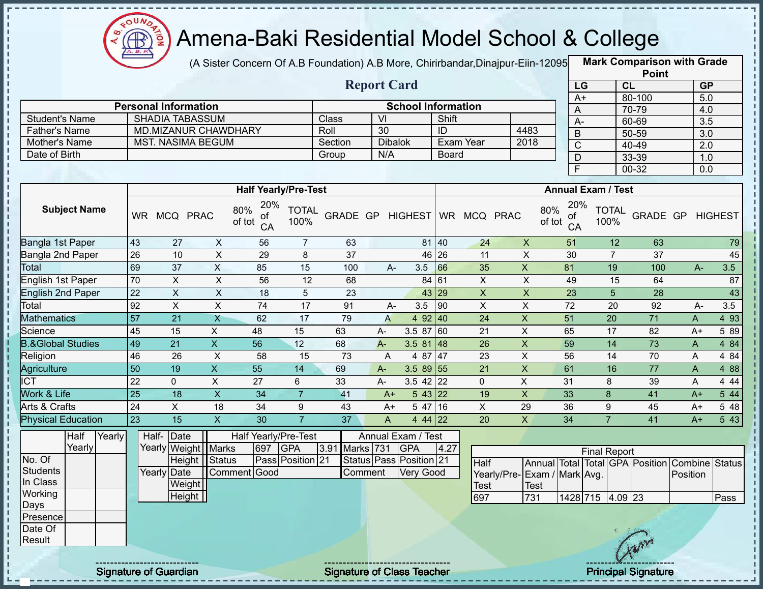

(A Sister Concern Of A.B Foundation) A.B More, Chirirbandar,Dinajpur-Eiin-12095 **Mark Comparison with Grade** 

|         | <b>School Information</b> |              |      |
|---------|---------------------------|--------------|------|
|         |                           |              |      |
| Class   | Μ                         | Shift        |      |
| Roll    | 30                        | ID           | 4483 |
| Section | <b>Dibalok</b>            | Exam Year    | 2018 |
| Group   | N/A                       | <b>Board</b> |      |
|         |                           |              |      |

| <b>Point</b> |        |                  |  |  |  |  |  |  |  |  |  |
|--------------|--------|------------------|--|--|--|--|--|--|--|--|--|
| LG           | CL     | <b>GP</b>        |  |  |  |  |  |  |  |  |  |
| $A+$         | 80-100 | 5.0              |  |  |  |  |  |  |  |  |  |
| A            | 70-79  | 4.0              |  |  |  |  |  |  |  |  |  |
| А-           | 60-69  | $\overline{3.5}$ |  |  |  |  |  |  |  |  |  |
| B            | 50-59  | $\overline{3.0}$ |  |  |  |  |  |  |  |  |  |
| C            | 40-49  | 2.0              |  |  |  |  |  |  |  |  |  |
| D            | 33-39  | 1.0              |  |  |  |  |  |  |  |  |  |
| F            | 00-32  | 0.0              |  |  |  |  |  |  |  |  |  |

|                              |           |               |              |                                  | <b>Half Yearly/Pre-Test</b> |          |       |                    | <b>Annual Exam / Test</b> |              |    |                                  |                      |          |  |              |       |
|------------------------------|-----------|---------------|--------------|----------------------------------|-----------------------------|----------|-------|--------------------|---------------------------|--------------|----|----------------------------------|----------------------|----------|--|--------------|-------|
| <b>Subject Name</b>          | <b>WR</b> | <b>MCQ</b>    | <b>PRAC</b>  | 20%<br>80%<br>0f<br>of tot<br>CA | <b>TOTAL</b><br>100%        | GRADE GP |       | <b>HIGHEST</b>     |                           | WR MCQ PRAC  |    | 20%<br>80%<br>of<br>of tot<br>CA | <b>TOTAL</b><br>100% | GRADE GP |  | HIGHEST      |       |
| Bangla 1st Paper             | 43        | 27            | X            | 56                               | $\overline{7}$              | 63       |       | 81                 | 40                        | 24           | X  | 51                               | 12                   | 63       |  |              | 79    |
| Bangla 2nd Paper             | 26        | 10            | X            | 29                               | 8                           | 37       |       |                    | 46 26                     | 11           | X  | 30                               | $\overline{7}$       | 37       |  |              | 45    |
| <b>Total</b>                 | 69        | 37            | X            | 85                               | 15                          | 100      |       | 3.5<br>$A -$       | 66                        | 35           | X  | 81                               | 19                   | 100      |  | 3.5<br>$A -$ |       |
| English 1st Paper            | 70        | X.            | Χ            | 56                               | 12                          | 68       |       |                    | 84 61                     | X            | X  | 49                               | 15                   | 64       |  |              | 87    |
| English 2nd Paper            | 22        | X             | X            | 18                               | 5                           | 23       |       |                    | 43 29                     | X            | X  | 23                               | 5                    | 28       |  |              | 43    |
| Total                        | 92        | X             | X            | 74                               | 17                          | 91       |       | 3.5<br>$A -$       | 190                       | X            | X  | 72                               | 20                   | 92       |  | 3.5<br>A-    |       |
| <b>Mathematics</b>           | 57        | 21            | X            | 62                               | 17                          | 79       | A     | 4 $92$ 40          |                           | 24           | X  | 51                               | 20                   | 71       |  | A            | 4 9 3 |
| Science                      | 45        | 15            | X            | 48                               | 15                          | 63       | A-    | 3.5 87             | 60                        | 21           | X  | 65                               | 17                   | 82       |  | 5 89<br>$A+$ |       |
| <b>B.&amp;Global Studies</b> | 49        | 21            | X.           | 56                               | 12                          | 68       | $A -$ | 3.5 81             | 48                        | 26           | X  | 59                               | 14                   | 73       |  | A            | 4 8 4 |
| Religion                     | 46        | 26            | X            | 58                               | 15                          | 73       | A     | 4 87               | 47                        | 23           | X  | 56                               | 14                   | 70       |  | 4 8 4<br>A   |       |
| Agriculture                  | 50        | 19            | X            | 55                               | 14                          | 69       | $A -$ | $3.589$ 55         |                           | 21           | X  | 61                               | 16                   | 77       |  | A            | 4 8 8 |
| <b>ICT</b>                   | 22        | $\mathbf{0}$  | X            | 27                               | 6                           | 33       | $A -$ | $3.5$ 42 22        |                           | $\mathbf{0}$ | X  | 31                               | 8                    | 39       |  | A            | 4 4 4 |
| Work & Life                  | 25        | 18            | $\mathsf{X}$ | 34                               |                             | 41       | $A+$  | $5 \, 43 \,   22$  |                           | 19           | X  | 33                               | 8                    | 41       |  | $A+$         | 544   |
| Arts & Crafts                | 24        | X.            | 18           | 34                               | 9                           | 43       | $A+$  | 5 47               | 16                        | X            | 29 | 36                               | 9                    | 45       |  | $A+$         | 5 48  |
| <b>Physical Education</b>    | 23        | 15            | X            | 30                               | $\overline{7}$              | 37       | A     | 4 44 22            |                           | 20           | X  | 34                               |                      | 41       |  | $A+$         | 5 4 3 |
| Half<br>Yearly               |           | Half-<br>Date |              | Half Yearly/Pre-Test             |                             |          |       | Annual Exam / Test |                           |              |    |                                  |                      |          |  |              |       |

|          | I⊓all  | reany | Hall-TDale            | ⊓a⊪           |     | <u>realiv/Pie-Test</u> |                | Allilual Exalif / Test  |      |                              |      |                     |     |                                                |      |
|----------|--------|-------|-----------------------|---------------|-----|------------------------|----------------|-------------------------|------|------------------------------|------|---------------------|-----|------------------------------------------------|------|
|          | Yearly |       | Yearly Weight   Marks |               | 697 | <b>IGPA</b>            | 3.91 Marks 731 | <b>GPA</b>              | 4.27 |                              |      | <b>Final Report</b> |     |                                                |      |
| No. Of   |        |       |                       | Height Status |     | Pass Position 21       |                | Status Pass Position 21 |      | <b>Half</b>                  |      |                     |     | Annual Total Total GPA Position Combine Status |      |
| Students |        |       | Yearly Date           | Comment Good  |     |                        | Comment        | Very Good               |      | Yearly/Pre- Exam / Mark Avg. |      |                     |     | Position                                       |      |
| In Class |        |       | <b>Weight</b>         |               |     |                        |                |                         |      | <b>Test</b>                  | Test |                     |     |                                                |      |
| Working  |        |       | Height                |               |     |                        |                |                         |      | 697                          | 731  | 1428 715 4.09 23    |     |                                                | Pass |
| Days     |        |       |                       |               |     |                        |                |                         |      |                              |      |                     |     |                                                |      |
| Presence |        |       |                       |               |     |                        |                |                         |      |                              |      |                     |     |                                                |      |
| Date Of  |        |       |                       |               |     |                        |                |                         |      |                              |      |                     |     |                                                |      |
| Result   |        |       |                       |               |     |                        |                |                         |      |                              |      |                     | Apr |                                                |      |
|          |        |       |                       |               |     |                        |                |                         |      |                              |      |                     |     |                                                |      |
|          |        |       |                       |               |     |                        |                |                         |      |                              |      |                     |     |                                                |      |

ŋ

 $\begin{array}{c} 1 \\ 1 \\ 1 \\ 1 \\ 1 \end{array}$ 

 $\frac{1}{1}$ 

Î Ţ

 $\begin{array}{c} 1 & 1 \\ 1 & 1 \\ 1 & 1 \end{array}$ 

Signature of Guardian Signature of Class Teacher **Signature 30, 390 and Teacher Principal Signature**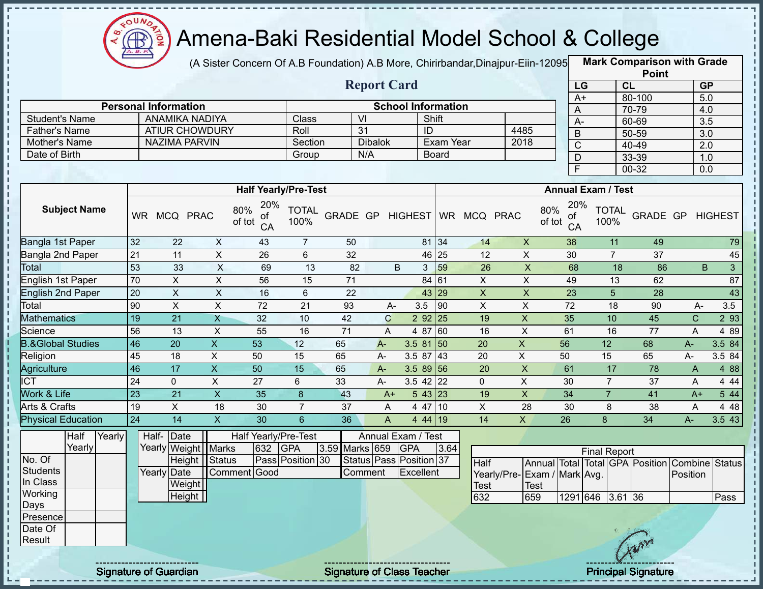

(A Sister Concern Of A.B Foundation) A.B More, Chirirbandar,Dinajpur-Eiin-120950

**Mark Comparison with Grade Point**

|                                       |                 |                                                      |                           |                                  |                      |                |                       |                           |                  |                     |                              |               |                         |                           |                | $\sim$                                         |                  |                |
|---------------------------------------|-----------------|------------------------------------------------------|---------------------------|----------------------------------|----------------------|----------------|-----------------------|---------------------------|------------------|---------------------|------------------------------|---------------|-------------------------|---------------------------|----------------|------------------------------------------------|------------------|----------------|
|                                       |                 |                                                      |                           |                                  |                      |                | <b>Report Card</b>    |                           |                  |                     |                              |               | LG                      |                           | <b>CL</b>      |                                                | <b>GP</b>        |                |
|                                       |                 |                                                      |                           |                                  |                      |                |                       |                           |                  |                     |                              |               | $A+$                    |                           |                | 80-100                                         | 5.0              |                |
|                                       |                 | <b>Personal Information</b><br><b>ANAMIKA NADIYA</b> |                           |                                  |                      |                |                       | <b>School Information</b> | Shift            |                     |                              |               | A                       |                           |                | 70-79                                          | 4.0              |                |
| <b>Student's Name</b>                 |                 | <b>ATIUR CHOWDURY</b>                                |                           |                                  | Class                |                | VI<br>$\overline{31}$ | ID                        |                  |                     | 4485                         |               | A-                      |                           |                | 60-69                                          | $\overline{3.5}$ |                |
| <b>Father's Name</b><br>Mother's Name |                 | NAZIMA PARVIN                                        |                           |                                  | Roll<br>Section      |                | <b>Dibalok</b>        |                           | <b>Exam Year</b> |                     | 2018                         |               | B                       |                           |                | 50-59                                          | 3.0              |                |
| Date of Birth                         |                 |                                                      |                           |                                  | Group                |                | N/A                   |                           | <b>Board</b>     |                     |                              |               | $\mathsf C$             |                           |                | 40-49                                          | 2.0              |                |
|                                       |                 |                                                      |                           |                                  |                      |                |                       |                           |                  |                     |                              |               | D                       |                           |                | 33-39                                          | 1.0              |                |
|                                       |                 |                                                      |                           |                                  |                      |                |                       |                           |                  |                     |                              |               | $\overline{\mathsf{F}}$ |                           |                | $00 - 32$                                      | 0.0              |                |
|                                       |                 |                                                      |                           | <b>Half Yearly/Pre-Test</b>      |                      |                |                       |                           |                  |                     |                              |               |                         | <b>Annual Exam / Test</b> |                |                                                |                  |                |
| <b>Subject Name</b>                   |                 | WR MCQ PRAC                                          |                           | 20%<br>80%<br>οt<br>of tot<br>CA | <b>TOTAL</b><br>100% | GRADE GP       |                       |                           |                  | HIGHEST WR MCQ PRAC |                              | 80%<br>of tot | 20%<br>Οt<br>CA         | 100%                      | <b>TOTAL</b>   | GRADE GP                                       |                  | <b>HIGHEST</b> |
| Bangla 1st Paper                      | 32              | 22                                                   | $\boldsymbol{\mathsf{X}}$ | 43                               | $\overline{7}$       | 50             |                       |                           | 81 34            | 14                  | $\mathsf{X}$                 |               | 38                      |                           | 11             | 49                                             |                  | 79             |
| Bangla 2nd Paper                      | 21              | 11                                                   | $\pmb{\times}$            | 26                               | 6                    | 32             |                       |                           | 46 25            | 12                  | X                            |               | 30                      |                           | $\overline{7}$ | 37                                             |                  | 45             |
| Total                                 | 53              | 33                                                   | $\times$                  | 69                               | 13                   | 82             |                       | B<br>3                    | 59               | 26                  | $\mathsf X$                  |               | 68                      |                           | 18             | 86                                             | B                | 3 <sup>1</sup> |
| <b>English 1st Paper</b>              | 70              | X                                                    | X                         | 56                               | 15                   | 71             |                       |                           | 84 61            | $\mathsf{X}$        | $\mathsf{X}$                 |               | 49                      |                           | 13             | 62                                             |                  | 87             |
| <b>English 2nd Paper</b>              | 20              | X                                                    | $\boldsymbol{\mathsf{X}}$ | 16                               | $6\phantom{1}$       | 22             |                       |                           | 43 29            | $\pmb{\times}$      | $\pmb{\times}$               |               | 23                      |                           | 5              | 28                                             |                  | 43             |
| Total                                 | 90              | $\pmb{\times}$                                       | $\mathsf{X}$              | 72                               | 21                   | 93             | $A -$                 | 3.5                       | 90               | X                   | X                            |               | 72                      |                           | 18             | 90                                             | $A-$             | 3.5            |
| <b>Mathematics</b>                    | 19              | $\overline{21}$                                      | $\mathsf{X}$              | 32                               | 10                   | 42             | $\mathbf C$           | 292   25                  |                  | 19                  | X                            |               | 35                      |                           | 10             | 45                                             | $\mathsf{C}$     | 2 9 3          |
| Science                               | 56              | 13                                                   | X                         | 55                               | 16                   | 71             | A                     | 4 87 60                   |                  | 16                  | $\pmb{\times}$               |               | 61                      |                           | 16             | 77                                             | A                | 4 8 9          |
| <b>B.&amp;Global Studies</b>          | 46              | 20                                                   | $\mathsf{X}$              | 53                               | 12                   | 65             | $A -$                 | $3.581$ 50                |                  | 20                  | $\mathsf{X}$                 |               | 56                      | 12                        |                | 68                                             | A-               | 3.5 84         |
| Religion                              | 45              | 18                                                   | X                         | 50                               | 15                   | 65             | A-                    | $3.587$ 43                |                  | 20                  | $\mathsf{X}$                 |               | 50                      | 15                        |                | 65                                             | A-               | 3.5 84         |
| Agriculture                           | 46              | 17                                                   | $\mathsf{X}$              | 50                               | 15                   | 65             | $A -$                 | $3.589$ 56                |                  | 20                  | $\pmb{\times}$               |               | 61                      |                           | 17             | 78                                             | A                | 4 8 8          |
| <b>ICT</b>                            | 24              | $\mathbf 0$                                          | X                         | 27                               | 6                    | 33             | $A -$                 | $3.5$ 42 22               |                  | $\Omega$            | X                            |               | 30                      | $\overline{7}$            |                | 37                                             | A                | 4 4 4          |
| Work & Life                           | $\overline{23}$ | 21                                                   | $\overline{X}$            | 35                               | 8                    | 43             | $A+$                  | 543 23                    |                  | 19                  | $\pmb{\times}$               |               | 34                      | $\overline{7}$            |                | 41                                             | $A+$             | 544            |
| Arts & Crafts                         | 19              | X                                                    | 18                        | 30                               | $\overline{7}$       | 37             | A                     | 4 47 10                   |                  | X                   | 28                           |               | 30                      | 8                         |                | 38                                             | A                | 4 4 8          |
| <b>Physical Education</b>             | 24              | 14                                                   | $\mathsf{X}$              | 30                               | $6\phantom{1}$       | 36             | A                     | 4 44 19                   |                  | 14                  | $\mathsf{X}$                 |               | 26                      | 8                         |                | 34                                             | $A -$            | 3.543          |
| Yearly<br>Half                        |                 | Half- Date                                           |                           | Half Yearly/Pre-Test             |                      |                |                       | Annual Exam / Test        |                  |                     |                              |               |                         |                           |                |                                                |                  |                |
| Yearly                                |                 | Yearly Weight   Marks                                |                           | 632                              | <b>GPA</b>           | 3.59 Marks 659 |                       | <b>GPA</b>                | 3.64             |                     |                              |               |                         | <b>Final Report</b>       |                |                                                |                  |                |
| No. Of                                |                 |                                                      | Height   Status           |                                  | Pass Position 30     |                |                       | Status Pass Position 37   |                  | Half                |                              |               |                         |                           |                | Annual Total Total GPA Position Combine Status |                  |                |
| <b>Students</b>                       |                 | <b>Yearly Date</b>                                   |                           | Comment Good                     |                      |                | Comment               | Excellent                 |                  |                     | Yearly/Pre- Exam / Mark Avg. |               |                         |                           |                |                                                | Position         |                |
| In Class                              |                 | Weight                                               |                           |                                  |                      |                |                       |                           |                  | Test                |                              | Test          |                         |                           |                |                                                |                  |                |
| Working                               |                 | Height                                               |                           |                                  |                      |                |                       |                           |                  | 632                 | 659                          |               | 1291 646                |                           | $3.61$ 36      |                                                |                  | Pass           |
| Days                                  |                 |                                                      |                           |                                  |                      |                |                       |                           |                  |                     |                              |               |                         |                           |                |                                                |                  |                |
| Presence                              |                 |                                                      |                           |                                  |                      |                |                       |                           |                  |                     |                              |               |                         |                           |                |                                                |                  |                |

Date Of Result

J. п J.  $\mathbf{I}$ л

п п

Signature of Guardian Signature of Class Teacher Principal Signature 31/39 Principal Signature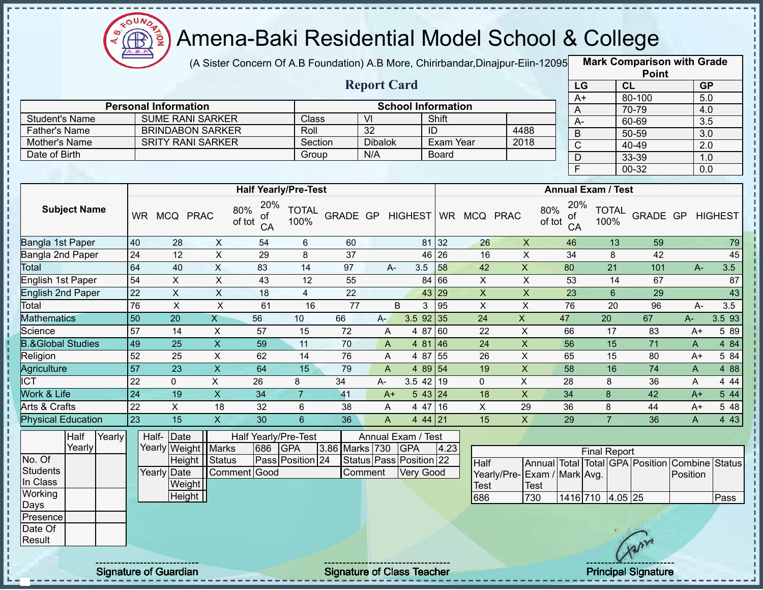

(A Sister Concern Of A.B Foundation) A.B More, Chirirbandar, Dinajpur-Eiin-12095

**Mark Comparison with Grade Point**

|                                                                                      |                 |                                                                                  |                           |                                             |                                |                 |                                                                |                           |              |                              |                                             |                                  |                                                                            | <b>LOILI</b>       |                     |                         |
|--------------------------------------------------------------------------------------|-----------------|----------------------------------------------------------------------------------|---------------------------|---------------------------------------------|--------------------------------|-----------------|----------------------------------------------------------------|---------------------------|--------------|------------------------------|---------------------------------------------|----------------------------------|----------------------------------------------------------------------------|--------------------|---------------------|-------------------------|
|                                                                                      |                 |                                                                                  |                           |                                             |                                |                 | <b>Report Card</b>                                             |                           |              |                              |                                             |                                  | LG                                                                         | CL                 |                     | GP                      |
|                                                                                      |                 | <b>Personal Information</b>                                                      |                           |                                             |                                |                 |                                                                | <b>School Information</b> |              |                              |                                             |                                  | $A+$                                                                       | 80-100             |                     | 5.0                     |
| <b>Student's Name</b>                                                                |                 | <b>SUME RANI SARKER</b>                                                          |                           |                                             | Class                          |                 | $\overline{\mathsf{M}}$                                        |                           | Shift        |                              |                                             | A                                |                                                                            | 70-79              |                     | 4.0                     |
| <b>Father's Name</b>                                                                 |                 | <b>BRINDABON SARKER</b>                                                          |                           |                                             | Roll                           |                 | $\overline{32}$                                                |                           | ID           |                              | 4488                                        |                                  | $A-$                                                                       | 60-69              |                     | 3.5                     |
| Mother's Name                                                                        |                 | <b>SRITY RANI SARKER</b>                                                         |                           |                                             | Section                        |                 | <b>Dibalok</b>                                                 |                           | Exam Year    |                              | 2018                                        | B                                | $\overline{\text{c}}$                                                      | 50-59<br>$40 - 49$ |                     | 3.0                     |
| Date of Birth                                                                        |                 |                                                                                  |                           |                                             | Group                          |                 | N/A                                                            |                           | <b>Board</b> |                              |                                             | $\mathsf{D}$                     |                                                                            | 33-39              |                     | $\overline{2.0}$<br>1.0 |
|                                                                                      |                 |                                                                                  |                           |                                             |                                |                 |                                                                |                           |              |                              |                                             | $\mathsf{F}$                     |                                                                            | 00-32              |                     | 0.0                     |
|                                                                                      |                 |                                                                                  |                           |                                             |                                |                 |                                                                |                           |              |                              |                                             |                                  |                                                                            |                    |                     |                         |
|                                                                                      |                 |                                                                                  |                           | <b>Half Yearly/Pre-Test</b>                 |                                |                 |                                                                |                           |              |                              |                                             |                                  | <b>Annual Exam / Test</b>                                                  |                    |                     |                         |
| <b>Subject Name</b>                                                                  |                 | WR MCQ PRAC                                                                      |                           | 20%<br>80%<br>Οt<br>of tot<br>CA            | <b>TOTAL</b><br>100%           |                 |                                                                |                           |              | GRADE GP HIGHEST WR MCQ PRAC |                                             | 20%<br>80%<br>Οt<br>of tot<br>CA | <b>TOTAL</b><br>100%                                                       | GRADE GP           |                     | <b>HIGHEST</b>          |
| Bangla 1st Paper                                                                     | 40              | 28                                                                               | X                         | 54                                          | 6                              | 60              |                                                                |                           | 81 32        | 26                           | $\mathsf{X}$                                | 46                               | 13                                                                         | 59                 |                     | 79                      |
| Bangla 2nd Paper                                                                     | 24              | 12                                                                               | $\pmb{\times}$            | 29                                          | 8                              | 37              |                                                                |                           | 46 26        | 16                           | $\pmb{\times}$                              | 34                               | 8                                                                          | 42                 |                     | 45                      |
| Total                                                                                | 64              | 40                                                                               | $\overline{X}$            | 83                                          | 14                             | 97              | A-                                                             | 3.5                       | 58           | 42                           | $\pmb{\times}$                              | 80                               | 21                                                                         | 101                | $A-$                | 3.5                     |
| <b>English 1st Paper</b>                                                             | 54              | $\pmb{\times}$                                                                   | $\pmb{\times}$            | 43                                          | 12                             | 55              |                                                                |                           | 84 66        | $\mathsf X$                  | X                                           | 53                               | 14                                                                         | 67                 |                     | 87                      |
| <b>English 2nd Paper</b>                                                             | 22              | $\boldsymbol{\mathsf{X}}$                                                        | $\pmb{\times}$            | 18                                          | 4                              | 22              |                                                                |                           | 43 29        | $\boldsymbol{\mathsf{X}}$    | $\pmb{\times}$                              | 23                               | 6                                                                          | 29                 |                     | 43                      |
| Total                                                                                | 76              | $\mathsf X$                                                                      | $\sf X$                   | 61                                          | 16                             | $\overline{77}$ |                                                                | B<br>3                    | 95           | $\pmb{\times}$               | $\pmb{\times}$                              | 76                               | 20                                                                         | 96                 | A-                  | 3.5                     |
| <b>Mathematics</b>                                                                   | 50              | 20                                                                               | X                         | 56                                          | 10                             | 66              | $A-$                                                           | $3.5$ 92 35               |              | 24                           | $\mathsf X$                                 | 47                               | 20                                                                         | 67                 | A-                  | 3.5 93                  |
| Science                                                                              | $\overline{57}$ | 14                                                                               | X                         | 57                                          | 15                             | 72              | A                                                              | 4 87                      | 60           | 22                           | $\mathsf X$                                 | 66                               | 17                                                                         | 83                 | A+                  | 5 89                    |
| <b>B.&amp;Global Studies</b>                                                         | 49              | 25                                                                               | $\boldsymbol{\mathsf{X}}$ | 59                                          | 11                             | 70              | A                                                              |                           | 4 81 46      | 24                           | $\boldsymbol{\mathsf{X}}$                   | 56                               | 15                                                                         | 71                 | A                   | 4 8 4                   |
| Religion                                                                             | 52              | 25                                                                               | X                         | 62                                          | 14                             | 76              | A                                                              |                           | 4 87 55      | 26                           | X                                           | 65                               | 15                                                                         | 80                 | A+                  | 5 84                    |
| Agriculture                                                                          | 57              | $\overline{23}$                                                                  | $\mathsf X$               | 64                                          | 15                             | 79              | $\mathsf{A}$                                                   |                           | 4 89 54      | 19                           | $\mathsf X$                                 | 58                               | 16                                                                         | $\overline{74}$    | A                   | 4 8 8                   |
| <b>ICT</b>                                                                           | $\overline{22}$ | $\mathbf 0$                                                                      | $\mathsf X$               | 26                                          | 8                              | 34              | A-                                                             | $3.5$ 42 19               |              | $\mathbf 0$                  | $\mathsf X$                                 | 28                               | 8                                                                          | 36                 | A                   | 4 4 4                   |
| Work & Life                                                                          | 24              | 19                                                                               | $\mathsf{X}$              | 34                                          | $\overline{7}$                 | 41              | $A+$                                                           |                           | 543 24       | 18                           | $\mathsf{X}$                                | 34                               | 8                                                                          | 42                 | $A+$                | 544                     |
| Arts & Crafts                                                                        | 22              | $\boldsymbol{\mathsf{X}}$                                                        | 18                        | 32                                          | 6                              | 38              | A                                                              |                           | 4 47 16      | X                            | 29                                          | 36                               | 8                                                                          | 44                 | $A+$                | 5 48                    |
| <b>Physical Education</b>                                                            | 23              | 15                                                                               | $\mathsf{X}$              | 30                                          | $6\phantom{1}$                 | 36              | A                                                              |                           | 4 44 21      | 15                           | $\mathsf{X}$                                | 29                               | $\overline{7}$                                                             | 36                 | A                   | 4 4 3                   |
| Half<br>Yearly<br>Yearly<br>No. Of<br><b>Students</b><br>In Class<br>Working<br>Days |                 | Half- Date<br>Yearly Weight   Marks<br>Height<br>Yearly Date<br>Weight<br>Height | <b>Status</b>             | Half Yearly/Pre-Test<br>686<br>Comment Good | <b>GPA</b><br>Pass Position 24 | 3.86 Marks 730  | Annual Exam / Test<br>Status   Pass   Position   22<br>Comment | <b>GPA</b><br>Very Good   | 4.23         | <b>Half</b><br>Test<br>686   | Yearly/Pre- Exam / Mark Avg.<br>Test<br>730 |                                  | <b>Final Report</b><br>Annual Total Total GPA Position<br>1416 710 4.05 25 |                    | Combine<br>Position | Status<br>Pass          |
| Presence<br>Date Of<br>Result                                                        |                 |                                                                                  |                           |                                             |                                |                 |                                                                |                           |              |                              |                                             |                                  |                                                                            | Cran               |                     |                         |

Signature of Guardian Signature of Class Teacher Principal Signature 32/39 Principal Signature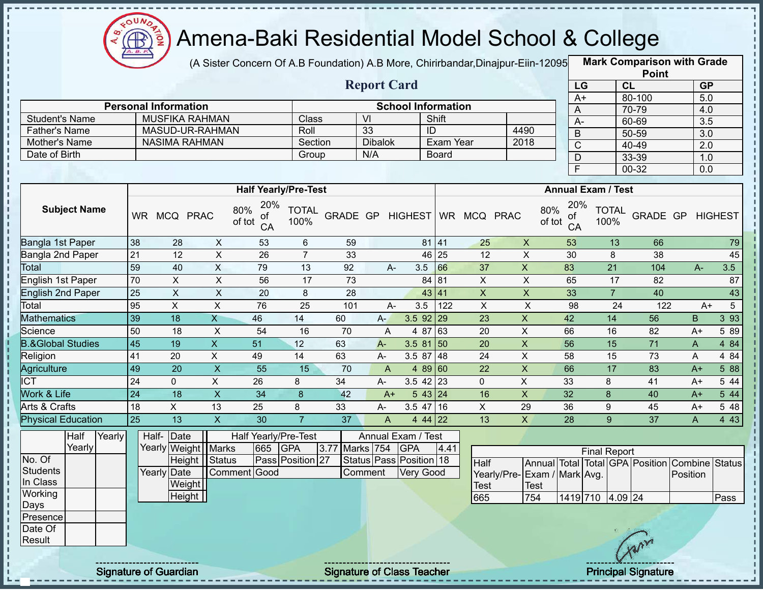

(A Sister Concern Of A.B Foundation) A.B More, Chirirbandar,Dinajpur-Eiin-120950

**Mark Comparison with Grade Point**

|                              |                     |        |                 |                             |                           |                                  |                      |          |                                 |                           |                 |                |                              |                           |                           | -----                                          |                         |                  |
|------------------------------|---------------------|--------|-----------------|-----------------------------|---------------------------|----------------------------------|----------------------|----------|---------------------------------|---------------------------|-----------------|----------------|------------------------------|---------------------------|---------------------------|------------------------------------------------|-------------------------|------------------|
|                              |                     |        |                 |                             |                           |                                  |                      |          | <b>Report Card</b>              |                           |                 |                |                              | LG                        |                           | CL                                             | GP                      |                  |
|                              |                     |        |                 | <b>Personal Information</b> |                           |                                  |                      |          |                                 | <b>School Information</b> |                 |                |                              | $A+$                      |                           | 80-100<br>70-79                                | 5.0                     |                  |
| <b>Student's Name</b>        |                     |        |                 |                             | <b>MUSFIKA RAHMAN</b>     |                                  | Class                |          | $\overline{\mathsf{M}}$         |                           | Shift           |                |                              | A<br>$A-$                 |                           | 60-69                                          | 4.0<br>$\overline{3.5}$ |                  |
| <b>Father's Name</b>         |                     |        |                 |                             | MASUD-UR-RAHMAN           |                                  | Roll                 |          | 33                              |                           | $\overline{ID}$ |                | 4490                         | B                         |                           | 50-59                                          | 3.0                     |                  |
| Mother's Name                |                     |        |                 |                             | <b>NASIMA RAHMAN</b>      |                                  | Section              |          | <b>Dibalok</b>                  |                           | Exam Year       |                | 2018                         | $\overline{C}$            |                           | 40-49                                          | 2.0                     |                  |
| Date of Birth                |                     |        |                 |                             |                           |                                  | Group                |          | N/A                             |                           | Board           |                |                              | D                         |                           | 33-39                                          | 1.0                     |                  |
|                              |                     |        |                 |                             |                           |                                  |                      |          |                                 |                           |                 |                |                              | $\overline{F}$            |                           | 00-32                                          | 0.0                     |                  |
|                              |                     |        |                 |                             |                           |                                  |                      |          |                                 |                           |                 |                |                              |                           |                           |                                                |                         |                  |
|                              |                     |        |                 |                             |                           | <b>Half Yearly/Pre-Test</b>      |                      |          |                                 |                           |                 |                |                              |                           | <b>Annual Exam / Test</b> |                                                |                         |                  |
|                              | <b>Subject Name</b> |        |                 | WR MCQ PRAC                 |                           | 20%<br>80%<br>Οt<br>of tot<br>CA | <b>TOTAL</b><br>100% | GRADE GP |                                 | HIGHEST                   |                 | WR MCQ PRAC    | 80%                          | 20%<br>οf<br>of tot<br>CA | <b>TOTAL</b><br>100%      | GRADE GP                                       |                         | <b>HIGHEST</b>   |
| Bangla 1st Paper             |                     |        | 38              | 28                          | $\boldsymbol{\mathsf{X}}$ | 53                               | 6                    | 59       |                                 |                           | 81 41           | 25             | $\mathsf{X}$                 | 53                        | 13                        | 66                                             |                         | 79               |
| Bangla 2nd Paper             |                     |        | $\overline{21}$ | $\overline{12}$             | $\pmb{\times}$            | 26                               | $\overline{7}$       | 33       |                                 |                           | 46 25           | 12             | $\pmb{\times}$               | 30                        | 8                         | 38                                             |                         | 45               |
| Total                        |                     |        | 59              | 40                          | $\overline{X}$            | 79                               | 13                   | 92       | A-                              | 3.5                       | 66              | 37             | $\mathsf X$                  | 83                        | 21                        | 104                                            | $A-$                    | 3.5              |
| English 1st Paper            |                     |        | 70              | $\mathsf X$                 | $\pmb{\times}$            | 56                               | 17                   | 73       |                                 |                           | 84 81           | $\mathsf X$    | X                            | 65                        | 17                        | 82                                             |                         | 87               |
| <b>English 2nd Paper</b>     |                     |        | $\overline{25}$ | $\mathsf X$                 | $\boldsymbol{\mathsf{X}}$ | 20                               | 8                    | 28       |                                 |                           | 43 41           | $\mathsf X$    | $\boldsymbol{\mathsf{X}}$    | 33                        | $\overline{7}$            | 40                                             |                         | 43               |
| Total                        |                     |        | 95              | $\mathsf{X}$                | X                         | 76                               | 25                   | 101      | A-                              | 3.5                       | 122             | $\pmb{\times}$ | $\mathsf X$                  | 98                        | 24                        | 122                                            | $A+$                    | 5                |
| <b>Mathematics</b>           |                     |        | 39              | 18                          | X                         | 46                               | 14                   | 60       | A-                              | $3.5$ 92 29               |                 | 23             | X                            | 42                        | 14                        | 56                                             | B                       | $3\overline{93}$ |
| Science                      |                     |        | 50              | 18                          | X                         | 54                               | 16                   | 70       | A                               |                           | 4 87 63         | 20             | X                            | 66                        | 16                        | 82                                             | $A+$                    | 5 89             |
| <b>B.&amp;Global Studies</b> |                     |        | 45              | 19                          | $\overline{X}$            | 51                               | 12                   | 63       | $A -$                           | $3.581$ 50                |                 | 20             | $\overline{X}$               | 56                        | 15                        | $\overline{71}$                                | $\mathsf{A}$            | 484              |
| Religion                     |                     |        | 41              | 20                          | X                         | 49                               | 14                   | 63       | $A-$                            | $3.587$ 48                |                 | 24             | $\pmb{\times}$               | 58                        | 15                        | 73                                             | A                       | 4 8 4            |
| Agriculture                  |                     |        | 49              | 20                          | $\boldsymbol{\mathsf{X}}$ | 55                               | 15                   | 70       | A                               |                           | 4 89 60         | 22             | $\mathsf{X}$                 | 66                        | 17                        | 83                                             | $A+$                    | 5 88             |
| $\overline{\text{ICT}}$      |                     |        | $\overline{24}$ | $\mathbf 0$                 | $\overline{X}$            | 26                               | 8                    | 34       | A-                              | $3.5$ 42 23               |                 | $\mathbf 0$    | $\overline{X}$               | 33                        | 8                         | 41                                             | $A+$                    | 5 4 4            |
| Work & Life                  |                     |        | 24              | $\overline{18}$             | $\overline{X}$            | $\overline{34}$                  | 8                    | 42       | $A+$                            |                           | 543 24          | 16             | $\overline{X}$               | 32                        | 8                         | 40                                             | $A+$                    | 5 44             |
| Arts & Crafts                |                     |        | 18              | X                           | 13                        | 25                               | 8                    | 33       | A-                              | $3.5$ 47 16               |                 | X              | 29                           | 36                        | 9                         | 45                                             | $A+$                    | 5 48             |
| <b>Physical Education</b>    |                     |        | 25              | 13                          | $\overline{X}$            | 30                               | $\overline{7}$       | 37       | $\mathsf{A}$                    |                           | 4 44 22         | 13             | $\overline{X}$               | 28                        | 9                         | $\overline{37}$                                | A                       | 4 4 3            |
|                              | Half<br>Yearly      | Yearly |                 | Half- Date                  | Yearly Weight Marks       | Half Yearly/Pre-Test<br>665      | <b>GPA</b>           | 3.77     | Annual Exam / Test<br>Marks 754 | <b>GPA</b>                | 4.41            |                |                              |                           |                           |                                                |                         |                  |
| No. Of                       |                     |        |                 |                             | Height Status             |                                  | Pass Position 27     |          | Status Pass Position 18         |                           |                 |                |                              |                           | <b>Final Report</b>       |                                                |                         |                  |
| <b>Students</b>              |                     |        |                 | Yearly Date                 |                           | Comment Good                     |                      |          | Comment                         | <b>Very Good</b>          |                 | Half           | Yearly/Pre- Exam / Mark Avg. |                           |                           | Annual Total Total GPA Position Combine Status | Position                |                  |
| In Class                     |                     |        |                 | Weight                      |                           |                                  |                      |          |                                 |                           |                 | <b>Test</b>    | <b>Test</b>                  |                           |                           |                                                |                         |                  |
| Working                      |                     |        |                 | Height                      |                           |                                  |                      |          |                                 |                           |                 | 665            | 754                          |                           | 1419 710 4.09 24          |                                                |                         | Pass             |
| Days                         |                     |        |                 |                             |                           |                                  |                      |          |                                 |                           |                 |                |                              |                           |                           |                                                |                         |                  |
| Presence                     |                     |        |                 |                             |                           |                                  |                      |          |                                 |                           |                 |                |                              |                           |                           |                                                |                         |                  |
| Date Of                      |                     |        |                 |                             |                           |                                  |                      |          |                                 |                           |                 |                |                              |                           |                           | 10 10 22 33                                    |                         |                  |

Result

J, п

п

п

п  $\mathbf I$ п  $\mathbf{I}$ J.  $\mathbf{I}$  $\mathbf I$ J. J,  $\mathbf I$ Ţ J. J. J, п

ï п п п л п п  $\frac{1}{1}$ J. J, л

п  $\mathbf I$ п П  $\blacksquare$  $\mathbf I$  $\mathbf I$ 

J,

Signature of Guardian Signature of Class Teacher Principal Signature 33-39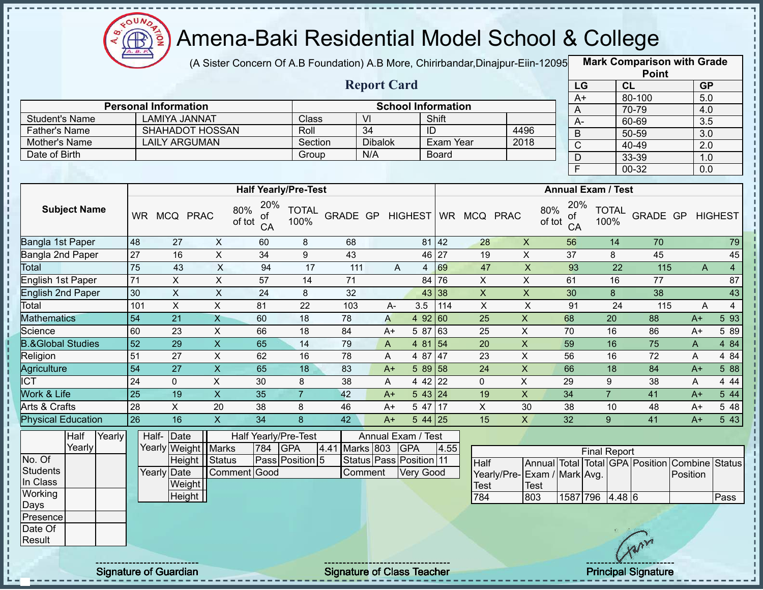

(A Sister Concern Of A.B Foundation) A.B More, Chirirbandar,Dinajpur-Eiin-120950

**Mark Comparison with Grade Point**

| <b>Report Card</b><br>CL<br>LG<br>GP<br>80-100<br>$\overline{5.0}$<br>$A+$<br><b>Personal Information</b><br><b>School Information</b><br>70-79<br>A<br>4.0<br><b>LAMIYA JANNAT</b><br>$\overline{\mathsf{V}}$<br><b>Student's Name</b><br>Class<br>Shift<br>$\overline{3.5}$<br>$A -$<br>60-69<br>34<br><b>SHAHADOT HOSSAN</b><br>ID<br>4496<br><b>Father's Name</b><br>Roll<br>B<br>50-59<br>3.0<br><b>LAILY ARGUMAN</b><br><b>Dibalok</b><br>Exam Year<br>2018<br>Mother's Name<br>Section<br>$\overline{\text{C}}$<br>40-49<br>2.0<br>Date of Birth<br>N/A<br><b>Board</b><br>Group<br>D<br>33-39<br>1.0<br>F<br>00-32<br>0.0<br><b>Annual Exam / Test</b><br><b>Half Yearly/Pre-Test</b><br>20%<br>20%<br><b>Subject Name</b><br>80%<br><b>TOTAL</b><br>80%<br><b>TOTAL</b><br>GRADE GP<br>WR MCQ PRAC<br>GRADE GP<br>MCQ PRAC<br><b>HIGHEST</b><br><b>WR</b><br><b>HIGHEST</b><br>0t<br>0t<br>of tot<br>of tot<br>100%<br>100%<br>CA<br>CA<br>48<br>$\mathsf X$<br>42<br>$\mathsf{X}$<br>70<br>Bangla 1st Paper<br>27<br>60<br>8<br>68<br>81<br>28<br>56<br>14<br>27<br>$\overline{X}$<br>$\pmb{\times}$<br>16<br>34<br>$9\,$<br>43<br>46 27<br>37<br>8<br>45<br>Bangla 2nd Paper<br>19<br>$\overline{X}$<br>75<br>$\mathsf{X}$<br>43<br>69<br>47<br>22<br>94<br>17<br>93<br><b>Total</b><br>111<br>115<br>$\overline{4}$<br>A<br>A<br>4<br>71<br>$\overline{X}$<br>$\sf X$<br>$\overline{57}$<br>76<br>X<br>$\pmb{\times}$<br>English 1st Paper<br>14<br>71<br>84<br>61<br>16<br>77<br>$\overline{X}$<br>30<br>$\mathsf{X}$<br>$\overline{\mathsf{X}}$<br>$\mathsf{X}$<br><b>English 2nd Paper</b><br>24<br>8<br>32<br>43 38<br>30<br>8<br>38<br>$\overline{X}$<br>$\pmb{\times}$<br>X<br>$\sf X$<br>Total<br>101<br>81<br>22<br>114<br>91<br>24<br>$\overline{4}$<br>103<br>3.5<br>115<br>$A -$<br>A<br>$\mathsf{X}$<br><b>Mathematics</b><br>54<br>21<br>$\mathsf X$<br>20<br>60<br>18<br>78<br>4 9 2<br> 60<br>25<br>68<br>88<br>A<br>$A+$<br>Science<br>$\pmb{\times}$<br>63<br>X<br>60<br>23<br>66<br>18<br>84<br>5 87<br>25<br>70<br>16<br>86<br>$A+$<br>$A+$<br>$\overline{\mathsf{x}}$<br>$\overline{X}$<br><b>B.&amp;Global Studies</b><br>52<br>$\overline{29}$<br>65<br>59<br>$\overline{75}$<br>14<br>79<br>$\vert$ 54<br>20<br>16<br>$\mathsf{A}$<br>4 81<br>$\mathsf{A}$<br>51<br>$\pmb{\times}$<br>$\mathsf X$<br>27<br>62<br>78<br>47<br>23<br>56<br>16<br>72<br>Religion<br>16<br>4 87<br>A<br>A<br>$\overline{\mathsf{x}}$<br>$\overline{X}$<br>54<br>27<br>65<br>18<br>83<br>66<br>18<br>84<br>Agriculture<br>5 89<br>$\sqrt{58}$<br>24<br>$A+$<br>$A+$<br>$\overline{\text{ICT}}$<br>X<br>24<br>X<br>38<br>4 4 2<br>22<br>$\Omega$<br>30<br>8<br>$\Omega$<br>29<br>9<br>38<br>A<br>A<br>Work & Life<br>$\overline{25}$<br>$\mathsf{X}$<br>X<br>$\overline{7}$<br>19<br>35<br>$\overline{7}$<br>34<br>42<br>543 24<br>19<br>41<br>$A+$<br>$A+$<br>Arts & Crafts<br>28<br>X<br>46<br>$\pmb{\times}$<br>20<br>38<br>8<br>5 47<br>17<br>30<br>38<br>48<br>10<br>$A+$<br>$A+$<br>26<br>$\mathsf{X}$<br><b>Physical Education</b><br>16<br>34<br>8<br>42<br>$\mathsf{X}$<br>32<br>$544$ 25<br>15<br>9<br>41<br>$A+$<br>$A+$<br>Date<br>Annual Exam / Test<br>Half<br>Yearly<br>Half-<br>Half Yearly/Pre-Test<br>803<br><b>GPA</b><br>Yearly<br>Yearly Weight<br><b>Marks</b><br>784<br><b>GPA</b><br>4.41<br><b>Marks</b><br>4.55<br><b>Final Report</b><br>No. Of<br><b>Status</b><br>Pass Position 5<br>Status   Pass   Position   11<br>Height  <br>Annual Total Total GPA Position<br>Combine |  |  |  |  |  |  |  |  |      |  |  | <b>Point</b> |  |        |
|------------------------------------------------------------------------------------------------------------------------------------------------------------------------------------------------------------------------------------------------------------------------------------------------------------------------------------------------------------------------------------------------------------------------------------------------------------------------------------------------------------------------------------------------------------------------------------------------------------------------------------------------------------------------------------------------------------------------------------------------------------------------------------------------------------------------------------------------------------------------------------------------------------------------------------------------------------------------------------------------------------------------------------------------------------------------------------------------------------------------------------------------------------------------------------------------------------------------------------------------------------------------------------------------------------------------------------------------------------------------------------------------------------------------------------------------------------------------------------------------------------------------------------------------------------------------------------------------------------------------------------------------------------------------------------------------------------------------------------------------------------------------------------------------------------------------------------------------------------------------------------------------------------------------------------------------------------------------------------------------------------------------------------------------------------------------------------------------------------------------------------------------------------------------------------------------------------------------------------------------------------------------------------------------------------------------------------------------------------------------------------------------------------------------------------------------------------------------------------------------------------------------------------------------------------------------------------------------------------------------------------------------------------------------------------------------------------------------------------------------------------------------------------------------------------------------------------------------------------------------------------------------------------------------------------------------------------------------------------------------------------------------------------------------------------------------------------------------------------------------------------------------------------------------------------------------------------------------------------------------------------------------------------------------------------------------------------------------------------------------------------------------------------------------------------------------------------------------------------------------------------------------|--|--|--|--|--|--|--|--|------|--|--|--------------|--|--------|
|                                                                                                                                                                                                                                                                                                                                                                                                                                                                                                                                                                                                                                                                                                                                                                                                                                                                                                                                                                                                                                                                                                                                                                                                                                                                                                                                                                                                                                                                                                                                                                                                                                                                                                                                                                                                                                                                                                                                                                                                                                                                                                                                                                                                                                                                                                                                                                                                                                                                                                                                                                                                                                                                                                                                                                                                                                                                                                                                                                                                                                                                                                                                                                                                                                                                                                                                                                                                                                                                                                                        |  |  |  |  |  |  |  |  |      |  |  |              |  |        |
|                                                                                                                                                                                                                                                                                                                                                                                                                                                                                                                                                                                                                                                                                                                                                                                                                                                                                                                                                                                                                                                                                                                                                                                                                                                                                                                                                                                                                                                                                                                                                                                                                                                                                                                                                                                                                                                                                                                                                                                                                                                                                                                                                                                                                                                                                                                                                                                                                                                                                                                                                                                                                                                                                                                                                                                                                                                                                                                                                                                                                                                                                                                                                                                                                                                                                                                                                                                                                                                                                                                        |  |  |  |  |  |  |  |  |      |  |  |              |  |        |
|                                                                                                                                                                                                                                                                                                                                                                                                                                                                                                                                                                                                                                                                                                                                                                                                                                                                                                                                                                                                                                                                                                                                                                                                                                                                                                                                                                                                                                                                                                                                                                                                                                                                                                                                                                                                                                                                                                                                                                                                                                                                                                                                                                                                                                                                                                                                                                                                                                                                                                                                                                                                                                                                                                                                                                                                                                                                                                                                                                                                                                                                                                                                                                                                                                                                                                                                                                                                                                                                                                                        |  |  |  |  |  |  |  |  |      |  |  |              |  |        |
|                                                                                                                                                                                                                                                                                                                                                                                                                                                                                                                                                                                                                                                                                                                                                                                                                                                                                                                                                                                                                                                                                                                                                                                                                                                                                                                                                                                                                                                                                                                                                                                                                                                                                                                                                                                                                                                                                                                                                                                                                                                                                                                                                                                                                                                                                                                                                                                                                                                                                                                                                                                                                                                                                                                                                                                                                                                                                                                                                                                                                                                                                                                                                                                                                                                                                                                                                                                                                                                                                                                        |  |  |  |  |  |  |  |  |      |  |  |              |  |        |
|                                                                                                                                                                                                                                                                                                                                                                                                                                                                                                                                                                                                                                                                                                                                                                                                                                                                                                                                                                                                                                                                                                                                                                                                                                                                                                                                                                                                                                                                                                                                                                                                                                                                                                                                                                                                                                                                                                                                                                                                                                                                                                                                                                                                                                                                                                                                                                                                                                                                                                                                                                                                                                                                                                                                                                                                                                                                                                                                                                                                                                                                                                                                                                                                                                                                                                                                                                                                                                                                                                                        |  |  |  |  |  |  |  |  |      |  |  |              |  |        |
|                                                                                                                                                                                                                                                                                                                                                                                                                                                                                                                                                                                                                                                                                                                                                                                                                                                                                                                                                                                                                                                                                                                                                                                                                                                                                                                                                                                                                                                                                                                                                                                                                                                                                                                                                                                                                                                                                                                                                                                                                                                                                                                                                                                                                                                                                                                                                                                                                                                                                                                                                                                                                                                                                                                                                                                                                                                                                                                                                                                                                                                                                                                                                                                                                                                                                                                                                                                                                                                                                                                        |  |  |  |  |  |  |  |  |      |  |  |              |  |        |
|                                                                                                                                                                                                                                                                                                                                                                                                                                                                                                                                                                                                                                                                                                                                                                                                                                                                                                                                                                                                                                                                                                                                                                                                                                                                                                                                                                                                                                                                                                                                                                                                                                                                                                                                                                                                                                                                                                                                                                                                                                                                                                                                                                                                                                                                                                                                                                                                                                                                                                                                                                                                                                                                                                                                                                                                                                                                                                                                                                                                                                                                                                                                                                                                                                                                                                                                                                                                                                                                                                                        |  |  |  |  |  |  |  |  |      |  |  |              |  |        |
|                                                                                                                                                                                                                                                                                                                                                                                                                                                                                                                                                                                                                                                                                                                                                                                                                                                                                                                                                                                                                                                                                                                                                                                                                                                                                                                                                                                                                                                                                                                                                                                                                                                                                                                                                                                                                                                                                                                                                                                                                                                                                                                                                                                                                                                                                                                                                                                                                                                                                                                                                                                                                                                                                                                                                                                                                                                                                                                                                                                                                                                                                                                                                                                                                                                                                                                                                                                                                                                                                                                        |  |  |  |  |  |  |  |  |      |  |  |              |  |        |
|                                                                                                                                                                                                                                                                                                                                                                                                                                                                                                                                                                                                                                                                                                                                                                                                                                                                                                                                                                                                                                                                                                                                                                                                                                                                                                                                                                                                                                                                                                                                                                                                                                                                                                                                                                                                                                                                                                                                                                                                                                                                                                                                                                                                                                                                                                                                                                                                                                                                                                                                                                                                                                                                                                                                                                                                                                                                                                                                                                                                                                                                                                                                                                                                                                                                                                                                                                                                                                                                                                                        |  |  |  |  |  |  |  |  |      |  |  |              |  |        |
|                                                                                                                                                                                                                                                                                                                                                                                                                                                                                                                                                                                                                                                                                                                                                                                                                                                                                                                                                                                                                                                                                                                                                                                                                                                                                                                                                                                                                                                                                                                                                                                                                                                                                                                                                                                                                                                                                                                                                                                                                                                                                                                                                                                                                                                                                                                                                                                                                                                                                                                                                                                                                                                                                                                                                                                                                                                                                                                                                                                                                                                                                                                                                                                                                                                                                                                                                                                                                                                                                                                        |  |  |  |  |  |  |  |  |      |  |  |              |  |        |
|                                                                                                                                                                                                                                                                                                                                                                                                                                                                                                                                                                                                                                                                                                                                                                                                                                                                                                                                                                                                                                                                                                                                                                                                                                                                                                                                                                                                                                                                                                                                                                                                                                                                                                                                                                                                                                                                                                                                                                                                                                                                                                                                                                                                                                                                                                                                                                                                                                                                                                                                                                                                                                                                                                                                                                                                                                                                                                                                                                                                                                                                                                                                                                                                                                                                                                                                                                                                                                                                                                                        |  |  |  |  |  |  |  |  |      |  |  |              |  | 79     |
|                                                                                                                                                                                                                                                                                                                                                                                                                                                                                                                                                                                                                                                                                                                                                                                                                                                                                                                                                                                                                                                                                                                                                                                                                                                                                                                                                                                                                                                                                                                                                                                                                                                                                                                                                                                                                                                                                                                                                                                                                                                                                                                                                                                                                                                                                                                                                                                                                                                                                                                                                                                                                                                                                                                                                                                                                                                                                                                                                                                                                                                                                                                                                                                                                                                                                                                                                                                                                                                                                                                        |  |  |  |  |  |  |  |  |      |  |  |              |  | 45     |
|                                                                                                                                                                                                                                                                                                                                                                                                                                                                                                                                                                                                                                                                                                                                                                                                                                                                                                                                                                                                                                                                                                                                                                                                                                                                                                                                                                                                                                                                                                                                                                                                                                                                                                                                                                                                                                                                                                                                                                                                                                                                                                                                                                                                                                                                                                                                                                                                                                                                                                                                                                                                                                                                                                                                                                                                                                                                                                                                                                                                                                                                                                                                                                                                                                                                                                                                                                                                                                                                                                                        |  |  |  |  |  |  |  |  |      |  |  |              |  |        |
|                                                                                                                                                                                                                                                                                                                                                                                                                                                                                                                                                                                                                                                                                                                                                                                                                                                                                                                                                                                                                                                                                                                                                                                                                                                                                                                                                                                                                                                                                                                                                                                                                                                                                                                                                                                                                                                                                                                                                                                                                                                                                                                                                                                                                                                                                                                                                                                                                                                                                                                                                                                                                                                                                                                                                                                                                                                                                                                                                                                                                                                                                                                                                                                                                                                                                                                                                                                                                                                                                                                        |  |  |  |  |  |  |  |  |      |  |  |              |  | 87     |
|                                                                                                                                                                                                                                                                                                                                                                                                                                                                                                                                                                                                                                                                                                                                                                                                                                                                                                                                                                                                                                                                                                                                                                                                                                                                                                                                                                                                                                                                                                                                                                                                                                                                                                                                                                                                                                                                                                                                                                                                                                                                                                                                                                                                                                                                                                                                                                                                                                                                                                                                                                                                                                                                                                                                                                                                                                                                                                                                                                                                                                                                                                                                                                                                                                                                                                                                                                                                                                                                                                                        |  |  |  |  |  |  |  |  |      |  |  |              |  | 43     |
|                                                                                                                                                                                                                                                                                                                                                                                                                                                                                                                                                                                                                                                                                                                                                                                                                                                                                                                                                                                                                                                                                                                                                                                                                                                                                                                                                                                                                                                                                                                                                                                                                                                                                                                                                                                                                                                                                                                                                                                                                                                                                                                                                                                                                                                                                                                                                                                                                                                                                                                                                                                                                                                                                                                                                                                                                                                                                                                                                                                                                                                                                                                                                                                                                                                                                                                                                                                                                                                                                                                        |  |  |  |  |  |  |  |  |      |  |  |              |  |        |
|                                                                                                                                                                                                                                                                                                                                                                                                                                                                                                                                                                                                                                                                                                                                                                                                                                                                                                                                                                                                                                                                                                                                                                                                                                                                                                                                                                                                                                                                                                                                                                                                                                                                                                                                                                                                                                                                                                                                                                                                                                                                                                                                                                                                                                                                                                                                                                                                                                                                                                                                                                                                                                                                                                                                                                                                                                                                                                                                                                                                                                                                                                                                                                                                                                                                                                                                                                                                                                                                                                                        |  |  |  |  |  |  |  |  |      |  |  |              |  | 593    |
|                                                                                                                                                                                                                                                                                                                                                                                                                                                                                                                                                                                                                                                                                                                                                                                                                                                                                                                                                                                                                                                                                                                                                                                                                                                                                                                                                                                                                                                                                                                                                                                                                                                                                                                                                                                                                                                                                                                                                                                                                                                                                                                                                                                                                                                                                                                                                                                                                                                                                                                                                                                                                                                                                                                                                                                                                                                                                                                                                                                                                                                                                                                                                                                                                                                                                                                                                                                                                                                                                                                        |  |  |  |  |  |  |  |  |      |  |  |              |  | 5 89   |
|                                                                                                                                                                                                                                                                                                                                                                                                                                                                                                                                                                                                                                                                                                                                                                                                                                                                                                                                                                                                                                                                                                                                                                                                                                                                                                                                                                                                                                                                                                                                                                                                                                                                                                                                                                                                                                                                                                                                                                                                                                                                                                                                                                                                                                                                                                                                                                                                                                                                                                                                                                                                                                                                                                                                                                                                                                                                                                                                                                                                                                                                                                                                                                                                                                                                                                                                                                                                                                                                                                                        |  |  |  |  |  |  |  |  |      |  |  |              |  | 4 8 4  |
|                                                                                                                                                                                                                                                                                                                                                                                                                                                                                                                                                                                                                                                                                                                                                                                                                                                                                                                                                                                                                                                                                                                                                                                                                                                                                                                                                                                                                                                                                                                                                                                                                                                                                                                                                                                                                                                                                                                                                                                                                                                                                                                                                                                                                                                                                                                                                                                                                                                                                                                                                                                                                                                                                                                                                                                                                                                                                                                                                                                                                                                                                                                                                                                                                                                                                                                                                                                                                                                                                                                        |  |  |  |  |  |  |  |  |      |  |  |              |  | 4 84   |
|                                                                                                                                                                                                                                                                                                                                                                                                                                                                                                                                                                                                                                                                                                                                                                                                                                                                                                                                                                                                                                                                                                                                                                                                                                                                                                                                                                                                                                                                                                                                                                                                                                                                                                                                                                                                                                                                                                                                                                                                                                                                                                                                                                                                                                                                                                                                                                                                                                                                                                                                                                                                                                                                                                                                                                                                                                                                                                                                                                                                                                                                                                                                                                                                                                                                                                                                                                                                                                                                                                                        |  |  |  |  |  |  |  |  |      |  |  |              |  | 588    |
|                                                                                                                                                                                                                                                                                                                                                                                                                                                                                                                                                                                                                                                                                                                                                                                                                                                                                                                                                                                                                                                                                                                                                                                                                                                                                                                                                                                                                                                                                                                                                                                                                                                                                                                                                                                                                                                                                                                                                                                                                                                                                                                                                                                                                                                                                                                                                                                                                                                                                                                                                                                                                                                                                                                                                                                                                                                                                                                                                                                                                                                                                                                                                                                                                                                                                                                                                                                                                                                                                                                        |  |  |  |  |  |  |  |  |      |  |  |              |  | 4 4 4  |
|                                                                                                                                                                                                                                                                                                                                                                                                                                                                                                                                                                                                                                                                                                                                                                                                                                                                                                                                                                                                                                                                                                                                                                                                                                                                                                                                                                                                                                                                                                                                                                                                                                                                                                                                                                                                                                                                                                                                                                                                                                                                                                                                                                                                                                                                                                                                                                                                                                                                                                                                                                                                                                                                                                                                                                                                                                                                                                                                                                                                                                                                                                                                                                                                                                                                                                                                                                                                                                                                                                                        |  |  |  |  |  |  |  |  |      |  |  |              |  | 5 4 4  |
|                                                                                                                                                                                                                                                                                                                                                                                                                                                                                                                                                                                                                                                                                                                                                                                                                                                                                                                                                                                                                                                                                                                                                                                                                                                                                                                                                                                                                                                                                                                                                                                                                                                                                                                                                                                                                                                                                                                                                                                                                                                                                                                                                                                                                                                                                                                                                                                                                                                                                                                                                                                                                                                                                                                                                                                                                                                                                                                                                                                                                                                                                                                                                                                                                                                                                                                                                                                                                                                                                                                        |  |  |  |  |  |  |  |  |      |  |  |              |  | 5 48   |
|                                                                                                                                                                                                                                                                                                                                                                                                                                                                                                                                                                                                                                                                                                                                                                                                                                                                                                                                                                                                                                                                                                                                                                                                                                                                                                                                                                                                                                                                                                                                                                                                                                                                                                                                                                                                                                                                                                                                                                                                                                                                                                                                                                                                                                                                                                                                                                                                                                                                                                                                                                                                                                                                                                                                                                                                                                                                                                                                                                                                                                                                                                                                                                                                                                                                                                                                                                                                                                                                                                                        |  |  |  |  |  |  |  |  |      |  |  |              |  | 543    |
|                                                                                                                                                                                                                                                                                                                                                                                                                                                                                                                                                                                                                                                                                                                                                                                                                                                                                                                                                                                                                                                                                                                                                                                                                                                                                                                                                                                                                                                                                                                                                                                                                                                                                                                                                                                                                                                                                                                                                                                                                                                                                                                                                                                                                                                                                                                                                                                                                                                                                                                                                                                                                                                                                                                                                                                                                                                                                                                                                                                                                                                                                                                                                                                                                                                                                                                                                                                                                                                                                                                        |  |  |  |  |  |  |  |  |      |  |  |              |  |        |
|                                                                                                                                                                                                                                                                                                                                                                                                                                                                                                                                                                                                                                                                                                                                                                                                                                                                                                                                                                                                                                                                                                                                                                                                                                                                                                                                                                                                                                                                                                                                                                                                                                                                                                                                                                                                                                                                                                                                                                                                                                                                                                                                                                                                                                                                                                                                                                                                                                                                                                                                                                                                                                                                                                                                                                                                                                                                                                                                                                                                                                                                                                                                                                                                                                                                                                                                                                                                                                                                                                                        |  |  |  |  |  |  |  |  |      |  |  |              |  |        |
| <b>Students</b><br>Yearly Date<br>Comment<br>Good<br>Comment<br><b>Very Good</b>                                                                                                                                                                                                                                                                                                                                                                                                                                                                                                                                                                                                                                                                                                                                                                                                                                                                                                                                                                                                                                                                                                                                                                                                                                                                                                                                                                                                                                                                                                                                                                                                                                                                                                                                                                                                                                                                                                                                                                                                                                                                                                                                                                                                                                                                                                                                                                                                                                                                                                                                                                                                                                                                                                                                                                                                                                                                                                                                                                                                                                                                                                                                                                                                                                                                                                                                                                                                                                       |  |  |  |  |  |  |  |  | Half |  |  |              |  | Status |
| Yearly/Pre-<br>Exam / Mark Avg.<br>Position<br>In Class<br>Weight<br><b>Test</b><br><b>Test</b>                                                                                                                                                                                                                                                                                                                                                                                                                                                                                                                                                                                                                                                                                                                                                                                                                                                                                                                                                                                                                                                                                                                                                                                                                                                                                                                                                                                                                                                                                                                                                                                                                                                                                                                                                                                                                                                                                                                                                                                                                                                                                                                                                                                                                                                                                                                                                                                                                                                                                                                                                                                                                                                                                                                                                                                                                                                                                                                                                                                                                                                                                                                                                                                                                                                                                                                                                                                                                        |  |  |  |  |  |  |  |  |      |  |  |              |  |        |

Test<br>784

Test<br>803

Height

Working Days Presence Date Of **Result** 

п п п п п п  $\mathbf{I}$ п

п J. П f,  $\mathbf{I}$ J. J.  $\mathbf{I}$  $\mathbf{I}$ 

 $\begin{array}{c} 1 & 1 \\ 1 & 1 \\ 1 & 1 \\ 1 & 1 \end{array}$ 

 $\mathbf{I}$  $\mathbf{I}$  $\mathbf I$ л  $\frac{1}{1}$ ı п п J, f, п  $\frac{1}{1}$ 

п J. J,  $\mathbf{I}$  $\mathbf I$  $\frac{1}{1}$ 

Signature of Guardian Signature of Class Teacher Principal Signature 34/39 Principal Signature

1587 796 4.48 6 Pass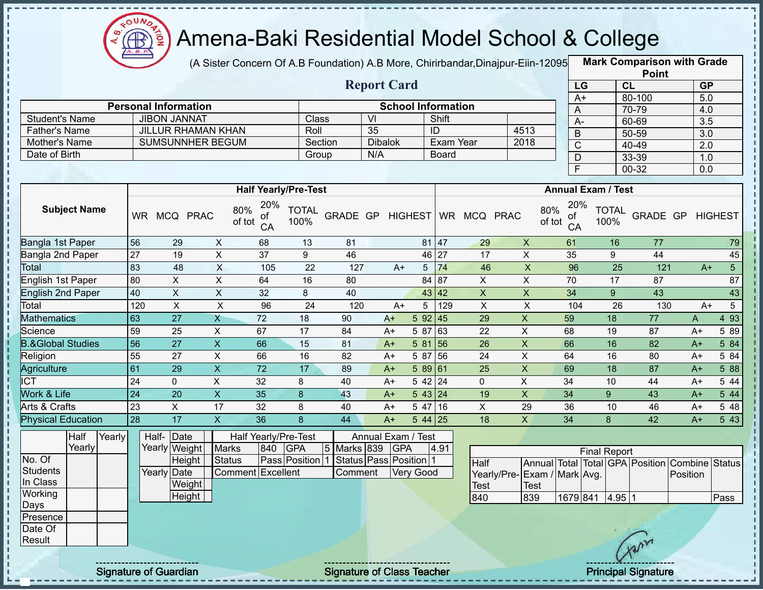

(A Sister Concern Of A.B Foundation) A.B More, Chirirbandar,Dinajpur-Eiin-12095 **Mark Comparison with Grade** 

|                      |                             |         | <b>Report Card</b> |                           |      | LG     |
|----------------------|-----------------------------|---------|--------------------|---------------------------|------|--------|
|                      | <b>Personal Information</b> |         |                    | <b>School Information</b> |      | $A+$   |
| Student's Name       | <b>JIBON JANNAT</b>         | Class   | VI                 | Shift                     |      | A-     |
| <b>Father's Name</b> | <b>JILLUR RHAMAN KHAN</b>   | Roll    | 35                 | ID                        | 4513 | B      |
| Mother's Name        | <b>SUMSUNNHER BEGUM</b>     | Section | <b>Dibalok</b>     | Exam Year                 | 2018 | $\sim$ |
| Date of Birth        |                             | Group   | N/A                | <b>Board</b>              |      |        |
|                      |                             |         |                    |                           |      |        |

|      | <b>Point</b> |                  |
|------|--------------|------------------|
| LG   | CL           | <b>GP</b>        |
| $A+$ | 80-100       | 5.0              |
| A    | 70-79        | 4.0              |
| А-   | 60-69        | $\overline{3.5}$ |
| B    | 50-59        | $\overline{3.0}$ |
| C    | 40-49        | 2.0              |
| D    | 33-39        | 1.0              |
| E    | 00-32        | 0.0              |

|                              |           |             |             | <b>Half Yearly/Pre-Test</b>      |                      |                 |      |           |           |             |             | <b>Annual Exam / Test</b>        |                      |          |      |                |
|------------------------------|-----------|-------------|-------------|----------------------------------|----------------------|-----------------|------|-----------|-----------|-------------|-------------|----------------------------------|----------------------|----------|------|----------------|
| <b>Subject Name</b>          | <b>WR</b> | <b>MCQ</b>  | <b>PRAC</b> | 20%<br>80%<br>οf<br>of tot<br>CA | <b>TOTAL</b><br>100% | <b>GRADE GP</b> |      | HIGHEST   | <b>WR</b> | <b>MCQ</b>  | <b>PRAC</b> | 20%<br>80%<br>0f<br>of tot<br>CA | <b>TOTAL</b><br>100% | GRADE GP |      | <b>HIGHEST</b> |
| Bangla 1st Paper             | 56        | 29          | X           | 68                               | 13                   | 81              |      | 81        | 47        | 29          | X           | 61                               | 16                   | 77       |      | 79             |
| Bangla 2nd Paper             | 27        | 19          | X           | 37                               | 9                    | 46              |      |           | 46 27     | 17          | X           | 35                               | 9                    | 44       |      | 45             |
| Total                        | 83        | 48          | X           | 105                              | 22                   | 127             |      | 5<br>$A+$ | 74        | 46          | X           | 96                               | 25                   | 121      | $A+$ | $\sqrt{5}$     |
| English 1st Paper            | 80        | X           | X           | 64                               | 16                   | 80              |      |           | 84   87   | X           | X           | 70                               | 17                   | 87       |      | 87             |
| <b>English 2nd Paper</b>     | 40        | X           | X           | 32                               | 8                    | 40              |      |           | 43 42     | X           | X           | 34                               | 9                    | 43       |      | 43             |
| Total                        | 120       | X           | X           | 96                               | 24                   | 120             |      | 5<br>$A+$ | 129       | X           | X           | 104                              | 26                   | 130      | $A+$ | 5              |
| <b>Mathematics</b>           | 63        | 27          | X           | 72                               | 18                   | 90              | $A+$ | 5 92      | <b>45</b> | 29          | X           | 59                               | 18                   | 77       | A    | 4 9 3          |
| Science                      | 59        | 25          | X           | 67                               | 17                   | 84              | $A+$ | 5 87      | 63        | 22          | X           | 68                               | 19                   | 87       | $A+$ | 5 89           |
| <b>B.&amp;Global Studies</b> | 56        | 27          | X           | 66                               | 15                   | 81              | $A+$ | 5 81      | 56        | 26          | X           | 66                               | 16                   | 82       | $A+$ | 5 84           |
| Religion                     | 55        | 27          | X           | 66                               | 16                   | 82              | $A+$ | 5 87      | 56        | 24          | X           | 64                               | 16                   | 80       | $A+$ | 5 84           |
| Agriculture                  | 61        | 29          | X           | 72                               | 17                   | 89              | $A+$ | 589 61    |           | 25          | X           | 69                               | 18                   | 87       | $A+$ | 5 88           |
| ICT                          | 24        | $\mathbf 0$ | X           | 32                               | 8                    | 40              | A+   | 542 24    |           | $\mathbf 0$ | X.          | 34                               | 10                   | 44       | $A+$ | 5 4 4          |
| <b>Nork &amp; Life</b>       | 24        | 20          | X           | 35                               | 8                    | 43              | $A+$ | 543 24    |           | 19          | X.          | 34                               | 9                    | 43       | $A+$ | 5 44           |
| Arts & Crafts                | 23        | X           | 17          | 32                               | 8                    | 40              | $A+$ | 5 47      | 16        | X           | 29          | 36                               | 10                   | 46       | $A+$ | 5 48           |
| <b>Physical Education</b>    | 28        | 17          | X.          | 36                               | 8                    | 44              | $A+$ | $544$ 25  |           | 18          | X           | 34                               | 8                    | 42       | $A+$ | 543            |

|          | Half   | Yearly | Half- Date  |               |                   |     | Half Yearly/Pre-Test |             | Annual Exam / Test                             |      |  |
|----------|--------|--------|-------------|---------------|-------------------|-----|----------------------|-------------|------------------------------------------------|------|--|
|          | Yearly |        |             | Yearly Weight | <b>Marks</b>      | 840 | <b>IGPA</b>          | 5 Marks 839 | <b>IGPA</b>                                    | 4.91 |  |
| No. Of   |        |        |             | Height        | <b>Status</b>     |     |                      |             | Pass Position   1 Status   Pass   Position   1 |      |  |
| Students |        |        | Yearly Date |               | Comment Excellent |     |                      | Comment     | Verv Good                                      |      |  |
| In Class |        |        |             | <b>Weight</b> |                   |     |                      |             |                                                |      |  |
| Working  |        |        |             | Height        |                   |     |                      |             |                                                |      |  |
| Days     |        |        |             |               |                   |     |                      |             |                                                |      |  |
| Presence |        |        |             |               |                   |     |                      |             |                                                |      |  |
| Date Of  |        |        |             |               |                   |     |                      |             |                                                |      |  |

|                             |      |          | <b>Final Report</b> |        |                                                |      |
|-----------------------------|------|----------|---------------------|--------|------------------------------------------------|------|
| <b>Half</b>                 |      |          |                     |        | Annual Total Total GPA Position Combine Status |      |
| Yearly/Pre-Exam / Mark Avg. |      |          |                     |        | Position                                       |      |
| <b>Test</b>                 | Test |          |                     |        |                                                |      |
| 840                         | 839  | 1679 841 |                     | 4.9511 |                                                | Pass |

Result

Signature of Guardian Signature of Class Teacher Principal Signature 35-39 Principal Signature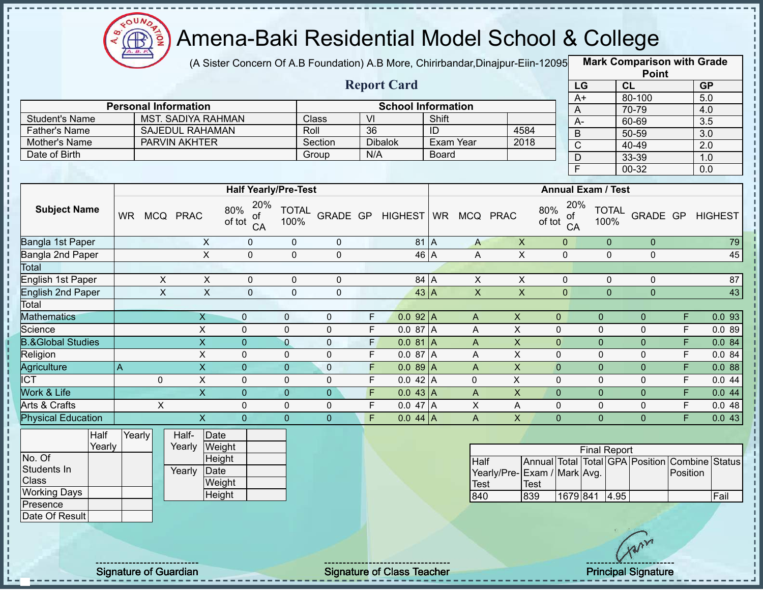

(A Sister Concern Of A.B Foundation) A.B More, Chirirbandar,Dinajpur-Eiin-12095 **Mark Comparison with Grade** 

|                              |                             |                           |                             |                |                |                              |                           |        |                |                                  |                           |                          | <b>Point</b>                                   |                |                  |
|------------------------------|-----------------------------|---------------------------|-----------------------------|----------------|----------------|------------------------------|---------------------------|--------|----------------|----------------------------------|---------------------------|--------------------------|------------------------------------------------|----------------|------------------|
|                              |                             |                           |                             |                |                |                              | <b>Report Card</b>        |        |                |                                  |                           | LG                       | CL                                             |                | GP               |
|                              |                             |                           |                             |                |                |                              |                           |        |                |                                  |                           | $A+$                     | 80-100                                         |                | 5.0              |
|                              | <b>Personal Information</b> |                           |                             |                |                |                              | <b>School Information</b> |        |                |                                  |                           | A                        | 70-79                                          |                | 4.0              |
| <b>Student's Name</b>        |                             | <b>MST. SADIYA RAHMAN</b> |                             |                | Class          | $\overline{V}$               |                           | Shift  |                |                                  |                           | $\overline{A}$           | 60-69                                          |                | 3.5              |
| Father's Name                |                             | <b>SAJEDUL RAHAMAN</b>    |                             |                | Roll           | $\overline{36}$              |                           | ID     |                | 4584                             | $\overline{B}$            |                          | 50-59                                          |                | $\overline{3.0}$ |
| Mother's Name                |                             | <b>PARVIN AKHTER</b>      |                             |                | Section        |                              | <b>Dibalok</b>            |        | Exam Year      | 2018                             |                           | $\overline{C}$           | $40 - 49$                                      |                | 2.0              |
| Date of Birth                |                             |                           |                             |                | Group          | N/A                          |                           | Board  |                |                                  |                           | $\mathsf{D}$             | 33-39                                          |                | 1.0              |
|                              |                             |                           |                             |                |                |                              |                           |        |                |                                  | $\overline{\mathsf{F}}$   |                          | $00 - 32$                                      |                | 0.0              |
|                              |                             |                           | <b>Half Yearly/Pre-Test</b> |                |                |                              |                           |        |                |                                  | <b>Annual Exam / Test</b> |                          |                                                |                |                  |
| <b>Subject Name</b>          | WR MCQ PRAC                 |                           | <b>TOTAL</b><br>100%        |                |                | GRADE GP HIGHEST WR MCQ PRAC |                           |        |                | 20%<br>80%<br>of<br>of tot<br>CA | 100%                      | <b>TOTAL</b><br>GRADE GP |                                                | <b>HIGHEST</b> |                  |
| Bangla 1st Paper             |                             | $\mathsf{X}$              | $\mathbf 0$                 | $\mathbf 0$    | $\mathbf 0$    |                              |                           | $81$ A | $\mathsf{A}$   | $\mathsf X$                      | $\overline{0}$            |                          | $\overline{0}$<br>$\overline{0}$               |                | 79               |
| Bangla 2nd Paper             |                             | $\overline{\mathsf{x}}$   | $\overline{0}$              | $\overline{0}$ | $\overline{0}$ |                              | 46 A                      |        | A              | $\overline{X}$                   | $\overline{0}$            | $\overline{0}$           | $\overline{0}$                                 |                | 45               |
| Total                        |                             |                           |                             |                |                |                              |                           |        |                |                                  |                           |                          |                                                |                |                  |
| English 1st Paper            | $\mathsf{X}$                | $\mathsf{X}$              | $\mathsf 0$                 | $\mathbf 0$    | $\pmb{0}$      |                              | 84 A                      |        | $\mathsf{X}$   | $\overline{X}$                   | $\mathbf 0$               |                          | $\mathbf 0$<br>0                               |                | 87               |
| <b>English 2nd Paper</b>     | $\overline{X}$              | $\overline{X}$            | $\mathbf{0}$                | $\mathbf{0}$   | $\mathbf{0}$   |                              | $43 \nA$                  |        | $\overline{X}$ | $\overline{X}$                   | $\overline{0}$            |                          | $\Omega$<br>$\overline{0}$                     |                | 43               |
| Total                        |                             |                           |                             |                |                |                              |                           |        |                |                                  |                           |                          |                                                |                |                  |
| <b>Mathematics</b>           |                             | $\overline{X}$            | $\mathbf 0$                 | $\mathbf 0$    | $\mathbf 0$    | F                            | $0.092$ A                 |        | A              | $\boldsymbol{\mathsf{X}}$        | $\mathbf{0}$              | $\overline{0}$           | $\overline{0}$                                 | F              | 0.093            |
| Science                      |                             | $\mathsf{X}$              | $\Omega$                    | $\mathbf 0$    | $\mathbf 0$    | F                            | 0.087A                    |        | A              | $\times$                         | $\mathbf 0$               | 0                        | $\Omega$                                       | F              | 0.089            |
| <b>B.&amp;Global Studies</b> |                             | $\boldsymbol{\mathsf{X}}$ | $\overline{0}$              | $\overline{0}$ | $\pmb{0}$      | F,                           | $0.081$ A                 |        | A              | $\boldsymbol{\mathsf{X}}$        | $\mathbf{0}$              | 0                        | $\overline{0}$                                 | F              | 0.084            |
| Religion                     |                             | $\mathsf{X}$              | $\Omega$                    | 0              | $\mathbf 0$    | $\overline{F}$               | 0.0 87 A                  |        | A              | X                                | $\mathbf{0}$              | 0                        | $\mathbf 0$                                    | $\mathsf F$    | 0.084            |
| Agriculture                  | A                           | $\overline{\mathsf{x}}$   | $\overline{0}$              | $\overline{0}$ | $\mathbf 0$    | F                            | $0.089$ A                 |        | $\overline{A}$ | $\overline{X}$                   | $\overline{0}$            | $\mathbf 0$              | $\overline{0}$                                 | $\overline{F}$ | 0.088            |
| <b>ICT</b>                   | $\mathbf 0$                 | $\overline{X}$            | $\mathbf 0$                 | $\overline{0}$ | $\mathbf 0$    | F                            | 0.042 A                   |        | 0              | $\overline{\mathsf{x}}$          | $\mathbf 0$               | 0                        | $\mathbf 0$                                    | $\overline{F}$ | 0.044            |
| Work & Life                  |                             | $\overline{\mathsf{x}}$   | $\overline{0}$              | $\overline{0}$ | $\pmb{0}$      | $\overline{F}$               | $0.043$ A                 |        | $\mathsf{A}$   | $\pmb{\mathsf{X}}$               | $\overline{0}$            | $\overline{0}$           | $\overline{0}$                                 | $\overline{F}$ | 0.044            |
| Arts & Crafts                | $\overline{X}$              |                           | $\mathbf 0$                 | $\mathbf 0$    | $\pmb{0}$      | F                            | 0.047A                    |        | $\overline{X}$ | A                                | $\pmb{0}$                 | $\mathsf 0$              | $\pmb{0}$                                      | $\overline{F}$ | 0.048            |
| <b>Physical Education</b>    |                             | $\overline{\mathsf{x}}$   | $\overline{0}$              | $\Omega$       | $\overline{0}$ | Ē                            | $0.044$ A                 |        | $\overline{A}$ | $\overline{\mathsf{X}}$          | $\Omega$                  | $\Omega$                 | $\Omega$                                       | $\overline{F}$ | 0.043            |
| Half                         | Yearly                      | Half-                     | Date                        |                |                |                              |                           |        |                |                                  |                           |                          |                                                |                |                  |
| Yearly                       |                             | Yearly                    | Weight                      |                |                |                              |                           |        |                |                                  |                           | <b>Final Report</b>      |                                                |                |                  |
| No. Of                       |                             |                           | Height                      |                |                |                              |                           |        | Half           |                                  |                           |                          | Annual Total Total GPA Position Combine Status |                |                  |
| Students In<br><b>Class</b>  |                             | Yearly                    | Date<br>Weight              |                |                |                              |                           |        |                | Yearly/Pre-Exam / Mark Avg.      |                           |                          |                                                | Position       |                  |
| <b>Working Days</b>          |                             |                           | Height                      |                |                |                              |                           |        | Test           | <b>Test</b>                      |                           |                          |                                                |                |                  |
| Presence                     |                             |                           |                             |                |                |                              |                           |        | 840            | 839                              |                           | 1679 841                 | 4.95                                           |                | Fail             |
| Date Of Result               |                             |                           |                             |                |                |                              |                           |        |                |                                  |                           |                          |                                                |                |                  |
|                              |                             |                           |                             |                |                |                              |                           |        |                |                                  |                           |                          | Avr                                            |                |                  |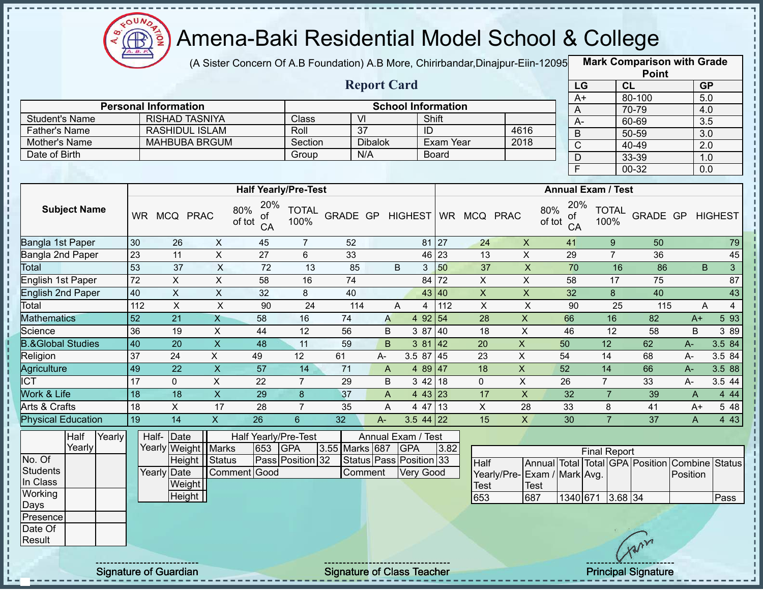

(A Sister Concern Of A.B Foundation) A.B More, Chirirbandar,Dinajpur-Eiin-120950

**Mark Comparison with Grade Point**

|                              |                 |                               |                           |                                  |                      |                 |                    |                                  |              |                     |                             |                |                 |                      | <b>Point</b>                                   |          |                     |
|------------------------------|-----------------|-------------------------------|---------------------------|----------------------------------|----------------------|-----------------|--------------------|----------------------------------|--------------|---------------------|-----------------------------|----------------|-----------------|----------------------|------------------------------------------------|----------|---------------------|
|                              |                 |                               |                           |                                  |                      |                 | <b>Report Card</b> |                                  |              |                     |                             |                | LG              |                      | CL                                             |          | <b>GP</b>           |
|                              |                 |                               |                           |                                  |                      |                 |                    |                                  |              |                     |                             |                | $A+$            |                      | 80-100                                         |          | $\overline{5.0}$    |
|                              |                 | <b>Personal Information</b>   |                           |                                  |                      |                 |                    | <b>School Information</b>        |              |                     |                             |                | A               |                      | 70-79                                          |          | 4.0                 |
| <b>Student's Name</b>        |                 | <b>RISHAD TASNIYA</b>         |                           |                                  | Class                | $\overline{V}$  |                    |                                  | Shift        |                     |                             |                | $\overline{A}$  |                      | 60-69                                          |          | $\overline{3.5}$    |
| <b>Father's Name</b>         |                 | <b>RASHIDUL ISLAM</b>         |                           |                                  | Roll                 |                 | $\overline{37}$    |                                  | ID           |                     |                             | 4616           | $\overline{B}$  |                      | $50 - 59$                                      |          | $\overline{3.0}$    |
| Mother's Name                |                 | <b>MAHBUBA BRGUM</b>          |                           |                                  | Section              |                 | <b>Dibalok</b>     |                                  |              | Exam Year           | 2018                        |                | $\mathsf C$     |                      | 40-49                                          |          | 2.0                 |
| Date of Birth                |                 |                               |                           |                                  | Group                |                 | N/A                |                                  | <b>Board</b> |                     |                             |                | D               |                      | 33-39                                          |          | 1.0                 |
|                              |                 |                               |                           |                                  |                      |                 |                    |                                  |              |                     |                             |                | F               |                      | $00 - 32$                                      |          | 0.0                 |
|                              |                 |                               |                           | <b>Half Yearly/Pre-Test</b>      |                      |                 |                    |                                  |              |                     |                             |                |                 | Annual Exam / Test   |                                                |          |                     |
| <b>Subject Name</b>          | <b>WR</b>       | MCQ PRAC                      |                           | 20%<br>80%<br>ОT<br>of tot<br>CA | <b>TOTAL</b><br>100% | <b>GRADE GP</b> |                    | <b>HIGHEST</b>                   |              | WR MCQ PRAC         |                             | 80%<br>of tot  | 20%<br>оt<br>CA | <b>TOTAL</b><br>100% | GRADE GP                                       |          | <b>HIGHEST</b>      |
| Bangla 1st Paper             | 30              | 26                            | $\mathsf{X}$              | 45                               | $\overline{7}$       | 52              |                    |                                  | 81 27        |                     | 24                          | $\pmb{\times}$ | 41              | $\boldsymbol{9}$     | 50                                             |          | 79                  |
| <b>Bangla 2nd Paper</b>      | 23              | 11                            | $\pmb{\times}$            | 27                               | 6                    | 33              |                    |                                  | 46 23        |                     | 13                          | X              | 29              | $\overline{7}$       | 36                                             |          | 45                  |
| Total                        | 53              | 37                            | $\times$                  | 72                               | 13                   | 85              |                    | B                                | 50<br>3      |                     | 37                          | $\mathsf X$    | 70              | 16                   | 86                                             |          | B<br>3 <sup>1</sup> |
| English 1st Paper            | 72              | $\mathsf X$                   | $\pmb{\times}$            | 58                               | 16                   | 74              |                    |                                  | 72<br>84     | $\mathsf{X}$        |                             | $\mathsf X$    | 58              | 17                   | 75                                             |          | 87                  |
| <b>English 2nd Paper</b>     | 40              | $\overline{X}$                | $\sf X$                   | 32                               | 8                    | 40              |                    |                                  | 43 40        | X                   |                             | $\pmb{\times}$ | 32              | 8                    | 40                                             |          | 43                  |
| Total                        | 112             | $\pmb{\times}$                | $\times$                  | 90                               | 24                   | 114             |                    | A                                | 112<br>4     | $\sf X$             |                             | $\sf X$        | 90              | 25                   | 115                                            |          | $\overline{4}$<br>A |
| <b>Mathematics</b>           | 52              | $\overline{21}$               | $\mathsf{X}$              | 58                               | 16                   | 74              | A                  | 4 9 2                            | 54           | 28                  |                             | X              | 66              | 16                   | 82                                             | $A+$     | 593                 |
| Science                      | 36              | 19                            | X                         | 44                               | 12                   | 56              | B                  | 3 87                             | 40           | 18                  |                             | X              | 46              | 12                   | 58                                             | B        | 3 8 9               |
| <b>B.&amp;Global Studies</b> | 40              | $\overline{20}$               | $\mathsf{x}$              | 48                               | 11                   | 59              | B                  | 3 81                             | 42           | 20                  |                             | X              | 50              | 12                   | 62                                             | $A-$     | 3.5 84              |
| Religion                     | 37              | 24                            | $\mathsf{X}$              | 49                               | 12                   | 61              | A-                 | 3.5 87                           | 45           | 23                  | $\pmb{\times}$              |                | 54              | 14                   | 68                                             | A-       | 3.5 84              |
| Agriculture                  | 49              | 22                            | $\pmb{\times}$            | 57                               | 14                   | 71              | $\mathsf{A}$       |                                  | 4 89 47      | 18                  |                             | X              | 52              | 14                   | 66                                             | $A-$     | 3.5 88              |
| $\overline{C}$               | $\overline{17}$ | $\mathbf 0$                   | $\overline{\mathsf{x}}$   | $\overline{22}$                  | $\overline{7}$       | 29              | B                  |                                  | 3 42 18      | $\mathbf 0$         |                             | $\overline{X}$ | $\overline{26}$ | $\overline{7}$       | 33                                             | A-       | 3.5 44              |
| Work & Life                  | 18              | 18                            | $\boldsymbol{\mathsf{X}}$ | 29                               | 8                    | 37              | A                  |                                  | 4 43 23      | 17                  |                             | $\pmb{\times}$ | 32              | $\overline{7}$       | 39                                             | A        | 4 4 4               |
| Arts & Crafts                | 18              | X                             | 17                        | 28                               | $\overline{7}$       | 35              | A                  | 4 47                             | 13           | $\mathsf{X}$        |                             | 28             | 33              | 8                    | 41                                             | $A+$     | 5 48                |
| <b>Physical Education</b>    | 19              | $\overline{14}$               | $\overline{X}$            | $\overline{26}$                  | $6\phantom{1}$       | 32              | A-                 |                                  | $3.544$ 22   | 15                  |                             | $\overline{X}$ | 30              | $\overline{7}$       | 37                                             | A        | 4 4 3               |
| Half<br>Yearly<br>Yearly     | Half-           | Date<br>Yearly Weight   Marks |                           | Half Yearly/Pre-Test<br>653      | <b>GPA</b>           | 3.55 Marks 687  |                    | Annual Exam / Test<br><b>GPA</b> |              | 3.82                |                             |                |                 |                      |                                                |          |                     |
| No. Of                       |                 | Height Status                 |                           |                                  | Pass Position 32     |                 |                    | Status Pass Position 33          |              |                     |                             |                |                 | <b>Final Report</b>  |                                                |          |                     |
| <b>Students</b><br>In Class  |                 | Yearly Date<br>Weight         | Comment                   | Good                             |                      |                 | Comment            | <b>Very Good</b>                 |              | Half<br><b>Test</b> | Yearly/Pre-Exam / Mark Avg. | <b>Test</b>    |                 |                      | Annual Total Total GPA Position Combine Status | Position |                     |
| Working                      |                 | Height                        |                           |                                  |                      |                 |                    |                                  |              | 653                 |                             | 687            |                 | 1340 671 3.68 34     |                                                |          | Pass                |
| Days                         |                 |                               |                           |                                  |                      |                 |                    |                                  |              |                     |                             |                |                 |                      |                                                |          |                     |

Presence Date Of Result

л J.

Signature of Guardian Signature of Class Teacher Principal Signature 37-39 Principal Signature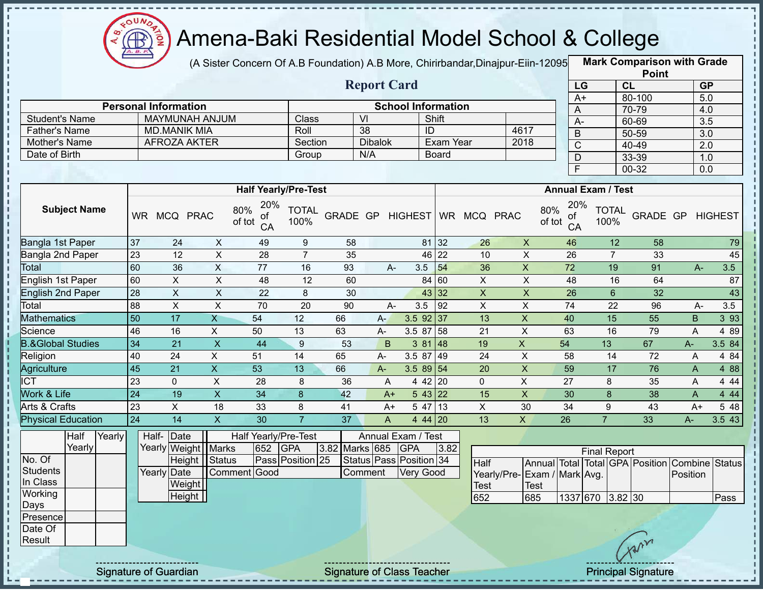

(A Sister Concern Of A.B Foundation) A.B More, Chirirbandar, Dinajpur-Eiin-12095

**Mark Comparison with Grade**

|                              |                                                             |                         |                           |                                  |                      |                           |                             |            |                 |                              |                             |                 |                         | <b>Point</b>         |                                                |                  |        |  |  |
|------------------------------|-------------------------------------------------------------|-------------------------|---------------------------|----------------------------------|----------------------|---------------------------|-----------------------------|------------|-----------------|------------------------------|-----------------------------|-----------------|-------------------------|----------------------|------------------------------------------------|------------------|--------|--|--|
| <b>Report Card</b>           |                                                             |                         |                           |                                  |                      |                           |                             |            |                 |                              |                             |                 | LG                      |                      | CL                                             | <b>GP</b>        |        |  |  |
|                              |                                                             |                         |                           |                                  |                      | <b>School Information</b> |                             |            |                 |                              |                             |                 | $A+$                    |                      | 80-100                                         | 5.0              |        |  |  |
| <b>Personal Information</b>  |                                                             |                         |                           |                                  |                      |                           | VI                          |            |                 |                              |                             | A               |                         | 70-79                |                                                | 4.0              |        |  |  |
| <b>Student's Name</b>        | MAYMUNAH ANJUM                                              |                         |                           | Class                            |                      |                           |                             | Shift      |                 |                              | $A -$                       |                 | 60-69                   |                      | 3.5                                            |                  |        |  |  |
|                              | <b>MD.MANIK MIA</b><br><b>Father's Name</b><br>AFROZA AKTER |                         |                           | Roll                             |                      | 38<br>ID                  |                             |            | 4617            |                              | $\sf B$                     | $50 - 59$       |                         | $\overline{3.0}$     |                                                |                  |        |  |  |
| Mother's Name                |                                                             |                         |                           |                                  | Section              |                           | Exam Year<br><b>Dibalok</b> |            |                 |                              | 2018                        |                 | $\mathsf C$             |                      | $40 - 49$                                      | 2.0              |        |  |  |
| Date of Birth                |                                                             |                         |                           |                                  | Group                |                           | N/A                         |            | <b>Board</b>    |                              |                             |                 | $\mathsf{D}$            |                      | 33-39                                          | 1.0              |        |  |  |
|                              |                                                             |                         |                           |                                  |                      |                           |                             |            |                 |                              |                             |                 | $\overline{\mathsf{F}}$ |                      | $00 - 32$                                      | 0.0              |        |  |  |
|                              | <b>Half Yearly/Pre-Test</b>                                 |                         |                           |                                  |                      | <b>Annual Exam / Test</b> |                             |            |                 |                              |                             |                 |                         |                      |                                                |                  |        |  |  |
| <b>Subject Name</b>          |                                                             | WR MCQ PRAC             |                           | 20%<br>80%<br>οf<br>of tot<br>CA | <b>TOTAL</b><br>100% |                           |                             |            |                 | GRADE GP HIGHEST WR MCQ PRAC |                             | 80%<br>of tot   | 20%<br>οf<br>CA         | <b>TOTAL</b><br>100% |                                                | GRADE GP HIGHEST |        |  |  |
| Bangla 1st Paper             | 37                                                          | 24                      | $\pmb{\times}$            | 49                               | $9\,$                | 58                        |                             |            | 81 32           | 26                           | $\pmb{\times}$              |                 | 46                      | 12                   | 58                                             |                  | 79     |  |  |
| Bangla 2nd Paper             | 23                                                          | 12                      | $\overline{X}$            | 28                               | $\overline{7}$       | 35                        |                             |            | 46 22           | 10                           | $\pmb{\times}$              |                 | 26                      | $\overline{7}$       | 33                                             |                  | 45     |  |  |
| Total                        | 60                                                          | 36                      | $\overline{X}$            | $\overline{77}$                  | 16                   | 93                        | A-                          | 3.5        | 54              | 36                           | $\overline{X}$              |                 | $\overline{72}$         | 19                   | 91                                             | $A -$            | 3.5    |  |  |
| English 1st Paper            | 60                                                          | $\pmb{\times}$          | $\mathsf X$               | 48                               | $\overline{12}$      | 60                        |                             |            | 84 60           | $\mathsf X$                  | $\mathsf X$                 |                 | 48                      | 16                   | 64                                             |                  | 87     |  |  |
| <b>English 2nd Paper</b>     | $\overline{28}$                                             | $\overline{\mathsf{x}}$ | $\boldsymbol{\mathsf{X}}$ | $\overline{22}$                  | $\,8\,$              | 30                        |                             |            | 43 32           | $\pmb{\mathsf{X}}$           | $\mathsf X$                 |                 | $\overline{26}$         | $6\overline{6}$      | 32                                             |                  | 43     |  |  |
| Total                        | 88                                                          | $\overline{\mathsf{x}}$ | $\overline{X}$            | $\overline{70}$                  | $\overline{20}$      | $\overline{90}$           | A-                          | 3.5        | $\overline{92}$ | $\overline{X}$               | $\overline{\mathsf{x}}$     |                 | $\overline{74}$         | $\overline{22}$      | 96                                             | A-               | 3.5    |  |  |
| <b>Mathematics</b>           | $\overline{50}$                                             | $\overline{17}$         | X                         | 54                               | 12                   | 66                        | $A-$                        |            | $3.5$ 92 37     | 13                           | $\pmb{\times}$              |                 | 40                      | 15                   | $\overline{55}$                                | B                | 3 9 3  |  |  |
| Science                      | 46                                                          | 16                      | $\pmb{\times}$            | 50                               | 13                   | 63                        | $A-$                        |            | 3.58758         | 21                           | $\mathsf{X}$                | 63              |                         | 16                   | 79                                             | A                | 4 8 9  |  |  |
| <b>B.&amp;Global Studies</b> | $\overline{34}$                                             | 21                      | $\mathsf X$               | 44                               | $\boldsymbol{9}$     | 53                        | B                           |            | 38148           | 19                           | $\overline{X}$              | 54              |                         | 13                   | 67                                             | A-               | 3.5 84 |  |  |
| Religion                     | 40                                                          | 24                      | $\pmb{\times}$            | 51                               | 14                   | 65                        | A-                          |            | 3.5 87 49       | 24                           | $\pmb{\times}$              | 58              |                         | 14                   | 72                                             | A                | 4 84   |  |  |
| Agriculture                  | $\overline{45}$                                             | $\overline{21}$         | $\overline{X}$            | 53                               | 13                   | 66                        | A-                          |            | 3.58954         | 20                           | $\pmb{\times}$              |                 | 59                      | 17                   | 76                                             | A                | 4 8 8  |  |  |
| <b>ICT</b>                   | 23                                                          | $\Omega$                | $\pmb{\times}$            | $\overline{28}$                  | 8                    | $\overline{36}$           | A                           |            | $442$ 20        | $\Omega$                     | X                           | $\overline{27}$ |                         | 8                    | 35                                             | A                | 4 4 4  |  |  |
| Work & Life                  | $\overline{24}$                                             | 19                      | $\mathsf X$               | 34                               | $\boldsymbol{8}$     | 42                        | $A+$                        |            | 543 22          | 15                           | $\boldsymbol{\mathsf{X}}$   |                 | 30                      | 8                    | 38                                             | A                | 4 4 4  |  |  |
| Arts & Crafts                | $\overline{23}$                                             | $\mathsf X$             | 18                        | 33                               | 8                    | 41                        | $A+$                        |            | $547$ 13        | $\mathsf{X}$                 | 30                          | 34              |                         | $\boldsymbol{9}$     | 43                                             | $A+$             | 5 48   |  |  |
| <b>Physical Education</b>    | $\overline{24}$                                             | 14                      | $\overline{\mathsf{X}}$   | 30                               | $\overline{7}$       | $\overline{37}$           | A                           |            | 4 44 20         | 13                           | $\overline{X}$              | 26              |                         | $\overline{7}$       | 33                                             | $A -$            | 3.5 43 |  |  |
| Half<br>Yearly               |                                                             | Half- Date              |                           | Half Yearly/Pre-Test             |                      |                           | Annual Exam / Test          |            |                 |                              |                             |                 |                         |                      |                                                |                  |        |  |  |
| Yearly                       |                                                             |                         | Yearly Weight   Marks     | 652                              | <b>GPA</b>           | 3.82 Marks 685            |                             | <b>GPA</b> | 3.82            |                              |                             |                 |                         | <b>Final Report</b>  |                                                |                  |        |  |  |
| No. Of                       |                                                             |                         | Height Status             |                                  | Pass Position 25     |                           | Status Pass Position 34     |            |                 | Half                         |                             |                 |                         |                      | Annual Total Total GPA Position Combine Status |                  |        |  |  |
| <b>Students</b>              |                                                             | Yearly Date             |                           | Comment Good                     |                      |                           | Comment                     | Very Good  |                 |                              | Yearly/Pre-Exam / Mark Avg. |                 |                         |                      |                                                | Position         |        |  |  |
| In Class                     |                                                             |                         | Weight                    |                                  |                      |                           |                             |            |                 | <b>Test</b>                  | Test                        |                 |                         |                      |                                                |                  |        |  |  |
| Working                      |                                                             |                         | Height                    |                                  |                      |                           |                             |            |                 | 652                          | 685                         |                 |                         | 1337 670 3.82 30     |                                                |                  | Pass   |  |  |
| Days<br>Presence             |                                                             |                         |                           |                                  |                      |                           |                             |            |                 |                              |                             |                 |                         |                      |                                                |                  |        |  |  |
| Date Of<br>Result            |                                                             |                         |                           |                                  |                      |                           |                             |            |                 |                              |                             |                 |                         |                      | Avr                                            |                  |        |  |  |

Signature of Guardian Signature of Class T Teacher Principal Signature 38/39